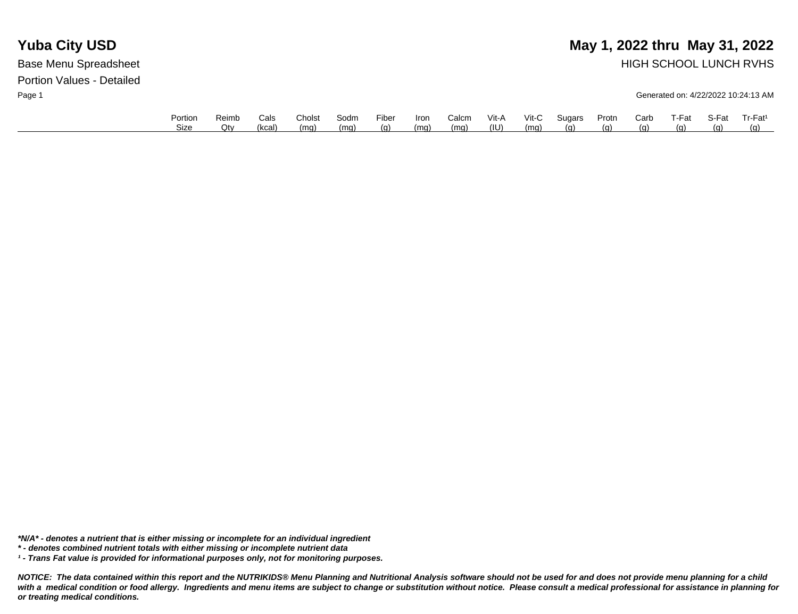### **Yuba City USD** May 1, 2022 thru May 31, 2022 Base Menu Spreadsheet **HIGH SCHOOL LUNCH RVHS**

Page 1 Generated on: 4/22/2022 10:24:13 AM

| Portion | Reimb | Cals   | Cholst | Sodm | Fiber | <b>Iron</b> | Calcm | Vit-A | $V$ it-C | Sugars | Protn | Carb | T-Fat      | S-Fat | Tr-Fat <sup>1</sup> |
|---------|-------|--------|--------|------|-------|-------------|-------|-------|----------|--------|-------|------|------------|-------|---------------------|
| Size    | Otv   | (kcal) | (mg)   | (ma) | (g)   | (ma)        | (mq)  | (IU)  | (ma)     | (n)    | (q)   | (α)  | <u>(g)</u> | (a)   | (a)                 |

*\*N/A\* - denotes a nutrient that is either missing or incomplete for an individual ingredient*

*\* - denotes combined nutrient totals with either missing or incomplete nutrient data*

*¹ - Trans Fat value is provided for informational purposes only, not for monitoring purposes.*

*NOTICE: The data contained within this report and the NUTRIKIDS® Menu Planning and Nutritional Analysis software should not be used for and does not provide menu planning for a child*  with a medical condition or food allergy. Ingredients and menu items are subject to change or substitution without notice. Please consult a medical professional for assistance in planning for *or treating medical conditions.*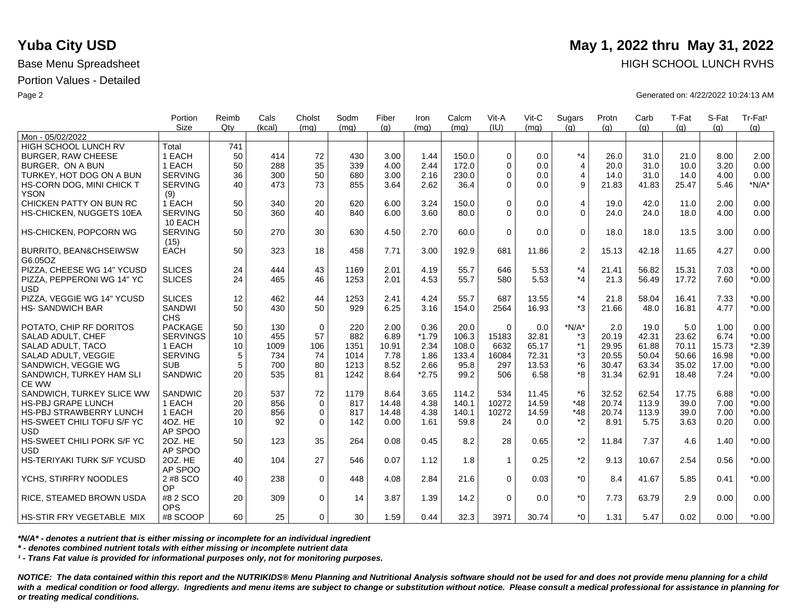|                                              | Portion                     | Reimb | Cals   | Cholst      | Sodm | Fiber | Iron    | Calcm | Vit-A       | Vit-C | Sugars         | Protn | Carb  | T-Fat | S-Fat | Tr-Fat <sup>1</sup> |
|----------------------------------------------|-----------------------------|-------|--------|-------------|------|-------|---------|-------|-------------|-------|----------------|-------|-------|-------|-------|---------------------|
| Mon - 05/02/2022                             | Size                        | Qtv   | (kcal) | (mq)        | (mq) | (q)   | (mq)    | (mq)  | (IU)        | (mq)  | (q)            | (q)   | (q)   | (q)   | (q)   | (g)                 |
| <b>HIGH SCHOOL LUNCH RV</b>                  | Total                       | 741   |        |             |      |       |         |       |             |       |                |       |       |       |       |                     |
| <b>BURGER, RAW CHEESE</b>                    | 1 EACH                      | 50    | 414    | 72          | 430  | 3.00  | 1.44    | 150.0 | $\Omega$    | 0.0   | $*_{4}$        | 26.0  | 31.0  | 21.0  | 8.00  | 2.00                |
| BURGER. ON A BUN                             | 1 EACH                      | 50    | 288    | 35          | 339  | 4.00  | 2.44    | 172.0 | $\Omega$    | 0.0   | $\overline{4}$ | 20.0  | 31.0  | 10.0  | 3.20  | 0.00                |
| TURKEY, HOT DOG ON A BUN                     | <b>SERVING</b>              | 36    | 300    | 50          | 680  | 3.00  | 2.16    | 230.0 | $\Omega$    | 0.0   | $\overline{4}$ | 14.0  | 31.0  | 14.0  | 4.00  | 0.00                |
| HS-CORN DOG, MINI CHICK T                    | <b>SERVING</b>              | 40    | 473    | 73          | 855  | 3.64  | 2.62    | 36.4  | $\Omega$    | 0.0   | 9              | 21.83 | 41.83 | 25.47 | 5.46  | $*N/A*$             |
| <b>YSON</b>                                  | (9)                         |       |        |             |      |       |         |       |             |       |                |       |       |       |       |                     |
| CHICKEN PATTY ON BUN RC                      | 1 EACH                      | 50    | 340    | 20          | 620  | 6.00  | 3.24    | 150.0 | $\Omega$    | 0.0   | $\overline{4}$ | 19.0  | 42.0  | 11.0  | 2.00  | 0.00                |
| HS-CHICKEN, NUGGETS 10EA                     | <b>SERVING</b><br>10 EACH   | 50    | 360    | 40          | 840  | 6.00  | 3.60    | 80.0  | $\Omega$    | 0.0   | $\mathbf 0$    | 24.0  | 24.0  | 18.0  | 4.00  | 0.00                |
| HS-CHICKEN, POPCORN WG                       | <b>SERVING</b><br>(15)      | 50    | 270    | 30          | 630  | 4.50  | 2.70    | 60.0  | $\Omega$    | 0.0   | $\Omega$       | 18.0  | 18.0  | 13.5  | 3.00  | 0.00                |
| <b>BURRITO, BEAN&amp;CHSEIWSW</b><br>G6.05OZ | <b>EACH</b>                 | 50    | 323    | 18          | 458  | 7.71  | 3.00    | 192.9 | 681         | 11.86 | 2              | 15.13 | 42.18 | 11.65 | 4.27  | 0.00                |
| PIZZA, CHEESE WG 14" YCUSD                   | <b>SLICES</b>               | 24    | 444    | 43          | 1169 | 2.01  | 4.19    | 55.7  | 646         | 5.53  | $*_{4}$        | 21.41 | 56.82 | 15.31 | 7.03  | $*0.00$             |
| PIZZA, PEPPERONI WG 14" YC<br><b>USD</b>     | <b>SLICES</b>               | 24    | 465    | 46          | 1253 | 2.01  | 4.53    | 55.7  | 580         | 5.53  | $*_{4}$        | 21.3  | 56.49 | 17.72 | 7.60  | $*0.00$             |
| PIZZA, VEGGIE WG 14" YCUSD                   | <b>SLICES</b>               | 12    | 462    | 44          | 1253 | 2.41  | 4.24    | 55.7  | 687         | 13.55 | $*_{4}$        | 21.8  | 58.04 | 16.41 | 7.33  | $*0.00$             |
| <b>HS-SANDWICH BAR</b>                       | <b>SANDWI</b><br><b>CHS</b> | 50    | 430    | 50          | 929  | 6.25  | 3.16    | 154.0 | 2564        | 16.93 | $*3$           | 21.66 | 48.0  | 16.81 | 4.77  | $*0.00$             |
| POTATO, CHIP RF DORITOS                      | <b>PACKAGE</b>              | 50    | 130    | $\mathbf 0$ | 220  | 2.00  | 0.36    | 20.0  | $\Omega$    | 0.0   | $*N/A*$        | 2.0   | 19.0  | 5.0   | 1.00  | 0.00                |
| SALAD ADULT, CHEF                            | <b>SERVINGS</b>             | 10    | 455    | 57          | 882  | 6.89  | $*1.79$ | 106.3 | 15183       | 32.81 | *3             | 20.19 | 42.31 | 23.62 | 6.74  | $*0.00$             |
| SALAD ADULT, TACO                            | 1 EACH                      | 10    | 1009   | 106         | 1351 | 10.91 | 2.34    | 108.0 | 6632        | 65.17 | $*1$           | 29.95 | 61.88 | 70.11 | 15.73 | $*2.39$             |
| SALAD ADULT, VEGGIE                          | <b>SERVING</b>              | 5     | 734    | 74          | 1014 | 7.78  | 1.86    | 133.4 | 16084       | 72.31 | *3             | 20.55 | 50.04 | 50.66 | 16.98 | $*0.00$             |
| SANDWICH, VEGGIE WG                          | <b>SUB</b>                  | 5     | 700    | 80          | 1213 | 8.52  | 2.66    | 95.8  | 297         | 13.53 | $*6$           | 30.47 | 63.34 | 35.02 | 17.00 | $*0.00$             |
| SANDWICH, TURKEY HAM SLI<br>CE WW            | SANDWIC                     | 20    | 535    | 81          | 1242 | 8.64  | $*2.75$ | 99.2  | 506         | 6.58  | *8             | 31.34 | 62.91 | 18.48 | 7.24  | $*0.00$             |
| SANDWICH, TURKEY SLICE WW                    | SANDWIC                     | 20    | 537    | 72          | 1179 | 8.64  | 3.65    | 114.2 | 534         | 11.45 | $*6$           | 32.52 | 62.54 | 17.75 | 6.88  | $*0.00$             |
| <b>HS-PBJ GRAPE LUNCH</b>                    | 1 EACH                      | 20    | 856    | $\Omega$    | 817  | 14.48 | 4.38    | 140.1 | 10272       | 14.59 | $*48$          | 20.74 | 113.9 | 39.0  | 7.00  | $*0.00$             |
| <b>HS-PBJ STRAWBERRY LUNCH</b>               | 1 EACH                      | 20    | 856    | $\mathbf 0$ | 817  | 14.48 | 4.38    | 140.1 | 10272       | 14.59 | $*48$          | 20.74 | 113.9 | 39.0  | 7.00  | $*0.00$             |
| HS-SWEET CHILI TOFU S/F YC                   | 4OZ. HE                     | 10    | 92     | $\Omega$    | 142  | 0.00  | 1.61    | 59.8  | 24          | 0.0   | *2             | 8.91  | 5.75  | 3.63  | 0.20  | 0.00                |
| <b>USD</b>                                   | AP SPOO                     |       |        |             |      |       |         |       |             |       |                |       |       |       |       |                     |
| HS-SWEET CHILI PORK S/F YC                   | 20Z. HE                     | 50    | 123    | 35          | 264  | 0.08  | 0.45    | 8.2   | 28          | 0.65  | $*2$           | 11.84 | 7.37  | 4.6   | 1.40  | $*0.00$             |
| <b>USD</b>                                   | AP SPOO                     |       |        |             |      |       |         |       |             |       |                |       |       |       |       |                     |
| HS-TERIYAKI TURK S/F YCUSD                   | 20Z. HE<br>AP SPOO          | 40    | 104    | 27          | 546  | 0.07  | 1.12    | 1.8   | $\mathbf 1$ | 0.25  | $*2$           | 9.13  | 10.67 | 2.54  | 0.56  | $*0.00$             |
| YCHS, STIRFRY NOODLES                        | 2 #8 SCO<br>OP              | 40    | 238    | $\mathbf 0$ | 448  | 4.08  | 2.84    | 21.6  | $\Omega$    | 0.03  | $*_{0}$        | 8.4   | 41.67 | 5.85  | 0.41  | $*0.00$             |
| <b>RICE, STEAMED BROWN USDA</b>              | #8 2 SCO<br><b>OPS</b>      | 20    | 309    | $\mathbf 0$ | 14   | 3.87  | 1.39    | 14.2  | $\Omega$    | 0.0   | $*_{0}$        | 7.73  | 63.79 | 2.9   | 0.00  | 0.00                |
| <b>HS-STIR FRY VEGETABLE MIX</b>             | #8 SCOOP                    | 60    | 25     | $\Omega$    | 30   | 1.59  | 0.44    | 32.3  | 3971        | 30.74 | $*_{0}$        | 1.31  | 5.47  | 0.02  | 0.00  | $*0.00$             |

*\*N/A\* - denotes a nutrient that is either missing or incomplete for an individual ingredient*

*\* - denotes combined nutrient totals with either missing or incomplete nutrient data*

*¹ - Trans Fat value is provided for informational purposes only, not for monitoring purposes.*

*NOTICE: The data contained within this report and the NUTRIKIDS® Menu Planning and Nutritional Analysis software should not be used for and does not provide menu planning for a child*  with a medical condition or food allergy. Ingredients and menu items are subject to change or substitution without notice. Please consult a medical professional for assistance in planning for *or treating medical conditions.*

## **Yuba City USD** May 1, 2022 thru May 31, 2022 Base Menu Spreadsheet **HIGH SCHOOL LUNCH RVHS**

Page 2 Generated on: 4/22/2022 10:24:13 AM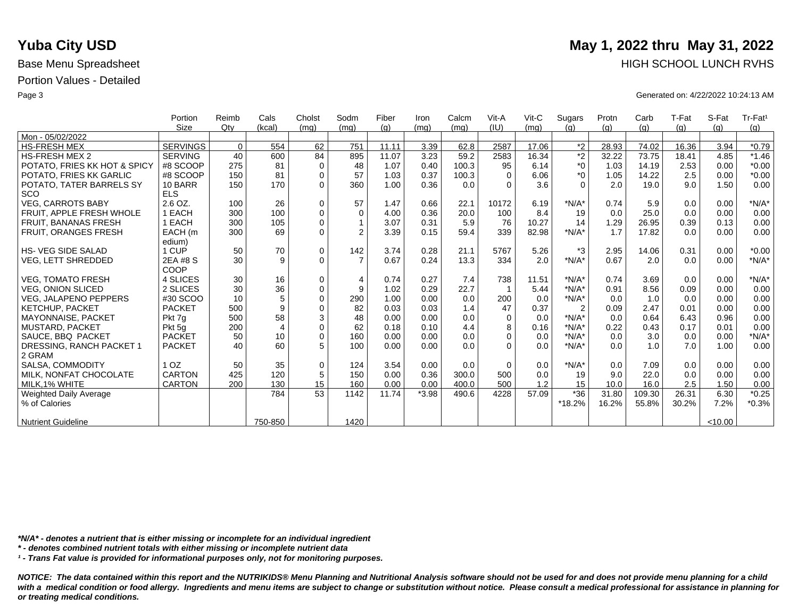|                               | Portion         | Reimb    | Cals           | Cholst      | Sodm           | Fiber | Iron    | Calcm | Vit-A       | $V$ it-C | Sugars         | Protn | Carb   | T-Fat | S-Fat   | Tr-Fat <sup>1</sup> |
|-------------------------------|-----------------|----------|----------------|-------------|----------------|-------|---------|-------|-------------|----------|----------------|-------|--------|-------|---------|---------------------|
|                               | <b>Size</b>     | Qty      | (kcal)         | (mq)        | (mq)           | (q)   | (mq)    | (mq)  | (IU)        | (mq)     | (q)            | (q)   | (g)    | (q)   | (q)     | (g)                 |
| Mon - 05/02/2022              |                 |          |                |             |                |       |         |       |             |          |                |       |        |       |         |                     |
| <b>HS-FRESH MEX</b>           | <b>SERVINGS</b> | $\Omega$ | 554            | 62          | 751            | 11.11 | 3.39    | 62.8  | 2587        | 17.06    | $*_{2}$        | 28.93 | 74.02  | 16.36 | 3.94    | $*0.79$             |
| <b>HS-FRESH MEX 2</b>         | <b>SERVING</b>  | 40       | 600            | 84          | 895            | 11.07 | 3.23    | 59.2  | 2583        | 16.34    | $*2$           | 32.22 | 73.75  | 18.41 | 4.85    | $*1.46$             |
| POTATO, FRIES KK HOT & SPICY  | #8 SCOOP        | 275      | 81             | $\mathbf 0$ | 48             | 1.07  | 0.40    | 100.3 | 95          | 6.14     | $*_{0}$        | 1.03  | 14.19  | 2.53  | 0.00    | $*0.00$             |
| POTATO, FRIES KK GARLIC       | #8 SCOOP        | 150      | 81             | $\Omega$    | 57             | 1.03  | 0.37    | 100.3 | $\Omega$    | 6.06     | $*_{0}$        | 1.05  | 14.22  | 2.5   | 0.00    | $*0.00$             |
| POTATO, TATER BARRELS SY      | 10 BARR         | 150      | 170            | $\Omega$    | 360            | 1.00  | 0.36    | 0.0   | $\Omega$    | 3.6      | $\Omega$       | 2.0   | 19.0   | 9.0   | 1.50    | 0.00                |
| SCO                           | <b>ELS</b>      |          |                |             |                |       |         |       |             |          |                |       |        |       |         |                     |
| <b>VEG. CARROTS BABY</b>      | 2.6 OZ.         | 100      | 26             | $\mathbf 0$ | 57             | 1.47  | 0.66    | 22.1  | 10172       | 6.19     | $*N/A*$        | 0.74  | 5.9    | 0.0   | 0.00    | $*N/A*$             |
| FRUIT. APPLE FRESH WHOLE      | 1 EACH          | 300      | 100            | $\mathbf 0$ | $\Omega$       | 4.00  | 0.36    | 20.0  | 100         | 8.4      | 19             | 0.0   | 25.0   | 0.0   | 0.00    | 0.00                |
| FRUIT, BANANAS FRESH          | 1 EACH          | 300      | 105            | $\mathbf 0$ |                | 3.07  | 0.31    | 5.9   | 76          | 10.27    | 14             | 1.29  | 26.95  | 0.39  | 0.13    | 0.00                |
| FRUIT, ORANGES FRESH          | EACH (m         | 300      | 69             | $\Omega$    | $\overline{2}$ | 3.39  | 0.15    | 59.4  | 339         | 82.98    | $*N/A*$        | 1.7   | 17.82  | 0.0   | 0.00    | 0.00                |
|                               | edium)          |          |                |             |                |       |         |       |             |          |                |       |        |       |         |                     |
| <b>HS-VEG SIDE SALAD</b>      | 1 CUP           | 50       | 70             | $\mathbf 0$ | 142            | 3.74  | 0.28    | 21.1  | 5767        | 5.26     | *3             | 2.95  | 14.06  | 0.31  | 0.00    | $*0.00$             |
| <b>VEG, LETT SHREDDED</b>     | 2EA #8 S        | 30       | 9              | $\Omega$    | $\overline{7}$ | 0.67  | 0.24    | 13.3  | 334         | 2.0      | $*N/A*$        | 0.67  | 2.0    | 0.0   | 0.00    | $*N/A*$             |
|                               | COOP            |          |                |             |                |       |         |       |             |          |                |       |        |       |         |                     |
| <b>VEG. TOMATO FRESH</b>      | 4 SLICES        | 30       | 16             | $\mathbf 0$ | 4              | 0.74  | 0.27    | 7.4   | 738         | 11.51    | $*N/A*$        | 0.74  | 3.69   | 0.0   | 0.00    | $*N/A*$             |
| <b>VEG. ONION SLICED</b>      | 2 SLICES        | 30       | 36             | $\mathbf 0$ | 9              | 1.02  | 0.29    | 22.7  |             | 5.44     | $*N/A*$        | 0.91  | 8.56   | 0.09  | 0.00    | 0.00                |
| <b>VEG, JALAPENO PEPPERS</b>  | #30 SCOO        | 10       | 5              | $\mathbf 0$ | 290            | 1.00  | 0.00    | 0.0   | 200         | 0.0      | $*N/A*$        | 0.0   | 1.0    | 0.0   | 0.00    | 0.00                |
| <b>KETCHUP, PACKET</b>        | <b>PACKET</b>   | 500      | 9              | $\mathbf 0$ | 82             | 0.03  | 0.03    | 1.4   | 47          | 0.37     | $\overline{2}$ | 0.09  | 2.47   | 0.01  | 0.00    | 0.00                |
| <b>MAYONNAISE, PACKET</b>     | Pkt 7q          | 500      | 58             | 3           | 48             | 0.00  | 0.00    | 0.0   | $\Omega$    | 0.0      | $*N/A*$        | 0.0   | 0.64   | 6.43  | 0.96    | 0.00                |
| <b>MUSTARD, PACKET</b>        | Pkt 5q          | 200      | $\overline{4}$ | $\mathbf 0$ | 62             | 0.18  | 0.10    | 4.4   | 8           | 0.16     | $*N/A*$        | 0.22  | 0.43   | 0.17  | 0.01    | 0.00                |
| SAUCE, BBQ PACKET             | <b>PACKET</b>   | 50       | 10             | $\mathbf 0$ | 160            | 0.00  | 0.00    | 0.0   | $\Omega$    | 0.0      | $*N/A*$        | 0.0   | 3.0    | 0.0   | 0.00    | $*N/A*$             |
| DRESSING, RANCH PACKET 1      | <b>PACKET</b>   | 40       | 60             | 5           | 100            | 0.00  | 0.00    | 0.0   | $\Omega$    | 0.0      | $*N/A*$        | 0.0   | 1.0    | 7.0   | 1.00    | 0.00                |
| 2 GRAM                        |                 |          |                |             |                |       |         |       |             |          |                |       |        |       |         |                     |
| SALSA, COMMODITY              | 1 <sub>OZ</sub> | 50       | 35             | $\mathbf 0$ | 124            | 3.54  | 0.00    | 0.0   | $\mathbf 0$ | 0.0      | $*N/A*$        | 0.0   | 7.09   | 0.0   | 0.00    | 0.00                |
| MILK. NONFAT CHOCOLATE        | <b>CARTON</b>   | 425      | 120            | 5           | 150            | 0.00  | 0.36    | 300.0 | 500         | 0.0      | 19             | 9.0   | 22.0   | 0.0   | 0.00    | 0.00                |
| MILK.1% WHITE                 | <b>CARTON</b>   | 200      | 130            | 15          | 160            | 0.00  | 0.00    | 400.0 | 500         | 1.2      | 15             | 10.0  | 16.0   | 2.5   | 1.50    | 0.00                |
| <b>Weighted Daily Average</b> |                 |          | 784            | 53          | 1142           | 11.74 | $*3.98$ | 490.6 | 4228        | 57.09    | $*36$          | 31.80 | 109.30 | 26.31 | 6.30    | $*0.25$             |
| % of Calories                 |                 |          |                |             |                |       |         |       |             |          | $*18.2%$       | 16.2% | 55.8%  | 30.2% | 7.2%    | $*0.3%$             |
|                               |                 |          |                |             |                |       |         |       |             |          |                |       |        |       |         |                     |
| <b>Nutrient Guideline</b>     |                 |          | 750-850        |             | 1420           |       |         |       |             |          |                |       |        |       | < 10.00 |                     |

*\*N/A\* - denotes a nutrient that is either missing or incomplete for an individual ingredient*

*\* - denotes combined nutrient totals with either missing or incomplete nutrient data*

*¹ - Trans Fat value is provided for informational purposes only, not for monitoring purposes.*

with a medical condition or food allergy. Ingredients and menu items are subject to change or substitution without notice. Please consult a medical professional for assistance in planning for *or treating medical conditions.*

### **Yuba City USD** May 1, 2022 thru May 31, 2022 Base Menu Spreadsheet **HIGH SCHOOL LUNCH RVHS**

Page 3 Generated on: 4/22/2022 10:24:13 AM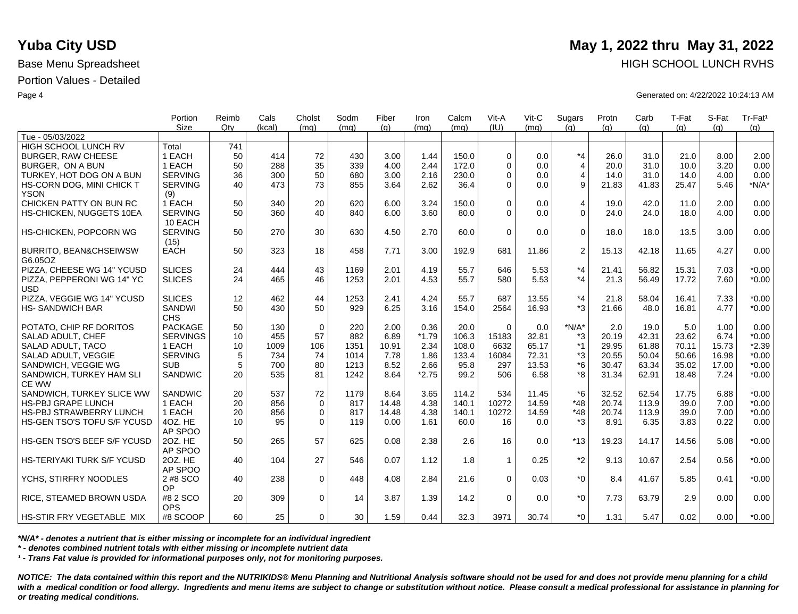|                                              | Portion                   | Reimb | Cals   | Cholst      | Sodm | Fiber | Iron    | Calcm | Vit-A          | $V$ it-C | Sugars         | Protn | Carb  | T-Fat | S-Fat | Tr-Fat <sup>1</sup> |
|----------------------------------------------|---------------------------|-------|--------|-------------|------|-------|---------|-------|----------------|----------|----------------|-------|-------|-------|-------|---------------------|
|                                              | <b>Size</b>               | Qtv   | (kcal) | (ma)        | (mq) | (q)   | (mq)    | (mq)  | (IU)           | (ma)     | (q)            | (q)   | (q)   | (q)   | (q)   | (q)                 |
| Tue - 05/03/2022                             |                           |       |        |             |      |       |         |       |                |          |                |       |       |       |       |                     |
| HIGH SCHOOL LUNCH RV                         | Total                     | 741   |        |             |      |       |         |       |                |          |                |       |       |       |       |                     |
| <b>BURGER, RAW CHEESE</b>                    | 1 EACH                    | 50    | 414    | 72          | 430  | 3.00  | 1.44    | 150.0 | $\Omega$       | 0.0      | $*_{4}$        | 26.0  | 31.0  | 21.0  | 8.00  | 2.00                |
| BURGER. ON A BUN                             | 1 EACH                    | 50    | 288    | 35          | 339  | 4.00  | 2.44    | 172.0 | $\Omega$       | 0.0      | $\overline{4}$ | 20.0  | 31.0  | 10.0  | 3.20  | 0.00                |
| TURKEY, HOT DOG ON A BUN                     | <b>SERVING</b>            | 36    | 300    | 50          | 680  | 3.00  | 2.16    | 230.0 | $\Omega$       | 0.0      | 4              | 14.0  | 31.0  | 14.0  | 4.00  | 0.00                |
| HS-CORN DOG, MINI CHICK T                    | <b>SERVING</b>            | 40    | 473    | 73          | 855  | 3.64  | 2.62    | 36.4  | $\Omega$       | 0.0      | 9              | 21.83 | 41.83 | 25.47 | 5.46  | $*N/A*$             |
| <b>YSON</b>                                  | (9)                       |       |        |             |      |       |         |       |                |          |                |       |       |       |       |                     |
| CHICKEN PATTY ON BUN RC                      | 1 EACH                    | 50    | 340    | 20          | 620  | 6.00  | 3.24    | 150.0 | $\Omega$       | 0.0      | $\overline{4}$ | 19.0  | 42.0  | 11.0  | 2.00  | 0.00                |
| HS-CHICKEN, NUGGETS 10EA                     | <b>SERVING</b><br>10 EACH | 50    | 360    | 40          | 840  | 6.00  | 3.60    | 80.0  | $\Omega$       | 0.0      | $\Omega$       | 24.0  | 24.0  | 18.0  | 4.00  | 0.00                |
| HS-CHICKEN, POPCORN WG                       | <b>SERVING</b><br>(15)    | 50    | 270    | 30          | 630  | 4.50  | 2.70    | 60.0  | $\Omega$       | 0.0      | $\Omega$       | 18.0  | 18.0  | 13.5  | 3.00  | 0.00                |
| <b>BURRITO, BEAN&amp;CHSEIWSW</b><br>G6.05OZ | <b>EACH</b>               | 50    | 323    | 18          | 458  | 7.71  | 3.00    | 192.9 | 681            | 11.86    | 2              | 15.13 | 42.18 | 11.65 | 4.27  | 0.00                |
| PIZZA, CHEESE WG 14" YCUSD                   | <b>SLICES</b>             | 24    | 444    | 43          | 1169 | 2.01  | 4.19    | 55.7  | 646            | 5.53     | $*_{4}$        | 21.41 | 56.82 | 15.31 | 7.03  | $*0.00$             |
| PIZZA, PEPPERONI WG 14" YC<br><b>USD</b>     | <b>SLICES</b>             | 24    | 465    | 46          | 1253 | 2.01  | 4.53    | 55.7  | 580            | 5.53     | $*_{4}$        | 21.3  | 56.49 | 17.72 | 7.60  | $*0.00$             |
| PIZZA, VEGGIE WG 14" YCUSD                   | <b>SLICES</b>             | 12    | 462    | 44          | 1253 | 2.41  | 4.24    | 55.7  | 687            | 13.55    | $*_{4}$        | 21.8  | 58.04 | 16.41 | 7.33  | $*0.00$             |
| <b>HS-SANDWICH BAR</b>                       | <b>SANDWI</b>             | 50    | 430    | 50          | 929  | 6.25  | 3.16    | 154.0 | 2564           | 16.93    | $*3$           | 21.66 | 48.0  | 16.81 | 4.77  | $*0.00$             |
|                                              | <b>CHS</b>                |       |        |             |      |       |         |       |                |          |                |       |       |       |       |                     |
| POTATO, CHIP RF DORITOS                      | <b>PACKAGE</b>            | 50    | 130    | $\mathbf 0$ | 220  | 2.00  | 0.36    | 20.0  | $\Omega$       | 0.0      | $*N/A*$        | 2.0   | 19.0  | 5.0   | 1.00  | 0.00                |
| SALAD ADULT, CHEF                            | <b>SERVINGS</b>           | 10    | 455    | 57          | 882  | 6.89  | $*1.79$ | 106.3 | 15183          | 32.81    | *3             | 20.19 | 42.31 | 23.62 | 6.74  | $*0.00$             |
| SALAD ADULT, TACO                            | 1 EACH                    | 10    | 1009   | 106         | 1351 | 10.91 | 2.34    | 108.0 | 6632           | 65.17    | $*1$           | 29.95 | 61.88 | 70.11 | 15.73 | $*2.39$             |
| SALAD ADULT. VEGGIE                          | <b>SERVING</b>            | 5     | 734    | 74          | 1014 | 7.78  | 1.86    | 133.4 | 16084          | 72.31    | *3             | 20.55 | 50.04 | 50.66 | 16.98 | $*0.00$             |
| SANDWICH, VEGGIE WG                          | <b>SUB</b>                | 5     | 700    | 80          | 1213 | 8.52  | 2.66    | 95.8  | 297            | 13.53    | $*6$           | 30.47 | 63.34 | 35.02 | 17.00 | $*0.00$             |
| SANDWICH, TURKEY HAM SLI<br>CE WW            | <b>SANDWIC</b>            | 20    | 535    | 81          | 1242 | 8.64  | $*2.75$ | 99.2  | 506            | 6.58     | *8             | 31.34 | 62.91 | 18.48 | 7.24  | $*0.00$             |
| SANDWICH, TURKEY SLICE WW                    | <b>SANDWIC</b>            | 20    | 537    | 72          | 1179 | 8.64  | 3.65    | 114.2 | 534            | 11.45    | $*6$           | 32.52 | 62.54 | 17.75 | 6.88  | $*0.00$             |
| <b>HS-PBJ GRAPE LUNCH</b>                    | 1 EACH                    | 20    | 856    | $\mathbf 0$ | 817  | 14.48 | 4.38    | 140.1 | 10272          | 14.59    | $*48$          | 20.74 | 113.9 | 39.0  | 7.00  | $*0.00$             |
| <b>HS-PBJ STRAWBERRY LUNCH</b>               | 1 EACH                    | 20    | 856    | $\mathbf 0$ | 817  | 14.48 | 4.38    | 140.1 | 10272          | 14.59    | $*48$          | 20.74 | 113.9 | 39.0  | 7.00  | $*0.00$             |
| HS-GEN TSO'S TOFU S/F YCUSD                  | 4OZ. HE                   | 10    | 95     | $\Omega$    | 119  | 0.00  | 1.61    | 60.0  | 16             | 0.0      | $*3$           | 8.91  | 6.35  | 3.83  | 0.22  | 0.00                |
|                                              | AP SPOO                   |       |        |             |      |       |         |       |                |          |                |       |       |       |       |                     |
| HS-GEN TSO'S BEEF S/F YCUSD                  | 20Z. HE<br>AP SPOO        | 50    | 265    | 57          | 625  | 0.08  | 2.38    | 2.6   | 16             | 0.0      | $*13$          | 19.23 | 14.17 | 14.56 | 5.08  | $*0.00$             |
| <b>HS-TERIYAKI TURK S/F YCUSD</b>            | 20Z. HE<br>AP SPOO        | 40    | 104    | 27          | 546  | 0.07  | 1.12    | 1.8   | $\overline{1}$ | 0.25     | $*2$           | 9.13  | 10.67 | 2.54  | 0.56  | $*0.00$             |
| YCHS, STIRFRY NOODLES                        | 2 #8 SCO<br><b>OP</b>     | 40    | 238    | $\Omega$    | 448  | 4.08  | 2.84    | 21.6  | $\Omega$       | 0.03     | $*_{0}$        | 8.4   | 41.67 | 5.85  | 0.41  | $*0.00$             |
| RICE, STEAMED BROWN USDA                     | #8 2 SCO<br><b>OPS</b>    | 20    | 309    | $\mathbf 0$ | 14   | 3.87  | 1.39    | 14.2  | $\Omega$       | 0.0      | $*_{0}$        | 7.73  | 63.79 | 2.9   | 0.00  | 0.00                |
| <b>HS-STIR FRY VEGETABLE MIX</b>             | #8 SCOOP                  | 60    | 25     | $\Omega$    | 30   | 1.59  | 0.44    | 32.3  | 3971           | 30.74    | $*$ $\Omega$   | 1.31  | 5.47  | 0.02  | 0.00  | $*0.00$             |

*\*N/A\* - denotes a nutrient that is either missing or incomplete for an individual ingredient*

*\* - denotes combined nutrient totals with either missing or incomplete nutrient data*

*¹ - Trans Fat value is provided for informational purposes only, not for monitoring purposes.*

*NOTICE: The data contained within this report and the NUTRIKIDS® Menu Planning and Nutritional Analysis software should not be used for and does not provide menu planning for a child*  with a medical condition or food allergy. Ingredients and menu items are subject to change or substitution without notice. Please consult a medical professional for assistance in planning for *or treating medical conditions.*

## **Yuba City USD** May 1, 2022 thru May 31, 2022 Base Menu Spreadsheet **HIGH SCHOOL LUNCH RVHS**

Page 4 Generated on: 4/22/2022 10:24:13 AM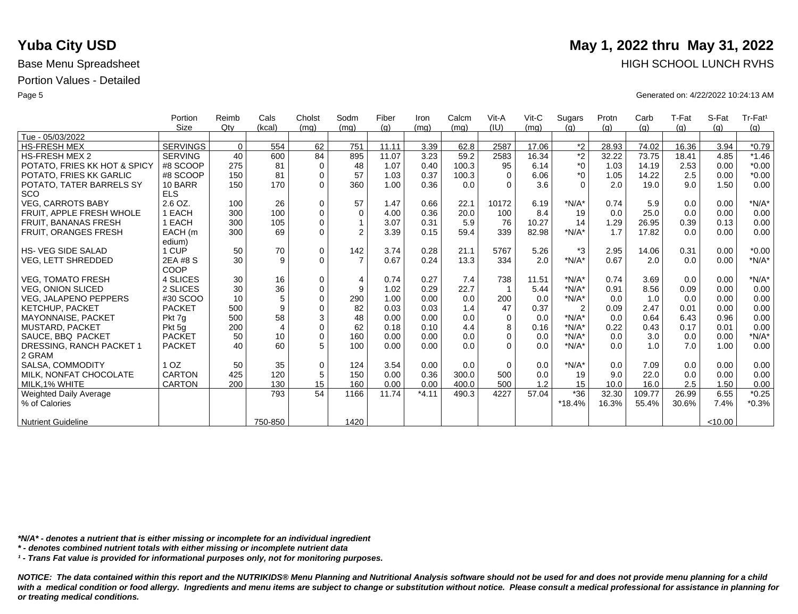|                                 | Portion         | Reimb    | Cals            | Cholst      | Sodm           | Fiber | Iron    | Calcm | Vit-A    | $V$ it-C | Sugars         | Protn | Carb   | T-Fat | S-Fat   | Tr-Fat <sup>1</sup> |
|---------------------------------|-----------------|----------|-----------------|-------------|----------------|-------|---------|-------|----------|----------|----------------|-------|--------|-------|---------|---------------------|
|                                 | <b>Size</b>     | Qtv      | (kcal)          | (mq)        | (mq)           | (q)   | (mq)    | (mq)  | (IU)     | (mq)     | (q)            | (q)   | (q)    | (q)   | (q)     | (q)                 |
| Tue - 05/03/2022                |                 |          |                 |             |                |       |         |       |          |          |                |       |        |       |         |                     |
| <b>HS-FRESH MEX</b>             | <b>SERVINGS</b> | $\Omega$ | 554             | 62          | 751            | 11.11 | 3.39    | 62.8  | 2587     | 17.06    | $*2$           | 28.93 | 74.02  | 16.36 | 3.94    | $*0.79$             |
| <b>HS-FRESH MEX 2</b>           | <b>SERVING</b>  | 40       | 600             | 84          | 895            | 11.07 | 3.23    | 59.2  | 2583     | 16.34    | $*2$           | 32.22 | 73.75  | 18.41 | 4.85    | $*1.46$             |
| POTATO, FRIES KK HOT & SPICY    | #8 SCOOP        | 275      | 81              | $\mathbf 0$ | 48             | 1.07  | 0.40    | 100.3 | 95       | 6.14     | $*_{0}$        | 1.03  | 14.19  | 2.53  | 0.00    | $*0.00$             |
| POTATO, FRIES KK GARLIC         | #8 SCOOP        | 150      | 81              | $\mathbf 0$ | 57             | 1.03  | 0.37    | 100.3 | $\Omega$ | 6.06     | $*_{0}$        | 1.05  | 14.22  | 2.5   | 0.00    | $*0.00$             |
| POTATO, TATER BARRELS SY        | 10 BARR         | 150      | 170             | $\Omega$    | 360            | 1.00  | 0.36    | 0.0   | $\Omega$ | 3.6      | $\Omega$       | 2.0   | 19.0   | 9.0   | 1.50    | 0.00                |
| SCO                             | <b>ELS</b>      |          |                 |             |                |       |         |       |          |          |                |       |        |       |         |                     |
| <b>VEG. CARROTS BABY</b>        | 2.6 OZ.         | 100      | 26              | $\mathbf 0$ | 57             | 1.47  | 0.66    | 22.1  | 10172    | 6.19     | $*N/A*$        | 0.74  | 5.9    | 0.0   | 0.00    | $*N/A*$             |
| <b>FRUIT. APPLE FRESH WHOLE</b> | 1 EACH          | 300      | 100             | $\mathbf 0$ | $\mathbf 0$    | 4.00  | 0.36    | 20.0  | 100      | 8.4      | 19             | 0.0   | 25.0   | 0.0   | 0.00    | 0.00                |
| <b>FRUIT, BANANAS FRESH</b>     | 1 EACH          | 300      | 105             | $\mathbf 0$ | $\mathbf{1}$   | 3.07  | 0.31    | 5.9   | 76       | 10.27    | 14             | 1.29  | 26.95  | 0.39  | 0.13    | 0.00                |
| <b>FRUIT, ORANGES FRESH</b>     | EACH (m         | 300      | 69              | $\mathbf 0$ | $\mathfrak{p}$ | 3.39  | 0.15    | 59.4  | 339      | 82.98    | $*N/A*$        | 1.7   | 17.82  | 0.0   | 0.00    | 0.00                |
|                                 | edium)          |          |                 |             |                |       |         |       |          |          |                |       |        |       |         |                     |
| <b>HS- VEG SIDE SALAD</b>       | 1 CUP           | 50       | 70              | $\mathbf 0$ | 142            | 3.74  | 0.28    | 21.1  | 5767     | 5.26     | *3             | 2.95  | 14.06  | 0.31  | 0.00    | $*0.00$             |
| VEG, LETT SHREDDED              | 2EA #8 S        | 30       | 9               | $\mathbf 0$ | $\overline{7}$ | 0.67  | 0.24    | 13.3  | 334      | 2.0      | $*N/A*$        | 0.67  | 2.0    | 0.0   | 0.00    | $*N/A*$             |
|                                 | COOP            |          |                 |             |                |       |         |       |          |          |                |       |        |       |         |                     |
| <b>VEG, TOMATO FRESH</b>        | 4 SLICES        | 30       | 16              | $\mathbf 0$ | $\overline{4}$ | 0.74  | 0.27    | 7.4   | 738      | 11.51    | $*N/A*$        | 0.74  | 3.69   | 0.0   | 0.00    | $*N/A*$             |
| <b>VEG, ONION SLICED</b>        | 2 SLICES        | 30       | 36              | $\pmb{0}$   | 9              | 1.02  | 0.29    | 22.7  |          | 5.44     | $*N/A*$        | 0.91  | 8.56   | 0.09  | 0.00    | 0.00                |
| VEG, JALAPENO PEPPERS           | #30 SCOO        | 10       | 5               | $\mathbf 0$ | 290            | 1.00  | 0.00    | 0.0   | 200      | 0.0      | $*N/A*$        | 0.0   | 1.0    | 0.0   | 0.00    | 0.00                |
| <b>KETCHUP, PACKET</b>          | <b>PACKET</b>   | 500      | 9               | $\Omega$    | 82             | 0.03  | 0.03    | 1.4   | 47       | 0.37     | $\overline{2}$ | 0.09  | 2.47   | 0.01  | 0.00    | 0.00                |
| <b>MAYONNAISE, PACKET</b>       | Pkt 7g          | 500      | 58              | $\sqrt{3}$  | 48             | 0.00  | 0.00    | 0.0   | $\Omega$ | 0.0      | $*N/A*$        | 0.0   | 0.64   | 6.43  | 0.96    | 0.00                |
| MUSTARD, PACKET                 | Pkt 5q          | 200      | $\overline{4}$  | $\mathbf 0$ | 62             | 0.18  | 0.10    | 4.4   | 8        | 0.16     | $*N/A*$        | 0.22  | 0.43   | 0.17  | 0.01    | 0.00                |
| SAUCE, BBQ PACKET               | <b>PACKET</b>   | 50       | 10 <sup>1</sup> | $\mathbf 0$ | 160            | 0.00  | 0.00    | 0.0   | $\Omega$ | 0.0      | $*N/A*$        | 0.0   | 3.0    | 0.0   | 0.00    | $*N/A*$             |
| DRESSING, RANCH PACKET 1        | <b>PACKET</b>   | 40       | 60              | 5           | 100            | 0.00  | 0.00    | 0.0   | $\Omega$ | 0.0      | $*N/A*$        | 0.0   | 1.0    | 7.0   | 1.00    | 0.00                |
| 2 GRAM                          |                 |          |                 |             |                |       |         |       |          |          |                |       |        |       |         |                     |
| SALSA, COMMODITY                | 1 <sub>OZ</sub> | 50       | 35              | $\mathbf 0$ | 124            | 3.54  | 0.00    | 0.0   | $\Omega$ | 0.0      | $*N/A*$        | 0.0   | 7.09   | 0.0   | 0.00    | 0.00                |
| MILK, NONFAT CHOCOLATE          | <b>CARTON</b>   | 425      | 120             | 5           | 150            | 0.00  | 0.36    | 300.0 | 500      | 0.0      | 19             | 9.0   | 22.0   | 0.0   | 0.00    | 0.00                |
| MILK.1% WHITE                   | <b>CARTON</b>   | 200      | 130             | 15          | 160            | 0.00  | 0.00    | 400.0 | 500      | 1.2      | 15             | 10.0  | 16.0   | 2.5   | 1.50    | 0.00                |
| <b>Weighted Daily Average</b>   |                 |          | 793             | 54          | 1166           | 11.74 | $*4.11$ | 490.3 | 4227     | 57.04    | $*36$          | 32.30 | 109.77 | 26.99 | 6.55    | $*0.25$             |
| % of Calories                   |                 |          |                 |             |                |       |         |       |          |          | *18.4%         | 16.3% | 55.4%  | 30.6% | 7.4%    | $*0.3%$             |
|                                 |                 |          |                 |             |                |       |         |       |          |          |                |       |        |       |         |                     |
| <b>Nutrient Guideline</b>       |                 |          | 750-850         |             | 1420           |       |         |       |          |          |                |       |        |       | < 10.00 |                     |

*\*N/A\* - denotes a nutrient that is either missing or incomplete for an individual ingredient*

*\* - denotes combined nutrient totals with either missing or incomplete nutrient data*

*¹ - Trans Fat value is provided for informational purposes only, not for monitoring purposes.*

with a medical condition or food allergy. Ingredients and menu items are subject to change or substitution without notice. Please consult a medical professional for assistance in planning for *or treating medical conditions.*

### **Yuba City USD** May 1, 2022 thru May 31, 2022 Base Menu Spreadsheet **HIGH SCHOOL LUNCH RVHS**

Page 5 Generated on: 4/22/2022 10:24:13 AM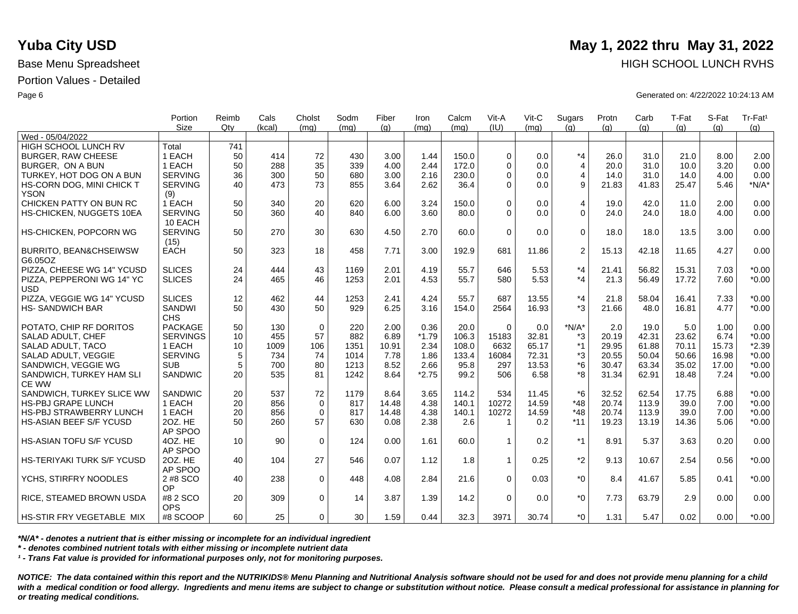|                                              | Portion                   | Reimb | Cals   | Cholst      | Sodm | Fiber | Iron    | Calcm | Vit-A                   | $V$ it-C | Sugars         | Protn | Carb  | T-Fat | S-Fat | Tr-Fat <sup>1</sup> |
|----------------------------------------------|---------------------------|-------|--------|-------------|------|-------|---------|-------|-------------------------|----------|----------------|-------|-------|-------|-------|---------------------|
|                                              | <b>Size</b>               | Qtv   | (kcal) | (ma)        | (ma) | (q)   | (mq)    | (mq)  | (IU)                    | (ma)     | (q)            | (q)   | (q)   | (q)   | (q)   | (g)                 |
| Wed - 05/04/2022                             |                           |       |        |             |      |       |         |       |                         |          |                |       |       |       |       |                     |
| HIGH SCHOOL LUNCH RV                         | Total                     | 741   |        |             |      |       |         |       |                         |          |                |       |       |       |       |                     |
| <b>BURGER, RAW CHEESE</b>                    | 1 EACH                    | 50    | 414    | 72          | 430  | 3.00  | 1.44    | 150.0 | $\Omega$                | 0.0      | $*_{4}$        | 26.0  | 31.0  | 21.0  | 8.00  | 2.00                |
| BURGER, ON A BUN                             | 1 EACH                    | 50    | 288    | 35          | 339  | 4.00  | 2.44    | 172.0 | $\Omega$                | 0.0      | $\overline{4}$ | 20.0  | 31.0  | 10.0  | 3.20  | 0.00                |
| TURKEY, HOT DOG ON A BUN                     | <b>SERVING</b>            | 36    | 300    | 50          | 680  | 3.00  | 2.16    | 230.0 | $\Omega$                | 0.0      | $\overline{4}$ | 14.0  | 31.0  | 14.0  | 4.00  | 0.00                |
| HS-CORN DOG, MINI CHICK T                    | <b>SERVING</b>            | 40    | 473    | 73          | 855  | 3.64  | 2.62    | 36.4  | $\Omega$                | 0.0      | 9              | 21.83 | 41.83 | 25.47 | 5.46  | $*N/A*$             |
| <b>YSON</b>                                  | (9)                       |       |        |             |      |       |         |       |                         |          |                |       |       |       |       |                     |
| CHICKEN PATTY ON BUN RC                      | 1 EACH                    | 50    | 340    | 20          | 620  | 6.00  | 3.24    | 150.0 | $\Omega$                | 0.0      | $\overline{4}$ | 19.0  | 42.0  | 11.0  | 2.00  | 0.00                |
| HS-CHICKEN, NUGGETS 10EA                     | <b>SERVING</b><br>10 EACH | 50    | 360    | 40          | 840  | 6.00  | 3.60    | 80.0  | $\Omega$                | 0.0      | $\Omega$       | 24.0  | 24.0  | 18.0  | 4.00  | 0.00                |
| <b>HS-CHICKEN, POPCORN WG</b>                | <b>SERVING</b><br>(15)    | 50    | 270    | 30          | 630  | 4.50  | 2.70    | 60.0  | $\Omega$                | 0.0      | $\mathbf 0$    | 18.0  | 18.0  | 13.5  | 3.00  | 0.00                |
| <b>BURRITO, BEAN&amp;CHSEIWSW</b><br>G6.05OZ | <b>EACH</b>               | 50    | 323    | 18          | 458  | 7.71  | 3.00    | 192.9 | 681                     | 11.86    | 2              | 15.13 | 42.18 | 11.65 | 4.27  | 0.00                |
| PIZZA, CHEESE WG 14" YCUSD                   | <b>SLICES</b>             | 24    | 444    | 43          | 1169 | 2.01  | 4.19    | 55.7  | 646                     | 5.53     | $*_{4}$        | 21.41 | 56.82 | 15.31 | 7.03  | $*0.00$             |
| PIZZA. PEPPERONI WG 14" YC<br><b>USD</b>     | <b>SLICES</b>             | 24    | 465    | 46          | 1253 | 2.01  | 4.53    | 55.7  | 580                     | 5.53     | $*_{4}$        | 21.3  | 56.49 | 17.72 | 7.60  | $*0.00$             |
| PIZZA, VEGGIE WG 14" YCUSD                   | <b>SLICES</b>             | 12    | 462    | 44          | 1253 | 2.41  | 4.24    | 55.7  | 687                     | 13.55    | $*_{4}$        | 21.8  | 58.04 | 16.41 | 7.33  | $*0.00$             |
| <b>HS-SANDWICH BAR</b>                       | SANDWI<br><b>CHS</b>      | 50    | 430    | 50          | 929  | 6.25  | 3.16    | 154.0 | 2564                    | 16.93    | $*3$           | 21.66 | 48.0  | 16.81 | 4.77  | $*0.00$             |
| POTATO, CHIP RF DORITOS                      | <b>PACKAGE</b>            | 50    | 130    | $\mathbf 0$ | 220  | 2.00  | 0.36    | 20.0  | $\Omega$                | 0.0      | $*N/A*$        | 2.0   | 19.0  | 5.0   | 1.00  | 0.00                |
| SALAD ADULT, CHEF                            | <b>SERVINGS</b>           | 10    | 455    | 57          | 882  | 6.89  | $*1.79$ | 106.3 | 15183                   | 32.81    | *3             | 20.19 | 42.31 | 23.62 | 6.74  | $*0.00$             |
| SALAD ADULT, TACO                            | 1 EACH                    | 10    | 1009   | 106         | 1351 | 10.91 | 2.34    | 108.0 | 6632                    | 65.17    | $*1$           | 29.95 | 61.88 | 70.11 | 15.73 | $*2.39$             |
| SALAD ADULT, VEGGIE                          | <b>SERVING</b>            | 5     | 734    | 74          | 1014 | 7.78  | 1.86    | 133.4 | 16084                   | 72.31    | *3             | 20.55 | 50.04 | 50.66 | 16.98 | $*0.00$             |
| SANDWICH, VEGGIE WG                          | <b>SUB</b>                | 5     | 700    | 80          | 1213 | 8.52  | 2.66    | 95.8  | 297                     | 13.53    | $*6$           | 30.47 | 63.34 | 35.02 | 17.00 | $*0.00$             |
| SANDWICH, TURKEY HAM SLI                     | <b>SANDWIC</b>            | 20    | 535    | 81          | 1242 | 8.64  | $*2.75$ | 99.2  | 506                     | 6.58     | *8             | 31.34 | 62.91 | 18.48 | 7.24  | $*0.00$             |
| <b>CE WW</b>                                 |                           |       |        |             |      |       |         |       |                         |          |                |       |       |       |       |                     |
| SANDWICH, TURKEY SLICE WW                    | <b>SANDWIC</b>            | 20    | 537    | 72          | 1179 | 8.64  | 3.65    | 114.2 | 534                     | 11.45    | *6             | 32.52 | 62.54 | 17.75 | 6.88  | $*0.00$             |
| <b>HS-PBJ GRAPE LUNCH</b>                    | 1 EACH                    | 20    | 856    | $\mathbf 0$ | 817  | 14.48 | 4.38    | 140.1 | 10272                   | 14.59    | $*48$          | 20.74 | 113.9 | 39.0  | 7.00  | $*0.00$             |
| <b>HS-PBJ STRAWBERRY LUNCH</b>               | 1 EACH                    | 20    | 856    | $\mathbf 0$ | 817  | 14.48 | 4.38    | 140.1 | 10272                   | 14.59    | $*48$          | 20.74 | 113.9 | 39.0  | 7.00  | $*0.00$             |
| HS-ASIAN BEEF S/F YCUSD                      | 20Z. HE<br>AP SPOO        | 50    | 260    | 57          | 630  | 0.08  | 2.38    | 2.6   | $\overline{\mathbf{1}}$ | 0.2      | $*11$          | 19.23 | 13.19 | 14.36 | 5.06  | $*0.00$             |
| <b>HS-ASIAN TOFU S/F YCUSD</b>               | 4OZ. HE<br>AP SPOO        | 10    | 90     | $\mathbf 0$ | 124  | 0.00  | 1.61    | 60.0  | $\overline{1}$          | 0.2      | $*1$           | 8.91  | 5.37  | 3.63  | 0.20  | 0.00                |
| <b>HS-TERIYAKI TURK S/F YCUSD</b>            | 20Z. HE<br>AP SPOO        | 40    | 104    | 27          | 546  | 0.07  | 1.12    | 1.8   | 1                       | 0.25     | $*_{2}$        | 9.13  | 10.67 | 2.54  | 0.56  | $*0.00$             |
| YCHS, STIRFRY NOODLES                        | 2 #8 SCO<br><b>OP</b>     | 40    | 238    | $\Omega$    | 448  | 4.08  | 2.84    | 21.6  | $\Omega$                | 0.03     | $*_{0}$        | 8.4   | 41.67 | 5.85  | 0.41  | $*0.00$             |
| RICE, STEAMED BROWN USDA                     | #8 2 SCO<br><b>OPS</b>    | 20    | 309    | $\mathbf 0$ | 14   | 3.87  | 1.39    | 14.2  | $\Omega$                | 0.0      | $*_{0}$        | 7.73  | 63.79 | 2.9   | 0.00  | 0.00                |
| <b>HS-STIR FRY VEGETABLE MIX</b>             | #8 SCOOP                  | 60    | 25     | $\Omega$    | 30   | 1.59  | 0.44    | 32.3  | 3971                    | 30.74    | $*$ 0          | 1.31  | 5.47  | 0.02  | 0.00  | $*0.00$             |

*\*N/A\* - denotes a nutrient that is either missing or incomplete for an individual ingredient*

*\* - denotes combined nutrient totals with either missing or incomplete nutrient data*

*¹ - Trans Fat value is provided for informational purposes only, not for monitoring purposes.*

*NOTICE: The data contained within this report and the NUTRIKIDS® Menu Planning and Nutritional Analysis software should not be used for and does not provide menu planning for a child*  with a medical condition or food allergy. Ingredients and menu items are subject to change or substitution without notice. Please consult a medical professional for assistance in planning for *or treating medical conditions.*

## **Yuba City USD** May 1, 2022 thru May 31, 2022 Base Menu Spreadsheet **HIGH SCHOOL LUNCH RVHS**

Page 6 Generated on: 4/22/2022 10:24:13 AM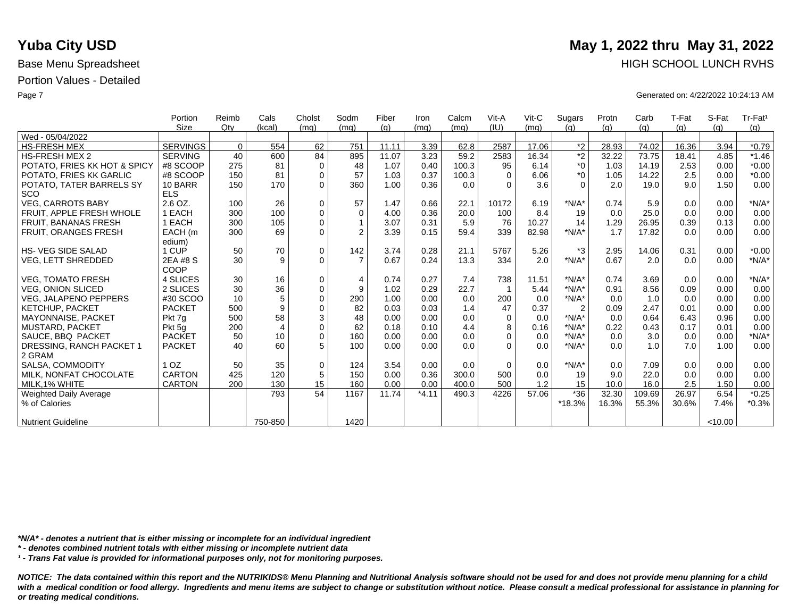|                               | Portion         | Reimb    | Cals           | Cholst      | Sodm           | Fiber | Iron    | Calcm | Vit-A    | $V$ it-C | Sugars         | Protn | Carb   | T-Fat | S-Fat   | Tr-Fat <sup>1</sup> |
|-------------------------------|-----------------|----------|----------------|-------------|----------------|-------|---------|-------|----------|----------|----------------|-------|--------|-------|---------|---------------------|
|                               | <b>Size</b>     | Qtv      | (kcal)         | (mq)        | (mq)           | (q)   | (mq)    | (mq)  | (IU)     | (mq)     | (q)            | (q)   | (q)    | (q)   | (q)     | (g)                 |
| Wed - 05/04/2022              |                 |          |                |             |                |       |         |       |          |          |                |       |        |       |         |                     |
| <b>HS-FRESH MEX</b>           | <b>SERVINGS</b> | $\Omega$ | 554            | 62          | 751            | 11.11 | 3.39    | 62.8  | 2587     | 17.06    | $*2$           | 28.93 | 74.02  | 16.36 | 3.94    | $*0.79$             |
| <b>HS-FRESH MEX 2</b>         | <b>SERVING</b>  | 40       | 600            | 84          | 895            | 11.07 | 3.23    | 59.2  | 2583     | 16.34    | $\overline{2}$ | 32.22 | 73.75  | 18.41 | 4.85    | $*1.46$             |
| POTATO, FRIES KK HOT & SPICY  | #8 SCOOP        | 275      | 81             | $\Omega$    | 48             | 1.07  | 0.40    | 100.3 | 95       | 6.14     | $*_{0}$        | 1.03  | 14.19  | 2.53  | 0.00    | $*0.00$             |
| POTATO, FRIES KK GARLIC       | #8 SCOOP        | 150      | 81             | $\Omega$    | 57             | 1.03  | 0.37    | 100.3 | $\Omega$ | 6.06     | $*0$           | 1.05  | 14.22  | 2.5   | 0.00    | $*0.00$             |
| POTATO, TATER BARRELS SY      | 10 BARR         | 150      | 170            | $\Omega$    | 360            | 1.00  | 0.36    | 0.0   | $\Omega$ | 3.6      | $\Omega$       | 2.0   | 19.0   | 9.0   | 1.50    | 0.00                |
| SCO                           | <b>ELS</b>      |          |                |             |                |       |         |       |          |          |                |       |        |       |         |                     |
| VEG, CARROTS BABY             | 2.6 OZ.         | 100      | 26             | $\mathbf 0$ | 57             | 1.47  | 0.66    | 22.1  | 10172    | 6.19     | $*N/A*$        | 0.74  | 5.9    | 0.0   | 0.00    | $*N/A*$             |
| FRUIT. APPLE FRESH WHOLE      | 1 EACH          | 300      | 100            | $\mathbf 0$ | $\mathbf 0$    | 4.00  | 0.36    | 20.0  | 100      | 8.4      | 19             | 0.0   | 25.0   | 0.0   | 0.00    | 0.00                |
| <b>FRUIT, BANANAS FRESH</b>   | 1 EACH          | 300      | 105            | $\mathbf 0$ | $\mathbf{1}$   | 3.07  | 0.31    | 5.9   | 76       | 10.27    | 14             | 1.29  | 26.95  | 0.39  | 0.13    | 0.00                |
| <b>FRUIT, ORANGES FRESH</b>   | EACH (m         | 300      | 69             | $\Omega$    | $\overline{2}$ | 3.39  | 0.15    | 59.4  | 339      | 82.98    | $*N/A*$        | 1.7   | 17.82  | 0.0   | 0.00    | 0.00                |
|                               | edium)          |          |                |             |                |       |         |       |          |          |                |       |        |       |         |                     |
| <b>HS-VEG SIDE SALAD</b>      | 1 CUP           | 50       | 70             | $\mathbf 0$ | 142            | 3.74  | 0.28    | 21.1  | 5767     | 5.26     | $*3$           | 2.95  | 14.06  | 0.31  | 0.00    | $*0.00$             |
| <b>VEG, LETT SHREDDED</b>     | 2EA #8 S        | 30       | 9              | $\Omega$    | $\overline{7}$ | 0.67  | 0.24    | 13.3  | 334      | 2.0      | $*N/A*$        | 0.67  | 2.0    | 0.0   | 0.00    | $*N/A*$             |
|                               | COOP            |          |                |             |                |       |         |       |          |          |                |       |        |       |         |                     |
| <b>VEG. TOMATO FRESH</b>      | 4 SLICES        | 30       | 16             | $\mathbf 0$ | $\overline{4}$ | 0.74  | 0.27    | 7.4   | 738      | 11.51    | $*N/A*$        | 0.74  | 3.69   | 0.0   | 0.00    | $*N/A*$             |
| <b>VEG. ONION SLICED</b>      | 2 SLICES        | 30       | 36             | $\mathbf 0$ | 9              | 1.02  | 0.29    | 22.7  |          | 5.44     | $*N/A*$        | 0.91  | 8.56   | 0.09  | 0.00    | 0.00                |
| <b>VEG, JALAPENO PEPPERS</b>  | #30 SCOO        | 10       | 5              | $\Omega$    | 290            | 1.00  | 0.00    | 0.0   | 200      | 0.0      | $*N/A*$        | 0.0   | 1.0    | 0.0   | 0.00    | 0.00                |
| KETCHUP, PACKET               | <b>PACKET</b>   | 500      | 9              | $\Omega$    | 82             | 0.03  | 0.03    | 1.4   | 47       | 0.37     | $\overline{2}$ | 0.09  | 2.47   | 0.01  | 0.00    | 0.00                |
| <b>MAYONNAISE, PACKET</b>     | Pkt 7q          | 500      | 58             | 3           | 48             | 0.00  | 0.00    | 0.0   | $\Omega$ | 0.0      | $*N/A*$        | 0.0   | 0.64   | 6.43  | 0.96    | 0.00                |
| MUSTARD, PACKET               | Pkt 5g          | 200      | $\overline{4}$ | $\mathbf 0$ | 62             | 0.18  | 0.10    | 4.4   | 8        | 0.16     | $*N/A*$        | 0.22  | 0.43   | 0.17  | 0.01    | 0.00                |
| SAUCE, BBQ PACKET             | <b>PACKET</b>   | 50       | 10             | $\Omega$    | 160            | 0.00  | 0.00    | 0.0   | $\Omega$ | 0.0      | $*N/A*$        | 0.0   | 3.0    | 0.0   | 0.00    | $*N/A*$             |
| DRESSING, RANCH PACKET 1      | <b>PACKET</b>   | 40       | 60             | 5           | 100            | 0.00  | 0.00    | 0.0   | $\Omega$ | 0.0      | $*N/A*$        | 0.0   | 1.0    | 7.0   | 1.00    | 0.00                |
| 2 GRAM                        |                 |          |                |             |                |       |         |       |          |          |                |       |        |       |         |                     |
| <b>SALSA, COMMODITY</b>       | 1 <sub>OZ</sub> | 50       | 35             | $\Omega$    | 124            | 3.54  | 0.00    | 0.0   | $\Omega$ | 0.0      | $*N/A*$        | 0.0   | 7.09   | 0.0   | 0.00    | 0.00                |
| MILK, NONFAT CHOCOLATE        | CARTON          | 425      | 120            | 5           | 150            | 0.00  | 0.36    | 300.0 | 500      | 0.0      | 19             | 9.0   | 22.0   | 0.0   | 0.00    | 0.00                |
| MILK.1% WHITE                 | <b>CARTON</b>   | 200      | 130            | 15          | 160            | 0.00  | 0.00    | 400.0 | 500      | 1.2      | 15             | 10.0  | 16.0   | 2.5   | 1.50    | 0.00                |
| <b>Weighted Daily Average</b> |                 |          | 793            | 54          | 1167           | 11.74 | $*4.11$ | 490.3 | 4226     | 57.06    | $*36$          | 32.30 | 109.69 | 26.97 | 6.54    | $*0.25$             |
| % of Calories                 |                 |          |                |             |                |       |         |       |          |          | *18.3%         | 16.3% | 55.3%  | 30.6% | 7.4%    | $*0.3%$             |
|                               |                 |          |                |             |                |       |         |       |          |          |                |       |        |       |         |                     |
| <b>Nutrient Guideline</b>     |                 |          | 750-850        |             | 1420           |       |         |       |          |          |                |       |        |       | < 10.00 |                     |

*\*N/A\* - denotes a nutrient that is either missing or incomplete for an individual ingredient*

*\* - denotes combined nutrient totals with either missing or incomplete nutrient data*

*¹ - Trans Fat value is provided for informational purposes only, not for monitoring purposes.*

*NOTICE: The data contained within this report and the NUTRIKIDS® Menu Planning and Nutritional Analysis software should not be used for and does not provide menu planning for a child*  with a medical condition or food allergy. Ingredients and menu items are subject to change or substitution without notice. Please consult a medical professional for assistance in planning for *or treating medical conditions.*

## **Yuba City USD** May 1, 2022 thru May 31, 2022 Base Menu Spreadsheet **HIGH SCHOOL LUNCH RVHS**

Page 7 Generated on: 4/22/2022 10:24:13 AM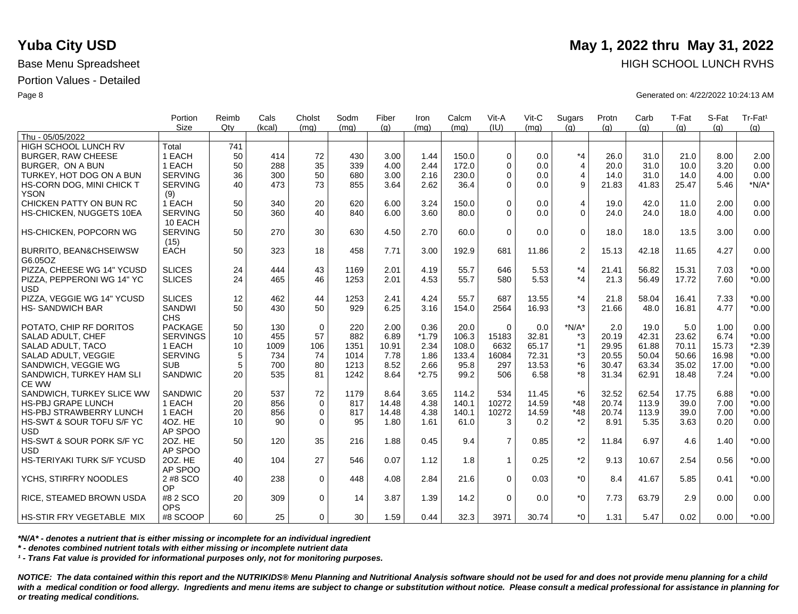|                                              | Portion<br><b>Size</b>      | Reimb<br>Qtv | Cals<br>(kcal) | Cholst<br>(mq) | Sodm<br>(mq) | Fiber<br>(q) | Iron<br>(ma) | Calcm<br>(ma) | Vit-A<br>(IU)  | Vit-C<br>(ma) | Sugars<br>(q)  | Protn<br>(q) | Carb<br>(q) | T-Fat<br>(q) | S-Fat<br>(q) | Tr-Fat <sup>1</sup><br>(q) |
|----------------------------------------------|-----------------------------|--------------|----------------|----------------|--------------|--------------|--------------|---------------|----------------|---------------|----------------|--------------|-------------|--------------|--------------|----------------------------|
| Thu - 05/05/2022                             |                             |              |                |                |              |              |              |               |                |               |                |              |             |              |              |                            |
| <b>HIGH SCHOOL LUNCH RV</b>                  | Total                       | 741          |                |                |              |              |              |               |                |               |                |              |             |              |              |                            |
| <b>BURGER, RAW CHEESE</b>                    | 1 EACH                      | 50           | 414            | 72             | 430          | 3.00         | 1.44         | 150.0         | $\Omega$       | 0.0           | $*_{4}$        | 26.0         | 31.0        | 21.0         | 8.00         | 2.00                       |
| BURGER. ON A BUN                             | 1 EACH                      | 50           | 288            | 35             | 339          | 4.00         | 2.44         | 172.0         | $\Omega$       | 0.0           | $\overline{4}$ | 20.0         | 31.0        | 10.0         | 3.20         | 0.00                       |
| TURKEY, HOT DOG ON A BUN                     | <b>SERVING</b>              | 36           | 300            | 50             | 680          | 3.00         | 2.16         | 230.0         | $\Omega$       | 0.0           | 4              | 14.0         | 31.0        | 14.0         | 4.00         | 0.00                       |
| HS-CORN DOG, MINI CHICK T<br><b>YSON</b>     | <b>SERVING</b><br>(9)       | 40           | 473            | 73             | 855          | 3.64         | 2.62         | 36.4          | $\Omega$       | 0.0           | 9              | 21.83        | 41.83       | 25.47        | 5.46         | $*N/A*$                    |
| CHICKEN PATTY ON BUN RC                      | 1 EACH                      | 50           | 340            | 20             | 620          | 6.00         | 3.24         | 150.0         | $\Omega$       | 0.0           | $\overline{4}$ | 19.0         | 42.0        | 11.0         | 2.00         | 0.00                       |
| HS-CHICKEN, NUGGETS 10EA                     | <b>SERVING</b><br>10 EACH   | 50           | 360            | 40             | 840          | 6.00         | 3.60         | 80.0          | $\Omega$       | 0.0           | $\Omega$       | 24.0         | 24.0        | 18.0         | 4.00         | 0.00                       |
| <b>HS-CHICKEN, POPCORN WG</b>                | <b>SERVING</b><br>(15)      | 50           | 270            | 30             | 630          | 4.50         | 2.70         | 60.0          | $\Omega$       | 0.0           | $\mathbf 0$    | 18.0         | 18.0        | 13.5         | 3.00         | 0.00                       |
| <b>BURRITO, BEAN&amp;CHSEIWSW</b><br>G6.05OZ | <b>EACH</b>                 | 50           | 323            | 18             | 458          | 7.71         | 3.00         | 192.9         | 681            | 11.86         | 2              | 15.13        | 42.18       | 11.65        | 4.27         | 0.00                       |
| PIZZA, CHEESE WG 14" YCUSD                   | <b>SLICES</b>               | 24           | 444            | 43             | 1169         | 2.01         | 4.19         | 55.7          | 646            | 5.53          | $*_{4}$        | 21.41        | 56.82       | 15.31        | 7.03         | $*0.00$                    |
| PIZZA, PEPPERONI WG 14" YC<br><b>USD</b>     | <b>SLICES</b>               | 24           | 465            | 46             | 1253         | 2.01         | 4.53         | 55.7          | 580            | 5.53          | $*_{4}$        | 21.3         | 56.49       | 17.72        | 7.60         | $*0.00$                    |
| PIZZA, VEGGIE WG 14" YCUSD                   | <b>SLICES</b>               | 12           | 462            | 44             | 1253         | 2.41         | 4.24         | 55.7          | 687            | 13.55         | $*_{4}$        | 21.8         | 58.04       | 16.41        | 7.33         | $*0.00$                    |
| <b>HS-SANDWICH BAR</b>                       | <b>SANDWI</b><br><b>CHS</b> | 50           | 430            | 50             | 929          | 6.25         | 3.16         | 154.0         | 2564           | 16.93         | *3             | 21.66        | 48.0        | 16.81        | 4.77         | $*0.00$                    |
| POTATO, CHIP RF DORITOS                      | <b>PACKAGE</b>              | 50           | 130            | $\mathbf 0$    | 220          | 2.00         | 0.36         | 20.0          | $\Omega$       | 0.0           | $*N/A*$        | 2.0          | 19.0        | 5.0          | 1.00         | 0.00                       |
| SALAD ADULT, CHEF                            | <b>SERVINGS</b>             | 10           | 455            | 57             | 882          | 6.89         | $*1.79$      | 106.3         | 15183          | 32.81         | *3             | 20.19        | 42.31       | 23.62        | 6.74         | $*0.00$                    |
| SALAD ADULT. TACO                            | 1 EACH                      | 10           | 1009           | 106            | 1351         | 10.91        | 2.34         | 108.0         | 6632           | 65.17         | $*1$           | 29.95        | 61.88       | 70.11        | 15.73        | $*2.39$                    |
| SALAD ADULT, VEGGIE                          | <b>SERVING</b>              | 5            | 734            | 74             | 1014         | 7.78         | 1.86         | 133.4         | 16084          | 72.31         | *3             | 20.55        | 50.04       | 50.66        | 16.98        | $*0.00$                    |
| SANDWICH, VEGGIE WG                          | <b>SUB</b>                  | 5            | 700            | 80             | 1213         | 8.52         | 2.66         | 95.8          | 297            | 13.53         | *6             | 30.47        | 63.34       | 35.02        | 17.00        | $*0.00$                    |
| SANDWICH, TURKEY HAM SLI<br>CE WW            | SANDWIC                     | 20           | 535            | 81             | 1242         | 8.64         | $*2.75$      | 99.2          | 506            | 6.58          | *8             | 31.34        | 62.91       | 18.48        | 7.24         | $*0.00$                    |
| SANDWICH, TURKEY SLICE WW                    | SANDWIC                     | 20           | 537            | 72             | 1179         | 8.64         | 3.65         | 114.2         | 534            | 11.45         | $*6$           | 32.52        | 62.54       | 17.75        | 6.88         | $*0.00$                    |
| HS-PBJ GRAPE LUNCH                           | 1 EACH                      | 20           | 856            | $\mathbf 0$    | 817          | 14.48        | 4.38         | 140.1         | 10272          | 14.59         | $*48$          | 20.74        | 113.9       | 39.0         | 7.00         | $*0.00$                    |
| <b>HS-PBJ STRAWBERRY LUNCH</b>               | 1 EACH                      | 20           | 856            | $\mathbf 0$    | 817          | 14.48        | 4.38         | 140.1         | 10272          | 14.59         | $*48$          | 20.74        | 113.9       | 39.0         | 7.00         | $*0.00$                    |
| HS-SWT & SOUR TOFU S/F YC<br><b>USD</b>      | 4OZ. HE<br>AP SPOO          | 10           | 90             | $\Omega$       | 95           | 1.80         | 1.61         | 61.0          | 3              | 0.2           | $*_{2}$        | 8.91         | 5.35        | 3.63         | 0.20         | 0.00                       |
| HS-SWT & SOUR PORK S/F YC<br><b>USD</b>      | 20Z. HE<br>AP SPOO          | 50           | 120            | 35             | 216          | 1.88         | 0.45         | 9.4           | $\overline{7}$ | 0.85          | $*2$           | 11.84        | 6.97        | 4.6          | 1.40         | $*0.00$                    |
| <b>HS-TERIYAKI TURK S/F YCUSD</b>            | 20Z. HE<br>AP SPOO          | 40           | 104            | 27             | 546          | 0.07         | 1.12         | 1.8           | $\mathbf 1$    | 0.25          | $*2$           | 9.13         | 10.67       | 2.54         | 0.56         | $*0.00$                    |
| YCHS, STIRFRY NOODLES                        | 2 #8 SCO<br>OP              | 40           | 238            | $\mathbf 0$    | 448          | 4.08         | 2.84         | 21.6          | $\Omega$       | 0.03          | $*_{0}$        | 8.4          | 41.67       | 5.85         | 0.41         | $*0.00$                    |
| <b>RICE, STEAMED BROWN USDA</b>              | #8 2 SCO<br><b>OPS</b>      | 20           | 309            | $\mathbf 0$    | 14           | 3.87         | 1.39         | 14.2          | $\Omega$       | 0.0           | $*_{0}$        | 7.73         | 63.79       | 2.9          | 0.00         | 0.00                       |
| <b>HS-STIR FRY VEGETABLE MIX</b>             | #8 SCOOP                    | 60           | 25             | $\Omega$       | 30           | 1.59         | 0.44         | 32.3          | 3971           | 30.74         | $*_{0}$        | 1.31         | 5.47        | 0.02         | 0.00         | $*0.00$                    |

*\*N/A\* - denotes a nutrient that is either missing or incomplete for an individual ingredient*

*\* - denotes combined nutrient totals with either missing or incomplete nutrient data*

*¹ - Trans Fat value is provided for informational purposes only, not for monitoring purposes.*

*NOTICE: The data contained within this report and the NUTRIKIDS® Menu Planning and Nutritional Analysis software should not be used for and does not provide menu planning for a child*  with a medical condition or food allergy. Ingredients and menu items are subject to change or substitution without notice. Please consult a medical professional for assistance in planning for *or treating medical conditions.*

### **Yuba City USD** May 1, 2022 thru May 31, 2022 Base Menu Spreadsheet **HIGH SCHOOL LUNCH RVHS**

Page 8 Generated on: 4/22/2022 10:24:13 AM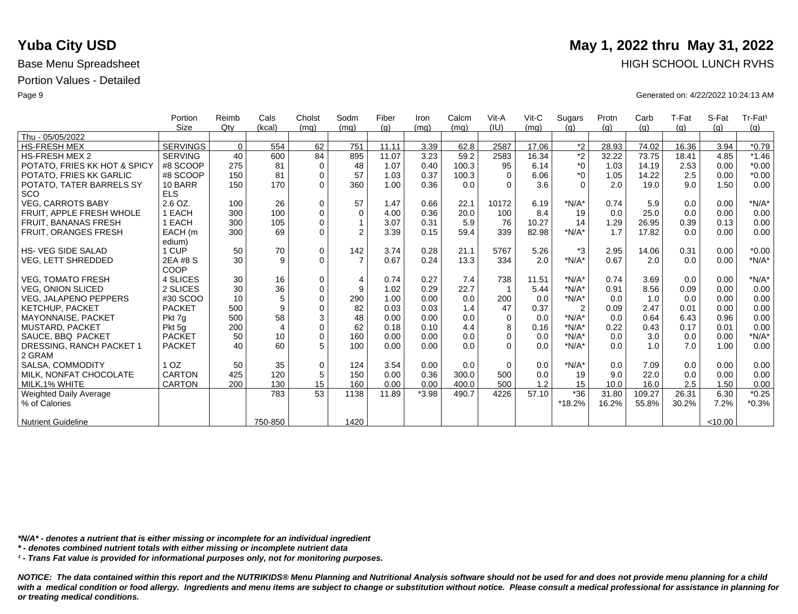|                               | Portion         | Reimb    | Cals           | Cholst      | Sodm           | Fiber | Iron    | Calcm | Vit-A       | $V$ it-C | Sugars         | Protn | Carb   | T-Fat | S-Fat   | Tr-Fat <sup>1</sup> |
|-------------------------------|-----------------|----------|----------------|-------------|----------------|-------|---------|-------|-------------|----------|----------------|-------|--------|-------|---------|---------------------|
|                               | <b>Size</b>     | Qty      | (kcal)         | (mq)        | (mq)           | (q)   | (mq)    | (mq)  | (IU)        | (mq)     | (q)            | (q)   | (g)    | (q)   | (q)     | (g)                 |
| Thu - 05/05/2022              |                 |          |                |             |                |       |         |       |             |          |                |       |        |       |         |                     |
| <b>HS-FRESH MEX</b>           | <b>SERVINGS</b> | $\Omega$ | 554            | 62          | 751            | 11.11 | 3.39    | 62.8  | 2587        | 17.06    | $*_{2}$        | 28.93 | 74.02  | 16.36 | 3.94    | $*0.79$             |
| <b>HS-FRESH MEX 2</b>         | <b>SERVING</b>  | 40       | 600            | 84          | 895            | 11.07 | 3.23    | 59.2  | 2583        | 16.34    | $*2$           | 32.22 | 73.75  | 18.41 | 4.85    | $*1.46$             |
| POTATO, FRIES KK HOT & SPICY  | #8 SCOOP        | 275      | 81             | $\mathbf 0$ | 48             | 1.07  | 0.40    | 100.3 | 95          | 6.14     | $*_{0}$        | 1.03  | 14.19  | 2.53  | 0.00    | $*0.00$             |
| POTATO, FRIES KK GARLIC       | #8 SCOOP        | 150      | 81             | $\Omega$    | 57             | 1.03  | 0.37    | 100.3 | $\Omega$    | 6.06     | $*_{0}$        | 1.05  | 14.22  | 2.5   | 0.00    | $*0.00$             |
| POTATO, TATER BARRELS SY      | 10 BARR         | 150      | 170            | $\Omega$    | 360            | 1.00  | 0.36    | 0.0   | $\Omega$    | 3.6      | $\Omega$       | 2.0   | 19.0   | 9.0   | 1.50    | 0.00                |
| SCO                           | <b>ELS</b>      |          |                |             |                |       |         |       |             |          |                |       |        |       |         |                     |
| <b>VEG. CARROTS BABY</b>      | 2.6 OZ.         | 100      | 26             | $\mathbf 0$ | 57             | 1.47  | 0.66    | 22.1  | 10172       | 6.19     | $*N/A*$        | 0.74  | 5.9    | 0.0   | 0.00    | $*N/A*$             |
| FRUIT. APPLE FRESH WHOLE      | 1 EACH          | 300      | 100            | $\mathbf 0$ | $\Omega$       | 4.00  | 0.36    | 20.0  | 100         | 8.4      | 19             | 0.0   | 25.0   | 0.0   | 0.00    | 0.00                |
| FRUIT, BANANAS FRESH          | 1 EACH          | 300      | 105            | $\mathbf 0$ |                | 3.07  | 0.31    | 5.9   | 76          | 10.27    | 14             | 1.29  | 26.95  | 0.39  | 0.13    | 0.00                |
| FRUIT, ORANGES FRESH          | EACH (m         | 300      | 69             | $\Omega$    | $\overline{2}$ | 3.39  | 0.15    | 59.4  | 339         | 82.98    | $*N/A*$        | 1.7   | 17.82  | 0.0   | 0.00    | 0.00                |
|                               | edium)          |          |                |             |                |       |         |       |             |          |                |       |        |       |         |                     |
| <b>HS-VEG SIDE SALAD</b>      | 1 CUP           | 50       | 70             | $\mathbf 0$ | 142            | 3.74  | 0.28    | 21.1  | 5767        | 5.26     | *3             | 2.95  | 14.06  | 0.31  | 0.00    | $*0.00$             |
| <b>VEG, LETT SHREDDED</b>     | 2EA #8 S        | 30       | 9              | $\Omega$    | $\overline{7}$ | 0.67  | 0.24    | 13.3  | 334         | 2.0      | $*N/A*$        | 0.67  | 2.0    | 0.0   | 0.00    | $*N/A*$             |
|                               | COOP            |          |                |             |                |       |         |       |             |          |                |       |        |       |         |                     |
| <b>VEG. TOMATO FRESH</b>      | 4 SLICES        | 30       | 16             | $\mathbf 0$ | 4              | 0.74  | 0.27    | 7.4   | 738         | 11.51    | $*N/A*$        | 0.74  | 3.69   | 0.0   | 0.00    | $*N/A*$             |
| <b>VEG. ONION SLICED</b>      | 2 SLICES        | 30       | 36             | $\mathbf 0$ | 9              | 1.02  | 0.29    | 22.7  |             | 5.44     | $*N/A*$        | 0.91  | 8.56   | 0.09  | 0.00    | 0.00                |
| <b>VEG, JALAPENO PEPPERS</b>  | #30 SCOO        | 10       | 5              | $\mathbf 0$ | 290            | 1.00  | 0.00    | 0.0   | 200         | 0.0      | $*N/A*$        | 0.0   | 1.0    | 0.0   | 0.00    | 0.00                |
| <b>KETCHUP, PACKET</b>        | <b>PACKET</b>   | 500      | 9              | $\mathbf 0$ | 82             | 0.03  | 0.03    | 1.4   | 47          | 0.37     | $\overline{2}$ | 0.09  | 2.47   | 0.01  | 0.00    | 0.00                |
| <b>MAYONNAISE, PACKET</b>     | Pkt 7q          | 500      | 58             | 3           | 48             | 0.00  | 0.00    | 0.0   | $\Omega$    | 0.0      | $*N/A*$        | 0.0   | 0.64   | 6.43  | 0.96    | 0.00                |
| <b>MUSTARD, PACKET</b>        | Pkt 5q          | 200      | $\overline{4}$ | $\mathbf 0$ | 62             | 0.18  | 0.10    | 4.4   | 8           | 0.16     | $*N/A*$        | 0.22  | 0.43   | 0.17  | 0.01    | 0.00                |
| SAUCE, BBQ PACKET             | <b>PACKET</b>   | 50       | 10             | $\mathbf 0$ | 160            | 0.00  | 0.00    | 0.0   | $\Omega$    | 0.0      | $*N/A*$        | 0.0   | 3.0    | 0.0   | 0.00    | $*N/A*$             |
| DRESSING, RANCH PACKET 1      | <b>PACKET</b>   | 40       | 60             | 5           | 100            | 0.00  | 0.00    | 0.0   | $\Omega$    | 0.0      | $*N/A*$        | 0.0   | 1.0    | 7.0   | 1.00    | 0.00                |
| 2 GRAM                        |                 |          |                |             |                |       |         |       |             |          |                |       |        |       |         |                     |
| SALSA, COMMODITY              | 1 <sub>OZ</sub> | 50       | 35             | $\mathbf 0$ | 124            | 3.54  | 0.00    | 0.0   | $\mathbf 0$ | 0.0      | $*N/A*$        | 0.0   | 7.09   | 0.0   | 0.00    | 0.00                |
| MILK. NONFAT CHOCOLATE        | <b>CARTON</b>   | 425      | 120            | 5           | 150            | 0.00  | 0.36    | 300.0 | 500         | 0.0      | 19             | 9.0   | 22.0   | 0.0   | 0.00    | 0.00                |
| MILK.1% WHITE                 | <b>CARTON</b>   | 200      | 130            | 15          | 160            | 0.00  | 0.00    | 400.0 | 500         | 1.2      | 15             | 10.0  | 16.0   | 2.5   | 1.50    | 0.00                |
| <b>Weighted Daily Average</b> |                 |          | 783            | 53          | 1138           | 11.89 | $*3.98$ | 490.7 | 4226        | 57.10    | $*36$          | 31.80 | 109.27 | 26.31 | 6.30    | $*0.25$             |
| % of Calories                 |                 |          |                |             |                |       |         |       |             |          | $*18.2%$       | 16.2% | 55.8%  | 30.2% | 7.2%    | $*0.3%$             |
|                               |                 |          |                |             |                |       |         |       |             |          |                |       |        |       |         |                     |
| <b>Nutrient Guideline</b>     |                 |          | 750-850        |             | 1420           |       |         |       |             |          |                |       |        |       | < 10.00 |                     |

*\*N/A\* - denotes a nutrient that is either missing or incomplete for an individual ingredient*

*\* - denotes combined nutrient totals with either missing or incomplete nutrient data*

*¹ - Trans Fat value is provided for informational purposes only, not for monitoring purposes.*

with a medical condition or food allergy. Ingredients and menu items are subject to change or substitution without notice. Please consult a medical professional for assistance in planning for *or treating medical conditions.*

### **Yuba City USD** May 1, 2022 thru May 31, 2022 Base Menu Spreadsheet **HIGH SCHOOL LUNCH RVHS**

Page 9 Generated on: 4/22/2022 10:24:13 AM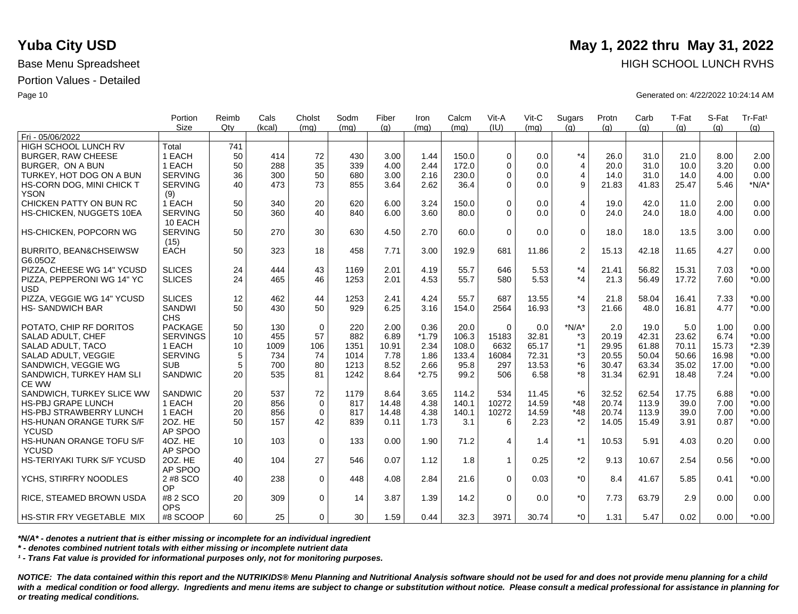|                                                 | Portion                   | Reimb           | Cals   | Cholst      | Sodm | Fiber | Iron    | Calcm | Vit-A       | Vit-C | Sugars         | Protn | Carb  | T-Fat | S-Fat | Tr-Fat <sup>1</sup> |
|-------------------------------------------------|---------------------------|-----------------|--------|-------------|------|-------|---------|-------|-------------|-------|----------------|-------|-------|-------|-------|---------------------|
| Fri - 05/06/2022                                | <b>Size</b>               | Qtv             | (kcal) | (ma)        | (mq) | (q)   | (mq)    | (mq)  | (IU)        | (mq)  | (q)            | (q)   | (q)   | (q)   | (a)   | (g)                 |
| <b>HIGH SCHOOL LUNCH RV</b>                     | Total                     | 741             |        |             |      |       |         |       |             |       |                |       |       |       |       |                     |
| <b>BURGER, RAW CHEESE</b>                       | 1 EACH                    | 50              | 414    | 72          | 430  | 3.00  | 1.44    | 150.0 | $\Omega$    | 0.0   | $*_{4}$        | 26.0  | 31.0  | 21.0  | 8.00  | 2.00                |
| BURGER. ON A BUN                                | 1 EACH                    | 50              | 288    | 35          | 339  | 4.00  | 2.44    | 172.0 | $\Omega$    | 0.0   | $\overline{4}$ | 20.0  | 31.0  | 10.0  | 3.20  | 0.00                |
| TURKEY, HOT DOG ON A BUN                        | <b>SERVING</b>            | 36              | 300    | 50          | 680  | 3.00  | 2.16    | 230.0 | $\Omega$    | 0.0   | 4              | 14.0  | 31.0  | 14.0  | 4.00  | 0.00                |
|                                                 | <b>SERVING</b>            | 40              | 473    | 73          | 855  | 3.64  | 2.62    | 36.4  | $\Omega$    | 0.0   | 9              | 21.83 | 41.83 | 25.47 | 5.46  | $*N/A*$             |
| HS-CORN DOG, MINI CHICK T<br><b>YSON</b>        | (9)                       |                 |        |             |      |       |         |       |             |       |                |       |       |       |       |                     |
| CHICKEN PATTY ON BUN RC                         | 1 EACH                    | 50              | 340    | 20          | 620  | 6.00  | 3.24    | 150.0 | $\Omega$    | 0.0   | $\overline{4}$ | 19.0  | 42.0  | 11.0  | 2.00  | 0.00                |
| HS-CHICKEN, NUGGETS 10EA                        | <b>SERVING</b><br>10 EACH | 50              | 360    | 40          | 840  | 6.00  | 3.60    | 80.0  | $\Omega$    | 0.0   | $\Omega$       | 24.0  | 24.0  | 18.0  | 4.00  | 0.00                |
| HS-CHICKEN, POPCORN WG                          | <b>SERVING</b><br>(15)    | 50              | 270    | 30          | 630  | 4.50  | 2.70    | 60.0  | $\Omega$    | 0.0   | $\mathbf 0$    | 18.0  | 18.0  | 13.5  | 3.00  | 0.00                |
| <b>BURRITO, BEAN&amp;CHSEIWSW</b><br>G6.05OZ    | <b>EACH</b>               | 50              | 323    | 18          | 458  | 7.71  | 3.00    | 192.9 | 681         | 11.86 | 2              | 15.13 | 42.18 | 11.65 | 4.27  | 0.00                |
| PIZZA, CHEESE WG 14" YCUSD                      | <b>SLICES</b>             | 24              | 444    | 43          | 1169 | 2.01  | 4.19    | 55.7  | 646         | 5.53  | $*_{4}$        | 21.41 | 56.82 | 15.31 | 7.03  | $*0.00$             |
| PIZZA, PEPPERONI WG 14" YC<br><b>USD</b>        | <b>SLICES</b>             | 24              | 465    | 46          | 1253 | 2.01  | 4.53    | 55.7  | 580         | 5.53  | $*_{4}$        | 21.3  | 56.49 | 17.72 | 7.60  | $*0.00$             |
| PIZZA, VEGGIE WG 14" YCUSD                      | <b>SLICES</b>             | 12              | 462    | 44          | 1253 | 2.41  | 4.24    | 55.7  | 687         | 13.55 | $*_{4}$        | 21.8  | 58.04 | 16.41 | 7.33  | $*0.00$             |
| <b>HS-SANDWICH BAR</b>                          | SANDWI<br><b>CHS</b>      | 50              | 430    | 50          | 929  | 6.25  | 3.16    | 154.0 | 2564        | 16.93 | $*3$           | 21.66 | 48.0  | 16.81 | 4.77  | $*0.00$             |
| POTATO, CHIP RF DORITOS                         | <b>PACKAGE</b>            | 50              | 130    | $\mathbf 0$ | 220  | 2.00  | 0.36    | 20.0  | $\Omega$    | 0.0   | $*N/A*$        | 2.0   | 19.0  | 5.0   | 1.00  | 0.00                |
| SALAD ADULT, CHEF                               | <b>SERVINGS</b>           | 10              | 455    | 57          | 882  | 6.89  | $*1.79$ | 106.3 | 15183       | 32.81 | *3             | 20.19 | 42.31 | 23.62 | 6.74  | $*0.00$             |
| SALAD ADULT, TACO                               | 1 EACH                    | 10              | 1009   | 106         | 1351 | 10.91 | 2.34    | 108.0 | 6632        | 65.17 | $*1$           | 29.95 | 61.88 | 70.11 | 15.73 | $*2.39$             |
| SALAD ADULT, VEGGIE                             | <b>SERVING</b>            | 5               | 734    | 74          | 1014 | 7.78  | 1.86    | 133.4 | 16084       | 72.31 | *3             | 20.55 | 50.04 | 50.66 | 16.98 | $*0.00$             |
| SANDWICH, VEGGIE WG                             | <b>SUB</b>                | 5               | 700    | 80          | 1213 | 8.52  | 2.66    | 95.8  | 297         | 13.53 | *6             | 30.47 | 63.34 | 35.02 | 17.00 | $*0.00$             |
| SANDWICH, TURKEY HAM SLI<br>CE WW               | SANDWIC                   | 20              | 535    | 81          | 1242 | 8.64  | $*2.75$ | 99.2  | 506         | 6.58  | *8             | 31.34 | 62.91 | 18.48 | 7.24  | $*0.00$             |
| SANDWICH, TURKEY SLICE WW                       | <b>SANDWIC</b>            | 20              | 537    | 72          | 1179 | 8.64  | 3.65    | 114.2 | 534         | 11.45 | $*6$           | 32.52 | 62.54 | 17.75 | 6.88  | $*0.00$             |
| <b>HS-PBJ GRAPE LUNCH</b>                       | 1 EACH                    | 20              | 856    | $\mathbf 0$ | 817  | 14.48 | 4.38    | 140.1 | 10272       | 14.59 | $*48$          | 20.74 | 113.9 | 39.0  | 7.00  | $*0.00$             |
| <b>HS-PBJ STRAWBERRY LUNCH</b>                  | 1 EACH                    | 20              | 856    | $\mathbf 0$ | 817  | 14.48 | 4.38    | 140.1 | 10272       | 14.59 | $*48$          | 20.74 | 113.9 | 39.0  | 7.00  | $*0.00$             |
| HS-HUNAN ORANGE TURK S/F                        | 20Z. HE                   | 50              | 157    | 42          | 839  | 0.11  | 1.73    | 3.1   | 6           | 2.23  | $*_{2}$        | 14.05 | 15.49 | 3.91  | 0.87  | $*0.00$             |
| <b>YCUSD</b>                                    | AP SPOO                   |                 |        |             |      |       |         |       |             |       |                |       |       |       |       |                     |
| <b>HS-HUNAN ORANGE TOFU S/F</b><br><b>YCUSD</b> | 4OZ. HE<br>AP SPOO        | 10 <sup>1</sup> | 103    | $\mathbf 0$ | 133  | 0.00  | 1.90    | 71.2  | 4           | 1.4   | $*1$           | 10.53 | 5.91  | 4.03  | 0.20  | 0.00                |
| HS-TERIYAKI TURK S/F YCUSD                      | 20Z. HE<br>AP SPOO        | 40              | 104    | 27          | 546  | 0.07  | 1.12    | 1.8   | $\mathbf 1$ | 0.25  | $*2$           | 9.13  | 10.67 | 2.54  | 0.56  | $*0.00$             |
| YCHS, STIRFRY NOODLES                           | 2 #8 SCO                  | 40              | 238    | $\Omega$    | 448  | 4.08  | 2.84    | 21.6  | $\Omega$    | 0.03  | $*_{0}$        | 8.4   | 41.67 | 5.85  | 0.41  | $*0.00$             |
| RICE, STEAMED BROWN USDA                        | OP<br>#8 2 SCO            | 20              | 309    | $\mathbf 0$ | 14   | 3.87  | 1.39    | 14.2  | $\Omega$    | 0.0   | $^*0$          | 7.73  | 63.79 | 2.9   | 0.00  | 0.00                |
| HS-STIR FRY VEGETABLE MIX                       | <b>OPS</b><br>#8 SCOOP    | 60 <sup>1</sup> | 25     | $\Omega$    | 30   | 1.59  | 0.44    | 32.3  | 3971        | 30.74 | $*_{0}$        | 1.31  | 5.47  | 0.02  | 0.00  | $*0.00$             |

*\*N/A\* - denotes a nutrient that is either missing or incomplete for an individual ingredient*

*\* - denotes combined nutrient totals with either missing or incomplete nutrient data*

*¹ - Trans Fat value is provided for informational purposes only, not for monitoring purposes.*

*NOTICE: The data contained within this report and the NUTRIKIDS® Menu Planning and Nutritional Analysis software should not be used for and does not provide menu planning for a child*  with a medical condition or food allergy. Ingredients and menu items are subject to change or substitution without notice. Please consult a medical professional for assistance in planning for *or treating medical conditions.*

## **Yuba City USD** May 1, 2022 thru May 31, 2022 Base Menu Spreadsheet **HIGH SCHOOL LUNCH RVHS**

Page 10 Generated on: 4/22/2022 10:24:14 AM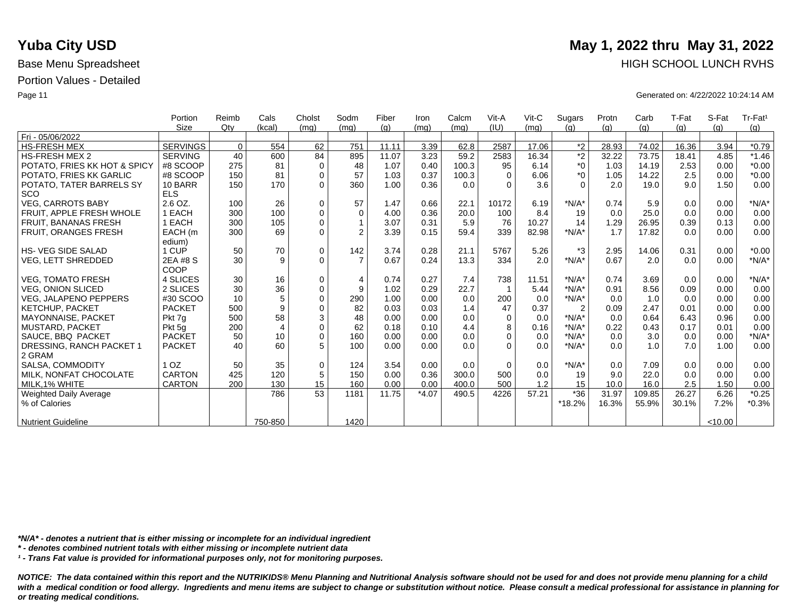|                              | Portion         | Reimb    | Cals           | Cholst      | Sodm           | Fiber | Iron    | Calcm | Vit-A    | $V$ it-C | Sugars         | Protn | Carb   | T-Fat | S-Fat   | Tr-Fat <sup>1</sup> |
|------------------------------|-----------------|----------|----------------|-------------|----------------|-------|---------|-------|----------|----------|----------------|-------|--------|-------|---------|---------------------|
|                              | Size            | $Q$ ty   | (kcal)         | (mq)        | (mq)           | (q)   | (mq)    | (mg)  | (IU)     | (mq)     | (q)            | (q)   | (q)    | (g)   | (q)     | (g)                 |
| Fri - 05/06/2022             |                 |          |                |             |                |       |         |       |          |          |                |       |        |       |         |                     |
| HS-FRESH MEX                 | <b>SERVINGS</b> | $\Omega$ | 554            | 62          | 751            | 11.11 | 3.39    | 62.8  | 2587     | 17.06    | $*2$           | 28.93 | 74.02  | 16.36 | 3.94    | $*0.79$             |
| <b>HS-FRESH MEX 2</b>        | <b>SERVING</b>  | 40       | 600            | 84          | 895            | 11.07 | 3.23    | 59.2  | 2583     | 16.34    | $^{\star}2$    | 32.22 | 73.75  | 18.41 | 4.85    | $*1.46$             |
| POTATO, FRIES KK HOT & SPICY | #8 SCOOP        | 275      | 81             | $\mathbf 0$ | 48             | 1.07  | 0.40    | 100.3 | 95       | 6.14     | $*_{0}$        | 1.03  | 14.19  | 2.53  | 0.00    | $*0.00$             |
| POTATO, FRIES KK GARLIC      | #8 SCOOP        | 150      | 81             | $\Omega$    | 57             | 1.03  | 0.37    | 100.3 | $\Omega$ | 6.06     | $*_{0}$        | 1.05  | 14.22  | 2.5   | 0.00    | $*0.00$             |
| POTATO, TATER BARRELS SY     | 10 BARR         | 150      | 170            | $\Omega$    | 360            | 1.00  | 0.36    | 0.0   | $\Omega$ | 3.6      | $\Omega$       | 2.0   | 19.0   | 9.0   | 1.50    | 0.00                |
| SCO                          | <b>ELS</b>      |          |                |             |                |       |         |       |          |          |                |       |        |       |         |                     |
| <b>VEG, CARROTS BABY</b>     | 2.6 OZ.         | 100      | 26             | $\mathbf 0$ | 57             | 1.47  | 0.66    | 22.1  | 10172    | 6.19     | $*N/A*$        | 0.74  | 5.9    | 0.0   | 0.00    | $*N/A*$             |
| FRUIT, APPLE FRESH WHOLE     | 1 EACH          | 300      | 100            | $\mathbf 0$ | $\mathbf 0$    | 4.00  | 0.36    | 20.0  | 100      | 8.4      | 19             | 0.0   | 25.0   | 0.0   | 0.00    | 0.00                |
| <b>FRUIT, BANANAS FRESH</b>  | 1 EACH          | 300      | 105            | $\mathbf 0$ |                | 3.07  | 0.31    | 5.9   | 76       | 10.27    | 14             | 1.29  | 26.95  | 0.39  | 0.13    | 0.00                |
| <b>FRUIT, ORANGES FRESH</b>  | EACH (m         | 300      | 69             | $\Omega$    | $\overline{2}$ | 3.39  | 0.15    | 59.4  | 339      | 82.98    | $*N/A*$        | 1.7   | 17.82  | 0.0   | 0.00    | 0.00                |
|                              | edium)          |          |                |             |                |       |         |       |          |          |                |       |        |       |         |                     |
| <b>HS-VEG SIDE SALAD</b>     | 1 CUP           | 50       | 70             | $\mathbf 0$ | 142            | 3.74  | 0.28    | 21.1  | 5767     | 5.26     | $*3$           | 2.95  | 14.06  | 0.31  | 0.00    | $*0.00$             |
| <b>VEG, LETT SHREDDED</b>    | 2EA #8 S        | 30       | 9              | $\Omega$    | $\overline{7}$ | 0.67  | 0.24    | 13.3  | 334      | 2.0      | $*N/A*$        | 0.67  | 2.0    | 0.0   | 0.00    | $*N/A*$             |
|                              | COOP            |          |                |             |                |       |         |       |          |          |                |       |        |       |         |                     |
| <b>VEG. TOMATO FRESH</b>     | 4 SLICES        | 30       | 16             | $\mathbf 0$ | $\overline{4}$ | 0.74  | 0.27    | 7.4   | 738      | 11.51    | $*N/A*$        | 0.74  | 3.69   | 0.0   | 0.00    | $*N/A*$             |
| <b>VEG. ONION SLICED</b>     | 2 SLICES        | 30       | 36             | $\mathbf 0$ | 9              | 1.02  | 0.29    | 22.7  |          | 5.44     | $*N/A*$        | 0.91  | 8.56   | 0.09  | 0.00    | 0.00                |
| <b>VEG, JALAPENO PEPPERS</b> | #30 SCOO        | 10       | 5              | $\Omega$    | 290            | 1.00  | 0.00    | 0.0   | 200      | 0.0      | $*N/A*$        | 0.0   | 1.0    | 0.0   | 0.00    | 0.00                |
| <b>KETCHUP, PACKET</b>       | <b>PACKET</b>   | 500      | 9              | $\Omega$    | 82             | 0.03  | 0.03    | 1.4   | 47       | 0.37     | $\overline{2}$ | 0.09  | 2.47   | 0.01  | 0.00    | 0.00                |
| <b>MAYONNAISE, PACKET</b>    | Pkt 7q          | 500      | 58             | 3           | 48             | 0.00  | 0.00    | 0.0   | $\Omega$ | 0.0      | $*N/A*$        | 0.0   | 0.64   | 6.43  | 0.96    | 0.00                |
| MUSTARD, PACKET              | Pkt 5q          | 200      | $\overline{4}$ | $\mathbf 0$ | 62             | 0.18  | 0.10    | 4.4   | 8        | 0.16     | $*N/A*$        | 0.22  | 0.43   | 0.17  | 0.01    | 0.00                |
| SAUCE, BBQ PACKET            | <b>PACKET</b>   | 50       | 10             | $\Omega$    | 160            | 0.00  | 0.00    | 0.0   | $\Omega$ | 0.0      | $*N/A*$        | 0.0   | 3.0    | 0.0   | 0.00    | $*N/A*$             |
| DRESSING, RANCH PACKET 1     | <b>PACKET</b>   | 40       | 60             | 5           | 100            | 0.00  | 0.00    | 0.0   | $\Omega$ | 0.0      | $*N/A*$        | 0.0   | 1.0    | 7.0   | 1.00    | 0.00                |
| 2 GRAM                       |                 |          |                |             |                |       |         |       |          |          |                |       |        |       |         |                     |
| SALSA, COMMODITY             | 1 OZ            | 50       | 35             | $\mathbf 0$ | 124            | 3.54  | 0.00    | 0.0   | $\Omega$ | 0.0      | $*N/A*$        | 0.0   | 7.09   | 0.0   | 0.00    | 0.00                |
| MILK, NONFAT CHOCOLATE       | <b>CARTON</b>   | 425      | 120            | 5           | 150            | 0.00  | 0.36    | 300.0 | 500      | 0.0      | 19             | 9.0   | 22.0   | 0.0   | 0.00    | 0.00                |
| MILK.1% WHITE                | <b>CARTON</b>   | 200      | 130            | 15          | 160            | 0.00  | 0.00    | 400.0 | 500      | 1.2      | 15             | 10.0  | 16.0   | 2.5   | 1.50    | 0.00                |
| Weighted Daily Average       |                 |          | 786            | 53          | 1181           | 11.75 | $*4.07$ | 490.5 | 4226     | 57.21    | $*36$          | 31.97 | 109.85 | 26.27 | 6.26    | $*0.25$             |
| % of Calories                |                 |          |                |             |                |       |         |       |          |          | $*18.2%$       | 16.3% | 55.9%  | 30.1% | 7.2%    | $*0.3%$             |
|                              |                 |          |                |             |                |       |         |       |          |          |                |       |        |       |         |                     |
| Nutrient Guideline           |                 |          | 750-850        |             | 1420           |       |         |       |          |          |                |       |        |       | < 10.00 |                     |

*\*N/A\* - denotes a nutrient that is either missing or incomplete for an individual ingredient*

*\* - denotes combined nutrient totals with either missing or incomplete nutrient data*

*¹ - Trans Fat value is provided for informational purposes only, not for monitoring purposes.*

*NOTICE: The data contained within this report and the NUTRIKIDS® Menu Planning and Nutritional Analysis software should not be used for and does not provide menu planning for a child*  with a medical condition or food allergy. Ingredients and menu items are subject to change or substitution without notice. Please consult a medical professional for assistance in planning for *or treating medical conditions.*

### **Yuba City USD** May 1, 2022 thru May 31, 2022 Base Menu Spreadsheet **HIGH SCHOOL LUNCH RVHS**

Page 11 Generated on: 4/22/2022 10:24:14 AM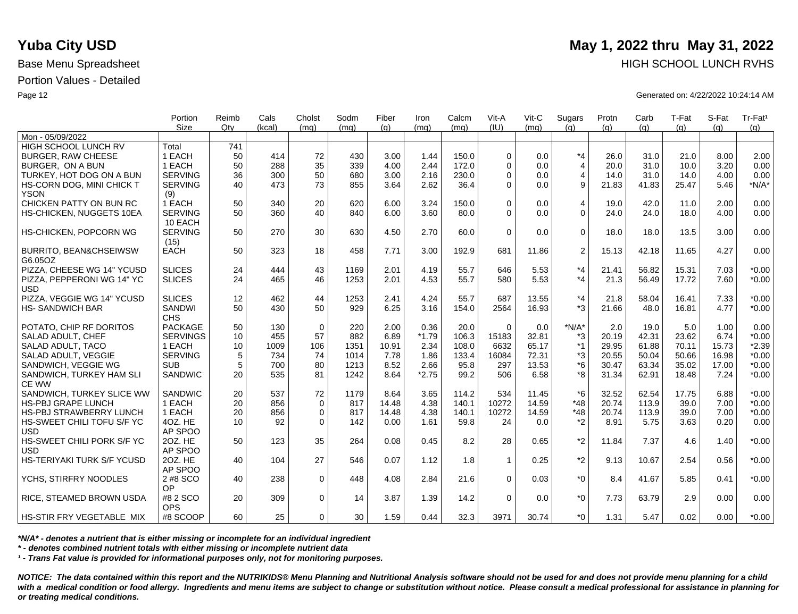|                                          | Portion<br><b>Size</b> | Reimb<br>Qtv | Cals<br>(kcal) | Cholst<br>(mq) | Sodm<br>(mq) | Fiber<br>(q) | Iron<br>(ma) | Calcm<br>(mq) | Vit-A<br>(IU) | Vit-C<br>(ma) | Sugars<br>(q)  | Protn<br>(q) | Carb<br>(q) | T-Fat<br>(q) | S-Fat<br>(q) | Tr-Fat <sup>1</sup><br>(g) |
|------------------------------------------|------------------------|--------------|----------------|----------------|--------------|--------------|--------------|---------------|---------------|---------------|----------------|--------------|-------------|--------------|--------------|----------------------------|
| Mon - 05/09/2022                         |                        |              |                |                |              |              |              |               |               |               |                |              |             |              |              |                            |
| HIGH SCHOOL LUNCH RV                     | Total                  | 741          |                |                |              |              |              |               |               |               |                |              |             |              |              |                            |
| <b>BURGER, RAW CHEESE</b>                | 1 EACH                 | 50           | 414            | 72             | 430          | 3.00         | 1.44         | 150.0         | $\Omega$      | 0.0           | $*_{4}$        | 26.0         | 31.0        | 21.0         | 8.00         | 2.00                       |
| BURGER, ON A BUN                         | 1 EACH                 | 50           | 288            | 35             | 339          | 4.00         | 2.44         | 172.0         | $\Omega$      | 0.0           | $\overline{4}$ | 20.0         | 31.0        | 10.0         | 3.20         | 0.00                       |
| TURKEY, HOT DOG ON A BUN                 | <b>SERVING</b>         | 36           | 300            | 50             | 680          | 3.00         | 2.16         | 230.0         | $\Omega$      | 0.0           | $\overline{4}$ | 14.0         | 31.0        | 14.0         | 4.00         | 0.00                       |
| HS-CORN DOG, MINI CHICK T                | <b>SERVING</b>         | 40           | 473            | 73             | 855          | 3.64         | 2.62         | 36.4          | $\Omega$      | 0.0           | 9              | 21.83        | 41.83       | 25.47        | 5.46         | $*N/A*$                    |
| <b>YSON</b>                              | (9)                    |              |                |                |              |              |              |               |               |               |                |              |             |              |              |                            |
| CHICKEN PATTY ON BUN RC                  | 1 EACH                 | 50           | 340            | 20             | 620          | 6.00         | 3.24         | 150.0         | $\Omega$      | 0.0           | 4              | 19.0         | 42.0        | 11.0         | 2.00         | 0.00                       |
| HS-CHICKEN, NUGGETS 10EA                 | <b>SERVING</b>         | 50           | 360            | 40             | 840          | 6.00         | 3.60         | 80.0          | $\Omega$      | 0.0           | $\Omega$       | 24.0         | 24.0        | 18.0         | 4.00         | 0.00                       |
|                                          | 10 EACH                |              |                |                |              |              |              |               |               |               |                |              |             |              |              |                            |
| HS-CHICKEN, POPCORN WG                   | <b>SERVING</b><br>(15) | 50           | 270            | 30             | 630          | 4.50         | 2.70         | 60.0          | $\Omega$      | 0.0           | $\mathbf 0$    | 18.0         | 18.0        | 13.5         | 3.00         | 0.00                       |
| BURRITO, BEAN&CHSEIWSW                   | <b>EACH</b>            | 50           | 323            | 18             | 458          | 7.71         | 3.00         | 192.9         | 681           | 11.86         | 2              | 15.13        | 42.18       | 11.65        | 4.27         | 0.00                       |
| G6.05OZ                                  |                        |              |                |                |              |              |              |               |               |               |                |              |             |              |              |                            |
| PIZZA, CHEESE WG 14" YCUSD               | <b>SLICES</b>          | 24           | 444            | 43             | 1169         | 2.01         | 4.19         | 55.7          | 646           | 5.53          | $*_{4}$        | 21.41        | 56.82       | 15.31        | 7.03         | $*0.00$                    |
| PIZZA. PEPPERONI WG 14" YC               | <b>SLICES</b>          | 24           | 465            | 46             | 1253         | 2.01         | 4.53         | 55.7          | 580           | 5.53          | $*_{4}$        | 21.3         | 56.49       | 17.72        | 7.60         | $*0.00$                    |
| <b>USD</b>                               |                        |              |                |                |              |              |              |               |               |               |                |              |             |              |              |                            |
| PIZZA, VEGGIE WG 14" YCUSD               | <b>SLICES</b>          | 12           | 462            | 44             | 1253         | 2.41         | 4.24         | 55.7          | 687           | 13.55         | $*_{4}$        | 21.8         | 58.04       | 16.41        | 7.33         | $*0.00$                    |
| <b>HS-SANDWICH BAR</b>                   | <b>SANDWI</b>          | 50           | 430            | 50             | 929          | 6.25         | 3.16         | 154.0         | 2564          | 16.93         | $*3$           | 21.66        | 48.0        | 16.81        | 4.77         | $*0.00$                    |
|                                          | <b>CHS</b>             |              |                |                |              |              |              |               |               |               |                |              |             |              |              |                            |
| POTATO, CHIP RF DORITOS                  | <b>PACKAGE</b>         | 50           | 130            | $\mathbf 0$    | 220          | 2.00         | 0.36         | 20.0          | $\Omega$      | 0.0           | $*N/A*$        | 2.0          | 19.0        | 5.0          | 1.00         | 0.00                       |
| <b>SALAD ADULT, CHEF</b>                 | <b>SERVINGS</b>        | 10           | 455            | 57             | 882          | 6.89         | $*1.79$      | 106.3         | 15183         | 32.81         | *3             | 20.19        | 42.31       | 23.62        | 6.74         | $*0.00$                    |
| SALAD ADULT, TACO                        | 1 EACH                 | 10           | 1009           | 106            | 1351         | 10.91        | 2.34         | 108.0         | 6632          | 65.17         | $*1$           | 29.95        | 61.88       | 70.11        | 15.73        | $*2.39$                    |
| SALAD ADULT, VEGGIE                      | <b>SERVING</b>         | 5            | 734            | 74             | 1014         | 7.78         | 1.86         | 133.4         | 16084         | 72.31         | *3             | 20.55        | 50.04       | 50.66        | 16.98        | $*0.00$                    |
| SANDWICH, VEGGIE WG                      | <b>SUB</b>             | 5            | 700            | 80             | 1213         | 8.52         | 2.66         | 95.8          | 297           | 13.53         | $*6$           | 30.47        | 63.34       | 35.02        | 17.00        | $*0.00$                    |
| SANDWICH, TURKEY HAM SLI                 | SANDWIC                | 20           | 535            | 81             | 1242         | 8.64         | $*2.75$      | 99.2          | 506           | 6.58          | *8             | 31.34        | 62.91       | 18.48        | 7.24         | $*0.00$                    |
| <b>CE WW</b>                             |                        |              |                |                |              |              |              |               |               |               |                |              |             |              |              |                            |
| SANDWICH, TURKEY SLICE WW                | <b>SANDWIC</b>         | 20           | 537            | 72             | 1179         | 8.64         | 3.65         | 114.2         | 534           | 11.45         | $*6$           | 32.52        | 62.54       | 17.75        | 6.88         | $*0.00$                    |
| <b>HS-PBJ GRAPE LUNCH</b>                | 1 EACH                 | 20           | 856            | $\mathbf{0}$   | 817          | 14.48        | 4.38         | 140.1         | 10272         | 14.59         | $*48$          | 20.74        | 113.9       | 39.0         | 7.00         | $*0.00$                    |
| <b>HS-PBJ STRAWBERRY LUNCH</b>           | 1 EACH                 | 20           | 856            | 0              | 817          | 14.48        | 4.38         | 140.1         | 10272         | 14.59         | $*48$          | 20.74        | 113.9       | 39.0         | 7.00         | $*0.00$                    |
| HS-SWEET CHILI TOFU S/F YC               | 4OZ. HE                | 10           | 92             | $\Omega$       | 142          | 0.00         | 1.61         | 59.8          | 24            | 0.0           | $*2$           | 8.91         | 5.75        | 3.63         | 0.20         | 0.00                       |
| <b>USD</b>                               | AP SPOO                |              |                |                |              |              |              |               |               |               |                |              |             |              |              |                            |
| HS-SWEET CHILI PORK S/F YC<br><b>USD</b> | 20Z. HE<br>AP SPOO     | 50           | 123            | 35             | 264          | 0.08         | 0.45         | 8.2           | 28            | 0.65          | $*2$           | 11.84        | 7.37        | 4.6          | 1.40         | $*0.00$                    |
| HS-TERIYAKI TURK S/F YCUSD               | 20Z. HE                | 40           | 104            | 27             | 546          | 0.07         | 1.12         | 1.8           | $\mathbf{1}$  | 0.25          | $*2$           | 9.13         | 10.67       | 2.54         | 0.56         | $*0.00$                    |
|                                          | AP SPOO                |              |                |                |              |              |              |               |               |               |                |              |             |              |              |                            |
| YCHS, STIRFRY NOODLES                    | 2 #8 SCO               | 40           | 238            | $\mathbf 0$    | 448          | 4.08         | 2.84         | 21.6          | $\Omega$      | 0.03          | $*_{0}$        | 8.4          | 41.67       | 5.85         | 0.41         | $*0.00$                    |
|                                          | OP                     |              |                |                |              |              |              |               |               |               |                |              |             |              |              |                            |
| <b>RICE, STEAMED BROWN USDA</b>          | #8 2 SCO               | 20           | 309            | $\mathbf 0$    | 14           | 3.87         | 1.39         | 14.2          | $\Omega$      | 0.0           | $*_{0}$        | 7.73         | 63.79       | 2.9          | 0.00         | 0.00                       |
|                                          | <b>OPS</b>             |              |                |                |              |              |              |               |               |               |                |              |             |              |              |                            |
| <b>HS-STIR FRY VEGETABLE MIX</b>         | #8 SCOOP               | 60           | 25             | $\Omega$       | 30           | 1.59         | 0.44         | 32.3          | 3971          | 30.74         | $*$ $\Omega$   | 1.31         | 5.47        | 0.02         | 0.00         | $*0.00$                    |

*\*N/A\* - denotes a nutrient that is either missing or incomplete for an individual ingredient*

*\* - denotes combined nutrient totals with either missing or incomplete nutrient data*

*¹ - Trans Fat value is provided for informational purposes only, not for monitoring purposes.*

*NOTICE: The data contained within this report and the NUTRIKIDS® Menu Planning and Nutritional Analysis software should not be used for and does not provide menu planning for a child*  with a medical condition or food allergy. Ingredients and menu items are subject to change or substitution without notice. Please consult a medical professional for assistance in planning for *or treating medical conditions.*

## **Yuba City USD** May 1, 2022 thru May 31, 2022 Base Menu Spreadsheet **HIGH SCHOOL LUNCH RVHS**

Page 12 Generated on: 4/22/2022 10:24:14 AM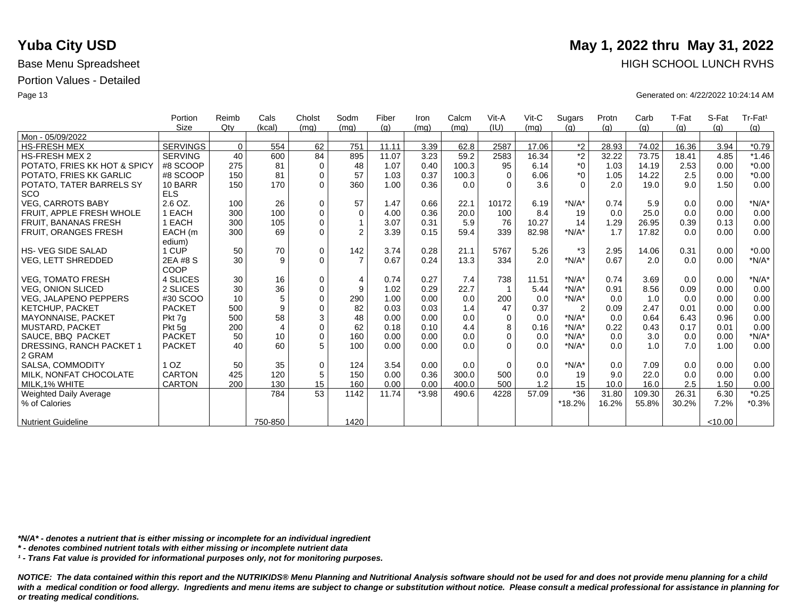|                               | Portion         | Reimb    | Cals           | Cholst      | Sodm           | Fiber | Iron    | Calcm | Vit-A       | $V$ it-C | Sugars         | Protn | Carb   | T-Fat | S-Fat   | Tr-Fat <sup>1</sup> |
|-------------------------------|-----------------|----------|----------------|-------------|----------------|-------|---------|-------|-------------|----------|----------------|-------|--------|-------|---------|---------------------|
|                               | Size            | Qtv      | (kcal)         | (mq)        | (mq)           | (q)   | (mq)    | (mq)  | (IU)        | (mq)     | (q)            | (q)   | (q)    | (g)   | (q)     | (g)                 |
| Mon - 05/09/2022              |                 |          |                |             |                |       |         |       |             |          |                |       |        |       |         |                     |
| <b>HS-FRESH MEX</b>           | <b>SERVINGS</b> | $\Omega$ | 554            | 62          | 751            | 11.11 | 3.39    | 62.8  | 2587        | 17.06    | $*2$           | 28.93 | 74.02  | 16.36 | 3.94    | $*0.79$             |
| <b>HS-FRESH MEX 2</b>         | <b>SERVING</b>  | 40       | 600            | 84          | 895            | 11.07 | 3.23    | 59.2  | 2583        | 16.34    | $^*2$          | 32.22 | 73.75  | 18.41 | 4.85    | $*1.46$             |
| POTATO, FRIES KK HOT & SPICY  | #8 SCOOP        | 275      | 81             | $\mathbf 0$ | 48             | 1.07  | 0.40    | 100.3 | 95          | 6.14     | $^*0$          | 1.03  | 14.19  | 2.53  | 0.00    | $*0.00$             |
| POTATO, FRIES KK GARLIC       | #8 SCOOP        | 150      | 81             | $\mathbf 0$ | 57             | 1.03  | 0.37    | 100.3 | $\Omega$    | 6.06     | $^*0$          | 1.05  | 14.22  | 2.5   | 0.00    | $*0.00$             |
| POTATO, TATER BARRELS SY      | 10 BARR         | 150      | 170            | $\Omega$    | 360            | 1.00  | 0.36    | 0.0   | $\Omega$    | 3.6      | $\Omega$       | 2.0   | 19.0   | 9.0   | 1.50    | 0.00                |
| <b>SCO</b>                    | <b>ELS</b>      |          |                |             |                |       |         |       |             |          |                |       |        |       |         |                     |
| <b>VEG. CARROTS BABY</b>      | 2.6 OZ.         | 100      | 26             | 0           | 57             | 1.47  | 0.66    | 22.1  | 10172       | 6.19     | $*N/A*$        | 0.74  | 5.9    | 0.0   | 0.00    | $*N/A*$             |
| FRUIT. APPLE FRESH WHOLE      | 1 EACH          | 300      | 100            | $\mathbf 0$ | $\mathbf 0$    | 4.00  | 0.36    | 20.0  | 100         | 8.4      | 19             | 0.0   | 25.0   | 0.0   | 0.00    | 0.00                |
| <b>FRUIT, BANANAS FRESH</b>   | 1 EACH          | 300      | 105            | $\Omega$    | $\mathbf{1}$   | 3.07  | 0.31    | 5.9   | 76          | 10.27    | 14             | 1.29  | 26.95  | 0.39  | 0.13    | 0.00                |
| FRUIT, ORANGES FRESH          | EACH (m         | 300      | 69             | $\Omega$    | $\overline{2}$ | 3.39  | 0.15    | 59.4  | 339         | 82.98    | $*N/A*$        | 1.7   | 17.82  | 0.0   | 0.00    | 0.00                |
|                               | edium)          |          |                |             |                |       |         |       |             |          |                |       |        |       |         |                     |
| <b>HS-VEG SIDE SALAD</b>      | 1 CUP           | 50       | 70             | $\mathbf 0$ | 142            | 3.74  | 0.28    | 21.1  | 5767        | 5.26     | *3             | 2.95  | 14.06  | 0.31  | 0.00    | $*0.00$             |
| <b>VEG, LETT SHREDDED</b>     | 2EA #8 S        | 30       | 9              | $\Omega$    | $\overline{7}$ | 0.67  | 0.24    | 13.3  | 334         | 2.0      | $*N/A*$        | 0.67  | 2.0    | 0.0   | 0.00    | $*N/A*$             |
|                               | COOP            |          |                |             |                |       |         |       |             |          |                |       |        |       |         |                     |
| <b>VEG, TOMATO FRESH</b>      | 4 SLICES        | 30       | 16             | $\mathbf 0$ | $\overline{4}$ | 0.74  | 0.27    | 7.4   | 738         | 11.51    | $*N/A*$        | 0.74  | 3.69   | 0.0   | 0.00    | $*N/A*$             |
| <b>VEG. ONION SLICED</b>      | 2 SLICES        | 30       | 36             | $\mathbf 0$ | 9              | 1.02  | 0.29    | 22.7  |             | 5.44     | $*N/A*$        | 0.91  | 8.56   | 0.09  | 0.00    | 0.00                |
| <b>VEG, JALAPENO PEPPERS</b>  | #30 SCOO        | 10       | 5              | $\mathbf 0$ | 290            | 1.00  | 0.00    | 0.0   | 200         | 0.0      | $*N/A*$        | 0.0   | 1.0    | 0.0   | 0.00    | 0.00                |
| <b>KETCHUP, PACKET</b>        | <b>PACKET</b>   | 500      | 9              | $\mathbf 0$ | 82             | 0.03  | 0.03    | 1.4   | 47          | 0.37     | $\overline{2}$ | 0.09  | 2.47   | 0.01  | 0.00    | 0.00                |
| MAYONNAISE, PACKET            | Pkt 7g          | 500      | 58             | 3           | 48             | 0.00  | 0.00    | 0.0   | $\Omega$    | 0.0      | $*N/A*$        | 0.0   | 0.64   | 6.43  | 0.96    | 0.00                |
| MUSTARD, PACKET               | Pkt 5q          | 200      | $\overline{4}$ | $\mathbf 0$ | 62             | 0.18  | 0.10    | 4.4   | 8           | 0.16     | $*N/A*$        | 0.22  | 0.43   | 0.17  | 0.01    | 0.00                |
| SAUCE, BBQ PACKET             | <b>PACKET</b>   | 50       | 10             | $\Omega$    | 160            | 0.00  | 0.00    | 0.0   | $\Omega$    | 0.0      | $*N/A*$        | 0.0   | 3.0    | 0.0   | 0.00    | $*N/A*$             |
| DRESSING, RANCH PACKET 1      | <b>PACKET</b>   | 40       | 60             | 5           | 100            | 0.00  | 0.00    | 0.0   | $\Omega$    | 0.0      | $*N/A*$        | 0.0   | 1.0    | 7.0   | 1.00    | 0.00                |
| 2 GRAM                        |                 |          |                |             |                |       |         |       |             |          |                |       |        |       |         |                     |
| SALSA, COMMODITY              | 1 <sub>OZ</sub> | 50       | 35             | $\mathbf 0$ | 124            | 3.54  | 0.00    | 0.0   | $\mathbf 0$ | 0.0      | $*N/A*$        | 0.0   | 7.09   | 0.0   | 0.00    | 0.00                |
| MILK. NONFAT CHOCOLATE        | <b>CARTON</b>   | 425      | 120            | 5           | 150            | 0.00  | 0.36    | 300.0 | 500         | 0.0      | 19             | 9.0   | 22.0   | 0.0   | 0.00    | 0.00                |
| MILK, 1% WHITE                | <b>CARTON</b>   | 200      | 130            | 15          | 160            | 0.00  | 0.00    | 400.0 | 500         | 1.2      | 15             | 10.0  | 16.0   | 2.5   | 1.50    | 0.00                |
| <b>Weighted Daily Average</b> |                 |          | 784            | 53          | 1142           | 11.74 | $*3.98$ | 490.6 | 4228        | 57.09    | $*36$          | 31.80 | 109.30 | 26.31 | 6.30    | $*0.25$             |
| % of Calories                 |                 |          |                |             |                |       |         |       |             |          | *18.2%         | 16.2% | 55.8%  | 30.2% | 7.2%    | $*0.3%$             |
|                               |                 |          |                |             |                |       |         |       |             |          |                |       |        |       |         |                     |
| <b>Nutrient Guideline</b>     |                 |          | 750-850        |             | 1420           |       |         |       |             |          |                |       |        |       | < 10.00 |                     |

*\*N/A\* - denotes a nutrient that is either missing or incomplete for an individual ingredient*

*\* - denotes combined nutrient totals with either missing or incomplete nutrient data*

*¹ - Trans Fat value is provided for informational purposes only, not for monitoring purposes.*

with a medical condition or food allergy. Ingredients and menu items are subject to change or substitution without notice. Please consult a medical professional for assistance in planning for *or treating medical conditions.*

### **Yuba City USD** May 1, 2022 thru May 31, 2022 Base Menu Spreadsheet **HIGH SCHOOL LUNCH RVHS**

Page 13 Generated on: 4/22/2022 10:24:14 AM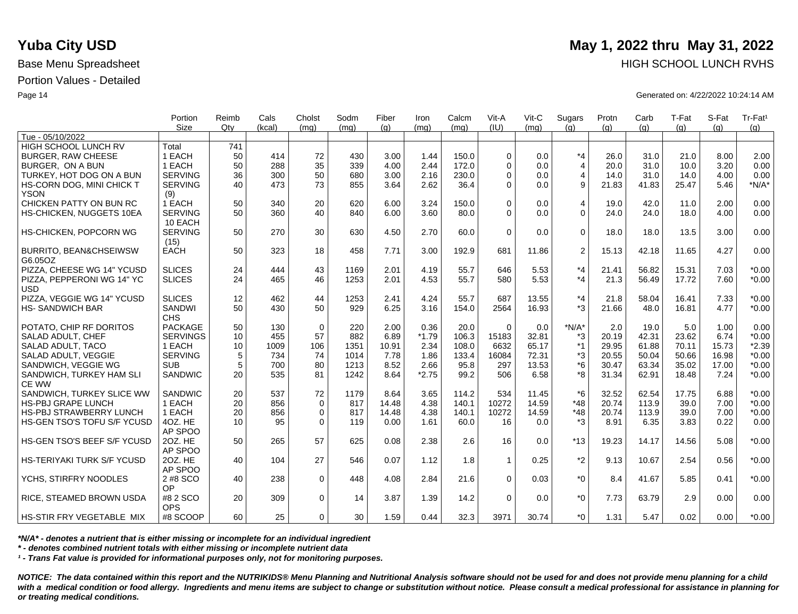|                                   | Portion<br><b>Size</b> | Reimb<br>Qtv | Cals<br>(kcal) | Cholst<br>(mq) | Sodm<br>(mq) | Fiber<br>(q) | Iron<br>(ma) | Calcm<br>(mq) | Vit-A<br>(IU) | Vit-C<br>(ma) | Sugars<br>(q)  | Protn<br>(q) | Carb<br>(q) | T-Fat<br>(q) | S-Fat<br>(a) | Tr-Fat <sup>1</sup><br>(g) |
|-----------------------------------|------------------------|--------------|----------------|----------------|--------------|--------------|--------------|---------------|---------------|---------------|----------------|--------------|-------------|--------------|--------------|----------------------------|
| Tue - 05/10/2022                  |                        |              |                |                |              |              |              |               |               |               |                |              |             |              |              |                            |
| HIGH SCHOOL LUNCH RV              | Total                  | 741          |                |                |              |              |              |               |               |               |                |              |             |              |              |                            |
| <b>BURGER, RAW CHEESE</b>         | 1 EACH                 | 50           | 414            | 72             | 430          | 3.00         | 1.44         | 150.0         | $\Omega$      | 0.0           | $*_{4}$        | 26.0         | 31.0        | 21.0         | 8.00         | 2.00                       |
| BURGER, ON A BUN                  | 1 EACH                 | 50           | 288            | 35             | 339          | 4.00         | 2.44         | 172.0         | $\Omega$      | 0.0           | $\overline{4}$ | 20.0         | 31.0        | 10.0         | 3.20         | 0.00                       |
| TURKEY, HOT DOG ON A BUN          | <b>SERVING</b>         | 36           | 300            | 50             | 680          | 3.00         | 2.16         | 230.0         | $\Omega$      | 0.0           | $\overline{4}$ | 14.0         | 31.0        | 14.0         | 4.00         | 0.00                       |
| HS-CORN DOG, MINI CHICK T         | <b>SERVING</b>         | 40           | 473            | 73             | 855          | 3.64         | 2.62         | 36.4          | $\Omega$      | 0.0           | 9              | 21.83        | 41.83       | 25.47        | 5.46         | $*N/A*$                    |
| <b>YSON</b>                       | (9)                    |              |                |                |              |              |              |               |               |               |                |              |             |              |              |                            |
| CHICKEN PATTY ON BUN RC           | 1 EACH                 | 50           | 340            | 20             | 620          | 6.00         | 3.24         | 150.0         | $\Omega$      | 0.0           | 4              | 19.0         | 42.0        | 11.0         | 2.00         | 0.00                       |
| HS-CHICKEN, NUGGETS 10EA          | <b>SERVING</b>         | 50           | 360            | 40             | 840          | 6.00         | 3.60         | 80.0          | $\Omega$      | 0.0           | $\Omega$       | 24.0         | 24.0        | 18.0         | 4.00         | 0.00                       |
|                                   | 10 EACH                |              |                |                |              |              |              |               |               |               |                |              |             |              |              |                            |
| HS-CHICKEN, POPCORN WG            | <b>SERVING</b>         | 50           | 270            | 30             | 630          | 4.50         | 2.70         | 60.0          | $\Omega$      | 0.0           | $\mathbf 0$    | 18.0         | 18.0        | 13.5         | 3.00         | 0.00                       |
|                                   | (15)                   |              |                |                |              |              |              |               |               |               |                |              |             |              |              |                            |
| <b>BURRITO, BEAN&amp;CHSEIWSW</b> | <b>EACH</b>            | 50           | 323            | 18             | 458          | 7.71         | 3.00         | 192.9         | 681           | 11.86         | 2              | 15.13        | 42.18       | 11.65        | 4.27         | 0.00                       |
| G6.05OZ                           |                        |              |                |                |              |              |              |               |               |               |                |              |             |              |              |                            |
| PIZZA, CHEESE WG 14" YCUSD        | <b>SLICES</b>          | 24           | 444            | 43             | 1169         | 2.01         | 4.19         | 55.7          | 646           | 5.53          | $*_{4}$        | 21.41        | 56.82       | 15.31        | 7.03         | $*0.00$                    |
| PIZZA. PEPPERONI WG 14" YC        | <b>SLICES</b>          | 24           | 465            | 46             | 1253         | 2.01         | 4.53         | 55.7          | 580           | 5.53          | $*_{4}$        | 21.3         | 56.49       | 17.72        | 7.60         | $*0.00$                    |
| <b>USD</b>                        |                        |              |                |                |              |              |              |               |               |               |                |              |             |              |              |                            |
| PIZZA, VEGGIE WG 14" YCUSD        | <b>SLICES</b>          | 12           | 462            | 44             | 1253         | 2.41         | 4.24         | 55.7          | 687           | 13.55         | $*_{4}$        | 21.8         | 58.04       | 16.41        | 7.33         | $*0.00$                    |
| <b>HS-SANDWICH BAR</b>            | <b>SANDWI</b>          | 50           | 430            | 50             | 929          | 6.25         | 3.16         | 154.0         | 2564          | 16.93         | $*3$           | 21.66        | 48.0        | 16.81        | 4.77         | $*0.00$                    |
|                                   | <b>CHS</b>             |              |                |                |              |              |              |               |               |               |                |              |             |              |              |                            |
| POTATO, CHIP RF DORITOS           | <b>PACKAGE</b>         | 50           | 130            | $\mathbf 0$    | 220          | 2.00         | 0.36         | 20.0          | $\Omega$      | 0.0           | $*N/A*$        | 2.0          | 19.0        | 5.0          | 1.00         | 0.00                       |
| <b>SALAD ADULT, CHEF</b>          | <b>SERVINGS</b>        | 10           | 455            | 57             | 882          | 6.89         | $*1.79$      | 106.3         | 15183         | 32.81         | *3             | 20.19        | 42.31       | 23.62        | 6.74         | $*0.00$                    |
| SALAD ADULT, TACO                 | 1 EACH                 | 10           | 1009           | 106            | 1351         | 10.91        | 2.34         | 108.0         | 6632          | 65.17         | $*1$           | 29.95        | 61.88       | 70.11        | 15.73        | $*2.39$                    |
| SALAD ADULT, VEGGIE               | <b>SERVING</b>         | 5            | 734            | 74             | 1014         | 7.78         | 1.86         | 133.4         | 16084         | 72.31         | *3             | 20.55        | 50.04       | 50.66        | 16.98        | $*0.00$                    |
| SANDWICH, VEGGIE WG               | <b>SUB</b>             | 5            | 700            | 80             | 1213         | 8.52         | 2.66         | 95.8          | 297           | 13.53         | $*6$           | 30.47        | 63.34       | 35.02        | 17.00        | $*0.00$                    |
| SANDWICH, TURKEY HAM SLI          | SANDWIC                | 20           | 535            | 81             | 1242         | 8.64         | $*2.75$      | 99.2          | 506           | 6.58          | *8             | 31.34        | 62.91       | 18.48        | 7.24         | $*0.00$                    |
| <b>CE WW</b>                      |                        |              |                |                |              |              |              |               |               |               |                |              |             |              |              |                            |
| SANDWICH, TURKEY SLICE WW         | <b>SANDWIC</b>         | 20           | 537            | 72             | 1179         | 8.64         | 3.65         | 114.2         | 534           | 11.45         | $*6$           | 32.52        | 62.54       | 17.75        | 6.88         | $*0.00$                    |
| <b>HS-PBJ GRAPE LUNCH</b>         | 1 EACH                 | 20           | 856            | $\mathbf{0}$   | 817          | 14.48        | 4.38         | 140.1         | 10272         | 14.59         | $*48$          | 20.74        | 113.9       | 39.0         | 7.00         | $*0.00$                    |
| <b>HS-PBJ STRAWBERRY LUNCH</b>    | 1 EACH<br>4OZ. HE      | 20           | 856            | 0              | 817          | 14.48        | 4.38         | 140.1         | 10272         | 14.59         | $*48$<br>*3    | 20.74        | 113.9       | 39.0         | 7.00         | $*0.00$                    |
| HS-GEN TSO'S TOFU S/F YCUSD       | AP SPOO                | 10           | 95             | $\Omega$       | 119          | 0.00         | 1.61         | 60.0          | 16            | 0.0           |                | 8.91         | 6.35        | 3.83         | 0.22         | 0.00                       |
| HS-GEN TSO'S BEEF S/F YCUSD       | 20Z. HE                | 50           | 265            | 57             | 625          | 0.08         | 2.38         | 2.6           | 16            | 0.0           | $*13$          | 19.23        | 14.17       | 14.56        | 5.08         | $*0.00$                    |
|                                   | AP SPOO                |              |                |                |              |              |              |               |               |               |                |              |             |              |              |                            |
| HS-TERIYAKI TURK S/F YCUSD        | 20Z. HE                | 40           | 104            | 27             | 546          | 0.07         | 1.12         | 1.8           | $\mathbf{1}$  | 0.25          | $*_{2}$        | 9.13         | 10.67       | 2.54         | 0.56         | $*0.00$                    |
|                                   | AP SPOO                |              |                |                |              |              |              |               |               |               |                |              |             |              |              |                            |
| YCHS, STIRFRY NOODLES             | 2 #8 SCO               | 40           | 238            | $\mathbf 0$    | 448          | 4.08         | 2.84         | 21.6          | $\Omega$      | 0.03          | $*_{0}$        | 8.4          | 41.67       | 5.85         | 0.41         | $*0.00$                    |
|                                   | OP                     |              |                |                |              |              |              |               |               |               |                |              |             |              |              |                            |
| <b>RICE, STEAMED BROWN USDA</b>   | #8 2 SCO               | 20           | 309            | $\mathbf 0$    | 14           | 3.87         | 1.39         | 14.2          | $\Omega$      | 0.0           | $*_{0}$        | 7.73         | 63.79       | 2.9          | 0.00         | 0.00                       |
|                                   | <b>OPS</b>             |              |                |                |              |              |              |               |               |               |                |              |             |              |              |                            |
| <b>HS-STIR FRY VEGETABLE MIX</b>  | #8 SCOOP               | 60           | 25             | $\Omega$       | 30           | 1.59         | 0.44         | 32.3          | 3971          | 30.74         | $*$ $\Omega$   | 1.31         | 5.47        | 0.02         | 0.00         | $*0.00$                    |

*\*N/A\* - denotes a nutrient that is either missing or incomplete for an individual ingredient*

*\* - denotes combined nutrient totals with either missing or incomplete nutrient data*

*¹ - Trans Fat value is provided for informational purposes only, not for monitoring purposes.*

*NOTICE: The data contained within this report and the NUTRIKIDS® Menu Planning and Nutritional Analysis software should not be used for and does not provide menu planning for a child*  with a medical condition or food allergy. Ingredients and menu items are subject to change or substitution without notice. Please consult a medical professional for assistance in planning for *or treating medical conditions.*

### **Yuba City USD** May 1, 2022 thru May 31, 2022 Base Menu Spreadsheet **HIGH SCHOOL LUNCH RVHS**

Page 14 Generated on: 4/22/2022 10:24:14 AM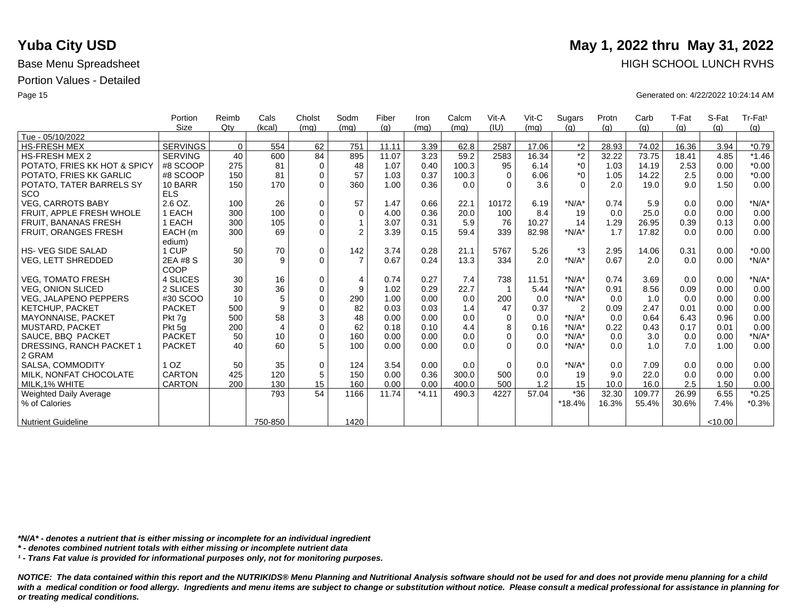|                              | Portion         | Reimb    | Cals           | Cholst      | Sodm           | Fiber | Iron    | Calcm | Vit-A    | $V$ it-C | Sugars         | Protn | Carb   | T-Fat | S-Fat   | Tr-Fat <sup>1</sup> |
|------------------------------|-----------------|----------|----------------|-------------|----------------|-------|---------|-------|----------|----------|----------------|-------|--------|-------|---------|---------------------|
|                              | <b>Size</b>     | Qtv      | (kcal)         | (mq)        | (mq)           | (q)   | (mq)    | (mq)  | (IU)     | (mq)     | (q)            | (q)   | (q)    | (g)   | (q)     | (g)                 |
| Tue - 05/10/2022             |                 |          |                |             |                |       |         |       |          |          |                |       |        |       |         |                     |
| <b>HS-FRESH MEX</b>          | <b>SERVINGS</b> | $\Omega$ | 554            | 62          | 751            | 11.11 | 3.39    | 62.8  | 2587     | 17.06    | $*2$           | 28.93 | 74.02  | 16.36 | 3.94    | $*0.79$             |
| <b>HS-FRESH MEX 2</b>        | <b>SERVING</b>  | 40       | 600            | 84          | 895            | 11.07 | 3.23    | 59.2  | 2583     | 16.34    | $\overline{2}$ | 32.22 | 73.75  | 18.41 | 4.85    | $*1.46$             |
| POTATO, FRIES KK HOT & SPICY | #8 SCOOP        | 275      | 81             | $\mathbf 0$ | 48             | 1.07  | 0.40    | 100.3 | 95       | 6.14     | $^*0$          | 1.03  | 14.19  | 2.53  | 0.00    | $*0.00$             |
| POTATO, FRIES KK GARLIC      | #8 SCOOP        | 150      | 81             | $\mathbf 0$ | 57             | 1.03  | 0.37    | 100.3 | $\Omega$ | 6.06     | $*_{0}$        | 1.05  | 14.22  | 2.5   | 0.00    | $*0.00$             |
| POTATO, TATER BARRELS SY     | 10 BARR         | 150      | 170            | $\Omega$    | 360            | 1.00  | 0.36    | 0.0   | $\Omega$ | 3.6      | $\Omega$       | 2.0   | 19.0   | 9.0   | 1.50    | 0.00                |
| <b>SCO</b>                   | <b>ELS</b>      |          |                |             |                |       |         |       |          |          |                |       |        |       |         |                     |
| <b>VEG, CARROTS BABY</b>     | 2.6 OZ.         | 100      | 26             | $\mathbf 0$ | 57             | 1.47  | 0.66    | 22.1  | 10172    | 6.19     | $*N/A*$        | 0.74  | 5.9    | 0.0   | 0.00    | $*N/A*$             |
| FRUIT. APPLE FRESH WHOLE     | 1 EACH          | 300      | 100            | $\mathbf 0$ | $\Omega$       | 4.00  | 0.36    | 20.0  | 100      | 8.4      | 19             | 0.0   | 25.0   | 0.0   | 0.00    | 0.00                |
| <b>FRUIT, BANANAS FRESH</b>  | 1 EACH          | 300      | 105            | $\Omega$    |                | 3.07  | 0.31    | 5.9   | 76       | 10.27    | 14             | 1.29  | 26.95  | 0.39  | 0.13    | 0.00                |
| FRUIT, ORANGES FRESH         | EACH (m         | 300      | 69             | $\Omega$    | $\overline{2}$ | 3.39  | 0.15    | 59.4  | 339      | 82.98    | $*N/A*$        | 1.7   | 17.82  | 0.0   | 0.00    | 0.00                |
|                              | edium)          |          |                |             |                |       |         |       |          |          |                |       |        |       |         |                     |
| <b>HS-VEG SIDE SALAD</b>     | 1 CUP           | 50       | 70             | $\mathbf 0$ | 142            | 3.74  | 0.28    | 21.1  | 5767     | 5.26     | $*3$           | 2.95  | 14.06  | 0.31  | 0.00    | $*0.00$             |
| <b>VEG, LETT SHREDDED</b>    | 2EA #8 S        | 30       | 9              | $\Omega$    | $\overline{7}$ | 0.67  | 0.24    | 13.3  | 334      | 2.0      | $*N/A*$        | 0.67  | 2.0    | 0.0   | 0.00    | $*N/A*$             |
|                              | COOP            |          |                |             |                |       |         |       |          |          |                |       |        |       |         |                     |
| <b>VEG, TOMATO FRESH</b>     | 4 SLICES        | 30       | 16             | $\mathbf 0$ | $\overline{4}$ | 0.74  | 0.27    | 7.4   | 738      | 11.51    | $*N/A*$        | 0.74  | 3.69   | 0.0   | 0.00    | $*N/A*$             |
| <b>VEG, ONION SLICED</b>     | 2 SLICES        | 30       | 36             | $\mathbf 0$ | 9              | 1.02  | 0.29    | 22.7  |          | 5.44     | $*N/A*$        | 0.91  | 8.56   | 0.09  | 0.00    | 0.00                |
| <b>VEG, JALAPENO PEPPERS</b> | #30 SCOO        | 10       | 5              | $\Omega$    | 290            | 1.00  | 0.00    | 0.0   | 200      | 0.0      | $*N/A*$        | 0.0   | 1.0    | 0.0   | 0.00    | 0.00                |
| KETCHUP, PACKET              | <b>PACKET</b>   | 500      | 9              | $\mathbf 0$ | 82             | 0.03  | 0.03    | 1.4   | 47       | 0.37     | $\overline{2}$ | 0.09  | 2.47   | 0.01  | 0.00    | 0.00                |
| <b>MAYONNAISE, PACKET</b>    | Pkt 7q          | 500      | 58             | 3           | 48             | 0.00  | 0.00    | 0.0   | $\Omega$ | 0.0      | $*N/A*$        | 0.0   | 0.64   | 6.43  | 0.96    | 0.00                |
| <b>MUSTARD, PACKET</b>       | Pkt 5q          | 200      | $\overline{4}$ | $\mathbf 0$ | 62             | 0.18  | 0.10    | 4.4   | 8        | 0.16     | $*N/A*$        | 0.22  | 0.43   | 0.17  | 0.01    | 0.00                |
| SAUCE, BBQ PACKET            | <b>PACKET</b>   | 50       | 10             | $\Omega$    | 160            | 0.00  | 0.00    | 0.0   | $\Omega$ | 0.0      | $*N/A*$        | 0.0   | 3.0    | 0.0   | 0.00    | $*N/A*$             |
| DRESSING, RANCH PACKET 1     | <b>PACKET</b>   | 40       | 60             | 5           | 100            | 0.00  | 0.00    | 0.0   | $\Omega$ | 0.0      | $*N/A*$        | 0.0   | 1.0    | 7.0   | 1.00    | 0.00                |
| 2 GRAM                       |                 |          |                |             |                |       |         |       |          |          |                |       |        |       |         |                     |
| SALSA, COMMODITY             | 1 <sub>OZ</sub> | 50       | 35             | $\mathbf 0$ | 124            | 3.54  | 0.00    | 0.0   | $\Omega$ | 0.0      | $*N/A*$        | 0.0   | 7.09   | 0.0   | 0.00    | 0.00                |
| MILK. NONFAT CHOCOLATE       | <b>CARTON</b>   | 425      | 120            | 5           | 150            | 0.00  | 0.36    | 300.0 | 500      | 0.0      | 19             | 9.0   | 22.0   | 0.0   | 0.00    | 0.00                |
| MILK.1% WHITE                | <b>CARTON</b>   | 200      | 130            | 15          | 160            | 0.00  | 0.00    | 400.0 | 500      | 1.2      | 15             | 10.0  | 16.0   | 2.5   | 1.50    | 0.00                |
| Weighted Daily Average       |                 |          | 793            | 54          | 1166           | 11.74 | $*4.11$ | 490.3 | 4227     | 57.04    | $*36$          | 32.30 | 109.77 | 26.99 | 6.55    | $*0.25$             |
| % of Calories                |                 |          |                |             |                |       |         |       |          |          | *18.4%         | 16.3% | 55.4%  | 30.6% | 7.4%    | $*0.3%$             |
|                              |                 |          |                |             |                |       |         |       |          |          |                |       |        |       |         |                     |
| <b>Nutrient Guideline</b>    |                 |          | 750-850        |             | 1420           |       |         |       |          |          |                |       |        |       | < 10.00 |                     |

*\*N/A\* - denotes a nutrient that is either missing or incomplete for an individual ingredient*

*\* - denotes combined nutrient totals with either missing or incomplete nutrient data*

*¹ - Trans Fat value is provided for informational purposes only, not for monitoring purposes.*

with a medical condition or food allergy. Ingredients and menu items are subject to change or substitution without notice. Please consult a medical professional for assistance in planning for *or treating medical conditions.*

### **Yuba City USD** May 1, 2022 thru May 31, 2022 Base Menu Spreadsheet **HIGH SCHOOL LUNCH RVHS**

Page 15 Generated on: 4/22/2022 10:24:14 AM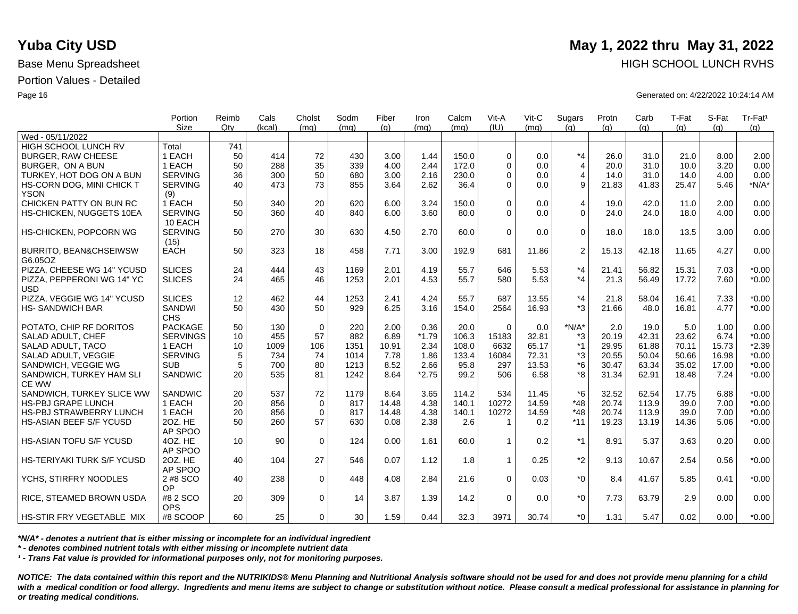|                                   | Portion<br><b>Size</b> | Reimb<br>Qtv | Cals<br>(kcal) | Cholst<br>(mq) | Sodm<br>(mq) | Fiber<br>(q) | Iron<br>(ma) | Calcm<br>(mq) | Vit-A<br>(IU) | Vit-C<br>(ma) | Sugars<br>(q)  | Protn<br>(q) | Carb<br>(q) | T-Fat<br>(q) | S-Fat<br>(a) | Tr-Fat <sup>1</sup><br>(g) |
|-----------------------------------|------------------------|--------------|----------------|----------------|--------------|--------------|--------------|---------------|---------------|---------------|----------------|--------------|-------------|--------------|--------------|----------------------------|
| Wed - 05/11/2022                  |                        |              |                |                |              |              |              |               |               |               |                |              |             |              |              |                            |
| HIGH SCHOOL LUNCH RV              | Total                  | 741          |                |                |              |              |              |               |               |               |                |              |             |              |              |                            |
| <b>BURGER, RAW CHEESE</b>         | 1 EACH                 | 50           | 414            | 72             | 430          | 3.00         | 1.44         | 150.0         | $\Omega$      | 0.0           | $*_{4}$        | 26.0         | 31.0        | 21.0         | 8.00         | 2.00                       |
| BURGER, ON A BUN                  | 1 EACH                 | 50           | 288            | 35             | 339          | 4.00         | 2.44         | 172.0         | $\Omega$      | 0.0           | $\overline{4}$ | 20.0         | 31.0        | 10.0         | 3.20         | 0.00                       |
| TURKEY, HOT DOG ON A BUN          | <b>SERVING</b>         | 36           | 300            | 50             | 680          | 3.00         | 2.16         | 230.0         | $\Omega$      | 0.0           | $\overline{4}$ | 14.0         | 31.0        | 14.0         | 4.00         | 0.00                       |
| HS-CORN DOG, MINI CHICK T         | <b>SERVING</b>         | 40           | 473            | 73             | 855          | 3.64         | 2.62         | 36.4          | $\Omega$      | 0.0           | 9              | 21.83        | 41.83       | 25.47        | 5.46         | $*N/A*$                    |
| <b>YSON</b>                       | (9)                    |              |                |                |              |              |              |               |               |               |                |              |             |              |              |                            |
| CHICKEN PATTY ON BUN RC           | 1 EACH                 | 50           | 340            | 20             | 620          | 6.00         | 3.24         | 150.0         | $\Omega$      | 0.0           | 4              | 19.0         | 42.0        | 11.0         | 2.00         | 0.00                       |
| HS-CHICKEN, NUGGETS 10EA          | <b>SERVING</b>         | 50           | 360            | 40             | 840          | 6.00         | 3.60         | 80.0          | $\Omega$      | 0.0           | $\Omega$       | 24.0         | 24.0        | 18.0         | 4.00         | 0.00                       |
|                                   | 10 EACH                |              |                |                |              |              |              |               |               |               |                |              |             |              |              |                            |
| HS-CHICKEN, POPCORN WG            | <b>SERVING</b>         | 50           | 270            | 30             | 630          | 4.50         | 2.70         | 60.0          | $\Omega$      | 0.0           | $\mathbf 0$    | 18.0         | 18.0        | 13.5         | 3.00         | 0.00                       |
|                                   | (15)                   |              |                |                |              |              |              |               |               |               |                |              |             |              |              |                            |
| <b>BURRITO, BEAN&amp;CHSEIWSW</b> | <b>EACH</b>            | 50           | 323            | 18             | 458          | 7.71         | 3.00         | 192.9         | 681           | 11.86         | 2              | 15.13        | 42.18       | 11.65        | 4.27         | 0.00                       |
| G6.05OZ                           |                        |              |                |                |              |              |              |               |               |               |                |              |             |              |              |                            |
| PIZZA, CHEESE WG 14" YCUSD        | <b>SLICES</b>          | 24           | 444            | 43             | 1169         | 2.01         | 4.19         | 55.7          | 646           | 5.53          | $*_{4}$        | 21.41        | 56.82       | 15.31        | 7.03         | $*0.00$                    |
| PIZZA. PEPPERONI WG 14" YC        | <b>SLICES</b>          | 24           | 465            | 46             | 1253         | 2.01         | 4.53         | 55.7          | 580           | 5.53          | $*_{4}$        | 21.3         | 56.49       | 17.72        | 7.60         | $*0.00$                    |
| <b>USD</b>                        |                        |              |                |                |              |              |              |               |               |               |                |              |             |              |              |                            |
| PIZZA, VEGGIE WG 14" YCUSD        | <b>SLICES</b>          | 12           | 462            | 44             | 1253         | 2.41         | 4.24         | 55.7          | 687           | 13.55         | $*_{4}$        | 21.8         | 58.04       | 16.41        | 7.33         | $*0.00$                    |
| <b>HS-SANDWICH BAR</b>            | <b>SANDWI</b>          | 50           | 430            | 50             | 929          | 6.25         | 3.16         | 154.0         | 2564          | 16.93         | $*3$           | 21.66        | 48.0        | 16.81        | 4.77         | $*0.00$                    |
|                                   | <b>CHS</b>             |              |                |                |              |              |              |               |               |               |                |              |             |              |              |                            |
| POTATO, CHIP RF DORITOS           | <b>PACKAGE</b>         | 50           | 130            | $\mathbf 0$    | 220          | 2.00         | 0.36         | 20.0          | $\Omega$      | 0.0           | $*N/A*$        | 2.0          | 19.0        | 5.0          | 1.00         | 0.00                       |
| <b>SALAD ADULT, CHEF</b>          | <b>SERVINGS</b>        | 10           | 455            | 57             | 882          | 6.89         | $*1.79$      | 106.3         | 15183         | 32.81         | *3             | 20.19        | 42.31       | 23.62        | 6.74         | $*0.00$                    |
| SALAD ADULT, TACO                 | 1 EACH                 | 10           | 1009           | 106            | 1351         | 10.91        | 2.34         | 108.0         | 6632          | 65.17         | $*1$           | 29.95        | 61.88       | 70.11        | 15.73        | $*2.39$                    |
| SALAD ADULT, VEGGIE               | <b>SERVING</b>         | 5            | 734            | 74             | 1014         | 7.78         | 1.86         | 133.4         | 16084         | 72.31         | *3             | 20.55        | 50.04       | 50.66        | 16.98        | $*0.00$                    |
| SANDWICH, VEGGIE WG               | <b>SUB</b>             | 5            | 700            | 80             | 1213         | 8.52         | 2.66         | 95.8          | 297           | 13.53         | $*6$           | 30.47        | 63.34       | 35.02        | 17.00        | $*0.00$                    |
| SANDWICH, TURKEY HAM SLI          | SANDWIC                | 20           | 535            | 81             | 1242         | 8.64         | $*2.75$      | 99.2          | 506           | 6.58          | *8             | 31.34        | 62.91       | 18.48        | 7.24         | $*0.00$                    |
| <b>CE WW</b>                      |                        |              |                |                |              |              |              |               |               |               |                |              |             |              |              |                            |
| SANDWICH, TURKEY SLICE WW         | <b>SANDWIC</b>         | 20           | 537            | 72             | 1179         | 8.64         | 3.65         | 114.2         | 534           | 11.45         | $*6$           | 32.52        | 62.54       | 17.75        | 6.88         | $*0.00$                    |
| <b>HS-PBJ GRAPE LUNCH</b>         | 1 EACH                 | 20           | 856            | $\mathbf 0$    | 817          | 14.48        | 4.38         | 140.1         | 10272         | 14.59         | $*48$          | 20.74        | 113.9       | 39.0         | 7.00         | $*0.00$                    |
| <b>HS-PBJ STRAWBERRY LUNCH</b>    | 1 EACH                 | 20           | 856            | $\mathbf 0$    | 817          | 14.48        | 4.38         | 140.1         | 10272         | 14.59         | $*48$          | 20.74        | 113.9       | 39.0         | 7.00         | $*0.00$                    |
| HS-ASIAN BEEF S/F YCUSD           | 20Z. HE                | 50           | 260            | 57             | 630          | 0.08         | 2.38         | 2.6           | $\mathbf 1$   | 0.2           | $*11$          | 19.23        | 13.19       | 14.36        | 5.06         | $*0.00$                    |
|                                   | AP SPOO                |              |                |                |              |              |              |               |               |               | $*1$           |              |             |              |              |                            |
| <b>HS-ASIAN TOFU S/F YCUSD</b>    | 4OZ, HE                | 10           | 90             | $\Omega$       | 124          | 0.00         | 1.61         | 60.0          | $\mathbf{1}$  | 0.2           |                | 8.91         | 5.37        | 3.63         | 0.20         | 0.00                       |
| HS-TERIYAKI TURK S/F YCUSD        | AP SPOO<br>20Z. HE     | 40           | 104            | 27             | 546          | 0.07         | 1.12         | 1.8           | $\mathbf{1}$  | 0.25          | $*_{2}$        | 9.13         | 10.67       | 2.54         | 0.56         | $*0.00$                    |
|                                   | AP SPOO                |              |                |                |              |              |              |               |               |               |                |              |             |              |              |                            |
| YCHS, STIRFRY NOODLES             | 2 #8 SCO               | 40           | 238            | $\mathbf 0$    | 448          | 4.08         | 2.84         | 21.6          | $\Omega$      | 0.03          | $*_{0}$        | 8.4          | 41.67       | 5.85         | 0.41         | $*0.00$                    |
|                                   | OP                     |              |                |                |              |              |              |               |               |               |                |              |             |              |              |                            |
| <b>RICE, STEAMED BROWN USDA</b>   | #8 2 SCO               | 20           | 309            | $\mathbf 0$    | 14           | 3.87         | 1.39         | 14.2          | $\Omega$      | 0.0           | $*_{0}$        | 7.73         | 63.79       | 2.9          | 0.00         | 0.00                       |
|                                   | <b>OPS</b>             |              |                |                |              |              |              |               |               |               |                |              |             |              |              |                            |
| <b>HS-STIR FRY VEGETABLE MIX</b>  | #8 SCOOP               | 60           | 25             | $\Omega$       | 30           | 1.59         | 0.44         | 32.3          | 3971          | 30.74         | $*$ $\Omega$   | 1.31         | 5.47        | 0.02         | 0.00         | $*0.00$                    |

*\*N/A\* - denotes a nutrient that is either missing or incomplete for an individual ingredient*

*\* - denotes combined nutrient totals with either missing or incomplete nutrient data*

*¹ - Trans Fat value is provided for informational purposes only, not for monitoring purposes.*

*NOTICE: The data contained within this report and the NUTRIKIDS® Menu Planning and Nutritional Analysis software should not be used for and does not provide menu planning for a child*  with a medical condition or food allergy. Ingredients and menu items are subject to change or substitution without notice. Please consult a medical professional for assistance in planning for *or treating medical conditions.*

### **Yuba City USD** May 1, 2022 thru May 31, 2022 Base Menu Spreadsheet **HIGH SCHOOL LUNCH RVHS**

Page 16 Generated on: 4/22/2022 10:24:14 AM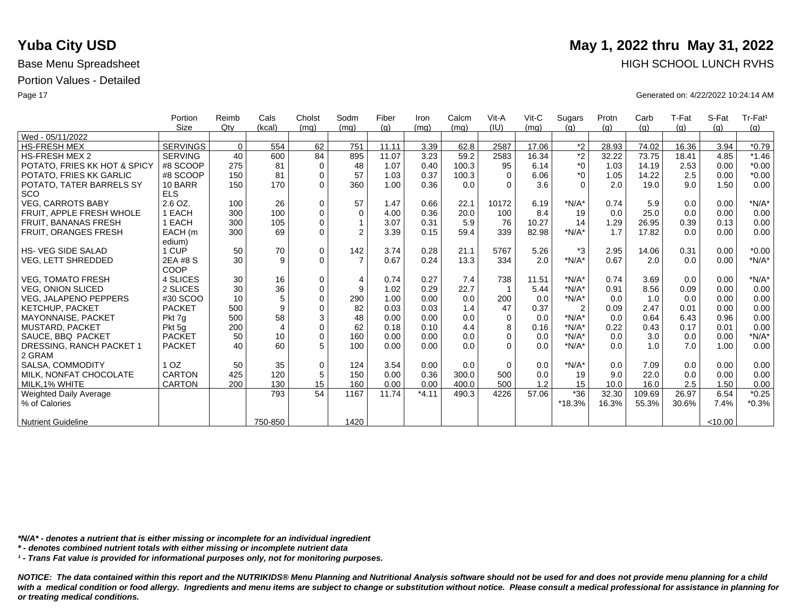|                              | Portion         | Reimb       | Cals           | Cholst      | Sodm           | Fiber | Iron    | Calcm | Vit-A    | $V$ it-C | Sugars         | Protn | Carb   | T-Fat | S-Fat   | Tr-Fat <sup>1</sup> |
|------------------------------|-----------------|-------------|----------------|-------------|----------------|-------|---------|-------|----------|----------|----------------|-------|--------|-------|---------|---------------------|
|                              | <b>Size</b>     | Qtv         | (kcal)         | (mq)        | (mq)           | (q)   | (mq)    | (mq)  | (IU)     | (mq)     | (q)            | (q)   | (g)    | (g)   | (q)     | (g)                 |
| Wed - 05/11/2022             |                 |             |                |             |                |       |         |       |          |          |                |       |        |       |         |                     |
| <b>HS-FRESH MEX</b>          | <b>SERVINGS</b> | $\mathbf 0$ | 554            | 62          | 751            | 11.11 | 3.39    | 62.8  | 2587     | 17.06    | $*2$           | 28.93 | 74.02  | 16.36 | 3.94    | $*0.79$             |
| <b>HS-FRESH MEX 2</b>        | <b>SERVING</b>  | 40          | 600            | 84          | 895            | 11.07 | 3.23    | 59.2  | 2583     | 16.34    | $\overline{2}$ | 32.22 | 73.75  | 18.41 | 4.85    | $*1.46$             |
| POTATO, FRIES KK HOT & SPICY | #8 SCOOP        | 275         | 81             | $\mathbf 0$ | 48             | 1.07  | 0.40    | 100.3 | 95       | 6.14     | $*_{0}$        | 1.03  | 14.19  | 2.53  | 0.00    | $*0.00$             |
| POTATO, FRIES KK GARLIC      | #8 SCOOP        | 150         | 81             | $\mathbf 0$ | 57             | 1.03  | 0.37    | 100.3 | $\Omega$ | 6.06     | $*_{0}$        | 1.05  | 14.22  | 2.5   | 0.00    | $*0.00$             |
| POTATO, TATER BARRELS SY     | 10 BARR         | 150         | 170            | $\Omega$    | 360            | 1.00  | 0.36    | 0.0   | $\Omega$ | 3.6      | $\Omega$       | 2.0   | 19.0   | 9.0   | 1.50    | 0.00                |
| <b>SCO</b>                   | <b>ELS</b>      |             |                |             |                |       |         |       |          |          |                |       |        |       |         |                     |
| <b>VEG. CARROTS BABY</b>     | $2.6$ OZ.       | 100         | 26             | $\Omega$    | 57             | 1.47  | 0.66    | 22.1  | 10172    | 6.19     | $*N/A*$        | 0.74  | 5.9    | 0.0   | 0.00    | $*N/A*$             |
| FRUIT, APPLE FRESH WHOLE     | <b>I EACH</b>   | 300         | 100            | $\mathbf 0$ | 0              | 4.00  | 0.36    | 20.0  | 100      | 8.4      | 19             | 0.0   | 25.0   | 0.0   | 0.00    | 0.00                |
| <b>FRUIT, BANANAS FRESH</b>  | <b>I EACH</b>   | 300         | 105            | $\Omega$    | $\mathbf{1}$   | 3.07  | 0.31    | 5.9   | 76       | 10.27    | 14             | 1.29  | 26.95  | 0.39  | 0.13    | 0.00                |
| <b>FRUIT, ORANGES FRESH</b>  | EACH (m         | 300         | 69             | $\Omega$    | $\overline{2}$ | 3.39  | 0.15    | 59.4  | 339      | 82.98    | $*N/A*$        | 1.7   | 17.82  | 0.0   | 0.00    | 0.00                |
|                              | edium)          |             |                |             |                |       |         |       |          |          |                |       |        |       |         |                     |
| <b>HS-VEG SIDE SALAD</b>     | 1 CUP           | 50          | 70             | $\mathbf 0$ | 142            | 3.74  | 0.28    | 21.1  | 5767     | 5.26     | $*3$           | 2.95  | 14.06  | 0.31  | 0.00    | $*0.00$             |
| VEG, LETT SHREDDED           | 2EA #8 S        | 30          | 9              | $\Omega$    | $\overline{7}$ | 0.67  | 0.24    | 13.3  | 334      | 2.0      | $*N/A*$        | 0.67  | 2.0    | 0.0   | 0.00    | $*N/A*$             |
|                              | COOP            |             |                |             |                |       |         |       |          |          |                |       |        |       |         |                     |
| <b>VEG. TOMATO FRESH</b>     | 4 SLICES        | 30          | 16             | $\mathbf 0$ | $\overline{4}$ | 0.74  | 0.27    | 7.4   | 738      | 11.51    | $*N/A*$        | 0.74  | 3.69   | 0.0   | 0.00    | $*N/A*$             |
| <b>VEG. ONION SLICED</b>     | 2 SLICES        | 30          | 36             | $\mathbf 0$ | 9              | 1.02  | 0.29    | 22.7  |          | 5.44     | $*N/A*$        | 0.91  | 8.56   | 0.09  | 0.00    | 0.00                |
| <b>VEG. JALAPENO PEPPERS</b> | #30 SCOO        | 10          | 5              | $\Omega$    | 290            | 1.00  | 0.00    | 0.0   | 200      | 0.0      | $*N/A*$        | 0.0   | 1.0    | 0.0   | 0.00    | 0.00                |
| KETCHUP, PACKET              | <b>PACKET</b>   | 500         | 9              | $\Omega$    | 82             | 0.03  | 0.03    | 1.4   | 47       | 0.37     | $\overline{2}$ | 0.09  | 2.47   | 0.01  | 0.00    | 0.00                |
| <b>MAYONNAISE, PACKET</b>    | Pkt 7g          | 500         | 58             | 3           | 48             | 0.00  | 0.00    | 0.0   | $\Omega$ | 0.0      | $*N/A*$        | 0.0   | 0.64   | 6.43  | 0.96    | 0.00                |
| <b>MUSTARD, PACKET</b>       | Pkt 5g          | 200         | $\overline{4}$ | $\Omega$    | 62             | 0.18  | 0.10    | 4.4   | 8        | 0.16     | $*N/A*$        | 0.22  | 0.43   | 0.17  | 0.01    | 0.00                |
| SAUCE, BBQ PACKET            | <b>PACKET</b>   | 50          | 10             | $\Omega$    | 160            | 0.00  | 0.00    | 0.0   | $\Omega$ | 0.0      | $*N/A*$        | 0.0   | 3.0    | 0.0   | 0.00    | $*N/A*$             |
| DRESSING, RANCH PACKET 1     | <b>PACKET</b>   | 40          | 60             | 5           | 100            | 0.00  | 0.00    | 0.0   | $\Omega$ | 0.0      | $*N/A*$        | 0.0   | 1.0    | 7.0   | 1.00    | 0.00                |
| 2 GRAM                       |                 |             |                |             |                |       |         |       |          |          |                |       |        |       |         |                     |
| SALSA, COMMODITY             | 1 <sub>OZ</sub> | 50          | 35             | $\mathbf 0$ | 124            | 3.54  | 0.00    | 0.0   | $\Omega$ | 0.0      | $*N/A*$        | 0.0   | 7.09   | 0.0   | 0.00    | 0.00                |
| MILK, NONFAT CHOCOLATE       | <b>CARTON</b>   | 425         | 120            | 5           | 150            | 0.00  | 0.36    | 300.0 | 500      | 0.0      | 19             | 9.0   | 22.0   | 0.0   | 0.00    | 0.00                |
| MILK, 1% WHITE               | <b>CARTON</b>   | 200         | 130            | 15          | 160            | 0.00  | 0.00    | 400.0 | 500      | 1.2      | 15             | 10.0  | 16.0   | 2.5   | 1.50    | 0.00                |
| Weighted Daily Average       |                 |             | 793            | 54          | 1167           | 11.74 | $*4.11$ | 490.3 | 4226     | 57.06    | $*36$          | 32.30 | 109.69 | 26.97 | 6.54    | $*0.25$             |
| % of Calories                |                 |             |                |             |                |       |         |       |          |          | *18.3%         | 16.3% | 55.3%  | 30.6% | 7.4%    | $*0.3%$             |
|                              |                 |             |                |             |                |       |         |       |          |          |                |       |        |       |         |                     |
| <b>Nutrient Guideline</b>    |                 |             | 750-850        |             | 1420           |       |         |       |          |          |                |       |        |       | < 10.00 |                     |

*\*N/A\* - denotes a nutrient that is either missing or incomplete for an individual ingredient*

*\* - denotes combined nutrient totals with either missing or incomplete nutrient data*

*¹ - Trans Fat value is provided for informational purposes only, not for monitoring purposes.*

*NOTICE: The data contained within this report and the NUTRIKIDS® Menu Planning and Nutritional Analysis software should not be used for and does not provide menu planning for a child*  with a medical condition or food allergy. Ingredients and menu items are subject to change or substitution without notice. Please consult a medical professional for assistance in planning for *or treating medical conditions.*

# **Yuba City USD** May 1, 2022 thru May 31, 2022 Base Menu Spreadsheet **HIGH SCHOOL LUNCH RVHS**

Page 17 Generated on: 4/22/2022 10:24:14 AM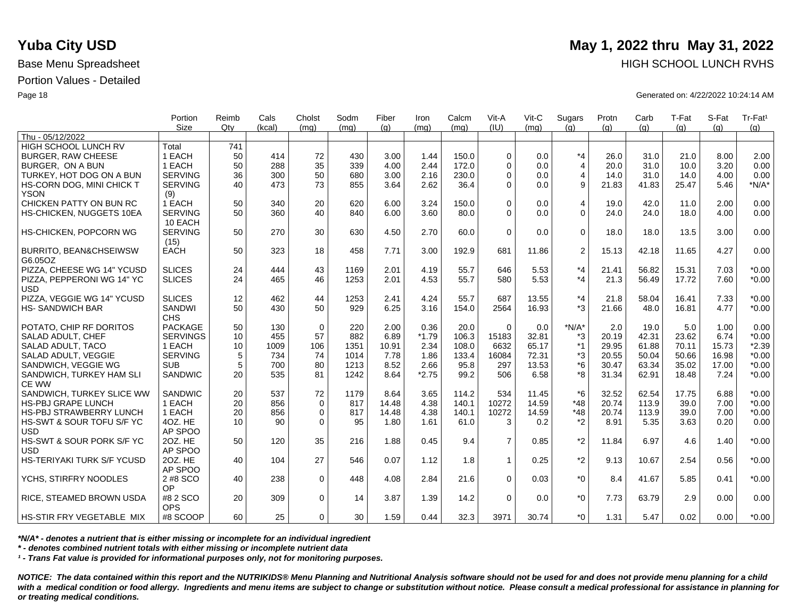|                                         | Portion<br><b>Size</b> | Reimb<br>Qtv | Cals<br>(kcal) | Cholst       | Sodm<br>(mq) | Fiber | Iron    | Calcm<br>(mq) | Vit-A<br>(IU)  | Vit-C | Sugars         | Protn | Carb  | T-Fat | S-Fat | Tr-Fat <sup>1</sup> |
|-----------------------------------------|------------------------|--------------|----------------|--------------|--------------|-------|---------|---------------|----------------|-------|----------------|-------|-------|-------|-------|---------------------|
| Thu - 05/12/2022                        |                        |              |                | (mq)         |              | (q)   | (ma)    |               |                | (ma)  | (q)            | (q)   | (q)   | (q)   | (q)   | (g)                 |
| HIGH SCHOOL LUNCH RV                    | Total                  | 741          |                |              |              |       |         |               |                |       |                |       |       |       |       |                     |
| <b>BURGER, RAW CHEESE</b>               | 1 EACH                 | 50           | 414            | 72           | 430          | 3.00  | 1.44    | 150.0         | $\Omega$       | 0.0   | $*_{4}$        | 26.0  | 31.0  | 21.0  | 8.00  | 2.00                |
| BURGER, ON A BUN                        | 1 EACH                 | 50           | 288            | 35           | 339          | 4.00  | 2.44    | 172.0         | $\Omega$       | 0.0   | $\overline{4}$ | 20.0  | 31.0  | 10.0  | 3.20  | 0.00                |
| TURKEY, HOT DOG ON A BUN                | <b>SERVING</b>         | 36           | 300            | 50           | 680          | 3.00  | 2.16    | 230.0         | $\Omega$       | 0.0   | $\overline{4}$ | 14.0  | 31.0  | 14.0  | 4.00  | 0.00                |
| HS-CORN DOG, MINI CHICK T               | <b>SERVING</b>         | 40           | 473            | 73           | 855          | 3.64  | 2.62    | 36.4          | $\Omega$       | 0.0   | 9              | 21.83 | 41.83 | 25.47 | 5.46  | $*N/A*$             |
| <b>YSON</b>                             | (9)                    |              |                |              |              |       |         |               |                |       |                |       |       |       |       |                     |
| CHICKEN PATTY ON BUN RC                 | 1 EACH                 | 50           | 340            | 20           | 620          | 6.00  | 3.24    | 150.0         | $\Omega$       | 0.0   | 4              | 19.0  | 42.0  | 11.0  | 2.00  | 0.00                |
| HS-CHICKEN, NUGGETS 10EA                | <b>SERVING</b>         | 50           | 360            | 40           | 840          | 6.00  | 3.60    | 80.0          | $\Omega$       | 0.0   | $\Omega$       | 24.0  | 24.0  | 18.0  | 4.00  | 0.00                |
|                                         | 10 EACH                |              |                |              |              |       |         |               |                |       |                |       |       |       |       |                     |
| HS-CHICKEN, POPCORN WG                  | <b>SERVING</b>         | 50           | 270            | 30           | 630          | 4.50  | 2.70    | 60.0          | $\Omega$       | 0.0   | $\mathbf 0$    | 18.0  | 18.0  | 13.5  | 3.00  | 0.00                |
|                                         | (15)                   |              |                |              |              |       |         |               |                |       |                |       |       |       |       |                     |
| BURRITO, BEAN&CHSEIWSW                  | <b>EACH</b>            | 50           | 323            | 18           | 458          | 7.71  | 3.00    | 192.9         | 681            | 11.86 | 2              | 15.13 | 42.18 | 11.65 | 4.27  | 0.00                |
| G6.05OZ                                 |                        |              |                |              |              |       |         |               |                |       |                |       |       |       |       |                     |
| PIZZA, CHEESE WG 14" YCUSD              | <b>SLICES</b>          | 24           | 444            | 43           | 1169         | 2.01  | 4.19    | 55.7          | 646            | 5.53  | $*_{4}$        | 21.41 | 56.82 | 15.31 | 7.03  | $*0.00$             |
| PIZZA. PEPPERONI WG 14" YC              | <b>SLICES</b>          | 24           | 465            | 46           | 1253         | 2.01  | 4.53    | 55.7          | 580            | 5.53  | $*_{4}$        | 21.3  | 56.49 | 17.72 | 7.60  | $*0.00$             |
| <b>USD</b>                              |                        |              |                |              |              |       |         |               |                |       |                |       |       |       |       |                     |
| PIZZA, VEGGIE WG 14" YCUSD              | <b>SLICES</b>          | 12           | 462            | 44           | 1253         | 2.41  | 4.24    | 55.7          | 687            | 13.55 | $*_{4}$        | 21.8  | 58.04 | 16.41 | 7.33  | $*0.00$             |
| <b>HS-SANDWICH BAR</b>                  | <b>SANDWI</b>          | 50           | 430            | 50           | 929          | 6.25  | 3.16    | 154.0         | 2564           | 16.93 | $*3$           | 21.66 | 48.0  | 16.81 | 4.77  | $*0.00$             |
|                                         | <b>CHS</b>             |              |                |              |              |       |         |               |                |       |                |       |       |       |       |                     |
| POTATO, CHIP RF DORITOS                 | <b>PACKAGE</b>         | 50           | 130            | $\mathbf 0$  | 220          | 2.00  | 0.36    | 20.0          | $\Omega$       | 0.0   | $*N/A*$        | 2.0   | 19.0  | 5.0   | 1.00  | 0.00                |
| <b>SALAD ADULT, CHEF</b>                | <b>SERVINGS</b>        | 10           | 455            | 57           | 882          | 6.89  | $*1.79$ | 106.3         | 15183          | 32.81 | *3             | 20.19 | 42.31 | 23.62 | 6.74  | $*0.00$             |
| SALAD ADULT, TACO                       | 1 EACH                 | 10           | 1009           | 106          | 1351         | 10.91 | 2.34    | 108.0         | 6632           | 65.17 | $*1$           | 29.95 | 61.88 | 70.11 | 15.73 | $*2.39$             |
| SALAD ADULT, VEGGIE                     | <b>SERVING</b>         | 5            | 734            | 74           | 1014         | 7.78  | 1.86    | 133.4         | 16084          | 72.31 | *3             | 20.55 | 50.04 | 50.66 | 16.98 | $*0.00$             |
| SANDWICH, VEGGIE WG                     | <b>SUB</b>             | 5            | 700            | 80           | 1213         | 8.52  | 2.66    | 95.8          | 297            | 13.53 | $*6$           | 30.47 | 63.34 | 35.02 | 17.00 | $*0.00$             |
| SANDWICH, TURKEY HAM SLI                | SANDWIC                | 20           | 535            | 81           | 1242         | 8.64  | $*2.75$ | 99.2          | 506            | 6.58  | *8             | 31.34 | 62.91 | 18.48 | 7.24  | $*0.00$             |
| <b>CE WW</b>                            |                        |              |                |              |              |       |         |               |                |       |                |       |       |       |       |                     |
| SANDWICH, TURKEY SLICE WW               | <b>SANDWIC</b>         | 20           | 537            | 72           | 1179         | 8.64  | 3.65    | 114.2         | 534            | 11.45 | $*6$           | 32.52 | 62.54 | 17.75 | 6.88  | $*0.00$             |
| <b>HS-PBJ GRAPE LUNCH</b>               | 1 EACH                 | 20           | 856            | $\mathbf{0}$ | 817          | 14.48 | 4.38    | 140.1         | 10272          | 14.59 | $*48$          | 20.74 | 113.9 | 39.0  | 7.00  | $*0.00$             |
| <b>HS-PBJ STRAWBERRY LUNCH</b>          | 1 EACH<br>4OZ. HE      | 20           | 856            | 0            | 817          | 14.48 | 4.38    | 140.1         | 10272          | 14.59 | $*48$<br>$*2$  | 20.74 | 113.9 | 39.0  | 7.00  | $*0.00$             |
| HS-SWT & SOUR TOFU S/F YC<br><b>USD</b> | AP SPOO                | 10           | 90             | $\Omega$     | 95           | 1.80  | 1.61    | 61.0          | 3              | 0.2   |                | 8.91  | 5.35  | 3.63  | 0.20  | 0.00                |
| HS-SWT & SOUR PORK S/F YC               | 20Z. HE                | 50           | 120            | 35           | 216          | 1.88  | 0.45    | 9.4           | $\overline{7}$ | 0.85  | $*2$           | 11.84 | 6.97  | 4.6   | 1.40  | $*0.00$             |
| <b>USD</b>                              | AP SPOO                |              |                |              |              |       |         |               |                |       |                |       |       |       |       |                     |
| HS-TERIYAKI TURK S/F YCUSD              | 20Z. HE                | 40           | 104            | 27           | 546          | 0.07  | 1.12    | 1.8           | $\mathbf{1}$   | 0.25  | $*2$           | 9.13  | 10.67 | 2.54  | 0.56  | $*0.00$             |
|                                         | AP SPOO                |              |                |              |              |       |         |               |                |       |                |       |       |       |       |                     |
| YCHS, STIRFRY NOODLES                   | 2 #8 SCO               | 40           | 238            | $\mathbf 0$  | 448          | 4.08  | 2.84    | 21.6          | $\Omega$       | 0.03  | $*_{0}$        | 8.4   | 41.67 | 5.85  | 0.41  | $*0.00$             |
|                                         | OP                     |              |                |              |              |       |         |               |                |       |                |       |       |       |       |                     |
| <b>RICE, STEAMED BROWN USDA</b>         | #8 2 SCO               | 20           | 309            | $\mathbf 0$  | 14           | 3.87  | 1.39    | 14.2          | $\Omega$       | 0.0   | $*_{0}$        | 7.73  | 63.79 | 2.9   | 0.00  | 0.00                |
|                                         | <b>OPS</b>             |              |                |              |              |       |         |               |                |       |                |       |       |       |       |                     |
| <b>HS-STIR FRY VEGETABLE MIX</b>        | #8 SCOOP               | 60           | 25             | $\Omega$     | 30           | 1.59  | 0.44    | 32.3          | 3971           | 30.74 | $*$ $\Omega$   | 1.31  | 5.47  | 0.02  | 0.00  | $*0.00$             |

*\*N/A\* - denotes a nutrient that is either missing or incomplete for an individual ingredient*

*\* - denotes combined nutrient totals with either missing or incomplete nutrient data*

*¹ - Trans Fat value is provided for informational purposes only, not for monitoring purposes.*

*NOTICE: The data contained within this report and the NUTRIKIDS® Menu Planning and Nutritional Analysis software should not be used for and does not provide menu planning for a child*  with a medical condition or food allergy. Ingredients and menu items are subject to change or substitution without notice. Please consult a medical professional for assistance in planning for *or treating medical conditions.*

### **Yuba City USD** May 1, 2022 thru May 31, 2022 Base Menu Spreadsheet **HIGH SCHOOL LUNCH RVHS**

Page 18 Generated on: 4/22/2022 10:24:14 AM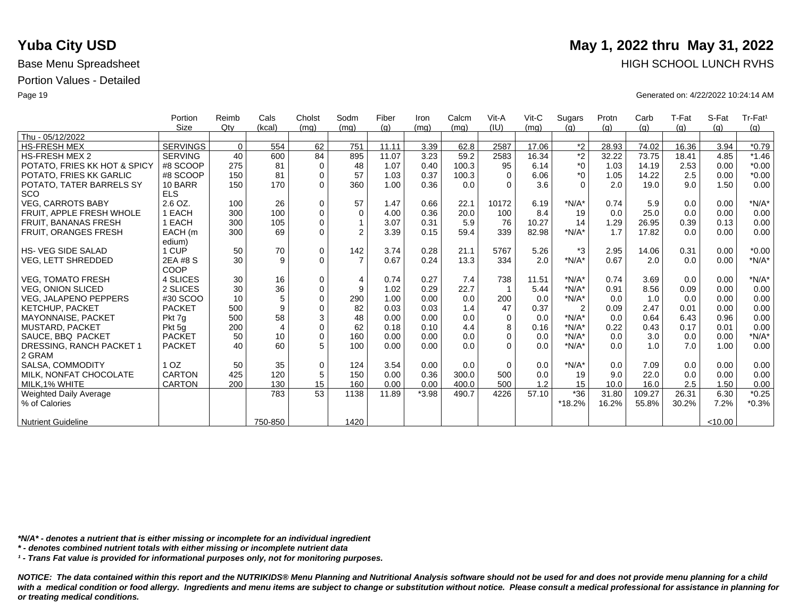|                              | Portion         | Reimb       | Cals           | Cholst      | Sodm           | Fiber | Iron    | Calcm | Vit-A    | $V$ it-C | Sugars         | Protn | Carb   | T-Fat | S-Fat   | Tr-Fat <sup>1</sup> |
|------------------------------|-----------------|-------------|----------------|-------------|----------------|-------|---------|-------|----------|----------|----------------|-------|--------|-------|---------|---------------------|
|                              | <b>Size</b>     | Qtv         | (kcal)         | (mq)        | (mq)           | (q)   | (mq)    | (mq)  | (IU)     | (mq)     | (q)            | (q)   | (g)    | (g)   | (q)     | (g)                 |
| Thu - 05/12/2022             |                 |             |                |             |                |       |         |       |          |          |                |       |        |       |         |                     |
| <b>HS-FRESH MEX</b>          | <b>SERVINGS</b> | $\mathbf 0$ | 554            | 62          | 751            | 11.11 | 3.39    | 62.8  | 2587     | 17.06    | $*2$           | 28.93 | 74.02  | 16.36 | 3.94    | $*0.79$             |
| <b>HS-FRESH MEX 2</b>        | <b>SERVING</b>  | 40          | 600            | 84          | 895            | 11.07 | 3.23    | 59.2  | 2583     | 16.34    | $\overline{2}$ | 32.22 | 73.75  | 18.41 | 4.85    | $*1.46$             |
| POTATO, FRIES KK HOT & SPICY | #8 SCOOP        | 275         | 81             | $\mathbf 0$ | 48             | 1.07  | 0.40    | 100.3 | 95       | 6.14     | $*_{0}$        | 1.03  | 14.19  | 2.53  | 0.00    | $*0.00$             |
| POTATO, FRIES KK GARLIC      | #8 SCOOP        | 150         | 81             | $\mathbf 0$ | 57             | 1.03  | 0.37    | 100.3 | $\Omega$ | 6.06     | $*_{0}$        | 1.05  | 14.22  | 2.5   | 0.00    | $*0.00$             |
| POTATO, TATER BARRELS SY     | 10 BARR         | 150         | 170            | $\Omega$    | 360            | 1.00  | 0.36    | 0.0   | $\Omega$ | 3.6      | $\Omega$       | 2.0   | 19.0   | 9.0   | 1.50    | 0.00                |
| <b>SCO</b>                   | <b>ELS</b>      |             |                |             |                |       |         |       |          |          |                |       |        |       |         |                     |
| <b>VEG. CARROTS BABY</b>     | $2.6$ OZ.       | 100         | 26             | $\Omega$    | 57             | 1.47  | 0.66    | 22.1  | 10172    | 6.19     | $*N/A*$        | 0.74  | 5.9    | 0.0   | 0.00    | $*N/A*$             |
| FRUIT, APPLE FRESH WHOLE     | <b>I EACH</b>   | 300         | 100            | $\mathbf 0$ | 0              | 4.00  | 0.36    | 20.0  | 100      | 8.4      | 19             | 0.0   | 25.0   | 0.0   | 0.00    | 0.00                |
| <b>FRUIT, BANANAS FRESH</b>  | <b>I EACH</b>   | 300         | 105            | $\Omega$    | $\mathbf{1}$   | 3.07  | 0.31    | 5.9   | 76       | 10.27    | 14             | 1.29  | 26.95  | 0.39  | 0.13    | 0.00                |
| <b>FRUIT, ORANGES FRESH</b>  | EACH (m         | 300         | 69             | $\Omega$    | $\overline{2}$ | 3.39  | 0.15    | 59.4  | 339      | 82.98    | $*N/A*$        | 1.7   | 17.82  | 0.0   | 0.00    | 0.00                |
|                              | edium)          |             |                |             |                |       |         |       |          |          |                |       |        |       |         |                     |
| <b>HS-VEG SIDE SALAD</b>     | 1 CUP           | 50          | 70             | $\mathbf 0$ | 142            | 3.74  | 0.28    | 21.1  | 5767     | 5.26     | $*3$           | 2.95  | 14.06  | 0.31  | 0.00    | $*0.00$             |
| VEG, LETT SHREDDED           | 2EA #8 S        | 30          | 9              | $\Omega$    | $\overline{7}$ | 0.67  | 0.24    | 13.3  | 334      | 2.0      | $*N/A*$        | 0.67  | 2.0    | 0.0   | 0.00    | $*N/A*$             |
|                              | COOP            |             |                |             |                |       |         |       |          |          |                |       |        |       |         |                     |
| <b>VEG. TOMATO FRESH</b>     | 4 SLICES        | 30          | 16             | $\mathbf 0$ | $\overline{4}$ | 0.74  | 0.27    | 7.4   | 738      | 11.51    | $*N/A*$        | 0.74  | 3.69   | 0.0   | 0.00    | $*N/A*$             |
| <b>VEG. ONION SLICED</b>     | 2 SLICES        | 30          | 36             | $\mathbf 0$ | 9              | 1.02  | 0.29    | 22.7  |          | 5.44     | $*N/A*$        | 0.91  | 8.56   | 0.09  | 0.00    | 0.00                |
| <b>VEG. JALAPENO PEPPERS</b> | #30 SCOO        | 10          | 5              | $\Omega$    | 290            | 1.00  | 0.00    | 0.0   | 200      | 0.0      | $*N/A*$        | 0.0   | 1.0    | 0.0   | 0.00    | 0.00                |
| KETCHUP, PACKET              | <b>PACKET</b>   | 500         | 9              | $\Omega$    | 82             | 0.03  | 0.03    | 1.4   | 47       | 0.37     | $\overline{2}$ | 0.09  | 2.47   | 0.01  | 0.00    | 0.00                |
| <b>MAYONNAISE, PACKET</b>    | Pkt 7g          | 500         | 58             | 3           | 48             | 0.00  | 0.00    | 0.0   | $\Omega$ | 0.0      | $*N/A*$        | 0.0   | 0.64   | 6.43  | 0.96    | 0.00                |
| <b>MUSTARD, PACKET</b>       | Pkt 5g          | 200         | $\overline{4}$ | $\Omega$    | 62             | 0.18  | 0.10    | 4.4   | 8        | 0.16     | $*N/A*$        | 0.22  | 0.43   | 0.17  | 0.01    | 0.00                |
| SAUCE, BBQ PACKET            | <b>PACKET</b>   | 50          | 10             | $\Omega$    | 160            | 0.00  | 0.00    | 0.0   | $\Omega$ | 0.0      | $*N/A*$        | 0.0   | 3.0    | 0.0   | 0.00    | $*N/A*$             |
| DRESSING, RANCH PACKET 1     | <b>PACKET</b>   | 40          | 60             | 5           | 100            | 0.00  | 0.00    | 0.0   | $\Omega$ | 0.0      | $*N/A*$        | 0.0   | 1.0    | 7.0   | 1.00    | 0.00                |
| 2 GRAM                       |                 |             |                |             |                |       |         |       |          |          |                |       |        |       |         |                     |
| SALSA, COMMODITY             | 1 <sub>OZ</sub> | 50          | 35             | $\mathbf 0$ | 124            | 3.54  | 0.00    | 0.0   | $\Omega$ | 0.0      | $*N/A*$        | 0.0   | 7.09   | 0.0   | 0.00    | 0.00                |
| MILK, NONFAT CHOCOLATE       | <b>CARTON</b>   | 425         | 120            | 5           | 150            | 0.00  | 0.36    | 300.0 | 500      | 0.0      | 19             | 9.0   | 22.0   | 0.0   | 0.00    | 0.00                |
| MILK, 1% WHITE               | <b>CARTON</b>   | 200         | 130            | 15          | 160            | 0.00  | 0.00    | 400.0 | 500      | 1.2      | 15             | 10.0  | 16.0   | 2.5   | 1.50    | 0.00                |
| Weighted Daily Average       |                 |             | 783            | 53          | 1138           | 11.89 | $*3.98$ | 490.7 | 4226     | 57.10    | $*36$          | 31.80 | 109.27 | 26.31 | 6.30    | $*0.25$             |
| % of Calories                |                 |             |                |             |                |       |         |       |          |          | *18.2%         | 16.2% | 55.8%  | 30.2% | 7.2%    | $*0.3%$             |
|                              |                 |             |                |             |                |       |         |       |          |          |                |       |        |       |         |                     |
| <b>Nutrient Guideline</b>    |                 |             | 750-850        |             | 1420           |       |         |       |          |          |                |       |        |       | < 10.00 |                     |

*\*N/A\* - denotes a nutrient that is either missing or incomplete for an individual ingredient*

*\* - denotes combined nutrient totals with either missing or incomplete nutrient data*

*¹ - Trans Fat value is provided for informational purposes only, not for monitoring purposes.*

with a medical condition or food allergy. Ingredients and menu items are subject to change or substitution without notice. Please consult a medical professional for assistance in planning for *or treating medical conditions.*

## **Yuba City USD** May 1, 2022 thru May 31, 2022 Base Menu Spreadsheet **HIGH SCHOOL LUNCH RVHS**

Page 19 Generated on: 4/22/2022 10:24:14 AM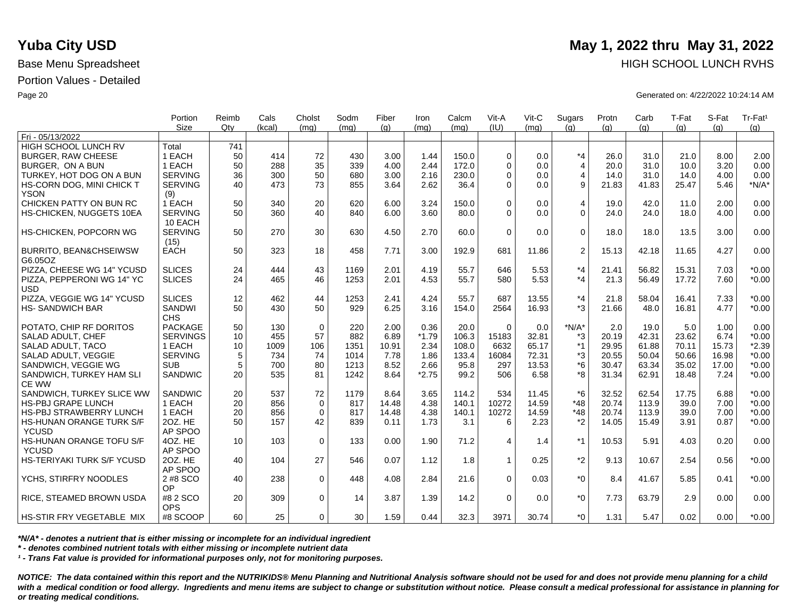|                                              | Portion                   | Reimb           | Cals   | Cholst      | Sodm | Fiber | Iron    | Calcm | Vit-A       | $V$ it-C | Sugars         | Protn | Carb  | T-Fat | S-Fat | Tr-Fat <sup>1</sup> |
|----------------------------------------------|---------------------------|-----------------|--------|-------------|------|-------|---------|-------|-------------|----------|----------------|-------|-------|-------|-------|---------------------|
|                                              | <b>Size</b>               | Qtv             | (kcal) | (ma)        | (mq) | (q)   | (mq)    | (ma)  | (IU)        | (ma)     | (q)            | (q)   | (q)   | (q)   | (q)   | (g)                 |
| Fri - 05/13/2022                             |                           |                 |        |             |      |       |         |       |             |          |                |       |       |       |       |                     |
| <b>HIGH SCHOOL LUNCH RV</b>                  | Total                     | 741             |        |             |      |       |         |       |             |          |                |       |       |       |       |                     |
| <b>BURGER, RAW CHEESE</b>                    | 1 EACH                    | 50              | 414    | 72          | 430  | 3.00  | 1.44    | 150.0 | $\Omega$    | 0.0      | $*_{4}$        | 26.0  | 31.0  | 21.0  | 8.00  | 2.00                |
| BURGER, ON A BUN                             | 1 EACH                    | 50              | 288    | 35          | 339  | 4.00  | 2.44    | 172.0 | $\Omega$    | 0.0      | $\overline{4}$ | 20.0  | 31.0  | 10.0  | 3.20  | 0.00                |
| TURKEY, HOT DOG ON A BUN                     | <b>SERVING</b>            | 36              | 300    | 50          | 680  | 3.00  | 2.16    | 230.0 | $\Omega$    | 0.0      | $\overline{4}$ | 14.0  | 31.0  | 14.0  | 4.00  | 0.00                |
| HS-CORN DOG, MINI CHICK T                    | <b>SERVING</b>            | 40              | 473    | 73          | 855  | 3.64  | 2.62    | 36.4  | $\Omega$    | 0.0      | 9              | 21.83 | 41.83 | 25.47 | 5.46  | $*N/A*$             |
| <b>YSON</b>                                  | (9)                       |                 |        |             |      |       |         |       |             |          |                |       |       |       |       |                     |
| CHICKEN PATTY ON BUN RC                      | 1 EACH                    | 50              | 340    | 20          | 620  | 6.00  | 3.24    | 150.0 | $\Omega$    | 0.0      | 4              | 19.0  | 42.0  | 11.0  | 2.00  | 0.00                |
| HS-CHICKEN, NUGGETS 10EA                     | <b>SERVING</b><br>10 EACH | 50              | 360    | 40          | 840  | 6.00  | 3.60    | 80.0  | $\Omega$    | 0.0      | $\mathbf 0$    | 24.0  | 24.0  | 18.0  | 4.00  | 0.00                |
| <b>HS-CHICKEN, POPCORN WG</b>                | <b>SERVING</b><br>(15)    | 50              | 270    | 30          | 630  | 4.50  | 2.70    | 60.0  | $\Omega$    | 0.0      | $\mathbf 0$    | 18.0  | 18.0  | 13.5  | 3.00  | 0.00                |
| <b>BURRITO, BEAN&amp;CHSEIWSW</b><br>G6.05OZ | <b>EACH</b>               | 50              | 323    | 18          | 458  | 7.71  | 3.00    | 192.9 | 681         | 11.86    | $\overline{c}$ | 15.13 | 42.18 | 11.65 | 4.27  | 0.00                |
| PIZZA, CHEESE WG 14" YCUSD                   | <b>SLICES</b>             | 24              | 444    | 43          | 1169 | 2.01  | 4.19    | 55.7  | 646         | 5.53     | $*_{4}$        | 21.41 | 56.82 | 15.31 | 7.03  | $*0.00$             |
| PIZZA, PEPPERONI WG 14" YC<br><b>USD</b>     | <b>SLICES</b>             | 24              | 465    | 46          | 1253 | 2.01  | 4.53    | 55.7  | 580         | 5.53     | $*_{4}$        | 21.3  | 56.49 | 17.72 | 7.60  | $*0.00$             |
| PIZZA, VEGGIE WG 14" YCUSD                   | <b>SLICES</b>             | 12              | 462    | 44          | 1253 | 2.41  | 4.24    | 55.7  | 687         | 13.55    | $*_{4}$        | 21.8  | 58.04 | 16.41 | 7.33  | $*0.00$             |
| <b>HS-SANDWICH BAR</b>                       | SANDWI<br><b>CHS</b>      | 50              | 430    | 50          | 929  | 6.25  | 3.16    | 154.0 | 2564        | 16.93    | $*3$           | 21.66 | 48.0  | 16.81 | 4.77  | $*0.00$             |
| POTATO, CHIP RF DORITOS                      | <b>PACKAGE</b>            | 50              | 130    | $\mathbf 0$ | 220  | 2.00  | 0.36    | 20.0  | $\Omega$    | 0.0      | $*N/A*$        | 2.0   | 19.0  | 5.0   | 1.00  | 0.00                |
| SALAD ADULT, CHEF                            | <b>SERVINGS</b>           | 10              | 455    | 57          | 882  | 6.89  | $*1.79$ | 106.3 | 15183       | 32.81    | *3             | 20.19 | 42.31 | 23.62 | 6.74  | $*0.00$             |
| SALAD ADULT, TACO                            | 1 EACH                    | 10              | 1009   | 106         | 1351 | 10.91 | 2.34    | 108.0 | 6632        | 65.17    | $*1$           | 29.95 | 61.88 | 70.11 | 15.73 | $*2.39$             |
| SALAD ADULT, VEGGIE                          | <b>SERVING</b>            | 5               | 734    | 74          | 1014 | 7.78  | 1.86    | 133.4 | 16084       | 72.31    | *3             | 20.55 | 50.04 | 50.66 | 16.98 | $*0.00$             |
| SANDWICH, VEGGIE WG                          | <b>SUB</b>                | 5               | 700    | 80          | 1213 | 8.52  | 2.66    | 95.8  | 297         | 13.53    | $*6$           | 30.47 | 63.34 | 35.02 | 17.00 | $*0.00$             |
| SANDWICH, TURKEY HAM SLI<br><b>CE WW</b>     | SANDWIC                   | 20              | 535    | 81          | 1242 | 8.64  | $*2.75$ | 99.2  | 506         | 6.58     | *8             | 31.34 | 62.91 | 18.48 | 7.24  | $*0.00$             |
| SANDWICH, TURKEY SLICE WW                    | <b>SANDWIC</b>            | 20              | 537    | 72          | 1179 | 8.64  | 3.65    | 114.2 | 534         | 11.45    | $*6$           | 32.52 | 62.54 | 17.75 | 6.88  | $*0.00$             |
| HS-PBJ GRAPE LUNCH                           | 1 EACH                    | 20              | 856    | $\mathbf 0$ | 817  | 14.48 | 4.38    | 140.1 | 10272       | 14.59    | $*48$          | 20.74 | 113.9 | 39.0  | 7.00  | $*0.00$             |
| <b>HS-PBJ STRAWBERRY LUNCH</b>               | 1 EACH                    | 20              | 856    | $\mathbf 0$ | 817  | 14.48 | 4.38    | 140.1 | 10272       | 14.59    | $*48$          | 20.74 | 113.9 | 39.0  | 7.00  | $*0.00$             |
| <b>HS-HUNAN ORANGE TURK S/F</b>              | 2OZ. HE                   | 50              | 157    | 42          | 839  | 0.11  | 1.73    | 3.1   | 6           | 2.23     | $*_{2}$        | 14.05 | 15.49 | 3.91  | 0.87  | $*0.00$             |
| <b>YCUSD</b>                                 | AP SPOO                   |                 |        |             |      |       |         |       |             |          |                |       |       |       |       |                     |
| <b>HS-HUNAN ORANGE TOFU S/F</b>              | 4OZ. HE                   | 10 <sup>°</sup> | 103    | $\mathbf 0$ | 133  | 0.00  | 1.90    | 71.2  | 4           | 1.4      | *1             | 10.53 | 5.91  | 4.03  | 0.20  | 0.00                |
| <b>YCUSD</b>                                 | AP SPOO                   |                 |        |             |      |       |         |       |             |          |                |       |       |       |       |                     |
| <b>HS-TERIYAKI TURK S/F YCUSD</b>            | 20Z. HE<br>AP SPOO        | 40              | 104    | 27          | 546  | 0.07  | 1.12    | 1.8   | $\mathbf 1$ | 0.25     | *2             | 9.13  | 10.67 | 2.54  | 0.56  | $*0.00$             |
| YCHS, STIRFRY NOODLES                        | 2 #8 SCO<br>OP            | 40              | 238    | $\Omega$    | 448  | 4.08  | 2.84    | 21.6  | $\Omega$    | 0.03     | $*_{0}$        | 8.4   | 41.67 | 5.85  | 0.41  | $*0.00$             |
| RICE, STEAMED BROWN USDA                     | #8 2 SCO                  | 20              | 309    | $\mathbf 0$ | 14   | 3.87  | 1.39    | 14.2  | $\Omega$    | 0.0      | $*0$           | 7.73  | 63.79 | 2.9   | 0.00  | 0.00                |
| HS-STIR FRY VEGETABLE MIX                    | <b>OPS</b><br>#8 SCOOP    | 60 <sup>1</sup> | 25     | $\Omega$    | 30   | 1.59  | 0.44    | 32.3  | 3971        | 30.74    | $*_{0}$        | 1.31  | 5.47  | 0.02  | 0.00  | $*0.00$             |

*\*N/A\* - denotes a nutrient that is either missing or incomplete for an individual ingredient*

*\* - denotes combined nutrient totals with either missing or incomplete nutrient data*

*¹ - Trans Fat value is provided for informational purposes only, not for monitoring purposes.*

*NOTICE: The data contained within this report and the NUTRIKIDS® Menu Planning and Nutritional Analysis software should not be used for and does not provide menu planning for a child*  with a medical condition or food allergy. Ingredients and menu items are subject to change or substitution without notice. Please consult a medical professional for assistance in planning for *or treating medical conditions.*

# **Yuba City USD** May 1, 2022 thru May 31, 2022 Base Menu Spreadsheet **HIGH SCHOOL LUNCH RVHS**

Page 20 Generated on: 4/22/2022 10:24:14 AM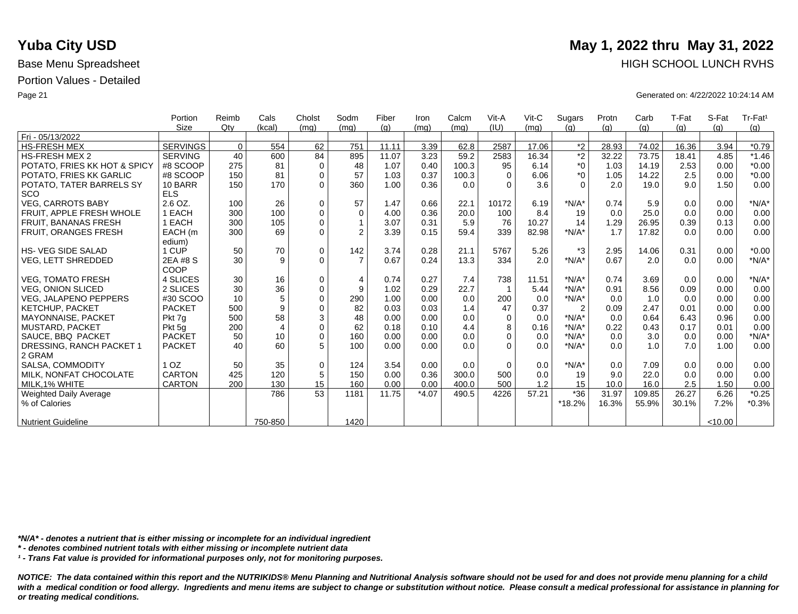|                              | Portion         | Reimb    | Cals           | Cholst      | Sodm           | Fiber | Iron    | Calcm | Vit-A    | $V$ it-C | Sugars         | Protn | Carb   | T-Fat | S-Fat   | Tr-Fat <sup>1</sup> |
|------------------------------|-----------------|----------|----------------|-------------|----------------|-------|---------|-------|----------|----------|----------------|-------|--------|-------|---------|---------------------|
|                              | <b>Size</b>     | Qtv      | (kcal)         | (mq)        | (mq)           | (q)   | (mq)    | (mq)  | (IU)     | (mq)     | (q)            | (q)   | (g)    | (g)   | (q)     | (g)                 |
| Fri - 05/13/2022             |                 |          |                |             |                |       |         |       |          |          |                |       |        |       |         |                     |
| <b>HS-FRESH MEX</b>          | SERVINGS        | $\Omega$ | 554            | 62          | 751            | 11.11 | 3.39    | 62.8  | 2587     | 17.06    | $*2$           | 28.93 | 74.02  | 16.36 | 3.94    | $*0.79$             |
| <b>HS-FRESH MEX 2</b>        | <b>SERVING</b>  | 40       | 600            | 84          | 895            | 11.07 | 3.23    | 59.2  | 2583     | 16.34    | $\overline{2}$ | 32.22 | 73.75  | 18.41 | 4.85    | $*1.46$             |
| POTATO, FRIES KK HOT & SPICY | #8 SCOOP        | 275      | 81             | $\mathbf 0$ | 48             | 1.07  | 0.40    | 100.3 | 95       | 6.14     | $^*0$          | 1.03  | 14.19  | 2.53  | 0.00    | $*0.00$             |
| POTATO, FRIES KK GARLIC      | #8 SCOOP        | 150      | 81             | $\mathbf 0$ | 57             | 1.03  | 0.37    | 100.3 | $\Omega$ | 6.06     | $*_{0}$        | 1.05  | 14.22  | 2.5   | 0.00    | $*0.00$             |
| POTATO, TATER BARRELS SY     | 10 BARR         | 150      | 170            | $\Omega$    | 360            | 1.00  | 0.36    | 0.0   | $\Omega$ | 3.6      | $\Omega$       | 2.0   | 19.0   | 9.0   | 1.50    | 0.00                |
| <b>SCO</b>                   | <b>ELS</b>      |          |                |             |                |       |         |       |          |          |                |       |        |       |         |                     |
| <b>VEG, CARROTS BABY</b>     | 2.6 OZ.         | 100      | 26             | $\mathbf 0$ | 57             | 1.47  | 0.66    | 22.1  | 10172    | 6.19     | $*N/A*$        | 0.74  | 5.9    | 0.0   | 0.00    | $*N/A*$             |
| FRUIT. APPLE FRESH WHOLE     | 1 EACH          | 300      | 100            | $\mathbf 0$ | $\mathbf 0$    | 4.00  | 0.36    | 20.0  | 100      | 8.4      | 19             | 0.0   | 25.0   | 0.0   | 0.00    | 0.00                |
| FRUIT, BANANAS FRESH         | 1 EACH          | 300      | 105            | $\Omega$    |                | 3.07  | 0.31    | 5.9   | 76       | 10.27    | 14             | 1.29  | 26.95  | 0.39  | 0.13    | 0.00                |
| FRUIT, ORANGES FRESH         | EACH (m         | 300      | 69             | $\Omega$    | $\overline{2}$ | 3.39  | 0.15    | 59.4  | 339      | 82.98    | $*N/A*$        | 1.7   | 17.82  | 0.0   | 0.00    | 0.00                |
|                              | edium)          |          |                |             |                |       |         |       |          |          |                |       |        |       |         |                     |
| <b>HS-VEG SIDE SALAD</b>     | 1 CUP           | 50       | 70             | $\mathbf 0$ | 142            | 3.74  | 0.28    | 21.1  | 5767     | 5.26     | $*3$           | 2.95  | 14.06  | 0.31  | 0.00    | $*0.00$             |
| <b>VEG, LETT SHREDDED</b>    | 2EA #8 S        | 30       | 9              | $\Omega$    | $\overline{7}$ | 0.67  | 0.24    | 13.3  | 334      | 2.0      | $*N/A*$        | 0.67  | 2.0    | 0.0   | 0.00    | $*N/A*$             |
|                              | COOP            |          |                |             |                |       |         |       |          |          |                |       |        |       |         |                     |
| <b>VEG, TOMATO FRESH</b>     | 4 SLICES        | 30       | 16             | $\mathbf 0$ | $\overline{4}$ | 0.74  | 0.27    | 7.4   | 738      | 11.51    | $*N/A*$        | 0.74  | 3.69   | 0.0   | 0.00    | $*N/A*$             |
| <b>VEG. ONION SLICED</b>     | 2 SLICES        | 30       | 36             | $\mathbf 0$ | 9              | 1.02  | 0.29    | 22.7  |          | 5.44     | $*N/A*$        | 0.91  | 8.56   | 0.09  | 0.00    | 0.00                |
| <b>VEG. JALAPENO PEPPERS</b> | #30 SCOO        | 10       | 5              | $\Omega$    | 290            | 1.00  | 0.00    | 0.0   | 200      | 0.0      | $*N/A*$        | 0.0   | 1.0    | 0.0   | 0.00    | 0.00                |
| <b>KETCHUP, PACKET</b>       | <b>PACKET</b>   | 500      | 9              | $\mathbf 0$ | 82             | 0.03  | 0.03    | 1.4   | 47       | 0.37     | $\overline{2}$ | 0.09  | 2.47   | 0.01  | 0.00    | 0.00                |
| <b>MAYONNAISE, PACKET</b>    | Pkt 7q          | 500      | 58             | 3           | 48             | 0.00  | 0.00    | 0.0   | $\Omega$ | 0.0      | $*N/A*$        | 0.0   | 0.64   | 6.43  | 0.96    | 0.00                |
| <b>MUSTARD, PACKET</b>       | Pkt 5g          | 200      | $\overline{4}$ | $\mathbf 0$ | 62             | 0.18  | 0.10    | 4.4   | 8        | 0.16     | $*N/A*$        | 0.22  | 0.43   | 0.17  | 0.01    | 0.00                |
| SAUCE, BBQ PACKET            | <b>PACKET</b>   | 50       | 10             | $\Omega$    | 160            | 0.00  | 0.00    | 0.0   | $\Omega$ | 0.0      | $*N/A*$        | 0.0   | 3.0    | 0.0   | 0.00    | $*N/A*$             |
| DRESSING, RANCH PACKET 1     | <b>PACKET</b>   | 40       | 60             | 5           | 100            | 0.00  | 0.00    | 0.0   | $\Omega$ | 0.0      | $*N/A*$        | 0.0   | 1.0    | 7.0   | 1.00    | 0.00                |
| 2 GRAM                       |                 |          |                |             |                |       |         |       |          |          |                |       |        |       |         |                     |
| SALSA, COMMODITY             | 1 <sub>OZ</sub> | 50       | 35             | $\mathbf 0$ | 124            | 3.54  | 0.00    | 0.0   | $\Omega$ | 0.0      | $*N/A*$        | 0.0   | 7.09   | 0.0   | 0.00    | 0.00                |
| MILK, NONFAT CHOCOLATE       | <b>CARTON</b>   | 425      | 120            | 5           | 150            | 0.00  | 0.36    | 300.0 | 500      | 0.0      | 19             | 9.0   | 22.0   | 0.0   | 0.00    | 0.00                |
| MILK.1% WHITE                | <b>CARTON</b>   | 200      | 130            | 15          | 160            | 0.00  | 0.00    | 400.0 | 500      | 1.2      | 15             | 10.0  | 16.0   | 2.5   | 1.50    | 0.00                |
| Weighted Daily Average       |                 |          | 786            | 53          | 1181           | 11.75 | $*4.07$ | 490.5 | 4226     | 57.21    | $*36$          | 31.97 | 109.85 | 26.27 | 6.26    | $*0.25$             |
| % of Calories                |                 |          |                |             |                |       |         |       |          |          | *18.2%         | 16.3% | 55.9%  | 30.1% | 7.2%    | $*0.3%$             |
|                              |                 |          |                |             |                |       |         |       |          |          |                |       |        |       |         |                     |
| <b>Nutrient Guideline</b>    |                 |          | 750-850        |             | 1420           |       |         |       |          |          |                |       |        |       | < 10.00 |                     |

*\*N/A\* - denotes a nutrient that is either missing or incomplete for an individual ingredient*

*\* - denotes combined nutrient totals with either missing or incomplete nutrient data*

*¹ - Trans Fat value is provided for informational purposes only, not for monitoring purposes.*

*NOTICE: The data contained within this report and the NUTRIKIDS® Menu Planning and Nutritional Analysis software should not be used for and does not provide menu planning for a child*  with a medical condition or food allergy. Ingredients and menu items are subject to change or substitution without notice. Please consult a medical professional for assistance in planning for *or treating medical conditions.*

## **Yuba City USD** May 1, 2022 thru May 31, 2022 Base Menu Spreadsheet **HIGH SCHOOL LUNCH RVHS**

Page 21 Generated on: 4/22/2022 10:24:14 AM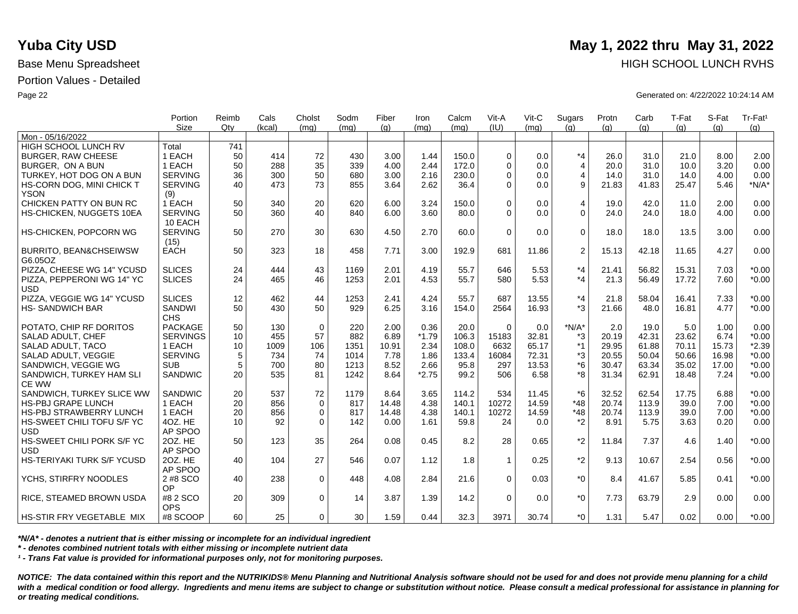|                                   | Portion<br><b>Size</b> | Reimb<br>Qtv | Cals<br>(kcal) | Cholst<br>(mq) | Sodm<br>(ma) | Fiber<br>(q) | Iron<br>(mq) | Calcm<br>(ma) | Vit-A<br>(IU) | Vit-C<br>(mq) | Sugars<br>(q)  | Protn<br>(q) | Carb<br>(q) | T-Fat<br>(q) | S-Fat<br>(a) | Tr-Fat <sup>1</sup><br>(g) |
|-----------------------------------|------------------------|--------------|----------------|----------------|--------------|--------------|--------------|---------------|---------------|---------------|----------------|--------------|-------------|--------------|--------------|----------------------------|
| Mon - 05/16/2022                  |                        |              |                |                |              |              |              |               |               |               |                |              |             |              |              |                            |
| <b>HIGH SCHOOL LUNCH RV</b>       | Total                  | 741          |                |                |              |              |              |               |               |               |                |              |             |              |              |                            |
| <b>BURGER, RAW CHEESE</b>         | 1 EACH                 | 50           | 414            | 72             | 430          | 3.00         | 1.44         | 150.0         | $\Omega$      | 0.0           | $*_{4}$        | 26.0         | 31.0        | 21.0         | 8.00         | 2.00                       |
| BURGER. ON A BUN                  | 1 EACH                 | 50           | 288            | 35             | 339          | 4.00         | 2.44         | 172.0         | $\Omega$      | 0.0           | $\overline{4}$ | 20.0         | 31.0        | 10.0         | 3.20         | 0.00                       |
| TURKEY, HOT DOG ON A BUN          | <b>SERVING</b>         | 36           | 300            | 50             | 680          | 3.00         | 2.16         | 230.0         | $\Omega$      | 0.0           | 4              | 14.0         | 31.0        | 14.0         | 4.00         | 0.00                       |
| HS-CORN DOG, MINI CHICK T         | <b>SERVING</b>         | 40           | 473            | 73             | 855          | 3.64         | 2.62         | 36.4          | $\Omega$      | 0.0           | 9              | 21.83        | 41.83       | 25.47        | 5.46         | $*N/A*$                    |
| <b>YSON</b>                       | (9)                    |              |                |                |              |              |              |               |               |               |                |              |             |              |              |                            |
| CHICKEN PATTY ON BUN RC           | 1 EACH                 | 50           | 340            | 20             | 620          | 6.00         | 3.24         | 150.0         | $\Omega$      | 0.0           | $\overline{4}$ | 19.0         | 42.0        | 11.0         | 2.00         | 0.00                       |
| HS-CHICKEN, NUGGETS 10EA          | <b>SERVING</b>         | 50           | 360            | 40             | 840          | 6.00         | 3.60         | 80.0          | $\Omega$      | 0.0           | $\Omega$       | 24.0         | 24.0        | 18.0         | 4.00         | 0.00                       |
|                                   | 10 EACH                |              |                |                |              |              |              |               |               |               |                |              |             |              |              |                            |
| <b>HS-CHICKEN, POPCORN WG</b>     | <b>SERVING</b>         | 50           | 270            | 30             | 630          | 4.50         | 2.70         | 60.0          | $\Omega$      | 0.0           | 0              | 18.0         | 18.0        | 13.5         | 3.00         | 0.00                       |
|                                   | (15)                   |              |                |                |              |              |              |               |               |               |                |              |             |              |              |                            |
| <b>BURRITO, BEAN&amp;CHSEIWSW</b> | <b>EACH</b>            | 50           | 323            | 18             | 458          | 7.71         | 3.00         | 192.9         | 681           | 11.86         | $\overline{c}$ | 15.13        | 42.18       | 11.65        | 4.27         | 0.00                       |
| G6.05OZ                           |                        |              |                |                |              |              |              |               |               |               |                |              |             |              |              |                            |
| PIZZA, CHEESE WG 14" YCUSD        | <b>SLICES</b>          | 24           | 444            | 43             | 1169         | 2.01         | 4.19         | 55.7          | 646           | 5.53          | $*_{4}$        | 21.41        | 56.82       | 15.31        | 7.03         | $*0.00$                    |
| PIZZA, PEPPERONI WG 14" YC        | <b>SLICES</b>          | 24           | 465            | 46             | 1253         | 2.01         | 4.53         | 55.7          | 580           | 5.53          | $*_{4}$        | 21.3         | 56.49       | 17.72        | 7.60         | $*0.00$                    |
| <b>USD</b>                        |                        |              |                |                |              |              |              |               |               |               |                |              |             |              |              |                            |
| PIZZA, VEGGIE WG 14" YCUSD        | <b>SLICES</b>          | 12           | 462            | 44             | 1253         | 2.41         | 4.24         | 55.7          | 687           | 13.55         | $*_{4}$        | 21.8         | 58.04       | 16.41        | 7.33         | $*0.00$                    |
| <b>HS-SANDWICH BAR</b>            | <b>SANDWI</b>          | 50           | 430            | 50             | 929          | 6.25         | 3.16         | 154.0         | 2564          | 16.93         | *3             | 21.66        | 48.0        | 16.81        | 4.77         | $*0.00$                    |
|                                   | <b>CHS</b>             |              |                |                |              |              |              |               |               |               |                |              |             |              |              |                            |
| POTATO, CHIP RF DORITOS           | <b>PACKAGE</b>         | 50           | 130            | $\mathbf 0$    | 220          | 2.00         | 0.36         | 20.0          | $\Omega$      | 0.0           | $*N/A*$        | 2.0          | 19.0        | 5.0          | 1.00         | 0.00                       |
| SALAD ADULT, CHEF                 | <b>SERVINGS</b>        | 10           | 455            | 57             | 882          | 6.89         | $*1.79$      | 106.3         | 15183         | 32.81         | *3             | 20.19        | 42.31       | 23.62        | 6.74         | $*0.00$                    |
| SALAD ADULT. TACO                 | 1 EACH                 | 10           | 1009           | 106            | 1351         | 10.91        | 2.34         | 108.0         | 6632          | 65.17         | $*1$           | 29.95        | 61.88       | 70.11        | 15.73        | $*2.39$                    |
| SALAD ADULT. VEGGIE               | <b>SERVING</b>         | 5            | 734            | 74             | 1014         | 7.78         | 1.86         | 133.4         | 16084         | 72.31         | *3             | 20.55        | 50.04       | 50.66        | 16.98        | $*0.00$                    |
| SANDWICH, VEGGIE WG               | <b>SUB</b>             | 5            | 700            | 80             | 1213         | 8.52         | 2.66         | 95.8          | 297           | 13.53         | *6             | 30.47        | 63.34       | 35.02        | 17.00        | $*0.00$                    |
| SANDWICH, TURKEY HAM SLI          | <b>SANDWIC</b>         | 20           | 535            | 81             | 1242         | 8.64         | $*2.75$      | 99.2          | 506           | 6.58          | *8             | 31.34        | 62.91       | 18.48        | 7.24         | $*0.00$                    |
| <b>CE WW</b>                      |                        |              |                |                |              |              |              |               |               |               |                |              |             |              |              |                            |
| SANDWICH. TURKEY SLICE WW         | <b>SANDWIC</b>         | 20           | 537            | 72             | 1179         | 8.64         | 3.65         | 114.2         | 534           | 11.45         | $*6$           | 32.52        | 62.54       | 17.75        | 6.88         | $*0.00$                    |
| HS-PBJ GRAPE LUNCH                | 1 EACH                 | 20           | 856            | $\mathbf 0$    | 817          | 14.48        | 4.38         | 140.1         | 10272         | 14.59         | $*48$          | 20.74        | 113.9       | 39.0         | 7.00         | $*0.00$                    |
| <b>HS-PBJ STRAWBERRY LUNCH</b>    | 1 EACH                 | 20           | 856            | $\mathbf 0$    | 817          | 14.48        | 4.38         | 140.1         | 10272         | 14.59         | $*48$          | 20.74        | 113.9       | 39.0         | 7.00         | $*0.00$                    |
| HS-SWEET CHILI TOFU S/F YC        | 4OZ. HE                | 10           | 92             | $\Omega$       | 142          | 0.00         | 1.61         | 59.8          | 24            | 0.0           | $*2$           | 8.91         | 5.75        | 3.63         | 0.20         | 0.00                       |
| <b>USD</b>                        | AP SPOO                |              |                |                |              |              |              |               |               |               |                |              |             |              |              |                            |
| HS-SWEET CHILI PORK S/F YC        | 20Z. HE                | 50           | 123            | 35             | 264          | 0.08         | 0.45         | 8.2           | 28            | 0.65          | $*_{2}$        | 11.84        | 7.37        | 4.6          | 1.40         | $*0.00$                    |
| <b>USD</b>                        | AP SPOO                |              |                |                |              |              |              |               |               |               |                |              |             |              |              |                            |
| HS-TERIYAKI TURK S/F YCUSD        | 20Z. HE                | 40           | 104            | 27             | 546          | 0.07         | 1.12         | 1.8           | $\mathbf 1$   | 0.25          | $*2$           | 9.13         | 10.67       | 2.54         | 0.56         | $*0.00$                    |
|                                   | AP SPOO                |              |                |                |              |              |              |               |               |               |                |              |             |              |              |                            |
| YCHS, STIRFRY NOODLES             | 2 #8 SCO               | 40           | 238            | $\mathbf 0$    | 448          | 4.08         | 2.84         | 21.6          | $\Omega$      | 0.03          | $*_{0}$        | 8.4          | 41.67       | 5.85         | 0.41         | $*0.00$                    |
|                                   | OP                     |              |                |                |              |              |              |               |               |               |                |              |             |              |              |                            |
| RICE, STEAMED BROWN USDA          | #8 2 SCO               | 20           | 309            | $\mathbf 0$    | 14           | 3.87         | 1.39         | 14.2          | $\Omega$      | 0.0           | $^*0$          | 7.73         | 63.79       | 2.9          | 0.00         | 0.00                       |
|                                   | <b>OPS</b>             |              |                |                |              |              |              |               |               |               |                |              |             |              |              |                            |
| HS-STIR FRY VEGETABLE MIX         | #8 SCOOP               | 60           | 25             | $\Omega$       | 30           | 1.59         | 0.44         | 32.3          | 3971          | 30.74         | $*_{0}$        | 1.31         | 5.47        | 0.02         | 0.00         | $*0.00$                    |

*\*N/A\* - denotes a nutrient that is either missing or incomplete for an individual ingredient*

*\* - denotes combined nutrient totals with either missing or incomplete nutrient data*

*¹ - Trans Fat value is provided for informational purposes only, not for monitoring purposes.*

*NOTICE: The data contained within this report and the NUTRIKIDS® Menu Planning and Nutritional Analysis software should not be used for and does not provide menu planning for a child*  with a medical condition or food allergy. Ingredients and menu items are subject to change or substitution without notice. Please consult a medical professional for assistance in planning for *or treating medical conditions.*

# **Yuba City USD** May 1, 2022 thru May 31, 2022 Base Menu Spreadsheet **HIGH SCHOOL LUNCH RVHS**

Page 22 Generated on: 4/22/2022 10:24:14 AM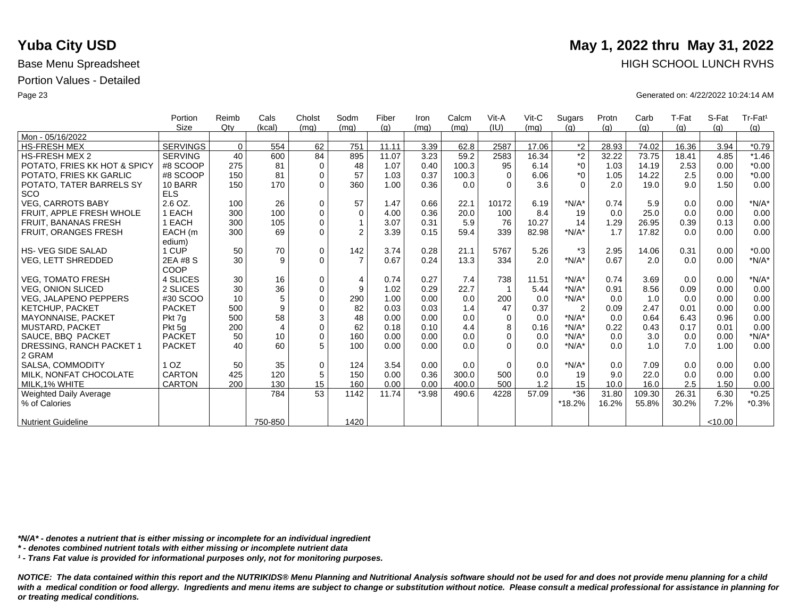|                              | Portion         | Reimb    | Cals           | Cholst      | Sodm           | Fiber | Iron    | Calcm | Vit-A    | $V$ it-C | Sugars         | Protn | Carb   | T-Fat | S-Fat   | Tr-Fat <sup>1</sup> |
|------------------------------|-----------------|----------|----------------|-------------|----------------|-------|---------|-------|----------|----------|----------------|-------|--------|-------|---------|---------------------|
|                              | <b>Size</b>     | Qtv      | (kcal)         | (mq)        | (mq)           | (q)   | (mq)    | (mq)  | (IU)     | (mq)     | (q)            | (q)   | (g)    | (g)   | (q)     | (g)                 |
| Mon - 05/16/2022             |                 |          |                |             |                |       |         |       |          |          |                |       |        |       |         |                     |
| <b>HS-FRESH MEX</b>          | SERVINGS        | $\Omega$ | 554            | 62          | 751            | 11.11 | 3.39    | 62.8  | 2587     | 17.06    | $*2$           | 28.93 | 74.02  | 16.36 | 3.94    | $*0.79$             |
| <b>HS-FRESH MEX 2</b>        | <b>SERVING</b>  | 40       | 600            | 84          | 895            | 11.07 | 3.23    | 59.2  | 2583     | 16.34    | $\overline{2}$ | 32.22 | 73.75  | 18.41 | 4.85    | $*1.46$             |
| POTATO, FRIES KK HOT & SPICY | #8 SCOOP        | 275      | 81             | $\mathbf 0$ | 48             | 1.07  | 0.40    | 100.3 | 95       | 6.14     | $^*0$          | 1.03  | 14.19  | 2.53  | 0.00    | $*0.00$             |
| POTATO, FRIES KK GARLIC      | #8 SCOOP        | 150      | 81             | $\mathbf 0$ | 57             | 1.03  | 0.37    | 100.3 | $\Omega$ | 6.06     | $*_{0}$        | 1.05  | 14.22  | 2.5   | 0.00    | $*0.00$             |
| POTATO, TATER BARRELS SY     | 10 BARR         | 150      | 170            | $\Omega$    | 360            | 1.00  | 0.36    | 0.0   | $\Omega$ | 3.6      | $\Omega$       | 2.0   | 19.0   | 9.0   | 1.50    | 0.00                |
| <b>SCO</b>                   | <b>ELS</b>      |          |                |             |                |       |         |       |          |          |                |       |        |       |         |                     |
| <b>VEG, CARROTS BABY</b>     | 2.6 OZ.         | 100      | 26             | $\mathbf 0$ | 57             | 1.47  | 0.66    | 22.1  | 10172    | 6.19     | $*N/A*$        | 0.74  | 5.9    | 0.0   | 0.00    | $*N/A*$             |
| FRUIT. APPLE FRESH WHOLE     | 1 EACH          | 300      | 100            | $\mathbf 0$ | $\mathbf 0$    | 4.00  | 0.36    | 20.0  | 100      | 8.4      | 19             | 0.0   | 25.0   | 0.0   | 0.00    | 0.00                |
| FRUIT, BANANAS FRESH         | 1 EACH          | 300      | 105            | $\Omega$    |                | 3.07  | 0.31    | 5.9   | 76       | 10.27    | 14             | 1.29  | 26.95  | 0.39  | 0.13    | 0.00                |
| FRUIT, ORANGES FRESH         | EACH (m         | 300      | 69             | $\Omega$    | $\overline{2}$ | 3.39  | 0.15    | 59.4  | 339      | 82.98    | $*N/A*$        | 1.7   | 17.82  | 0.0   | 0.00    | 0.00                |
|                              | edium)          |          |                |             |                |       |         |       |          |          |                |       |        |       |         |                     |
| <b>HS-VEG SIDE SALAD</b>     | 1 CUP           | 50       | 70             | $\mathbf 0$ | 142            | 3.74  | 0.28    | 21.1  | 5767     | 5.26     | $*3$           | 2.95  | 14.06  | 0.31  | 0.00    | $*0.00$             |
| <b>VEG, LETT SHREDDED</b>    | 2EA #8 S        | 30       | 9              | $\Omega$    | $\overline{7}$ | 0.67  | 0.24    | 13.3  | 334      | 2.0      | $*N/A*$        | 0.67  | 2.0    | 0.0   | 0.00    | $*N/A*$             |
|                              | COOP            |          |                |             |                |       |         |       |          |          |                |       |        |       |         |                     |
| <b>VEG, TOMATO FRESH</b>     | 4 SLICES        | 30       | 16             | $\mathbf 0$ | $\overline{4}$ | 0.74  | 0.27    | 7.4   | 738      | 11.51    | $*N/A*$        | 0.74  | 3.69   | 0.0   | 0.00    | $*N/A*$             |
| <b>VEG. ONION SLICED</b>     | 2 SLICES        | 30       | 36             | $\mathbf 0$ | 9              | 1.02  | 0.29    | 22.7  |          | 5.44     | $*N/A*$        | 0.91  | 8.56   | 0.09  | 0.00    | 0.00                |
| <b>VEG. JALAPENO PEPPERS</b> | #30 SCOO        | 10       | 5              | $\Omega$    | 290            | 1.00  | 0.00    | 0.0   | 200      | 0.0      | $*N/A*$        | 0.0   | 1.0    | 0.0   | 0.00    | 0.00                |
| <b>KETCHUP, PACKET</b>       | <b>PACKET</b>   | 500      | 9              | $\mathbf 0$ | 82             | 0.03  | 0.03    | 1.4   | 47       | 0.37     | $\overline{2}$ | 0.09  | 2.47   | 0.01  | 0.00    | 0.00                |
| <b>MAYONNAISE, PACKET</b>    | Pkt 7q          | 500      | 58             | 3           | 48             | 0.00  | 0.00    | 0.0   | $\Omega$ | 0.0      | $*N/A*$        | 0.0   | 0.64   | 6.43  | 0.96    | 0.00                |
| <b>MUSTARD, PACKET</b>       | Pkt 5g          | 200      | $\overline{4}$ | $\mathbf 0$ | 62             | 0.18  | 0.10    | 4.4   | 8        | 0.16     | $*N/A*$        | 0.22  | 0.43   | 0.17  | 0.01    | 0.00                |
| SAUCE, BBQ PACKET            | <b>PACKET</b>   | 50       | 10             | $\Omega$    | 160            | 0.00  | 0.00    | 0.0   | $\Omega$ | 0.0      | $*N/A*$        | 0.0   | 3.0    | 0.0   | 0.00    | $*N/A*$             |
| DRESSING, RANCH PACKET 1     | <b>PACKET</b>   | 40       | 60             | 5           | 100            | 0.00  | 0.00    | 0.0   | $\Omega$ | 0.0      | $*N/A*$        | 0.0   | 1.0    | 7.0   | 1.00    | 0.00                |
| 2 GRAM                       |                 |          |                |             |                |       |         |       |          |          |                |       |        |       |         |                     |
| SALSA, COMMODITY             | 1 <sub>OZ</sub> | 50       | 35             | $\mathbf 0$ | 124            | 3.54  | 0.00    | 0.0   | $\Omega$ | 0.0      | $*N/A*$        | 0.0   | 7.09   | 0.0   | 0.00    | 0.00                |
| MILK, NONFAT CHOCOLATE       | <b>CARTON</b>   | 425      | 120            | 5           | 150            | 0.00  | 0.36    | 300.0 | 500      | 0.0      | 19             | 9.0   | 22.0   | 0.0   | 0.00    | 0.00                |
| MILK.1% WHITE                | <b>CARTON</b>   | 200      | 130            | 15          | 160            | 0.00  | 0.00    | 400.0 | 500      | 1.2      | 15             | 10.0  | 16.0   | 2.5   | 1.50    | 0.00                |
| Weighted Daily Average       |                 |          | 784            | 53          | 1142           | 11.74 | $*3.98$ | 490.6 | 4228     | 57.09    | $*36$          | 31.80 | 109.30 | 26.31 | 6.30    | $*0.25$             |
| % of Calories                |                 |          |                |             |                |       |         |       |          |          | *18.2%         | 16.2% | 55.8%  | 30.2% | 7.2%    | $*0.3%$             |
|                              |                 |          |                |             |                |       |         |       |          |          |                |       |        |       |         |                     |
| <b>Nutrient Guideline</b>    |                 |          | 750-850        |             | 1420           |       |         |       |          |          |                |       |        |       | < 10.00 |                     |

*\*N/A\* - denotes a nutrient that is either missing or incomplete for an individual ingredient*

*\* - denotes combined nutrient totals with either missing or incomplete nutrient data*

*¹ - Trans Fat value is provided for informational purposes only, not for monitoring purposes.*

*NOTICE: The data contained within this report and the NUTRIKIDS® Menu Planning and Nutritional Analysis software should not be used for and does not provide menu planning for a child*  with a medical condition or food allergy. Ingredients and menu items are subject to change or substitution without notice. Please consult a medical professional for assistance in planning for *or treating medical conditions.*

## **Yuba City USD** May 1, 2022 thru May 31, 2022 Base Menu Spreadsheet **HIGH SCHOOL LUNCH RVHS**

Page 23 Generated on: 4/22/2022 10:24:14 AM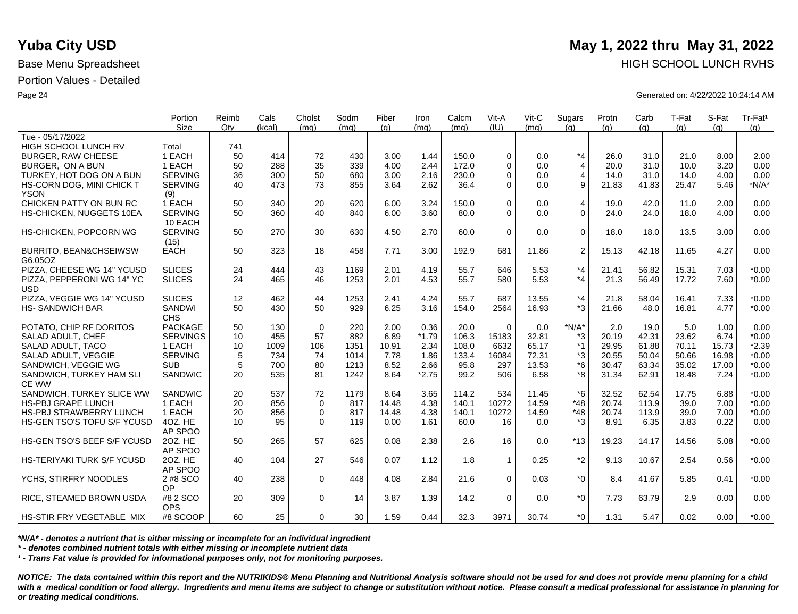|                                                               | Portion<br><b>Size</b> | Reimb<br>Qtv | Cals<br>(kcal) | Cholst<br>(mq) | Sodm<br>(mq) | Fiber<br>(q)  | Iron<br>(ma) | Calcm<br>(mq) | Vit-A<br>(IU) | Vit-C<br>(ma)  | Sugars<br>(q)  | Protn<br>(q)  | Carb<br>(q)    | T-Fat<br>(q) | S-Fat<br>(a) | Tr-Fat <sup>1</sup><br>(g) |
|---------------------------------------------------------------|------------------------|--------------|----------------|----------------|--------------|---------------|--------------|---------------|---------------|----------------|----------------|---------------|----------------|--------------|--------------|----------------------------|
| Tue - 05/17/2022                                              |                        |              |                |                |              |               |              |               |               |                |                |               |                |              |              |                            |
| HIGH SCHOOL LUNCH RV                                          | Total                  | 741          |                |                |              |               |              |               |               |                |                |               |                |              |              |                            |
| <b>BURGER, RAW CHEESE</b>                                     | 1 EACH                 | 50           | 414            | 72             | 430          | 3.00          | 1.44         | 150.0         | $\Omega$      | 0.0            | $*_{4}$        | 26.0          | 31.0           | 21.0         | 8.00         | 2.00                       |
| BURGER, ON A BUN                                              | 1 EACH                 | 50           | 288            | 35             | 339          | 4.00          | 2.44         | 172.0         | $\Omega$      | 0.0            | $\overline{4}$ | 20.0          | 31.0           | 10.0         | 3.20         | 0.00                       |
| TURKEY, HOT DOG ON A BUN                                      | <b>SERVING</b>         | 36           | 300            | 50             | 680          | 3.00          | 2.16         | 230.0         | $\Omega$      | 0.0            | $\overline{4}$ | 14.0          | 31.0           | 14.0         | 4.00         | 0.00                       |
| HS-CORN DOG, MINI CHICK T                                     | <b>SERVING</b>         | 40           | 473            | 73             | 855          | 3.64          | 2.62         | 36.4          | $\Omega$      | 0.0            | 9              | 21.83         | 41.83          | 25.47        | 5.46         | $*N/A*$                    |
| <b>YSON</b>                                                   | (9)                    |              |                |                |              |               |              |               |               |                |                |               |                |              |              |                            |
| CHICKEN PATTY ON BUN RC                                       | 1 EACH                 | 50           | 340            | 20             | 620          | 6.00          | 3.24         | 150.0         | $\Omega$      | 0.0            | 4              | 19.0          | 42.0           | 11.0         | 2.00         | 0.00                       |
| HS-CHICKEN, NUGGETS 10EA                                      | <b>SERVING</b>         | 50           | 360            | 40             | 840          | 6.00          | 3.60         | 80.0          | $\Omega$      | 0.0            | $\Omega$       | 24.0          | 24.0           | 18.0         | 4.00         | 0.00                       |
|                                                               | 10 EACH                |              |                |                |              |               |              |               |               |                |                |               |                |              |              |                            |
| HS-CHICKEN, POPCORN WG                                        | <b>SERVING</b>         | 50           | 270            | 30             | 630          | 4.50          | 2.70         | 60.0          | $\Omega$      | 0.0            | $\mathbf 0$    | 18.0          | 18.0           | 13.5         | 3.00         | 0.00                       |
|                                                               | (15)                   |              |                |                |              |               |              |               |               |                |                |               |                |              |              |                            |
| <b>BURRITO, BEAN&amp;CHSEIWSW</b>                             | <b>EACH</b>            | 50           | 323            | 18             | 458          | 7.71          | 3.00         | 192.9         | 681           | 11.86          | 2              | 15.13         | 42.18          | 11.65        | 4.27         | 0.00                       |
| G6.05OZ                                                       |                        |              |                |                |              |               |              |               |               |                |                |               |                |              |              |                            |
| PIZZA, CHEESE WG 14" YCUSD                                    | <b>SLICES</b>          | 24           | 444            | 43             | 1169         | 2.01          | 4.19         | 55.7          | 646           | 5.53           | $*_{4}$        | 21.41         | 56.82          | 15.31        | 7.03         | $*0.00$                    |
| PIZZA. PEPPERONI WG 14" YC                                    | <b>SLICES</b>          | 24           | 465            | 46             | 1253         | 2.01          | 4.53         | 55.7          | 580           | 5.53           | $*_{4}$        | 21.3          | 56.49          | 17.72        | 7.60         | $*0.00$                    |
| <b>USD</b>                                                    |                        |              |                |                |              |               |              |               |               |                |                |               |                |              |              |                            |
| PIZZA, VEGGIE WG 14" YCUSD                                    | <b>SLICES</b>          | 12           | 462            | 44             | 1253         | 2.41          | 4.24         | 55.7          | 687           | 13.55          | $*_{4}$        | 21.8          | 58.04          | 16.41        | 7.33         | $*0.00$                    |
| <b>HS-SANDWICH BAR</b>                                        | <b>SANDWI</b>          | 50           | 430            | 50             | 929          | 6.25          | 3.16         | 154.0         | 2564          | 16.93          | $*3$           | 21.66         | 48.0           | 16.81        | 4.77         | $*0.00$                    |
|                                                               | <b>CHS</b>             |              |                |                |              |               |              |               |               |                |                |               |                |              |              |                            |
| POTATO, CHIP RF DORITOS                                       | <b>PACKAGE</b>         | 50           | 130            | $\mathbf 0$    | 220          | 2.00          | 0.36         | 20.0          | $\Omega$      | 0.0            | $*N/A*$        | 2.0           | 19.0           | 5.0          | 1.00         | 0.00                       |
| <b>SALAD ADULT, CHEF</b>                                      | <b>SERVINGS</b>        | 10           | 455            | 57             | 882          | 6.89          | $*1.79$      | 106.3         | 15183         | 32.81          | *3             | 20.19         | 42.31          | 23.62        | 6.74         | $*0.00$                    |
| SALAD ADULT, TACO                                             | 1 EACH                 | 10           | 1009           | 106            | 1351         | 10.91         | 2.34         | 108.0         | 6632          | 65.17          | $*1$           | 29.95         | 61.88          | 70.11        | 15.73        | $*2.39$                    |
| SALAD ADULT, VEGGIE                                           | <b>SERVING</b>         | 5            | 734            | 74             | 1014         | 7.78          | 1.86         | 133.4         | 16084         | 72.31          | *3             | 20.55         | 50.04          | 50.66        | 16.98        | $*0.00$                    |
| SANDWICH, VEGGIE WG                                           | <b>SUB</b>             | 5            | 700            | 80             | 1213         | 8.52          | 2.66         | 95.8          | 297           | 13.53          | $*6$           | 30.47         | 63.34          | 35.02        | 17.00        | $*0.00$                    |
| SANDWICH, TURKEY HAM SLI                                      | SANDWIC                | 20           | 535            | 81             | 1242         | 8.64          | $*2.75$      | 99.2          | 506           | 6.58           | *8             | 31.34         | 62.91          | 18.48        | 7.24         | $*0.00$                    |
| <b>CE WW</b>                                                  |                        |              |                |                |              |               |              |               |               |                |                |               |                |              |              |                            |
| SANDWICH, TURKEY SLICE WW                                     | <b>SANDWIC</b>         | 20           | 537            | 72             | 1179         | 8.64          | 3.65<br>4.38 | 114.2         | 534           | 11.45<br>14.59 | $*6$           | 32.52         | 62.54<br>113.9 | 17.75        | 6.88         | $*0.00$                    |
| <b>HS-PBJ GRAPE LUNCH</b>                                     | 1 EACH                 | 20           | 856            | $\mathbf{0}$   | 817          | 14.48         |              | 140.1         | 10272         |                | $*48$          | 20.74         |                | 39.0         | 7.00         | $*0.00$                    |
| <b>HS-PBJ STRAWBERRY LUNCH</b><br>HS-GEN TSO'S TOFU S/F YCUSD | 1 EACH<br>4OZ. HE      | 20<br>10     | 856<br>95      | 0<br>$\Omega$  | 817<br>119   | 14.48<br>0.00 | 4.38<br>1.61 | 140.1<br>60.0 | 10272<br>16   | 14.59<br>0.0   | $*48$<br>*3    | 20.74<br>8.91 | 113.9<br>6.35  | 39.0<br>3.83 | 7.00<br>0.22 | $*0.00$<br>0.00            |
|                                                               | AP SPOO                |              |                |                |              |               |              |               |               |                |                |               |                |              |              |                            |
| HS-GEN TSO'S BEEF S/F YCUSD                                   | 20Z. HE                | 50           | 265            | 57             | 625          | 0.08          | 2.38         | 2.6           | 16            | 0.0            | $*13$          | 19.23         | 14.17          | 14.56        | 5.08         | $*0.00$                    |
|                                                               | AP SPOO                |              |                |                |              |               |              |               |               |                |                |               |                |              |              |                            |
| HS-TERIYAKI TURK S/F YCUSD                                    | 2OZ. HE                | 40           | 104            | 27             | 546          | 0.07          | 1.12         | 1.8           | $\mathbf{1}$  | 0.25           | $*2$           | 9.13          | 10.67          | 2.54         | 0.56         | $*0.00$                    |
|                                                               | AP SPOO                |              |                |                |              |               |              |               |               |                |                |               |                |              |              |                            |
| YCHS, STIRFRY NOODLES                                         | 2 #8 SCO               | 40           | 238            | $\mathbf 0$    | 448          | 4.08          | 2.84         | 21.6          | $\Omega$      | 0.03           | $*_{0}$        | 8.4           | 41.67          | 5.85         | 0.41         | $*0.00$                    |
|                                                               | OP                     |              |                |                |              |               |              |               |               |                |                |               |                |              |              |                            |
| <b>RICE, STEAMED BROWN USDA</b>                               | #8 2 SCO               | 20           | 309            | $\mathbf 0$    | 14           | 3.87          | 1.39         | 14.2          | $\Omega$      | 0.0            | $*_{0}$        | 7.73          | 63.79          | 2.9          | 0.00         | 0.00                       |
|                                                               | <b>OPS</b>             |              |                |                |              |               |              |               |               |                |                |               |                |              |              |                            |
| <b>HS-STIR FRY VEGETABLE MIX</b>                              | #8 SCOOP               | 60           | 25             | $\Omega$       | 30           | 1.59          | 0.44         | 32.3          | 3971          | 30.74          | $*$ $\Omega$   | 1.31          | 5.47           | 0.02         | 0.00         | $*0.00$                    |

*\*N/A\* - denotes a nutrient that is either missing or incomplete for an individual ingredient*

*\* - denotes combined nutrient totals with either missing or incomplete nutrient data*

*¹ - Trans Fat value is provided for informational purposes only, not for monitoring purposes.*

*NOTICE: The data contained within this report and the NUTRIKIDS® Menu Planning and Nutritional Analysis software should not be used for and does not provide menu planning for a child*  with a medical condition or food allergy. Ingredients and menu items are subject to change or substitution without notice. Please consult a medical professional for assistance in planning for *or treating medical conditions.*

## **Yuba City USD** May 1, 2022 thru May 31, 2022 Base Menu Spreadsheet **HIGH SCHOOL LUNCH RVHS**

Page 24 Generated on: 4/22/2022 10:24:14 AM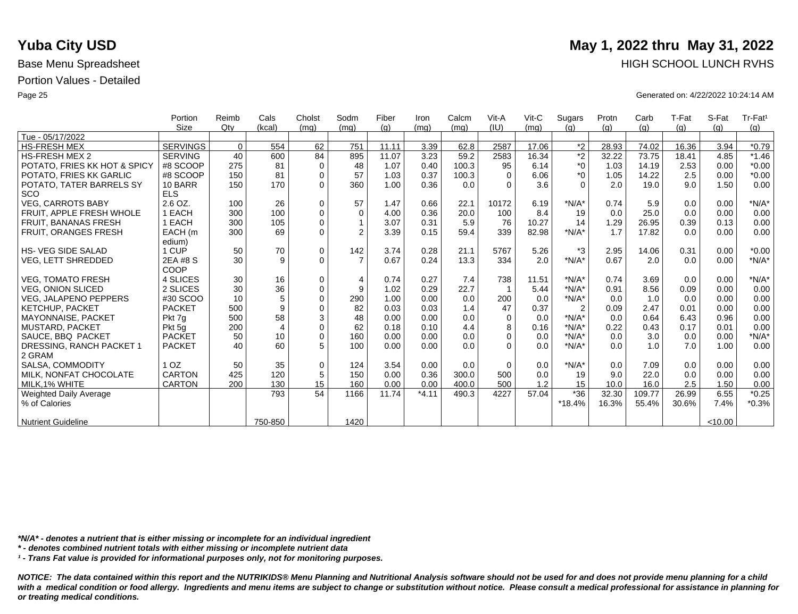|                              | Portion         | Reimb       | Cals           | Cholst      | Sodm           | Fiber | Iron    | Calcm | Vit-A    | $V$ it-C | Sugars         | Protn | Carb   | T-Fat | S-Fat   | Tr-Fat <sup>1</sup> |
|------------------------------|-----------------|-------------|----------------|-------------|----------------|-------|---------|-------|----------|----------|----------------|-------|--------|-------|---------|---------------------|
|                              | <b>Size</b>     | Qtv         | (kcal)         | (mq)        | (mq)           | (q)   | (mq)    | (mq)  | (IU)     | (mq)     | (q)            | (q)   | (g)    | (g)   | (q)     | (g)                 |
| Tue - 05/17/2022             |                 |             |                |             |                |       |         |       |          |          |                |       |        |       |         |                     |
| <b>HS-FRESH MEX</b>          | <b>SERVINGS</b> | $\mathbf 0$ | 554            | 62          | 751            | 11.11 | 3.39    | 62.8  | 2587     | 17.06    | $*2$           | 28.93 | 74.02  | 16.36 | 3.94    | $*0.79$             |
| <b>HS-FRESH MEX 2</b>        | <b>SERVING</b>  | 40          | 600            | 84          | 895            | 11.07 | 3.23    | 59.2  | 2583     | 16.34    | $\overline{2}$ | 32.22 | 73.75  | 18.41 | 4.85    | $*1.46$             |
| POTATO, FRIES KK HOT & SPICY | #8 SCOOP        | 275         | 81             | $\Omega$    | 48             | 1.07  | 0.40    | 100.3 | 95       | 6.14     | $*_{0}$        | 1.03  | 14.19  | 2.53  | 0.00    | $*0.00$             |
| POTATO, FRIES KK GARLIC      | #8 SCOOP        | 150         | 81             | $\Omega$    | 57             | 1.03  | 0.37    | 100.3 | $\Omega$ | 6.06     | $*_{0}$        | 1.05  | 14.22  | 2.5   | 0.00    | $*0.00$             |
| POTATO, TATER BARRELS SY     | 10 BARR         | 150         | 170            | $\Omega$    | 360            | 1.00  | 0.36    | 0.0   | $\Omega$ | 3.6      | $\Omega$       | 2.0   | 19.0   | 9.0   | 1.50    | 0.00                |
| <b>SCO</b>                   | <b>ELS</b>      |             |                |             |                |       |         |       |          |          |                |       |        |       |         |                     |
| <b>VEG. CARROTS BABY</b>     | 2.6 OZ.         | 100         | 26             | $\mathbf 0$ | 57             | 1.47  | 0.66    | 22.1  | 10172    | 6.19     | $*N/A*$        | 0.74  | 5.9    | 0.0   | 0.00    | $*N/A*$             |
| FRUIT, APPLE FRESH WHOLE     | <b>EACH</b>     | 300         | 100            | $\mathbf 0$ | $\mathbf 0$    | 4.00  | 0.36    | 20.0  | 100      | 8.4      | 19             | 0.0   | 25.0   | 0.0   | 0.00    | 0.00                |
| FRUIT, BANANAS FRESH         | 1 EACH          | 300         | 105            | $\Omega$    | $\mathbf{1}$   | 3.07  | 0.31    | 5.9   | 76       | 10.27    | 14             | 1.29  | 26.95  | 0.39  | 0.13    | 0.00                |
| <b>FRUIT, ORANGES FRESH</b>  | EACH (m         | 300         | 69             | $\mathbf 0$ | $\overline{2}$ | 3.39  | 0.15    | 59.4  | 339      | 82.98    | $*N/A*$        | 1.7   | 17.82  | 0.0   | 0.00    | 0.00                |
|                              | edium)          |             |                |             |                |       |         |       |          |          |                |       |        |       |         |                     |
| <b>HS-VEG SIDE SALAD</b>     | <b>CUP</b>      | 50          | $70\,$         | $\mathbf 0$ | 142            | 3.74  | 0.28    | 21.1  | 5767     | 5.26     | $*3$           | 2.95  | 14.06  | 0.31  | 0.00    | $*0.00$             |
| VEG, LETT SHREDDED           | 2EA #8 S        | 30          | 9              | $\Omega$    | $\overline{7}$ | 0.67  | 0.24    | 13.3  | 334      | 2.0      | $*N/A*$        | 0.67  | 2.0    | 0.0   | 0.00    | $*N/A*$             |
|                              | COOP            |             |                |             |                |       |         |       |          |          |                |       |        |       |         |                     |
| <b>VEG. TOMATO FRESH</b>     | 4 SLICES        | 30          | 16             | $\mathbf 0$ | $\overline{4}$ | 0.74  | 0.27    | 7.4   | 738      | 11.51    | $*N/A*$        | 0.74  | 3.69   | 0.0   | 0.00    | $*N/A*$             |
| <b>VEG. ONION SLICED</b>     | 2 SLICES        | 30          | 36             | $\mathbf 0$ | 9              | 1.02  | 0.29    | 22.7  |          | 5.44     | $*N/A*$        | 0.91  | 8.56   | 0.09  | 0.00    | 0.00                |
| <b>VEG. JALAPENO PEPPERS</b> | #30 SCOO        | 10          | 5              | $\Omega$    | 290            | 1.00  | 0.00    | 0.0   | 200      | 0.0      | $*N/A*$        | 0.0   | 1.0    | 0.0   | 0.00    | 0.00                |
| <b>KETCHUP, PACKET</b>       | <b>PACKET</b>   | 500         | 9              | $\Omega$    | 82             | 0.03  | 0.03    | 1.4   | 47       | 0.37     | $\overline{2}$ | 0.09  | 2.47   | 0.01  | 0.00    | 0.00                |
| <b>MAYONNAISE, PACKET</b>    | Pkt 7q          | 500         | 58             | 3           | 48             | 0.00  | 0.00    | 0.0   | $\Omega$ | 0.0      | $*N/A*$        | 0.0   | 0.64   | 6.43  | 0.96    | 0.00                |
| MUSTARD, PACKET              | Pkt 5g          | 200         | $\overline{4}$ | $\Omega$    | 62             | 0.18  | 0.10    | 4.4   | 8        | 0.16     | $*N/A*$        | 0.22  | 0.43   | 0.17  | 0.01    | 0.00                |
| SAUCE, BBQ PACKET            | <b>PACKET</b>   | 50          | 10             | $\Omega$    | 160            | 0.00  | 0.00    | 0.0   | $\Omega$ | 0.0      | $*N/A*$        | 0.0   | 3.0    | 0.0   | 0.00    | $*N/A*$             |
| DRESSING, RANCH PACKET 1     | <b>PACKET</b>   | 40          | 60             | 5           | 100            | 0.00  | 0.00    | 0.0   | $\Omega$ | 0.0      | $*N/A*$        | 0.0   | 1.0    | 7.0   | 1.00    | 0.00                |
| 2 GRAM                       |                 |             |                |             |                |       |         |       |          |          |                |       |        |       |         |                     |
| SALSA, COMMODITY             | 1 <sub>OZ</sub> | 50          | 35             | $\Omega$    | 124            | 3.54  | 0.00    | 0.0   | $\Omega$ | 0.0      | $*N/A*$        | 0.0   | 7.09   | 0.0   | 0.00    | 0.00                |
| MILK. NONFAT CHOCOLATE       | <b>CARTON</b>   | 425         | 120            | 5           | 150            | 0.00  | 0.36    | 300.0 | 500      | 0.0      | 19             | 9.0   | 22.0   | 0.0   | 0.00    | 0.00                |
| MILK.1% WHITE                | <b>CARTON</b>   | 200         | 130            | 15          | 160            | 0.00  | 0.00    | 400.0 | 500      | 1.2      | 15             | 10.0  | 16.0   | 2.5   | 1.50    | 0.00                |
| Weighted Daily Average       |                 |             | 793            | 54          | 1166           | 11.74 | $*4.11$ | 490.3 | 4227     | 57.04    | $*36$          | 32.30 | 109.77 | 26.99 | 6.55    | $*0.25$             |
| % of Calories                |                 |             |                |             |                |       |         |       |          |          | $*18.4%$       | 16.3% | 55.4%  | 30.6% | 7.4%    | $*0.3%$             |
|                              |                 |             |                |             |                |       |         |       |          |          |                |       |        |       |         |                     |
| <b>Nutrient Guideline</b>    |                 |             | 750-850        |             | 1420           |       |         |       |          |          |                |       |        |       | < 10.00 |                     |

*\*N/A\* - denotes a nutrient that is either missing or incomplete for an individual ingredient*

*\* - denotes combined nutrient totals with either missing or incomplete nutrient data*

*¹ - Trans Fat value is provided for informational purposes only, not for monitoring purposes.*

*NOTICE: The data contained within this report and the NUTRIKIDS® Menu Planning and Nutritional Analysis software should not be used for and does not provide menu planning for a child*  with a medical condition or food allergy. Ingredients and menu items are subject to change or substitution without notice. Please consult a medical professional for assistance in planning for *or treating medical conditions.*

## **Yuba City USD** May 1, 2022 thru May 31, 2022 Base Menu Spreadsheet **HIGH SCHOOL LUNCH RVHS**

Page 25 Generated on: 4/22/2022 10:24:14 AM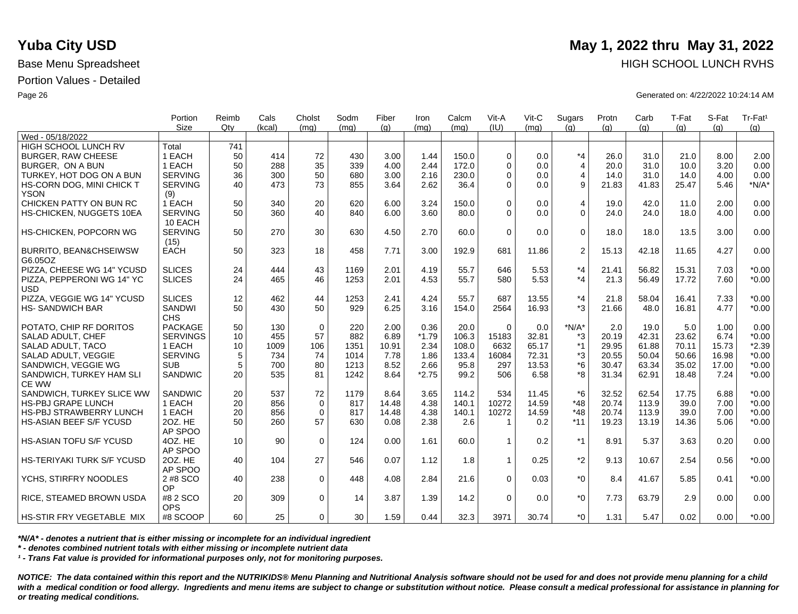|                                              | Portion               | Reimb           | Cals   | Cholst      | Sodm | Fiber | Iron    | Calcm | Vit-A        | $V$ it-C | Sugars         | Protn | Carb  | T-Fat | S-Fat | Tr-Fat <sup>1</sup> |
|----------------------------------------------|-----------------------|-----------------|--------|-------------|------|-------|---------|-------|--------------|----------|----------------|-------|-------|-------|-------|---------------------|
|                                              | <b>Size</b>           | Qtv             | (kcal) | (ma)        | (mq) | (q)   | (mq)    | (ma)  | (IU)         | (ma)     | (q)            | (q)   | (q)   | (q)   | (q)   | (g)                 |
| Wed - 05/18/2022                             |                       |                 |        |             |      |       |         |       |              |          |                |       |       |       |       |                     |
| HIGH SCHOOL LUNCH RV                         | Total                 | 741             |        |             |      |       |         |       |              |          |                |       |       |       |       |                     |
| <b>BURGER, RAW CHEESE</b>                    | 1 EACH                | 50              | 414    | 72          | 430  | 3.00  | 1.44    | 150.0 | $\Omega$     | 0.0      | $*_{4}$        | 26.0  | 31.0  | 21.0  | 8.00  | 2.00                |
| BURGER, ON A BUN                             | 1 EACH                | 50              | 288    | 35          | 339  | 4.00  | 2.44    | 172.0 | $\Omega$     | 0.0      | $\overline{4}$ | 20.0  | 31.0  | 10.0  | 3.20  | 0.00                |
| TURKEY, HOT DOG ON A BUN                     | <b>SERVING</b>        | 36              | 300    | 50          | 680  | 3.00  | 2.16    | 230.0 | $\Omega$     | 0.0      | $\overline{4}$ | 14.0  | 31.0  | 14.0  | 4.00  | 0.00                |
| HS-CORN DOG, MINI CHICK T<br><b>YSON</b>     | <b>SERVING</b><br>(9) | 40              | 473    | 73          | 855  | 3.64  | 2.62    | 36.4  | $\Omega$     | 0.0      | 9              | 21.83 | 41.83 | 25.47 | 5.46  | $*N/A*$             |
| CHICKEN PATTY ON BUN RC                      | 1 EACH                | 50              | 340    | 20          | 620  | 6.00  | 3.24    | 150.0 | $\Omega$     | 0.0      | 4              | 19.0  | 42.0  | 11.0  | 2.00  | 0.00                |
| HS-CHICKEN, NUGGETS 10EA                     | <b>SERVING</b>        | 50              | 360    | 40          | 840  | 6.00  | 3.60    | 80.0  | $\Omega$     | 0.0      | $\mathbf 0$    | 24.0  | 24.0  | 18.0  | 4.00  | 0.00                |
|                                              | 10 EACH               |                 |        |             |      |       |         |       |              |          |                |       |       |       |       |                     |
| <b>HS-CHICKEN, POPCORN WG</b>                | <b>SERVING</b>        | 50              | 270    | 30          | 630  | 4.50  | 2.70    | 60.0  | $\Omega$     | 0.0      | $\mathbf 0$    | 18.0  | 18.0  | 13.5  | 3.00  | 0.00                |
|                                              | (15)                  |                 |        |             |      |       |         |       |              |          |                |       |       |       |       |                     |
| <b>BURRITO, BEAN&amp;CHSEIWSW</b><br>G6.05OZ | <b>EACH</b>           | 50              | 323    | 18          | 458  | 7.71  | 3.00    | 192.9 | 681          | 11.86    | $\overline{c}$ | 15.13 | 42.18 | 11.65 | 4.27  | 0.00                |
| PIZZA, CHEESE WG 14" YCUSD                   | <b>SLICES</b>         | 24              | 444    | 43          | 1169 | 2.01  | 4.19    | 55.7  | 646          | 5.53     | $*_{4}$        | 21.41 | 56.82 | 15.31 | 7.03  | $*0.00$             |
| PIZZA, PEPPERONI WG 14" YC<br><b>USD</b>     | <b>SLICES</b>         | 24              | 465    | 46          | 1253 | 2.01  | 4.53    | 55.7  | 580          | 5.53     | $*_{4}$        | 21.3  | 56.49 | 17.72 | 7.60  | $*0.00$             |
| PIZZA, VEGGIE WG 14" YCUSD                   | <b>SLICES</b>         | 12              | 462    | 44          | 1253 | 2.41  | 4.24    | 55.7  | 687          | 13.55    | $*_{4}$        | 21.8  | 58.04 | 16.41 | 7.33  | $*0.00$             |
| <b>HS-SANDWICH BAR</b>                       | SANDWI                | 50              | 430    | 50          | 929  | 6.25  | 3.16    | 154.0 | 2564         | 16.93    | $*3$           | 21.66 | 48.0  | 16.81 | 4.77  | $*0.00$             |
|                                              | <b>CHS</b>            |                 |        |             |      |       |         |       |              |          |                |       |       |       |       |                     |
| POTATO, CHIP RF DORITOS                      | <b>PACKAGE</b>        | 50              | 130    | $\mathbf 0$ | 220  | 2.00  | 0.36    | 20.0  | $\Omega$     | 0.0      | $*N/A*$        | 2.0   | 19.0  | 5.0   | 1.00  | 0.00                |
| SALAD ADULT, CHEF                            | <b>SERVINGS</b>       | 10              | 455    | 57          | 882  | 6.89  | $*1.79$ | 106.3 | 15183        | 32.81    | *3             | 20.19 | 42.31 | 23.62 | 6.74  | $*0.00$             |
| SALAD ADULT, TACO                            | 1 EACH                | 10              | 1009   | 106         | 1351 | 10.91 | 2.34    | 108.0 | 6632         | 65.17    | $*1$           | 29.95 | 61.88 | 70.11 | 15.73 | $*2.39$             |
| SALAD ADULT, VEGGIE                          | <b>SERVING</b>        | 5               | 734    | 74          | 1014 | 7.78  | 1.86    | 133.4 | 16084        | 72.31    | *3             | 20.55 | 50.04 | 50.66 | 16.98 | $*0.00$             |
| SANDWICH, VEGGIE WG                          | <b>SUB</b>            | 5               | 700    | 80          | 1213 | 8.52  | 2.66    | 95.8  | 297          | 13.53    | $*6$           | 30.47 | 63.34 | 35.02 | 17.00 | $*0.00$             |
| SANDWICH, TURKEY HAM SLI                     | SANDWIC               | 20              | 535    | 81          | 1242 | 8.64  | $*2.75$ | 99.2  | 506          | 6.58     | *8             | 31.34 | 62.91 | 18.48 | 7.24  | $*0.00$             |
| <b>CE WW</b>                                 |                       |                 |        |             |      |       |         |       |              |          |                |       |       |       |       |                     |
| SANDWICH, TURKEY SLICE WW                    | <b>SANDWIC</b>        | 20              | 537    | 72          | 1179 | 8.64  | 3.65    | 114.2 | 534          | 11.45    | $*6$           | 32.52 | 62.54 | 17.75 | 6.88  | $*0.00$             |
| HS-PBJ GRAPE LUNCH                           | 1 EACH                | 20              | 856    | $\mathbf 0$ | 817  | 14.48 | 4.38    | 140.1 | 10272        | 14.59    | $*48$          | 20.74 | 113.9 | 39.0  | 7.00  | $*0.00$             |
| <b>HS-PBJ STRAWBERRY LUNCH</b>               | 1 EACH                | 20              | 856    | $\mathbf 0$ | 817  | 14.48 | 4.38    | 140.1 | 10272        | 14.59    | $*48$          | 20.74 | 113.9 | 39.0  | 7.00  | $*0.00$             |
| <b>HS-ASIAN BEEF S/F YCUSD</b>               | 20Z. HE               | 50              | 260    | 57          | 630  | 0.08  | 2.38    | 2.6   | $\mathbf 1$  | 0.2      | $*11$          | 19.23 | 13.19 | 14.36 | 5.06  | $*0.00$             |
|                                              | AP SPOO               |                 |        |             |      |       |         |       |              |          |                |       |       |       |       |                     |
| <b>HS-ASIAN TOFU S/F YCUSD</b>               | 4OZ. HE               | 10 <sup>°</sup> | 90     | $\mathbf 0$ | 124  | 0.00  | 1.61    | 60.0  | $\mathbf{1}$ | 0.2      | $*1$           | 8.91  | 5.37  | 3.63  | 0.20  | 0.00                |
|                                              | AP SPOO               |                 |        |             |      |       |         |       |              |          |                |       |       |       |       |                     |
| HS-TERIYAKI TURK S/F YCUSD                   | 20Z. HE               | 40              | 104    | 27          | 546  | 0.07  | 1.12    | 1.8   | $\mathbf 1$  | 0.25     | $*2$           | 9.13  | 10.67 | 2.54  | 0.56  | $*0.00$             |
|                                              | AP SPOO               |                 |        |             |      |       |         |       |              |          |                |       |       |       |       |                     |
| YCHS. STIRFRY NOODLES                        | 2 #8 SCO              | 40              | 238    | $\Omega$    | 448  | 4.08  | 2.84    | 21.6  | $\Omega$     | 0.03     | $*_{0}$        | 8.4   | 41.67 | 5.85  | 0.41  | $*0.00$             |
|                                              | OP                    |                 |        |             |      |       |         |       |              |          |                |       |       |       |       |                     |
| RICE, STEAMED BROWN USDA                     | #8 2 SCO              | 20              | 309    | $\mathbf 0$ | 14   | 3.87  | 1.39    | 14.2  | $\Omega$     | 0.0      | $*0$           | 7.73  | 63.79 | 2.9   | 0.00  | 0.00                |
|                                              | <b>OPS</b>            |                 |        |             |      |       |         |       |              |          |                |       |       |       |       |                     |
| HS-STIR FRY VEGETABLE MIX                    | #8 SCOOP              | 60 <sup>1</sup> | 25     | $\Omega$    | 30   | 1.59  | 0.44    | 32.3  | 3971         | 30.74    | $*_{0}$        | 1.31  | 5.47  | 0.02  | 0.00  | $*0.00$             |

*\*N/A\* - denotes a nutrient that is either missing or incomplete for an individual ingredient*

*\* - denotes combined nutrient totals with either missing or incomplete nutrient data*

*¹ - Trans Fat value is provided for informational purposes only, not for monitoring purposes.*

*NOTICE: The data contained within this report and the NUTRIKIDS® Menu Planning and Nutritional Analysis software should not be used for and does not provide menu planning for a child*  with a medical condition or food allergy. Ingredients and menu items are subject to change or substitution without notice. Please consult a medical professional for assistance in planning for *or treating medical conditions.*

# **Yuba City USD** May 1, 2022 thru May 31, 2022 Base Menu Spreadsheet **HIGH SCHOOL LUNCH RVHS**

Page 26 Generated on: 4/22/2022 10:24:14 AM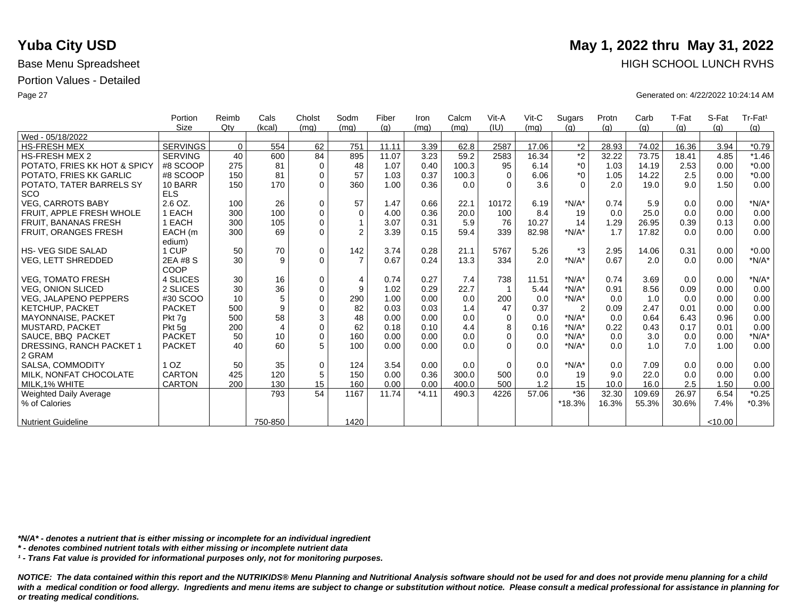|                              | Portion         | Reimb    | Cals           | Cholst      | Sodm           | Fiber | Iron    | Calcm | Vit-A    | $V$ it-C | Sugars         | Protn | Carb   | T-Fat | S-Fat   | Tr-Fat <sup>1</sup> |
|------------------------------|-----------------|----------|----------------|-------------|----------------|-------|---------|-------|----------|----------|----------------|-------|--------|-------|---------|---------------------|
|                              | Size            | Qtv      | (kcal)         | (mq)        | (mq)           | (q)   | (mg)    | (mq)  | (IU)     | (mq)     | (q)            | (q)   | (g)    | (g)   | (q)     | (g)                 |
| Wed - 05/18/2022             |                 |          |                |             |                |       |         |       |          |          |                |       |        |       |         |                     |
| <b>HS-FRESH MEX</b>          | <b>SERVINGS</b> | $\Omega$ | 554            | 62          | 751            | 11.11 | 3.39    | 62.8  | 2587     | 17.06    | $*2$           | 28.93 | 74.02  | 16.36 | 3.94    | $*0.79$             |
| <b>HS-FRESH MEX 2</b>        | <b>SERVING</b>  | 40       | 600            | 84          | 895            | 11.07 | 3.23    | 59.2  | 2583     | 16.34    | $\overline{2}$ | 32.22 | 73.75  | 18.41 | 4.85    | $*1.46$             |
| POTATO, FRIES KK HOT & SPICY | #8 SCOOP        | 275      | 81             | $\mathbf 0$ | 48             | 1.07  | 0.40    | 100.3 | 95       | 6.14     | $*_{0}$        | 1.03  | 14.19  | 2.53  | 0.00    | $*0.00$             |
| POTATO, FRIES KK GARLIC      | #8 SCOOP        | 150      | 81             | $\mathbf 0$ | 57             | 1.03  | 0.37    | 100.3 | $\Omega$ | 6.06     | $*_{0}$        | 1.05  | 14.22  | 2.5   | 0.00    | $*0.00$             |
| POTATO, TATER BARRELS SY     | 10 BARR         | 150      | 170            | $\Omega$    | 360            | 1.00  | 0.36    | 0.0   | $\Omega$ | 3.6      | $\Omega$       | 2.0   | 19.0   | 9.0   | 1.50    | 0.00                |
| <b>SCO</b>                   | <b>ELS</b>      |          |                |             |                |       |         |       |          |          |                |       |        |       |         |                     |
| <b>VEG. CARROTS BABY</b>     | $2.6$ OZ.       | 100      | 26             | $\mathbf 0$ | 57             | 1.47  | 0.66    | 22.1  | 10172    | 6.19     | $*N/A*$        | 0.74  | 5.9    | 0.0   | 0.00    | $*N/A*$             |
| FRUIT, APPLE FRESH WHOLE     | 1 EACH          | 300      | 100            | $\mathbf 0$ | $\mathbf 0$    | 4.00  | 0.36    | 20.0  | 100      | 8.4      | 19             | 0.0   | 25.0   | 0.0   | 0.00    | 0.00                |
| <b>FRUIT, BANANAS FRESH</b>  | 1 EACH          | 300      | 105            | $\mathbf 0$ |                | 3.07  | 0.31    | 5.9   | 76       | 10.27    | 14             | 1.29  | 26.95  | 0.39  | 0.13    | 0.00                |
| <b>FRUIT, ORANGES FRESH</b>  | EACH (m         | 300      | 69             | $\mathbf 0$ | $\overline{2}$ | 3.39  | 0.15    | 59.4  | 339      | 82.98    | $*N/A*$        | 1.7   | 17.82  | 0.0   | 0.00    | 0.00                |
|                              | edium)          |          |                |             |                |       |         |       |          |          |                |       |        |       |         |                     |
| <b>HS- VEG SIDE SALAD</b>    | 1 CUP           | 50       | 70             | $\mathbf 0$ | 142            | 3.74  | 0.28    | 21.1  | 5767     | 5.26     | $*3$           | 2.95  | 14.06  | 0.31  | 0.00    | $*0.00$             |
| VEG, LETT SHREDDED           | 2EA #8 S        | 30       | 9              | $\Omega$    | $\overline{7}$ | 0.67  | 0.24    | 13.3  | 334      | 2.0      | $*N/A*$        | 0.67  | 2.0    | 0.0   | 0.00    | $*N/A*$             |
|                              | COOP            |          |                |             |                |       |         |       |          |          |                |       |        |       |         |                     |
| <b>VEG. TOMATO FRESH</b>     | 4 SLICES        | 30       | 16             | 0           | $\overline{4}$ | 0.74  | 0.27    | 7.4   | 738      | 11.51    | $*N/A*$        | 0.74  | 3.69   | 0.0   | 0.00    | $*N/A*$             |
| <b>VEG. ONION SLICED</b>     | 2 SLICES        | 30       | 36             | $\mathbf 0$ | 9              | 1.02  | 0.29    | 22.7  |          | 5.44     | $*N/A*$        | 0.91  | 8.56   | 0.09  | 0.00    | 0.00                |
| <b>VEG. JALAPENO PEPPERS</b> | #30 SCOO        | 10       | 5              | $\mathbf 0$ | 290            | 1.00  | 0.00    | 0.0   | 200      | 0.0      | $*N/A*$        | 0.0   | 1.0    | 0.0   | 0.00    | 0.00                |
| KETCHUP, PACKET              | <b>PACKET</b>   | 500      | 9              | $\mathbf 0$ | 82             | 0.03  | 0.03    | 1.4   | 47       | 0.37     | $\overline{2}$ | 0.09  | 2.47   | 0.01  | 0.00    | 0.00                |
| MAYONNAISE, PACKET           | Pkt 7g          | 500      | 58             | 3           | 48             | 0.00  | 0.00    | 0.0   | $\Omega$ | 0.0      | $*N/A*$        | 0.0   | 0.64   | 6.43  | 0.96    | 0.00                |
| MUSTARD, PACKET              | Pkt 5g          | 200      | $\overline{4}$ | $\mathbf 0$ | 62             | 0.18  | 0.10    | 4.4   | 8        | 0.16     | $*N/A*$        | 0.22  | 0.43   | 0.17  | 0.01    | 0.00                |
| SAUCE, BBQ PACKET            | <b>PACKET</b>   | 50       | 10             | $\mathbf 0$ | 160            | 0.00  | 0.00    | 0.0   | $\Omega$ | 0.0      | $*N/A*$        | 0.0   | 3.0    | 0.0   | 0.00    | $*N/A*$             |
| DRESSING, RANCH PACKET 1     | <b>PACKET</b>   | 40       | 60             | 5           | 100            | 0.00  | 0.00    | 0.0   | $\Omega$ | 0.0      | $*N/A*$        | 0.0   | 1.0    | 7.0   | 1.00    | 0.00                |
| 2 GRAM                       |                 |          |                |             |                |       |         |       |          |          |                |       |        |       |         |                     |
| SALSA, COMMODITY             | 1 <sub>OZ</sub> | 50       | 35             | $\mathbf 0$ | 124            | 3.54  | 0.00    | 0.0   | $\Omega$ | 0.0      | $*N/A*$        | 0.0   | 7.09   | 0.0   | 0.00    | 0.00                |
| MILK, NONFAT CHOCOLATE       | CARTON          | 425      | 120            | 5           | 150            | 0.00  | 0.36    | 300.0 | 500      | 0.0      | 19             | 9.0   | 22.0   | 0.0   | 0.00    | 0.00                |
| MILK.1% WHITE                | <b>CARTON</b>   | 200      | 130            | 15          | 160            | 0.00  | 0.00    | 400.0 | 500      | 1.2      | 15             | 10.0  | 16.0   | 2.5   | 1.50    | 0.00                |
| Weighted Daily Average       |                 |          | 793            | 54          | 1167           | 11.74 | $*4.11$ | 490.3 | 4226     | 57.06    | $*36$          | 32.30 | 109.69 | 26.97 | 6.54    | $*0.25$             |
| % of Calories                |                 |          |                |             |                |       |         |       |          |          | *18.3%         | 16.3% | 55.3%  | 30.6% | 7.4%    | $*0.3%$             |
|                              |                 |          |                |             |                |       |         |       |          |          |                |       |        |       |         |                     |
| <b>Nutrient Guideline</b>    |                 |          | 750-850        |             | 1420           |       |         |       |          |          |                |       |        |       | < 10.00 |                     |

*\*N/A\* - denotes a nutrient that is either missing or incomplete for an individual ingredient*

*\* - denotes combined nutrient totals with either missing or incomplete nutrient data*

*¹ - Trans Fat value is provided for informational purposes only, not for monitoring purposes.*

*NOTICE: The data contained within this report and the NUTRIKIDS® Menu Planning and Nutritional Analysis software should not be used for and does not provide menu planning for a child*  with a medical condition or food allergy. Ingredients and menu items are subject to change or substitution without notice. Please consult a medical professional for assistance in planning for *or treating medical conditions.*

## **Yuba City USD** May 1, 2022 thru May 31, 2022 Base Menu Spreadsheet **HIGH SCHOOL LUNCH RVHS**

Page 27 Generated on: 4/22/2022 10:24:14 AM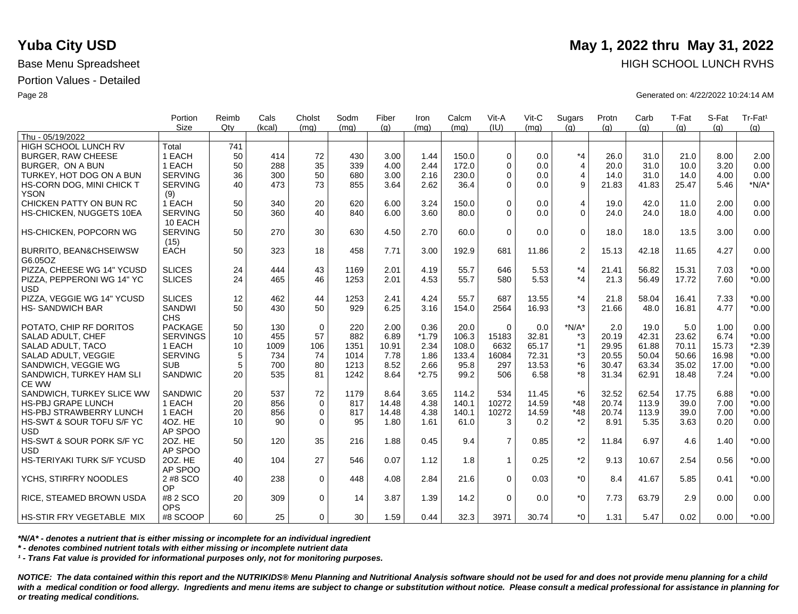|                                   | Portion                | Reimb           | Cals   | Cholst      | Sodm | Fiber | Iron    | Calcm | Vit-A          | $V$ it-C | Sugars         | Protn | Carb  | T-Fat | S-Fat | Tr-Fat <sup>1</sup> |
|-----------------------------------|------------------------|-----------------|--------|-------------|------|-------|---------|-------|----------------|----------|----------------|-------|-------|-------|-------|---------------------|
| Thu - 05/19/2022                  | <b>Size</b>            | Qtv             | (kcal) | (mq)        | (ma) | (q)   | (mq)    | (mq)  | (IU)           | (ma)     | (q)            | (q)   | (q)   | (q)   | (q)   | (q)                 |
| HIGH SCHOOL LUNCH RV              | Total                  | 741             |        |             |      |       |         |       |                |          |                |       |       |       |       |                     |
| <b>BURGER, RAW CHEESE</b>         | 1 EACH                 | 50              | 414    | 72          | 430  | 3.00  | 1.44    | 150.0 | $\mathbf 0$    | 0.0      | $*_{4}$        | 26.0  | 31.0  | 21.0  | 8.00  | 2.00                |
| BURGER. ON A BUN                  | 1 EACH                 | 50              | 288    | 35          | 339  | 4.00  | 2.44    | 172.0 | $\Omega$       | 0.0      | $\overline{4}$ | 20.0  | 31.0  | 10.0  | 3.20  | 0.00                |
| TURKEY, HOT DOG ON A BUN          | <b>SERVING</b>         | 36              | 300    | 50          | 680  | 3.00  | 2.16    | 230.0 | $\mathbf 0$    | 0.0      | $\overline{4}$ | 14.0  | 31.0  | 14.0  | 4.00  | 0.00                |
| HS-CORN DOG, MINI CHICK T         | <b>SERVING</b>         | 40              | 473    | 73          | 855  | 3.64  | 2.62    | 36.4  | $\Omega$       | 0.0      | 9              | 21.83 | 41.83 | 25.47 | 5.46  | $*N/A*$             |
| <b>YSON</b>                       | (9)                    |                 |        |             |      |       |         |       |                |          |                |       |       |       |       |                     |
| CHICKEN PATTY ON BUN RC           | 1 EACH                 | 50              | 340    | 20          | 620  | 6.00  | 3.24    | 150.0 | $\Omega$       | 0.0      | 4              | 19.0  | 42.0  | 11.0  | 2.00  | 0.00                |
| HS-CHICKEN, NUGGETS 10EA          | <b>SERVING</b>         | 50              | 360    | 40          | 840  | 6.00  | 3.60    | 80.0  | $\Omega$       | 0.0      | $\Omega$       | 24.0  | 24.0  | 18.0  | 4.00  | 0.00                |
|                                   | 10 EACH                |                 |        |             |      |       |         |       |                |          |                |       |       |       |       |                     |
| HS-CHICKEN, POPCORN WG            | <b>SERVING</b>         | 50              | 270    | 30          | 630  | 4.50  | 2.70    | 60.0  | $\Omega$       | 0.0      | $\Omega$       | 18.0  | 18.0  | 13.5  | 3.00  | 0.00                |
|                                   | (15)                   |                 |        |             |      |       |         |       |                |          |                |       |       |       |       |                     |
| <b>BURRITO, BEAN&amp;CHSEIWSW</b> | <b>EACH</b>            | 50              | 323    | 18          | 458  | 7.71  | 3.00    | 192.9 | 681            | 11.86    | 2              | 15.13 | 42.18 | 11.65 | 4.27  | 0.00                |
| G6.05OZ                           |                        |                 |        |             |      |       |         |       |                |          |                |       |       |       |       |                     |
| PIZZA, CHEESE WG 14" YCUSD        | <b>SLICES</b>          | 24              | 444    | 43          | 1169 | 2.01  | 4.19    | 55.7  | 646            | 5.53     | $*_{4}$        | 21.41 | 56.82 | 15.31 | 7.03  | $*0.00$             |
| PIZZA, PEPPERONI WG 14" YC        | <b>SLICES</b>          | 24              | 465    | 46          | 1253 | 2.01  | 4.53    | 55.7  | 580            | 5.53     | $*_{4}$        | 21.3  | 56.49 | 17.72 | 7.60  | $*0.00$             |
| <b>USD</b>                        |                        |                 |        |             |      |       |         |       |                |          |                |       |       |       |       |                     |
| PIZZA, VEGGIE WG 14" YCUSD        | <b>SLICES</b>          | 12              | 462    | 44          | 1253 | 2.41  | 4.24    | 55.7  | 687            | 13.55    | $*_{4}$        | 21.8  | 58.04 | 16.41 | 7.33  | $*0.00$             |
| <b>HS-SANDWICH BAR</b>            | SANDWI                 | 50              | 430    | 50          | 929  | 6.25  | 3.16    | 154.0 | 2564           | 16.93    | $*3$           | 21.66 | 48.0  | 16.81 | 4.77  | $*0.00$             |
|                                   | <b>CHS</b>             |                 |        |             |      |       |         |       |                |          |                |       |       |       |       |                     |
| POTATO, CHIP RF DORITOS           | <b>PACKAGE</b>         | 50              | 130    | 0           | 220  | 2.00  | 0.36    | 20.0  | 0              | 0.0      | $*N/A*$        | 2.0   | 19.0  | 5.0   | 1.00  | 0.00                |
| SALAD ADULT, CHEF                 | <b>SERVINGS</b>        | 10              | 455    | 57          | 882  | 6.89  | $*1.79$ | 106.3 | 15183          | 32.81    | *3             | 20.19 | 42.31 | 23.62 | 6.74  | $*0.00$             |
| SALAD ADULT, TACO                 | 1 EACH                 | 10              | 1009   | 106         | 1351 | 10.91 | 2.34    | 108.0 | 6632           | 65.17    | $*1$           | 29.95 | 61.88 | 70.11 | 15.73 | $*2.39$             |
| SALAD ADULT. VEGGIE               | <b>SERVING</b>         | 5               | 734    | 74          | 1014 | 7.78  | 1.86    | 133.4 | 16084          | 72.31    | *3             | 20.55 | 50.04 | 50.66 | 16.98 | $*0.00$             |
| SANDWICH, VEGGIE WG               | <b>SUB</b>             | 5               | 700    | 80          | 1213 | 8.52  | 2.66    | 95.8  | 297            | 13.53    | $*6$           | 30.47 | 63.34 | 35.02 | 17.00 | $*0.00$             |
| SANDWICH, TURKEY HAM SLI          | SANDWIC                | 20              | 535    | 81          | 1242 | 8.64  | $*2.75$ | 99.2  | 506            | 6.58     | *8             | 31.34 | 62.91 | 18.48 | 7.24  | $*0.00$             |
| CE WW                             |                        |                 |        |             |      |       |         |       |                |          |                |       |       |       |       |                     |
| SANDWICH, TURKEY SLICE WW         | SANDWIC                | 20              | 537    | 72          | 1179 | 8.64  | 3.65    | 114.2 | 534            | 11.45    | $*6$           | 32.52 | 62.54 | 17.75 | 6.88  | $*0.00$             |
| <b>HS-PBJ GRAPE LUNCH</b>         | 1 EACH                 | 20              | 856    | $\mathbf 0$ | 817  | 14.48 | 4.38    | 140.1 | 10272          | 14.59    | $*48$          | 20.74 | 113.9 | 39.0  | 7.00  | $*0.00$             |
| <b>HS-PBJ STRAWBERRY LUNCH</b>    | 1 EACH                 | 20              | 856    | 0           | 817  | 14.48 | 4.38    | 140.1 | 10272          | 14.59    | $*48$          | 20.74 | 113.9 | 39.0  | 7.00  | $*0.00$             |
| HS-SWT & SOUR TOFU S/F YC         | 4OZ. HE                | 10              | 90     | $\mathbf 0$ | 95   | 1.80  | 1.61    | 61.0  | 3              | 0.2      | $*2$           | 8.91  | 5.35  | 3.63  | 0.20  | 0.00                |
| <b>USD</b>                        | AP SPOO                |                 |        |             |      |       |         |       |                |          |                |       |       |       |       |                     |
| HS-SWT & SOUR PORK S/F YC         | 20Z. HE                | 50              | 120    | 35          | 216  | 1.88  | 0.45    | 9.4   | $\overline{7}$ | 0.85     | $*2$           | 11.84 | 6.97  | 4.6   | 1.40  | $*0.00$             |
| <b>USD</b>                        | AP SPOO                |                 |        |             |      |       |         |       |                |          |                |       |       |       |       |                     |
| HS-TERIYAKI TURK S/F YCUSD        | 20Z. HE                | 40              | 104    | 27          | 546  | 0.07  | 1.12    | 1.8   | $\mathbf{1}$   | 0.25     | $*_{2}$        | 9.13  | 10.67 | 2.54  | 0.56  | $*0.00$             |
|                                   | AP SPOO                |                 |        |             |      |       |         |       |                |          |                |       |       |       |       |                     |
| YCHS, STIRFRY NOODLES             | 2 #8 SCO               | 40              | 238    | $\Omega$    | 448  | 4.08  | 2.84    | 21.6  | $\Omega$       | 0.03     | $*_{0}$        | 8.4   | 41.67 | 5.85  | 0.41  | $*0.00$             |
|                                   | OP                     |                 |        |             |      |       |         |       |                |          |                |       |       |       |       |                     |
| RICE, STEAMED BROWN USDA          | #8 2 SCO               | 20              | 309    | $\mathbf 0$ | 14   | 3.87  | 1.39    | 14.2  | $\Omega$       | 0.0      | $*_{0}$        | 7.73  | 63.79 | 2.9   | 0.00  | 0.00                |
| <b>HS-STIR FRY VEGETABLE MIX</b>  | <b>OPS</b><br>#8 SCOOP | 60 <sup>1</sup> | 25     | $\Omega$    | 30   | 1.59  | 0.44    | 32.3  | 3971           | 30.74    | $*$ $\Omega$   | 1.31  | 5.47  | 0.02  | 0.00  | $*0.00$             |
|                                   |                        |                 |        |             |      |       |         |       |                |          |                |       |       |       |       |                     |

*\*N/A\* - denotes a nutrient that is either missing or incomplete for an individual ingredient*

*\* - denotes combined nutrient totals with either missing or incomplete nutrient data*

*¹ - Trans Fat value is provided for informational purposes only, not for monitoring purposes.*

*NOTICE: The data contained within this report and the NUTRIKIDS® Menu Planning and Nutritional Analysis software should not be used for and does not provide menu planning for a child*  with a medical condition or food allergy. Ingredients and menu items are subject to change or substitution without notice. Please consult a medical professional for assistance in planning for *or treating medical conditions.*

# **Yuba City USD** May 1, 2022 thru May 31, 2022 Base Menu Spreadsheet **HIGH SCHOOL LUNCH RVHS**

Page 28 Generated on: 4/22/2022 10:24:14 AM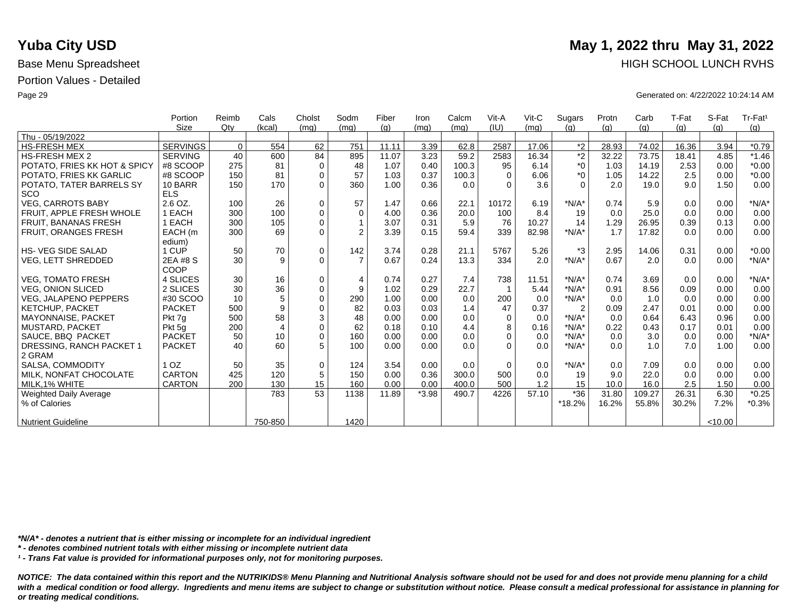|                              | Portion         | Reimb    | Cals           | Cholst      | Sodm           | Fiber | Iron    | Calcm | Vit-A    | $V$ it-C | Sugars         | Protn | Carb   | T-Fat | S-Fat   | Tr-Fat <sup>1</sup> |
|------------------------------|-----------------|----------|----------------|-------------|----------------|-------|---------|-------|----------|----------|----------------|-------|--------|-------|---------|---------------------|
|                              | <b>Size</b>     | Qtv      | (kcal)         | (mq)        | (mq)           | (q)   | (mq)    | (mq)  | (IU)     | (mq)     | (q)            | (q)   | (q)    | (g)   | (q)     | (g)                 |
| Thu - 05/19/2022             |                 |          |                |             |                |       |         |       |          |          |                |       |        |       |         |                     |
| <b>HS-FRESH MEX</b>          | <b>SERVINGS</b> | $\Omega$ | 554            | 62          | 751            | 11.11 | 3.39    | 62.8  | 2587     | 17.06    | $*2$           | 28.93 | 74.02  | 16.36 | 3.94    | $*0.79$             |
| <b>HS-FRESH MEX 2</b>        | <b>SERVING</b>  | 40       | 600            | 84          | 895            | 11.07 | 3.23    | 59.2  | 2583     | 16.34    | $\overline{2}$ | 32.22 | 73.75  | 18.41 | 4.85    | $*1.46$             |
| POTATO, FRIES KK HOT & SPICY | #8 SCOOP        | 275      | 81             | $\mathbf 0$ | 48             | 1.07  | 0.40    | 100.3 | 95       | 6.14     | $^*0$          | 1.03  | 14.19  | 2.53  | 0.00    | $*0.00$             |
| POTATO, FRIES KK GARLIC      | #8 SCOOP        | 150      | 81             | $\mathbf 0$ | 57             | 1.03  | 0.37    | 100.3 | $\Omega$ | 6.06     | $*_{0}$        | 1.05  | 14.22  | 2.5   | 0.00    | $*0.00$             |
| POTATO, TATER BARRELS SY     | 10 BARR         | 150      | 170            | $\Omega$    | 360            | 1.00  | 0.36    | 0.0   | $\Omega$ | 3.6      | $\Omega$       | 2.0   | 19.0   | 9.0   | 1.50    | 0.00                |
| <b>SCO</b>                   | <b>ELS</b>      |          |                |             |                |       |         |       |          |          |                |       |        |       |         |                     |
| <b>VEG, CARROTS BABY</b>     | 2.6 OZ.         | 100      | 26             | $\mathbf 0$ | 57             | 1.47  | 0.66    | 22.1  | 10172    | 6.19     | $*N/A*$        | 0.74  | 5.9    | 0.0   | 0.00    | $*N/A*$             |
| FRUIT. APPLE FRESH WHOLE     | 1 EACH          | 300      | 100            | $\mathbf 0$ | $\Omega$       | 4.00  | 0.36    | 20.0  | 100      | 8.4      | 19             | 0.0   | 25.0   | 0.0   | 0.00    | 0.00                |
| <b>FRUIT, BANANAS FRESH</b>  | 1 EACH          | 300      | 105            | $\Omega$    |                | 3.07  | 0.31    | 5.9   | 76       | 10.27    | 14             | 1.29  | 26.95  | 0.39  | 0.13    | 0.00                |
| FRUIT, ORANGES FRESH         | EACH (m         | 300      | 69             | $\Omega$    | $\overline{2}$ | 3.39  | 0.15    | 59.4  | 339      | 82.98    | $*N/A*$        | 1.7   | 17.82  | 0.0   | 0.00    | 0.00                |
|                              | edium)          |          |                |             |                |       |         |       |          |          |                |       |        |       |         |                     |
| <b>HS-VEG SIDE SALAD</b>     | 1 CUP           | 50       | 70             | $\mathbf 0$ | 142            | 3.74  | 0.28    | 21.1  | 5767     | 5.26     | $*3$           | 2.95  | 14.06  | 0.31  | 0.00    | $*0.00$             |
| <b>VEG, LETT SHREDDED</b>    | 2EA #8 S        | 30       | 9              | $\Omega$    | $\overline{7}$ | 0.67  | 0.24    | 13.3  | 334      | 2.0      | $*N/A*$        | 0.67  | 2.0    | 0.0   | 0.00    | $*N/A*$             |
|                              | COOP            |          |                |             |                |       |         |       |          |          |                |       |        |       |         |                     |
| <b>VEG, TOMATO FRESH</b>     | 4 SLICES        | 30       | 16             | $\mathbf 0$ | $\overline{4}$ | 0.74  | 0.27    | 7.4   | 738      | 11.51    | $*N/A*$        | 0.74  | 3.69   | 0.0   | 0.00    | $*N/A*$             |
| <b>VEG, ONION SLICED</b>     | 2 SLICES        | 30       | 36             | $\mathbf 0$ | 9              | 1.02  | 0.29    | 22.7  |          | 5.44     | $*N/A*$        | 0.91  | 8.56   | 0.09  | 0.00    | 0.00                |
| <b>VEG, JALAPENO PEPPERS</b> | #30 SCOO        | 10       | 5              | $\Omega$    | 290            | 1.00  | 0.00    | 0.0   | 200      | 0.0      | $*N/A*$        | 0.0   | 1.0    | 0.0   | 0.00    | 0.00                |
| KETCHUP, PACKET              | <b>PACKET</b>   | 500      | 9              | $\mathbf 0$ | 82             | 0.03  | 0.03    | 1.4   | 47       | 0.37     | $\overline{2}$ | 0.09  | 2.47   | 0.01  | 0.00    | 0.00                |
| <b>MAYONNAISE, PACKET</b>    | Pkt 7q          | 500      | 58             | 3           | 48             | 0.00  | 0.00    | 0.0   | $\Omega$ | 0.0      | $*N/A*$        | 0.0   | 0.64   | 6.43  | 0.96    | 0.00                |
| <b>MUSTARD, PACKET</b>       | Pkt 5q          | 200      | $\overline{4}$ | $\mathbf 0$ | 62             | 0.18  | 0.10    | 4.4   | 8        | 0.16     | $*N/A*$        | 0.22  | 0.43   | 0.17  | 0.01    | 0.00                |
| SAUCE, BBQ PACKET            | <b>PACKET</b>   | 50       | 10             | $\Omega$    | 160            | 0.00  | 0.00    | 0.0   | $\Omega$ | 0.0      | $*N/A*$        | 0.0   | 3.0    | 0.0   | 0.00    | $*N/A*$             |
| DRESSING, RANCH PACKET 1     | <b>PACKET</b>   | 40       | 60             | 5           | 100            | 0.00  | 0.00    | 0.0   | $\Omega$ | 0.0      | $*N/A*$        | 0.0   | 1.0    | 7.0   | 1.00    | 0.00                |
| 2 GRAM                       |                 |          |                |             |                |       |         |       |          |          |                |       |        |       |         |                     |
| SALSA, COMMODITY             | 1 <sub>OZ</sub> | 50       | 35             | $\mathbf 0$ | 124            | 3.54  | 0.00    | 0.0   | $\Omega$ | 0.0      | $*N/A*$        | 0.0   | 7.09   | 0.0   | 0.00    | 0.00                |
| MILK. NONFAT CHOCOLATE       | <b>CARTON</b>   | 425      | 120            | 5           | 150            | 0.00  | 0.36    | 300.0 | 500      | 0.0      | 19             | 9.0   | 22.0   | 0.0   | 0.00    | 0.00                |
| MILK.1% WHITE                | <b>CARTON</b>   | 200      | 130            | 15          | 160            | 0.00  | 0.00    | 400.0 | 500      | 1.2      | 15             | 10.0  | 16.0   | 2.5   | 1.50    | 0.00                |
| Weighted Daily Average       |                 |          | 783            | 53          | 1138           | 11.89 | $*3.98$ | 490.7 | 4226     | 57.10    | $*36$          | 31.80 | 109.27 | 26.31 | 6.30    | $*0.25$             |
| % of Calories                |                 |          |                |             |                |       |         |       |          |          | *18.2%         | 16.2% | 55.8%  | 30.2% | 7.2%    | $*0.3%$             |
|                              |                 |          |                |             |                |       |         |       |          |          |                |       |        |       |         |                     |
| <b>Nutrient Guideline</b>    |                 |          | 750-850        |             | 1420           |       |         |       |          |          |                |       |        |       | < 10.00 |                     |

*\*N/A\* - denotes a nutrient that is either missing or incomplete for an individual ingredient*

*\* - denotes combined nutrient totals with either missing or incomplete nutrient data*

*¹ - Trans Fat value is provided for informational purposes only, not for monitoring purposes.*

*NOTICE: The data contained within this report and the NUTRIKIDS® Menu Planning and Nutritional Analysis software should not be used for and does not provide menu planning for a child*  with a medical condition or food allergy. Ingredients and menu items are subject to change or substitution without notice. Please consult a medical professional for assistance in planning for *or treating medical conditions.*

### **Yuba City USD** May 1, 2022 thru May 31, 2022 Base Menu Spreadsheet **HIGH SCHOOL LUNCH RVHS**

Page 29 Generated on: 4/22/2022 10:24:14 AM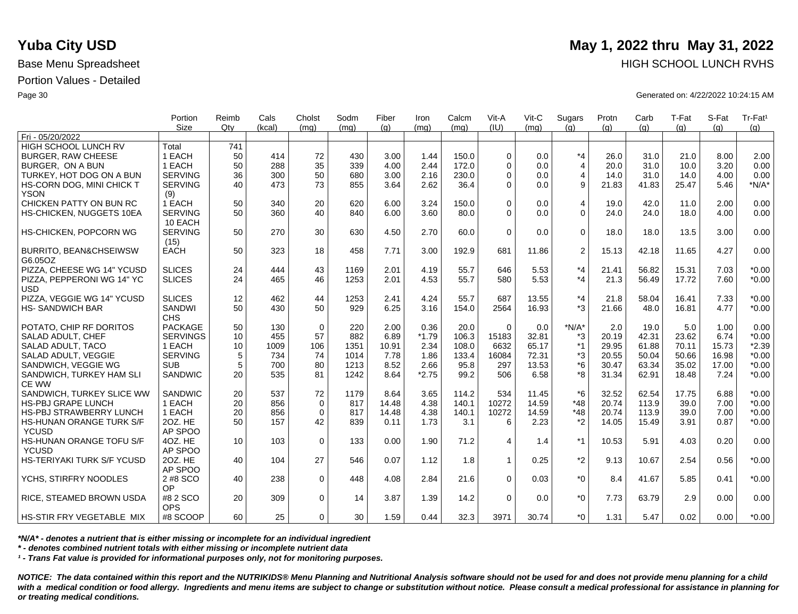|                                              | Portion                   | Reimb           | Cals   | Cholst      | Sodm | Fiber | Iron    | Calcm | Vit-A       | Vit-C | Sugars         | Protn | Carb  | T-Fat | S-Fat | Tr-Fat <sup>1</sup> |
|----------------------------------------------|---------------------------|-----------------|--------|-------------|------|-------|---------|-------|-------------|-------|----------------|-------|-------|-------|-------|---------------------|
| Fri - 05/20/2022                             | <b>Size</b>               | Qtv             | (kcal) | (ma)        | (mq) | (q)   | (mq)    | (ma)  | (IU)        | (mq)  | (q)            | (q)   | (q)   | (q)   | (q)   | (g)                 |
| <b>HIGH SCHOOL LUNCH RV</b>                  | Total                     | 741             |        |             |      |       |         |       |             |       |                |       |       |       |       |                     |
| <b>BURGER, RAW CHEESE</b>                    | 1 EACH                    | 50              | 414    | 72          | 430  | 3.00  | 1.44    | 150.0 | $\Omega$    | 0.0   | $*_{4}$        | 26.0  | 31.0  | 21.0  | 8.00  | 2.00                |
| BURGER. ON A BUN                             | 1 EACH                    | 50              | 288    | 35          | 339  | 4.00  | 2.44    | 172.0 | $\Omega$    | 0.0   | $\overline{4}$ | 20.0  | 31.0  | 10.0  | 3.20  | 0.00                |
| TURKEY, HOT DOG ON A BUN                     | <b>SERVING</b>            | 36              | 300    | 50          | 680  | 3.00  | 2.16    | 230.0 | $\Omega$    | 0.0   | 4              | 14.0  | 31.0  | 14.0  | 4.00  | 0.00                |
|                                              | <b>SERVING</b>            | 40              | 473    | 73          | 855  | 3.64  | 2.62    | 36.4  | $\Omega$    | 0.0   | 9              | 21.83 | 41.83 | 25.47 | 5.46  | $*N/A*$             |
| HS-CORN DOG, MINI CHICK T<br><b>YSON</b>     | (9)                       |                 |        |             |      |       |         |       |             |       |                |       |       |       |       |                     |
| CHICKEN PATTY ON BUN RC                      | 1 EACH                    | 50              | 340    | 20          | 620  | 6.00  | 3.24    | 150.0 | $\Omega$    | 0.0   | $\overline{4}$ | 19.0  | 42.0  | 11.0  | 2.00  | 0.00                |
| HS-CHICKEN, NUGGETS 10EA                     | <b>SERVING</b><br>10 EACH | 50              | 360    | 40          | 840  | 6.00  | 3.60    | 80.0  | $\Omega$    | 0.0   | $\Omega$       | 24.0  | 24.0  | 18.0  | 4.00  | 0.00                |
| HS-CHICKEN, POPCORN WG                       | <b>SERVING</b>            | 50              | 270    | 30          | 630  | 4.50  | 2.70    | 60.0  | $\Omega$    | 0.0   | $\mathbf 0$    | 18.0  | 18.0  | 13.5  | 3.00  | 0.00                |
|                                              | (15)<br><b>EACH</b>       | 50              | 323    | 18          | 458  | 7.71  | 3.00    |       | 681         | 11.86 | 2              | 15.13 | 42.18 | 11.65 |       |                     |
| <b>BURRITO, BEAN&amp;CHSEIWSW</b><br>G6.05OZ |                           |                 |        |             |      |       |         | 192.9 |             |       |                |       |       |       | 4.27  | 0.00                |
| PIZZA, CHEESE WG 14" YCUSD                   | <b>SLICES</b>             | 24              | 444    | 43          | 1169 | 2.01  | 4.19    | 55.7  | 646         | 5.53  | $*_{4}$        | 21.41 | 56.82 | 15.31 | 7.03  | $*0.00$             |
| PIZZA, PEPPERONI WG 14" YC<br><b>USD</b>     | <b>SLICES</b>             | 24              | 465    | 46          | 1253 | 2.01  | 4.53    | 55.7  | 580         | 5.53  | $*_{4}$        | 21.3  | 56.49 | 17.72 | 7.60  | $*0.00$             |
| PIZZA, VEGGIE WG 14" YCUSD                   | <b>SLICES</b>             | 12              | 462    | 44          | 1253 | 2.41  | 4.24    | 55.7  | 687         | 13.55 | $*_{4}$        | 21.8  | 58.04 | 16.41 | 7.33  | $*0.00$             |
| <b>HS-SANDWICH BAR</b>                       | SANDWI<br><b>CHS</b>      | 50              | 430    | 50          | 929  | 6.25  | 3.16    | 154.0 | 2564        | 16.93 | $*3$           | 21.66 | 48.0  | 16.81 | 4.77  | $*0.00$             |
| POTATO, CHIP RF DORITOS                      | <b>PACKAGE</b>            | 50              | 130    | $\mathbf 0$ | 220  | 2.00  | 0.36    | 20.0  | $\Omega$    | 0.0   | $*N/A*$        | 2.0   | 19.0  | 5.0   | 1.00  | 0.00                |
| SALAD ADULT, CHEF                            | <b>SERVINGS</b>           | 10              | 455    | 57          | 882  | 6.89  | $*1.79$ | 106.3 | 15183       | 32.81 | *3             | 20.19 | 42.31 | 23.62 | 6.74  | $*0.00$             |
| SALAD ADULT, TACO                            | 1 EACH                    | 10              | 1009   | 106         | 1351 | 10.91 | 2.34    | 108.0 | 6632        | 65.17 | $*1$           | 29.95 | 61.88 | 70.11 | 15.73 | $*2.39$             |
| SALAD ADULT, VEGGIE                          | <b>SERVING</b>            | 5               | 734    | 74          | 1014 | 7.78  | 1.86    | 133.4 | 16084       | 72.31 | *3             | 20.55 | 50.04 | 50.66 | 16.98 | $*0.00$             |
| SANDWICH, VEGGIE WG                          | <b>SUB</b>                | 5               | 700    | 80          | 1213 | 8.52  | 2.66    | 95.8  | 297         | 13.53 | *6             | 30.47 | 63.34 | 35.02 | 17.00 | $*0.00$             |
| SANDWICH, TURKEY HAM SLI                     | SANDWIC                   | 20              | 535    | 81          | 1242 | 8.64  | $*2.75$ | 99.2  | 506         | 6.58  | *8             | 31.34 | 62.91 | 18.48 | 7.24  | $*0.00$             |
| CE WW                                        |                           |                 |        |             |      |       |         |       |             |       |                |       |       |       |       |                     |
| SANDWICH, TURKEY SLICE WW                    | <b>SANDWIC</b>            | 20              | 537    | 72          | 1179 | 8.64  | 3.65    | 114.2 | 534         | 11.45 | $*6$           | 32.52 | 62.54 | 17.75 | 6.88  | $*0.00$             |
| <b>HS-PBJ GRAPE LUNCH</b>                    | 1 EACH                    | 20              | 856    | $\mathbf 0$ | 817  | 14.48 | 4.38    | 140.1 | 10272       | 14.59 | $*48$          | 20.74 | 113.9 | 39.0  | 7.00  | $*0.00$             |
| <b>HS-PBJ STRAWBERRY LUNCH</b>               | 1 EACH                    | 20              | 856    | $\mathbf 0$ | 817  | 14.48 | 4.38    | 140.1 | 10272       | 14.59 | $*48$          | 20.74 | 113.9 | 39.0  | 7.00  | $*0.00$             |
| HS-HUNAN ORANGE TURK S/F                     | 20Z. HE                   | 50              | 157    | 42          | 839  | 0.11  | 1.73    | 3.1   | 6           | 2.23  | $*_{2}$        | 14.05 | 15.49 | 3.91  | 0.87  | $*0.00$             |
| <b>YCUSD</b>                                 | AP SPOO                   |                 |        |             |      |       |         |       |             |       |                |       |       |       |       |                     |
| <b>HS-HUNAN ORANGE TOFU S/F</b>              | 4OZ. HE                   | 10 <sup>1</sup> | 103    | $\mathbf 0$ | 133  | 0.00  | 1.90    | 71.2  | 4           | 1.4   | $*1$           | 10.53 | 5.91  | 4.03  | 0.20  | 0.00                |
| <b>YCUSD</b>                                 | AP SPOO                   |                 |        |             |      |       |         |       |             |       |                |       |       |       |       |                     |
| HS-TERIYAKI TURK S/F YCUSD                   | 20Z. HE<br>AP SPOO        | 40              | 104    | 27          | 546  | 0.07  | 1.12    | 1.8   | $\mathbf 1$ | 0.25  | $*2$           | 9.13  | 10.67 | 2.54  | 0.56  | $*0.00$             |
| YCHS, STIRFRY NOODLES                        | 2 #8 SCO                  | 40              | 238    | $\Omega$    | 448  | 4.08  | 2.84    | 21.6  | $\Omega$    | 0.03  | $*_{0}$        | 8.4   | 41.67 | 5.85  | 0.41  | $*0.00$             |
|                                              | OP                        |                 |        |             |      |       |         |       |             |       |                |       |       |       |       |                     |
| RICE, STEAMED BROWN USDA                     | #8 2 SCO<br><b>OPS</b>    | 20              | 309    | $\mathbf 0$ | 14   | 3.87  | 1.39    | 14.2  | $\Omega$    | 0.0   | $^*0$          | 7.73  | 63.79 | 2.9   | 0.00  | 0.00                |
| HS-STIR FRY VEGETABLE MIX                    | #8 SCOOP                  | 60 <sup>1</sup> | 25     | $\Omega$    | 30   | 1.59  | 0.44    | 32.3  | 3971        | 30.74 | $*_{0}$        | 1.31  | 5.47  | 0.02  | 0.00  | $*0.00$             |

*\*N/A\* - denotes a nutrient that is either missing or incomplete for an individual ingredient*

*\* - denotes combined nutrient totals with either missing or incomplete nutrient data*

*¹ - Trans Fat value is provided for informational purposes only, not for monitoring purposes.*

*NOTICE: The data contained within this report and the NUTRIKIDS® Menu Planning and Nutritional Analysis software should not be used for and does not provide menu planning for a child*  with a medical condition or food allergy. Ingredients and menu items are subject to change or substitution without notice. Please consult a medical professional for assistance in planning for *or treating medical conditions.*

# **Yuba City USD** May 1, 2022 thru May 31, 2022 Base Menu Spreadsheet **HIGH SCHOOL LUNCH RVHS**

Page 30 Generated on: 4/22/2022 10:24:15 AM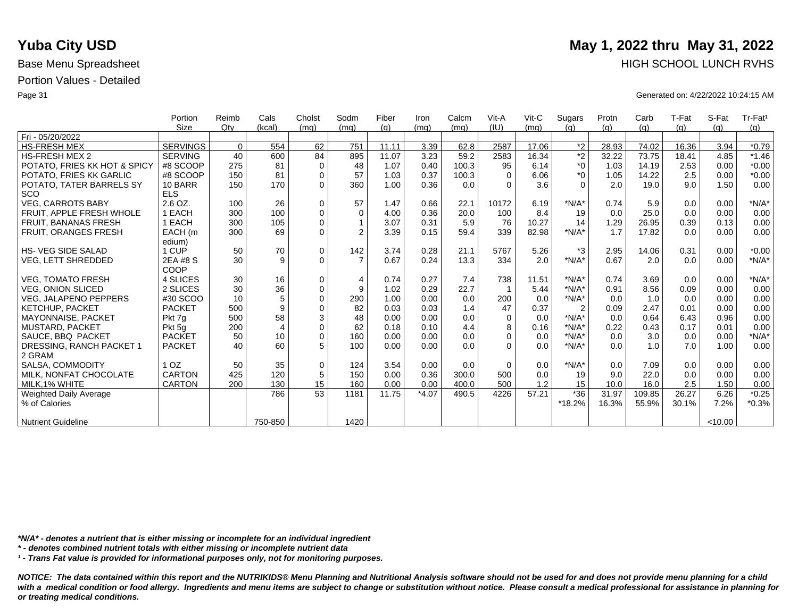|                              | Portion         | Reimb       | Cals           | Cholst      | Sodm           | Fiber | Iron    | Calcm | Vit-A    | $V$ it-C | Sugars         | Protn | Carb   | T-Fat | S-Fat   | Tr-Fat <sup>1</sup> |
|------------------------------|-----------------|-------------|----------------|-------------|----------------|-------|---------|-------|----------|----------|----------------|-------|--------|-------|---------|---------------------|
|                              | <b>Size</b>     | Qtv         | (kcal)         | (mq)        | (mq)           | (q)   | (mq)    | (mq)  | (IU)     | (mq)     | (q)            | (q)   | (g)    | (g)   | (q)     | (g)                 |
| Fri - 05/20/2022             |                 |             |                |             |                |       |         |       |          |          |                |       |        |       |         |                     |
| <b>HS-FRESH MEX</b>          | <b>SERVINGS</b> | $\mathbf 0$ | 554            | 62          | 751            | 11.11 | 3.39    | 62.8  | 2587     | 17.06    | $*2$           | 28.93 | 74.02  | 16.36 | 3.94    | $*0.79$             |
| <b>HS-FRESH MEX 2</b>        | <b>SERVING</b>  | 40          | 600            | 84          | 895            | 11.07 | 3.23    | 59.2  | 2583     | 16.34    | $\overline{2}$ | 32.22 | 73.75  | 18.41 | 4.85    | $*1.46$             |
| POTATO, FRIES KK HOT & SPICY | #8 SCOOP        | 275         | 81             | $\mathbf 0$ | 48             | 1.07  | 0.40    | 100.3 | 95       | 6.14     | $*_{0}$        | 1.03  | 14.19  | 2.53  | 0.00    | $*0.00$             |
| POTATO, FRIES KK GARLIC      | #8 SCOOP        | 150         | 81             | $\mathbf 0$ | 57             | 1.03  | 0.37    | 100.3 | $\Omega$ | 6.06     | $*_{0}$        | 1.05  | 14.22  | 2.5   | 0.00    | $*0.00$             |
| POTATO, TATER BARRELS SY     | 10 BARR         | 150         | 170            | $\Omega$    | 360            | 1.00  | 0.36    | 0.0   | $\Omega$ | 3.6      | $\Omega$       | 2.0   | 19.0   | 9.0   | 1.50    | 0.00                |
| SCO                          | <b>ELS</b>      |             |                |             |                |       |         |       |          |          |                |       |        |       |         |                     |
| <b>VEG. CARROTS BABY</b>     | $2.6$ OZ.       | 100         | 26             | $\Omega$    | 57             | 1.47  | 0.66    | 22.1  | 10172    | 6.19     | $*N/A*$        | 0.74  | 5.9    | 0.0   | 0.00    | $*N/A*$             |
| FRUIT, APPLE FRESH WHOLE     | <b>I EACH</b>   | 300         | 100            | $\mathbf 0$ | 0              | 4.00  | 0.36    | 20.0  | 100      | 8.4      | 19             | 0.0   | 25.0   | 0.0   | 0.00    | 0.00                |
| <b>FRUIT, BANANAS FRESH</b>  | <b>I EACH</b>   | 300         | 105            | $\Omega$    | $\mathbf{1}$   | 3.07  | 0.31    | 5.9   | 76       | 10.27    | 14             | 1.29  | 26.95  | 0.39  | 0.13    | 0.00                |
| <b>FRUIT, ORANGES FRESH</b>  | EACH (m         | 300         | 69             | $\Omega$    | $\overline{2}$ | 3.39  | 0.15    | 59.4  | 339      | 82.98    | $*N/A*$        | 1.7   | 17.82  | 0.0   | 0.00    | 0.00                |
|                              | edium)          |             |                |             |                |       |         |       |          |          |                |       |        |       |         |                     |
| <b>HS-VEG SIDE SALAD</b>     | 1 CUP           | 50          | 70             | $\mathbf 0$ | 142            | 3.74  | 0.28    | 21.1  | 5767     | 5.26     | $*3$           | 2.95  | 14.06  | 0.31  | 0.00    | $*0.00$             |
| VEG, LETT SHREDDED           | 2EA #8 S        | 30          | 9              | $\Omega$    | $\overline{7}$ | 0.67  | 0.24    | 13.3  | 334      | 2.0      | $*N/A*$        | 0.67  | 2.0    | 0.0   | 0.00    | $*N/A*$             |
|                              | COOP            |             |                |             |                |       |         |       |          |          |                |       |        |       |         |                     |
| <b>VEG. TOMATO FRESH</b>     | 4 SLICES        | 30          | 16             | $\mathbf 0$ | $\overline{4}$ | 0.74  | 0.27    | 7.4   | 738      | 11.51    | $*N/A*$        | 0.74  | 3.69   | 0.0   | 0.00    | $*N/A*$             |
| <b>VEG. ONION SLICED</b>     | 2 SLICES        | 30          | 36             | $\mathbf 0$ | 9              | 1.02  | 0.29    | 22.7  |          | 5.44     | $*N/A*$        | 0.91  | 8.56   | 0.09  | 0.00    | 0.00                |
| <b>VEG. JALAPENO PEPPERS</b> | #30 SCOO        | 10          | 5              | $\Omega$    | 290            | 1.00  | 0.00    | 0.0   | 200      | 0.0      | $*N/A*$        | 0.0   | 1.0    | 0.0   | 0.00    | 0.00                |
| KETCHUP, PACKET              | <b>PACKET</b>   | 500         | 9              | $\Omega$    | 82             | 0.03  | 0.03    | 1.4   | 47       | 0.37     | $\overline{2}$ | 0.09  | 2.47   | 0.01  | 0.00    | 0.00                |
| <b>MAYONNAISE, PACKET</b>    | Pkt 7g          | 500         | 58             | 3           | 48             | 0.00  | 0.00    | 0.0   | $\Omega$ | 0.0      | $*N/A*$        | 0.0   | 0.64   | 6.43  | 0.96    | 0.00                |
| <b>MUSTARD, PACKET</b>       | Pkt 5g          | 200         | $\overline{4}$ | $\mathbf 0$ | 62             | 0.18  | 0.10    | 4.4   | 8        | 0.16     | $*N/A*$        | 0.22  | 0.43   | 0.17  | 0.01    | 0.00                |
| SAUCE, BBQ PACKET            | <b>PACKET</b>   | 50          | 10             | $\Omega$    | 160            | 0.00  | 0.00    | 0.0   | $\Omega$ | 0.0      | $*N/A*$        | 0.0   | 3.0    | 0.0   | 0.00    | $*N/A*$             |
| DRESSING, RANCH PACKET 1     | <b>PACKET</b>   | 40          | 60             | 5           | 100            | 0.00  | 0.00    | 0.0   | $\Omega$ | 0.0      | $*N/A*$        | 0.0   | 1.0    | 7.0   | 1.00    | 0.00                |
| 2 GRAM                       |                 |             |                |             |                |       |         |       |          |          |                |       |        |       |         |                     |
| SALSA, COMMODITY             | 1 <sub>OZ</sub> | 50          | 35             | $\mathbf 0$ | 124            | 3.54  | 0.00    | 0.0   | $\Omega$ | 0.0      | $*N/A*$        | 0.0   | 7.09   | 0.0   | 0.00    | 0.00                |
| MILK, NONFAT CHOCOLATE       | <b>CARTON</b>   | 425         | 120            | 5           | 150            | 0.00  | 0.36    | 300.0 | 500      | 0.0      | 19             | 9.0   | 22.0   | 0.0   | 0.00    | 0.00                |
| MILK, 1% WHITE               | <b>CARTON</b>   | 200         | 130            | 15          | 160            | 0.00  | 0.00    | 400.0 | 500      | 1.2      | 15             | 10.0  | 16.0   | 2.5   | 1.50    | 0.00                |
| Weighted Daily Average       |                 |             | 786            | 53          | 1181           | 11.75 | $*4.07$ | 490.5 | 4226     | 57.21    | $*36$          | 31.97 | 109.85 | 26.27 | 6.26    | $*0.25$             |
| % of Calories                |                 |             |                |             |                |       |         |       |          |          | *18.2%         | 16.3% | 55.9%  | 30.1% | 7.2%    | $*0.3%$             |
|                              |                 |             |                |             |                |       |         |       |          |          |                |       |        |       |         |                     |
| <b>Nutrient Guideline</b>    |                 |             | 750-850        |             | 1420           |       |         |       |          |          |                |       |        |       | < 10.00 |                     |

*\*N/A\* - denotes a nutrient that is either missing or incomplete for an individual ingredient*

*\* - denotes combined nutrient totals with either missing or incomplete nutrient data*

*¹ - Trans Fat value is provided for informational purposes only, not for monitoring purposes.*

with a medical condition or food allergy. Ingredients and menu items are subject to change or substitution without notice. Please consult a medical professional for assistance in planning for *or treating medical conditions.*

## **Yuba City USD** May 1, 2022 thru May 31, 2022 Base Menu Spreadsheet **HIGH SCHOOL LUNCH RVHS**

Page 31 Generated on: 4/22/2022 10:24:15 AM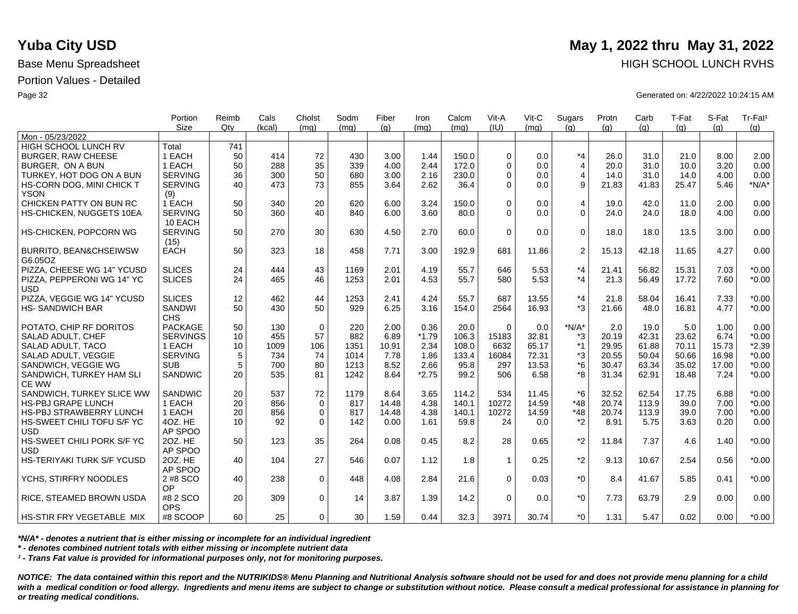|                                   | Portion         | Reimb | Cals   | Cholst      | Sodm | Fiber | Iron    | Calcm | Vit-A        | $V$ it-C | Sugars         | Protn | Carb  | T-Fat | S-Fat | Tr-Fat <sup>1</sup> |
|-----------------------------------|-----------------|-------|--------|-------------|------|-------|---------|-------|--------------|----------|----------------|-------|-------|-------|-------|---------------------|
| Mon - 05/23/2022                  | <b>Size</b>     | Qtv   | (kcal) | (mq)        | (mq) | (q)   | (mq)    | (mq)  | (IU)         | (ma)     | (q)            | (q)   | (q)   | (q)   | (q)   | (q)                 |
| HIGH SCHOOL LUNCH RV              | Total           | 741   |        |             |      |       |         |       |              |          |                |       |       |       |       |                     |
| <b>BURGER, RAW CHEESE</b>         | 1 EACH          | 50    | 414    | 72          | 430  | 3.00  | 1.44    | 150.0 | $\mathbf 0$  | 0.0      | $*_{4}$        | 26.0  | 31.0  | 21.0  | 8.00  | 2.00                |
| BURGER. ON A BUN                  | 1 EACH          | 50    | 288    | 35          | 339  | 4.00  | 2.44    | 172.0 | $\Omega$     | 0.0      | $\overline{4}$ | 20.0  | 31.0  | 10.0  | 3.20  | 0.00                |
| TURKEY, HOT DOG ON A BUN          | <b>SERVING</b>  | 36    | 300    | 50          | 680  | 3.00  | 2.16    | 230.0 | $\mathbf 0$  | 0.0      | $\overline{4}$ | 14.0  | 31.0  | 14.0  | 4.00  | 0.00                |
| HS-CORN DOG, MINI CHICK T         | <b>SERVING</b>  | 40    | 473    | 73          | 855  | 3.64  | 2.62    | 36.4  | $\Omega$     | 0.0      | 9              | 21.83 | 41.83 | 25.47 | 5.46  | $*N/A*$             |
| <b>YSON</b>                       | (9)             |       |        |             |      |       |         |       |              |          |                |       |       |       |       |                     |
| CHICKEN PATTY ON BUN RC           | 1 EACH          | 50    | 340    | 20          | 620  | 6.00  | 3.24    | 150.0 | $\Omega$     | 0.0      | 4              | 19.0  | 42.0  | 11.0  | 2.00  | 0.00                |
| HS-CHICKEN, NUGGETS 10EA          | <b>SERVING</b>  | 50    | 360    | 40          | 840  | 6.00  | 3.60    | 80.0  | $\Omega$     | 0.0      | $\Omega$       | 24.0  | 24.0  | 18.0  | 4.00  | 0.00                |
|                                   | 10 EACH         |       |        |             |      |       |         |       |              |          |                |       |       |       |       |                     |
| HS-CHICKEN, POPCORN WG            | <b>SERVING</b>  | 50    | 270    | 30          | 630  | 4.50  | 2.70    | 60.0  | $\Omega$     | 0.0      | $\Omega$       | 18.0  | 18.0  | 13.5  | 3.00  | 0.00                |
|                                   | (15)            |       |        |             |      |       |         |       |              |          |                |       |       |       |       |                     |
| <b>BURRITO, BEAN&amp;CHSEIWSW</b> | <b>EACH</b>     | 50    | 323    | 18          | 458  | 7.71  | 3.00    | 192.9 | 681          | 11.86    | 2              | 15.13 | 42.18 | 11.65 | 4.27  | 0.00                |
| G6.05OZ                           |                 |       |        |             |      |       |         |       |              |          |                |       |       |       |       |                     |
| PIZZA, CHEESE WG 14" YCUSD        | <b>SLICES</b>   | 24    | 444    | 43          | 1169 | 2.01  | 4.19    | 55.7  | 646          | 5.53     | $*_{4}$        | 21.41 | 56.82 | 15.31 | 7.03  | $*0.00$             |
| PIZZA, PEPPERONI WG 14" YC        | <b>SLICES</b>   | 24    | 465    | 46          | 1253 | 2.01  | 4.53    | 55.7  | 580          | 5.53     | $*_{4}$        | 21.3  | 56.49 | 17.72 | 7.60  | $*0.00$             |
| <b>USD</b>                        |                 |       |        |             |      |       |         |       |              |          |                |       |       |       |       |                     |
| PIZZA, VEGGIE WG 14" YCUSD        | <b>SLICES</b>   | 12    | 462    | 44          | 1253 | 2.41  | 4.24    | 55.7  | 687          | 13.55    | $*_{4}$        | 21.8  | 58.04 | 16.41 | 7.33  | $*0.00$             |
| <b>HS-SANDWICH BAR</b>            | <b>SANDWI</b>   | 50    | 430    | 50          | 929  | 6.25  | 3.16    | 154.0 | 2564         | 16.93    | $*3$           | 21.66 | 48.0  | 16.81 | 4.77  | $*0.00$             |
|                                   | <b>CHS</b>      |       |        |             |      |       |         |       |              |          |                |       |       |       |       |                     |
| POTATO, CHIP RF DORITOS           | <b>PACKAGE</b>  | 50    | 130    | 0           | 220  | 2.00  | 0.36    | 20.0  | 0            | 0.0      | $*N/A*$        | 2.0   | 19.0  | 5.0   | 1.00  | 0.00                |
| SALAD ADULT, CHEF                 | <b>SERVINGS</b> | 10    | 455    | 57          | 882  | 6.89  | $*1.79$ | 106.3 | 15183        | 32.81    | *3             | 20.19 | 42.31 | 23.62 | 6.74  | $*0.00$             |
| SALAD ADULT, TACO                 | 1 EACH          | 10    | 1009   | 106         | 1351 | 10.91 | 2.34    | 108.0 | 6632         | 65.17    | $*1$           | 29.95 | 61.88 | 70.11 | 15.73 | $*2.39$             |
| SALAD ADULT. VEGGIE               | <b>SERVING</b>  | 5     | 734    | 74          | 1014 | 7.78  | 1.86    | 133.4 | 16084        | 72.31    | *3             | 20.55 | 50.04 | 50.66 | 16.98 | $*0.00$             |
| SANDWICH, VEGGIE WG               | <b>SUB</b>      | 5     | 700    | 80          | 1213 | 8.52  | 2.66    | 95.8  | 297          | 13.53    | $*6$           | 30.47 | 63.34 | 35.02 | 17.00 | $*0.00$             |
| SANDWICH, TURKEY HAM SLI          | SANDWIC         | 20    | 535    | 81          | 1242 | 8.64  | $*2.75$ | 99.2  | 506          | 6.58     | *8             | 31.34 | 62.91 | 18.48 | 7.24  | $*0.00$             |
| CE WW                             |                 |       |        |             |      |       |         |       |              |          |                |       |       |       |       |                     |
| SANDWICH, TURKEY SLICE WW         | SANDWIC         | 20    | 537    | 72          | 1179 | 8.64  | 3.65    | 114.2 | 534          | 11.45    | $*6$           | 32.52 | 62.54 | 17.75 | 6.88  | $*0.00$             |
| <b>HS-PBJ GRAPE LUNCH</b>         | 1 EACH          | 20    | 856    | $\mathbf 0$ | 817  | 14.48 | 4.38    | 140.1 | 10272        | 14.59    | $*48$          | 20.74 | 113.9 | 39.0  | 7.00  | $*0.00$             |
| <b>HS-PBJ STRAWBERRY LUNCH</b>    | 1 EACH          | 20    | 856    | 0           | 817  | 14.48 | 4.38    | 140.1 | 10272        | 14.59    | $*48$          | 20.74 | 113.9 | 39.0  | 7.00  | $*0.00$             |
| HS-SWEET CHILI TOFU S/F YC        | 4OZ. HE         | 10    | 92     | $\Omega$    | 142  | 0.00  | 1.61    | 59.8  | 24           | 0.0      | $*2$           | 8.91  | 5.75  | 3.63  | 0.20  | 0.00                |
| <b>USD</b>                        | AP SPOO         |       |        |             |      |       |         |       |              |          |                |       |       |       |       |                     |
| HS-SWEET CHILI PORK S/F YC        | 20Z. HE         | 50    | 123    | 35          | 264  | 0.08  | 0.45    | 8.2   | 28           | 0.65     | $*2$           | 11.84 | 7.37  | 4.6   | 1.40  | $*0.00$             |
| <b>USD</b>                        | AP SPOO         |       |        |             |      |       |         |       |              |          |                |       |       |       |       |                     |
| HS-TERIYAKI TURK S/F YCUSD        | 20Z. HE         | 40    | 104    | 27          | 546  | 0.07  | 1.12    | 1.8   | $\mathbf{1}$ | 0.25     | $*_{2}$        | 9.13  | 10.67 | 2.54  | 0.56  | $*0.00$             |
|                                   | AP SPOO         |       |        |             |      |       |         |       |              |          |                |       |       |       |       |                     |
| YCHS, STIRFRY NOODLES             | 2 #8 SCO        | 40    | 238    | $\Omega$    | 448  | 4.08  | 2.84    | 21.6  | $\Omega$     | 0.03     | $*_{0}$        | 8.4   | 41.67 | 5.85  | 0.41  | $*0.00$             |
|                                   | OP              |       |        |             |      |       |         |       |              |          |                |       |       |       |       |                     |
| RICE, STEAMED BROWN USDA          | #8 2 SCO        | 20    | 309    | $\mathbf 0$ | 14   | 3.87  | 1.39    | 14.2  | $\Omega$     | 0.0      | $*_{0}$        | 7.73  | 63.79 | 2.9   | 0.00  | 0.00                |
|                                   | <b>OPS</b>      |       |        |             |      |       |         |       |              |          |                |       |       |       |       |                     |
| <b>HS-STIR FRY VEGETABLE MIX</b>  | #8 SCOOP        | 60    | 25     | $\Omega$    | 30   | 1.59  | 0.44    | 32.3  | 3971         | 30.74    | $*$ $\Omega$   | 1.31  | 5.47  | 0.02  | 0.00  | $*0.00$             |

*\*N/A\* - denotes a nutrient that is either missing or incomplete for an individual ingredient*

*\* - denotes combined nutrient totals with either missing or incomplete nutrient data*

*¹ - Trans Fat value is provided for informational purposes only, not for monitoring purposes.*

*NOTICE: The data contained within this report and the NUTRIKIDS® Menu Planning and Nutritional Analysis software should not be used for and does not provide menu planning for a child*  with a medical condition or food allergy. Ingredients and menu items are subject to change or substitution without notice. Please consult a medical professional for assistance in planning for *or treating medical conditions.*

# **Yuba City USD** May 1, 2022 thru May 31, 2022 Base Menu Spreadsheet **HIGH SCHOOL LUNCH RVHS**

Page 32 Generated on: 4/22/2022 10:24:15 AM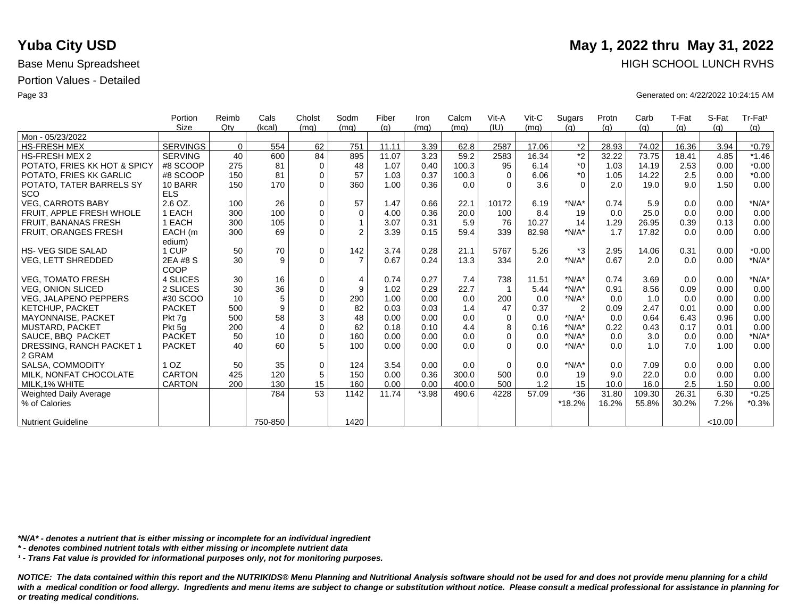|                              | Portion         | Reimb    | Cals           | Cholst      | Sodm           | Fiber | Iron    | Calcm | Vit-A       | Vit-C | Sugars         | Protn | Carb   | T-Fat | S-Fat   | Tr-Fat <sup>1</sup> |
|------------------------------|-----------------|----------|----------------|-------------|----------------|-------|---------|-------|-------------|-------|----------------|-------|--------|-------|---------|---------------------|
|                              | Size            | Qtv      | (kcal)         | (mq)        | (mq)           | (q)   | (mq)    | (mq)  | (IU)        | (mq)  | (q)            | (q)   | (q)    | (q)   | (q)     | (g)                 |
| Mon - 05/23/2022             |                 |          |                |             |                |       |         |       |             |       |                |       |        |       |         |                     |
| <b>HS-FRESH MEX</b>          | SERVINGS        | $\Omega$ | 554            | 62          | 751            | 11.11 | 3.39    | 62.8  | 2587        | 17.06 | $*2$           | 28.93 | 74.02  | 16.36 | 3.94    | $*0.79$             |
| <b>HS-FRESH MEX 2</b>        | <b>SERVING</b>  | 40       | 600            | 84          | 895            | 11.07 | 3.23    | 59.2  | 2583        | 16.34 | $\overline{2}$ | 32.22 | 73.75  | 18.41 | 4.85    | $*1.46$             |
| POTATO, FRIES KK HOT & SPICY | #8 SCOOP        | 275      | 81             | $\mathbf 0$ | 48             | 1.07  | 0.40    | 100.3 | 95          | 6.14  | $^*0$          | 1.03  | 14.19  | 2.53  | 0.00    | $*0.00$             |
| POTATO, FRIES KK GARLIC      | #8 SCOOP        | 150      | 81             | $\mathbf 0$ | 57             | 1.03  | 0.37    | 100.3 | $\Omega$    | 6.06  | $^*0$          | 1.05  | 14.22  | 2.5   | 0.00    | $*0.00$             |
| POTATO, TATER BARRELS SY     | 10 BARR         | 150      | 170            | $\Omega$    | 360            | 1.00  | 0.36    | 0.0   | $\Omega$    | 3.6   | $\Omega$       | 2.0   | 19.0   | 9.0   | 1.50    | 0.00                |
| <b>SCO</b>                   | <b>ELS</b>      |          |                |             |                |       |         |       |             |       |                |       |        |       |         |                     |
| <b>VEG, CARROTS BABY</b>     | 2.6 OZ.         | 100      | 26             | 0           | 57             | 1.47  | 0.66    | 22.1  | 10172       | 6.19  | $*N/A*$        | 0.74  | 5.9    | 0.0   | 0.00    | $*N/A*$             |
| FRUIT, APPLE FRESH WHOLE     | 1 EACH          | 300      | 100            | $\mathbf 0$ | $\mathbf 0$    | 4.00  | 0.36    | 20.0  | 100         | 8.4   | 19             | 0.0   | 25.0   | 0.0   | 0.00    | 0.00                |
| FRUIT, BANANAS FRESH         | 1 EACH          | 300      | 105            | $\mathbf 0$ |                | 3.07  | 0.31    | 5.9   | 76          | 10.27 | 14             | 1.29  | 26.95  | 0.39  | 0.13    | 0.00                |
| FRUIT, ORANGES FRESH         | EACH (m         | 300      | 69             | $\mathbf 0$ | $\overline{2}$ | 3.39  | 0.15    | 59.4  | 339         | 82.98 | $*N/A*$        | 1.7   | 17.82  | 0.0   | 0.00    | 0.00                |
|                              | edium)          |          |                |             |                |       |         |       |             |       |                |       |        |       |         |                     |
| <b>HS-VEG SIDE SALAD</b>     | 1 CUP           | 50       | 70             | $\mathbf 0$ | 142            | 3.74  | 0.28    | 21.1  | 5767        | 5.26  | $*3$           | 2.95  | 14.06  | 0.31  | 0.00    | $*0.00$             |
| <b>VEG, LETT SHREDDED</b>    | 2EA #8 S        | 30       | 9              | $\Omega$    | $\overline{7}$ | 0.67  | 0.24    | 13.3  | 334         | 2.0   | $*N/A*$        | 0.67  | 2.0    | 0.0   | 0.00    | $*N/A*$             |
|                              | COOP            |          |                |             |                |       |         |       |             |       |                |       |        |       |         |                     |
| <b>VEG, TOMATO FRESH</b>     | 4 SLICES        | 30       | 16             | 0           | 4              | 0.74  | 0.27    | 7.4   | 738         | 11.51 | $*N/A*$        | 0.74  | 3.69   | 0.0   | 0.00    | $*N/A*$             |
| <b>VEG. ONION SLICED</b>     | 2 SLICES        | 30       | 36             | $\mathbf 0$ | 9              | 1.02  | 0.29    | 22.7  | -1          | 5.44  | $*N/A*$        | 0.91  | 8.56   | 0.09  | 0.00    | 0.00                |
| <b>VEG. JALAPENO PEPPERS</b> | #30 SCOO        | 10       | 5              | $\mathbf 0$ | 290            | 1.00  | 0.00    | 0.0   | 200         | 0.0   | $*N/A*$        | 0.0   | 1.0    | 0.0   | 0.00    | 0.00                |
| <b>KETCHUP, PACKET</b>       | <b>PACKET</b>   | 500      | 9              | $\mathbf 0$ | 82             | 0.03  | 0.03    | 1.4   | 47          | 0.37  | $\overline{2}$ | 0.09  | 2.47   | 0.01  | 0.00    | 0.00                |
| <b>MAYONNAISE, PACKET</b>    | Pkt 7g          | 500      | 58             | 3           | 48             | 0.00  | 0.00    | 0.0   | $\Omega$    | 0.0   | $*N/A*$        | 0.0   | 0.64   | 6.43  | 0.96    | 0.00                |
| <b>MUSTARD, PACKET</b>       | Pkt 5q          | 200      | $\overline{4}$ | $\mathbf 0$ | 62             | 0.18  | 0.10    | 4.4   | 8           | 0.16  | $*N/A*$        | 0.22  | 0.43   | 0.17  | 0.01    | 0.00                |
| SAUCE, BBQ PACKET            | <b>PACKET</b>   | 50       | 10             | $\mathbf 0$ | 160            | 0.00  | 0.00    | 0.0   | 0           | 0.0   | $*N/A*$        | 0.0   | 3.0    | 0.0   | 0.00    | $*N/A*$             |
| DRESSING, RANCH PACKET 1     | <b>PACKET</b>   | 40       | 60             | 5           | 100            | 0.00  | 0.00    | 0.0   | $\Omega$    | 0.0   | $*N/A*$        | 0.0   | 1.0    | 7.0   | 1.00    | 0.00                |
| 2 GRAM                       |                 |          |                |             |                |       |         |       |             |       |                |       |        |       |         |                     |
| SALSA, COMMODITY             | 1 <sub>OZ</sub> | 50       | 35             | 0           | 124            | 3.54  | 0.00    | 0.0   | $\mathbf 0$ | 0.0   | $*N/A*$        | 0.0   | 7.09   | 0.0   | 0.00    | 0.00                |
| MILK, NONFAT CHOCOLATE       | CARTON          | 425      | 120            | 5           | 150            | 0.00  | 0.36    | 300.0 | 500         | 0.0   | 19             | 9.0   | 22.0   | 0.0   | 0.00    | 0.00                |
| MILK.1% WHITE                | <b>CARTON</b>   | 200      | 130            | 15          | 160            | 0.00  | 0.00    | 400.0 | 500         | 1.2   | 15             | 10.0  | 16.0   | 2.5   | 1.50    | 0.00                |
| Weighted Daily Average       |                 |          | 784            | 53          | 1142           | 11.74 | $*3.98$ | 490.6 | 4228        | 57.09 | $*36$          | 31.80 | 109.30 | 26.31 | 6.30    | $*0.25$             |
| % of Calories                |                 |          |                |             |                |       |         |       |             |       | *18.2%         | 16.2% | 55.8%  | 30.2% | 7.2%    | $*0.3%$             |
|                              |                 |          |                |             |                |       |         |       |             |       |                |       |        |       |         |                     |
| <b>Nutrient Guideline</b>    |                 |          | 750-850        |             | 1420           |       |         |       |             |       |                |       |        |       | < 10.00 |                     |

*\*N/A\* - denotes a nutrient that is either missing or incomplete for an individual ingredient*

*\* - denotes combined nutrient totals with either missing or incomplete nutrient data*

*¹ - Trans Fat value is provided for informational purposes only, not for monitoring purposes.*

*NOTICE: The data contained within this report and the NUTRIKIDS® Menu Planning and Nutritional Analysis software should not be used for and does not provide menu planning for a child*  with a medical condition or food allergy. Ingredients and menu items are subject to change or substitution without notice. Please consult a medical professional for assistance in planning for *or treating medical conditions.*

## **Yuba City USD** May 1, 2022 thru May 31, 2022 Base Menu Spreadsheet **HIGH SCHOOL LUNCH RVHS**

Page 33 Generated on: 4/22/2022 10:24:15 AM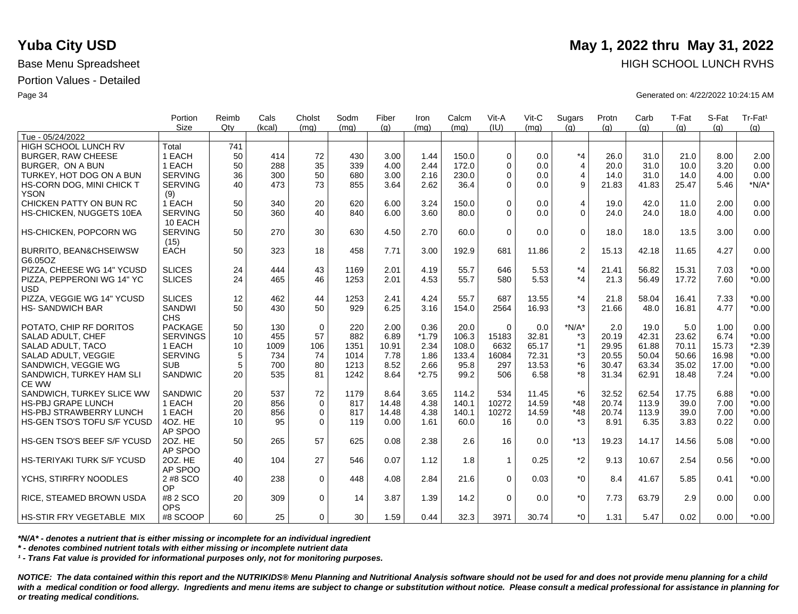|                                   | Portion<br><b>Size</b> | Reimb<br>Qtv | Cals<br>(kcal) | Cholst<br>(mq) | Sodm<br>(mq) | Fiber<br>(q) | Iron<br>(ma) | Calcm<br>(mq) | Vit-A<br>(IU) | Vit-C<br>(ma) | Sugars<br>(q)  | Protn<br>(q) | Carb<br>(q) | T-Fat<br>(q) | S-Fat<br>(a) | Tr-Fat <sup>1</sup><br>(g) |
|-----------------------------------|------------------------|--------------|----------------|----------------|--------------|--------------|--------------|---------------|---------------|---------------|----------------|--------------|-------------|--------------|--------------|----------------------------|
| Tue - 05/24/2022                  |                        |              |                |                |              |              |              |               |               |               |                |              |             |              |              |                            |
| HIGH SCHOOL LUNCH RV              | Total                  | 741          |                |                |              |              |              |               |               |               |                |              |             |              |              |                            |
| <b>BURGER, RAW CHEESE</b>         | 1 EACH                 | 50           | 414            | 72             | 430          | 3.00         | 1.44         | 150.0         | $\Omega$      | 0.0           | $*_{4}$        | 26.0         | 31.0        | 21.0         | 8.00         | 2.00                       |
| BURGER, ON A BUN                  | 1 EACH                 | 50           | 288            | 35             | 339          | 4.00         | 2.44         | 172.0         | $\Omega$      | 0.0           | $\overline{4}$ | 20.0         | 31.0        | 10.0         | 3.20         | 0.00                       |
| TURKEY, HOT DOG ON A BUN          | <b>SERVING</b>         | 36           | 300            | 50             | 680          | 3.00         | 2.16         | 230.0         | $\Omega$      | 0.0           | $\overline{4}$ | 14.0         | 31.0        | 14.0         | 4.00         | 0.00                       |
| HS-CORN DOG, MINI CHICK T         | <b>SERVING</b>         | 40           | 473            | 73             | 855          | 3.64         | 2.62         | 36.4          | $\Omega$      | 0.0           | 9              | 21.83        | 41.83       | 25.47        | 5.46         | $*N/A*$                    |
| <b>YSON</b>                       | (9)                    |              |                |                |              |              |              |               |               |               |                |              |             |              |              |                            |
| CHICKEN PATTY ON BUN RC           | 1 EACH                 | 50           | 340            | 20             | 620          | 6.00         | 3.24         | 150.0         | $\Omega$      | 0.0           | 4              | 19.0         | 42.0        | 11.0         | 2.00         | 0.00                       |
| HS-CHICKEN, NUGGETS 10EA          | <b>SERVING</b>         | 50           | 360            | 40             | 840          | 6.00         | 3.60         | 80.0          | $\Omega$      | 0.0           | $\Omega$       | 24.0         | 24.0        | 18.0         | 4.00         | 0.00                       |
|                                   | 10 EACH                |              |                |                |              |              |              |               |               |               |                |              |             |              |              |                            |
| HS-CHICKEN, POPCORN WG            | <b>SERVING</b>         | 50           | 270            | 30             | 630          | 4.50         | 2.70         | 60.0          | $\Omega$      | 0.0           | $\mathbf 0$    | 18.0         | 18.0        | 13.5         | 3.00         | 0.00                       |
|                                   | (15)                   |              |                |                |              |              |              |               |               |               |                |              |             |              |              |                            |
| <b>BURRITO, BEAN&amp;CHSEIWSW</b> | <b>EACH</b>            | 50           | 323            | 18             | 458          | 7.71         | 3.00         | 192.9         | 681           | 11.86         | 2              | 15.13        | 42.18       | 11.65        | 4.27         | 0.00                       |
| G6.05OZ                           |                        |              |                |                |              |              |              |               |               |               |                |              |             |              |              |                            |
| PIZZA, CHEESE WG 14" YCUSD        | <b>SLICES</b>          | 24           | 444            | 43             | 1169         | 2.01         | 4.19         | 55.7          | 646           | 5.53          | $*_{4}$        | 21.41        | 56.82       | 15.31        | 7.03         | $*0.00$                    |
| PIZZA. PEPPERONI WG 14" YC        | <b>SLICES</b>          | 24           | 465            | 46             | 1253         | 2.01         | 4.53         | 55.7          | 580           | 5.53          | $*_{4}$        | 21.3         | 56.49       | 17.72        | 7.60         | $*0.00$                    |
| <b>USD</b>                        |                        |              |                |                |              |              |              |               |               |               |                |              |             |              |              |                            |
| PIZZA, VEGGIE WG 14" YCUSD        | <b>SLICES</b>          | 12           | 462            | 44             | 1253         | 2.41         | 4.24         | 55.7          | 687           | 13.55         | $*_{4}$        | 21.8         | 58.04       | 16.41        | 7.33         | $*0.00$                    |
| <b>HS-SANDWICH BAR</b>            | <b>SANDWI</b>          | 50           | 430            | 50             | 929          | 6.25         | 3.16         | 154.0         | 2564          | 16.93         | $*3$           | 21.66        | 48.0        | 16.81        | 4.77         | $*0.00$                    |
|                                   | <b>CHS</b>             |              |                |                |              |              |              |               |               |               |                |              |             |              |              |                            |
| POTATO, CHIP RF DORITOS           | <b>PACKAGE</b>         | 50           | 130            | $\mathbf 0$    | 220          | 2.00         | 0.36         | 20.0          | $\Omega$      | 0.0           | $*N/A*$        | 2.0          | 19.0        | 5.0          | 1.00         | 0.00                       |
| SALAD ADULT, CHEF                 | <b>SERVINGS</b>        | 10           | 455            | 57             | 882          | 6.89         | $*1.79$      | 106.3         | 15183         | 32.81         | *3             | 20.19        | 42.31       | 23.62        | 6.74         | $*0.00$                    |
| SALAD ADULT, TACO                 | 1 EACH                 | 10           | 1009           | 106            | 1351         | 10.91        | 2.34         | 108.0         | 6632          | 65.17         | $*1$           | 29.95        | 61.88       | 70.11        | 15.73        | $*2.39$                    |
| SALAD ADULT, VEGGIE               | <b>SERVING</b>         | 5            | 734            | 74             | 1014         | 7.78         | 1.86         | 133.4         | 16084         | 72.31         | *3             | 20.55        | 50.04       | 50.66        | 16.98        | $*0.00$                    |
| SANDWICH, VEGGIE WG               | <b>SUB</b>             | 5            | 700            | 80             | 1213         | 8.52         | 2.66         | 95.8          | 297           | 13.53         | $*6$           | 30.47        | 63.34       | 35.02        | 17.00        | $*0.00$                    |
| SANDWICH, TURKEY HAM SLI          | SANDWIC                | 20           | 535            | 81             | 1242         | 8.64         | $*2.75$      | 99.2          | 506           | 6.58          | *8             | 31.34        | 62.91       | 18.48        | 7.24         | $*0.00$                    |
| <b>CE WW</b>                      |                        |              |                |                |              |              |              |               |               |               |                |              |             |              |              |                            |
| SANDWICH, TURKEY SLICE WW         | <b>SANDWIC</b>         | 20           | 537            | 72             | 1179         | 8.64         | 3.65         | 114.2         | 534           | 11.45         | $*6$           | 32.52        | 62.54       | 17.75        | 6.88         | $*0.00$                    |
| <b>HS-PBJ GRAPE LUNCH</b>         | 1 EACH                 | 20           | 856            | $\mathbf{0}$   | 817          | 14.48        | 4.38         | 140.1         | 10272         | 14.59         | $*48$          | 20.74        | 113.9       | 39.0         | 7.00         | $*0.00$                    |
| <b>HS-PBJ STRAWBERRY LUNCH</b>    | 1 EACH                 | 20           | 856            | 0              | 817          | 14.48        | 4.38         | 140.1         | 10272         | 14.59         | $*48$          | 20.74        | 113.9       | 39.0         | 7.00         | $*0.00$                    |
| HS-GEN TSO'S TOFU S/F YCUSD       | 4OZ. HE                | 10           | 95             | $\Omega$       | 119          | 0.00         | 1.61         | 60.0          | 16            | 0.0           | *3             | 8.91         | 6.35        | 3.83         | 0.22         | 0.00                       |
| HS-GEN TSO'S BEEF S/F YCUSD       | AP SPOO<br>20Z. HE     | 50           | 265            | 57             | 625          | 0.08         | 2.38         | 2.6           | 16            | 0.0           | $*13$          | 19.23        | 14.17       | 14.56        | 5.08         |                            |
|                                   | AP SPOO                |              |                |                |              |              |              |               |               |               |                |              |             |              |              | $*0.00$                    |
| HS-TERIYAKI TURK S/F YCUSD        | 20Z. HE                | 40           | 104            | 27             | 546          | 0.07         | 1.12         | 1.8           | $\mathbf{1}$  | 0.25          | $*2$           | 9.13         | 10.67       | 2.54         | 0.56         | $*0.00$                    |
|                                   | AP SPOO                |              |                |                |              |              |              |               |               |               |                |              |             |              |              |                            |
| YCHS, STIRFRY NOODLES             | 2 #8 SCO               | 40           | 238            | $\mathbf 0$    | 448          | 4.08         | 2.84         | 21.6          | $\Omega$      | 0.03          | $*_{0}$        | 8.4          | 41.67       | 5.85         | 0.41         | $*0.00$                    |
|                                   | OP                     |              |                |                |              |              |              |               |               |               |                |              |             |              |              |                            |
| <b>RICE, STEAMED BROWN USDA</b>   | #8 2 SCO               | 20           | 309            | $\mathbf 0$    | 14           | 3.87         | 1.39         | 14.2          | $\Omega$      | 0.0           | $*_{0}$        | 7.73         | 63.79       | 2.9          | 0.00         | 0.00                       |
|                                   | <b>OPS</b>             |              |                |                |              |              |              |               |               |               |                |              |             |              |              |                            |
| <b>HS-STIR FRY VEGETABLE MIX</b>  | #8 SCOOP               | 60           | 25             | $\Omega$       | 30           | 1.59         | 0.44         | 32.3          | 3971          | 30.74         | $*$ 0          | 1.31         | 5.47        | 0.02         | 0.00         | $*0.00$                    |

*\*N/A\* - denotes a nutrient that is either missing or incomplete for an individual ingredient*

*\* - denotes combined nutrient totals with either missing or incomplete nutrient data*

*¹ - Trans Fat value is provided for informational purposes only, not for monitoring purposes.*

*NOTICE: The data contained within this report and the NUTRIKIDS® Menu Planning and Nutritional Analysis software should not be used for and does not provide menu planning for a child*  with a medical condition or food allergy. Ingredients and menu items are subject to change or substitution without notice. Please consult a medical professional for assistance in planning for *or treating medical conditions.*

## **Yuba City USD** May 1, 2022 thru May 31, 2022 Base Menu Spreadsheet **HIGH SCHOOL LUNCH RVHS**

Page 34 Generated on: 4/22/2022 10:24:15 AM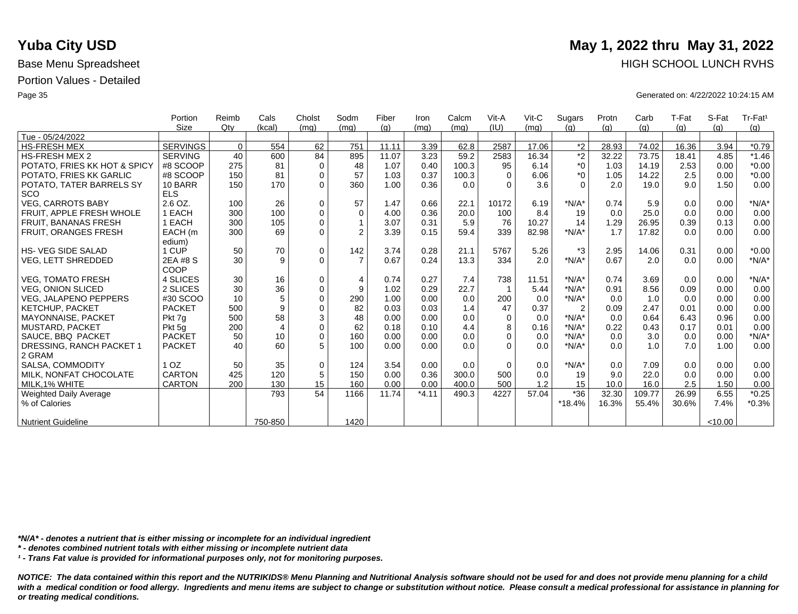|                              | Portion         | Reimb    | Cals           | Cholst      | Sodm           | Fiber | Iron    | Calcm | Vit-A    | $V$ it-C | Sugars         | Protn | Carb   | T-Fat | S-Fat   | Tr-Fat <sup>1</sup> |
|------------------------------|-----------------|----------|----------------|-------------|----------------|-------|---------|-------|----------|----------|----------------|-------|--------|-------|---------|---------------------|
|                              | <b>Size</b>     | Qtv      | (kcal)         | (mq)        | (mq)           | (q)   | (mq)    | (mq)  | (IU)     | (mq)     | (q)            | (q)   | (q)    | (g)   | (q)     | (g)                 |
| Tue - 05/24/2022             |                 |          |                |             |                |       |         |       |          |          |                |       |        |       |         |                     |
| <b>HS-FRESH MEX</b>          | <b>SERVINGS</b> | $\Omega$ | 554            | 62          | 751            | 11.11 | 3.39    | 62.8  | 2587     | 17.06    | $*2$           | 28.93 | 74.02  | 16.36 | 3.94    | $*0.79$             |
| <b>HS-FRESH MEX 2</b>        | <b>SERVING</b>  | 40       | 600            | 84          | 895            | 11.07 | 3.23    | 59.2  | 2583     | 16.34    | $\overline{2}$ | 32.22 | 73.75  | 18.41 | 4.85    | $*1.46$             |
| POTATO, FRIES KK HOT & SPICY | #8 SCOOP        | 275      | 81             | $\mathbf 0$ | 48             | 1.07  | 0.40    | 100.3 | 95       | 6.14     | $^*0$          | 1.03  | 14.19  | 2.53  | 0.00    | $*0.00$             |
| POTATO, FRIES KK GARLIC      | #8 SCOOP        | 150      | 81             | $\mathbf 0$ | 57             | 1.03  | 0.37    | 100.3 | $\Omega$ | 6.06     | $*_{0}$        | 1.05  | 14.22  | 2.5   | 0.00    | $*0.00$             |
| POTATO, TATER BARRELS SY     | 10 BARR         | 150      | 170            | $\Omega$    | 360            | 1.00  | 0.36    | 0.0   | $\Omega$ | 3.6      | $\Omega$       | 2.0   | 19.0   | 9.0   | 1.50    | 0.00                |
| <b>SCO</b>                   | <b>ELS</b>      |          |                |             |                |       |         |       |          |          |                |       |        |       |         |                     |
| <b>VEG, CARROTS BABY</b>     | 2.6 OZ.         | 100      | 26             | $\mathbf 0$ | 57             | 1.47  | 0.66    | 22.1  | 10172    | 6.19     | $*N/A*$        | 0.74  | 5.9    | 0.0   | 0.00    | $*N/A*$             |
| FRUIT. APPLE FRESH WHOLE     | 1 EACH          | 300      | 100            | $\mathbf 0$ | $\Omega$       | 4.00  | 0.36    | 20.0  | 100      | 8.4      | 19             | 0.0   | 25.0   | 0.0   | 0.00    | 0.00                |
| <b>FRUIT, BANANAS FRESH</b>  | 1 EACH          | 300      | 105            | $\Omega$    |                | 3.07  | 0.31    | 5.9   | 76       | 10.27    | 14             | 1.29  | 26.95  | 0.39  | 0.13    | 0.00                |
| FRUIT, ORANGES FRESH         | EACH (m         | 300      | 69             | $\Omega$    | $\overline{2}$ | 3.39  | 0.15    | 59.4  | 339      | 82.98    | $*N/A*$        | 1.7   | 17.82  | 0.0   | 0.00    | 0.00                |
|                              | edium)          |          |                |             |                |       |         |       |          |          |                |       |        |       |         |                     |
| <b>HS-VEG SIDE SALAD</b>     | 1 CUP           | 50       | 70             | $\mathbf 0$ | 142            | 3.74  | 0.28    | 21.1  | 5767     | 5.26     | $*3$           | 2.95  | 14.06  | 0.31  | 0.00    | $*0.00$             |
| <b>VEG, LETT SHREDDED</b>    | 2EA #8 S        | 30       | 9              | $\Omega$    | $\overline{7}$ | 0.67  | 0.24    | 13.3  | 334      | 2.0      | $*N/A*$        | 0.67  | 2.0    | 0.0   | 0.00    | $*N/A*$             |
|                              | COOP            |          |                |             |                |       |         |       |          |          |                |       |        |       |         |                     |
| <b>VEG, TOMATO FRESH</b>     | 4 SLICES        | 30       | 16             | $\mathbf 0$ | $\overline{4}$ | 0.74  | 0.27    | 7.4   | 738      | 11.51    | $*N/A*$        | 0.74  | 3.69   | 0.0   | 0.00    | $*N/A*$             |
| <b>VEG, ONION SLICED</b>     | 2 SLICES        | 30       | 36             | $\mathbf 0$ | 9              | 1.02  | 0.29    | 22.7  |          | 5.44     | $*N/A*$        | 0.91  | 8.56   | 0.09  | 0.00    | 0.00                |
| <b>VEG, JALAPENO PEPPERS</b> | #30 SCOO        | 10       | 5              | $\Omega$    | 290            | 1.00  | 0.00    | 0.0   | 200      | 0.0      | $*N/A*$        | 0.0   | 1.0    | 0.0   | 0.00    | 0.00                |
| KETCHUP, PACKET              | <b>PACKET</b>   | 500      | 9              | $\mathbf 0$ | 82             | 0.03  | 0.03    | 1.4   | 47       | 0.37     | $\overline{2}$ | 0.09  | 2.47   | 0.01  | 0.00    | 0.00                |
| <b>MAYONNAISE, PACKET</b>    | Pkt 7q          | 500      | 58             | 3           | 48             | 0.00  | 0.00    | 0.0   | $\Omega$ | 0.0      | $*N/A*$        | 0.0   | 0.64   | 6.43  | 0.96    | 0.00                |
| <b>MUSTARD, PACKET</b>       | Pkt 5q          | 200      | $\overline{4}$ | $\mathbf 0$ | 62             | 0.18  | 0.10    | 4.4   | 8        | 0.16     | $*N/A*$        | 0.22  | 0.43   | 0.17  | 0.01    | 0.00                |
| SAUCE, BBQ PACKET            | <b>PACKET</b>   | 50       | 10             | $\Omega$    | 160            | 0.00  | 0.00    | 0.0   | $\Omega$ | 0.0      | $*N/A*$        | 0.0   | 3.0    | 0.0   | 0.00    | $*N/A*$             |
| DRESSING, RANCH PACKET 1     | <b>PACKET</b>   | 40       | 60             | 5           | 100            | 0.00  | 0.00    | 0.0   | $\Omega$ | 0.0      | $*N/A*$        | 0.0   | 1.0    | 7.0   | 1.00    | 0.00                |
| 2 GRAM                       |                 |          |                |             |                |       |         |       |          |          |                |       |        |       |         |                     |
| SALSA, COMMODITY             | 1 <sub>OZ</sub> | 50       | 35             | $\mathbf 0$ | 124            | 3.54  | 0.00    | 0.0   | $\Omega$ | 0.0      | $*N/A*$        | 0.0   | 7.09   | 0.0   | 0.00    | 0.00                |
| MILK. NONFAT CHOCOLATE       | <b>CARTON</b>   | 425      | 120            | 5           | 150            | 0.00  | 0.36    | 300.0 | 500      | 0.0      | 19             | 9.0   | 22.0   | 0.0   | 0.00    | 0.00                |
| MILK.1% WHITE                | <b>CARTON</b>   | 200      | 130            | 15          | 160            | 0.00  | 0.00    | 400.0 | 500      | 1.2      | 15             | 10.0  | 16.0   | 2.5   | 1.50    | 0.00                |
| Weighted Daily Average       |                 |          | 793            | 54          | 1166           | 11.74 | $*4.11$ | 490.3 | 4227     | 57.04    | $*36$          | 32.30 | 109.77 | 26.99 | 6.55    | $*0.25$             |
| % of Calories                |                 |          |                |             |                |       |         |       |          |          | *18.4%         | 16.3% | 55.4%  | 30.6% | 7.4%    | $*0.3%$             |
|                              |                 |          |                |             |                |       |         |       |          |          |                |       |        |       |         |                     |
| <b>Nutrient Guideline</b>    |                 |          | 750-850        |             | 1420           |       |         |       |          |          |                |       |        |       | < 10.00 |                     |

*\*N/A\* - denotes a nutrient that is either missing or incomplete for an individual ingredient*

*\* - denotes combined nutrient totals with either missing or incomplete nutrient data*

*¹ - Trans Fat value is provided for informational purposes only, not for monitoring purposes.*

with a medical condition or food allergy. Ingredients and menu items are subject to change or substitution without notice. Please consult a medical professional for assistance in planning for *or treating medical conditions.*

## **Yuba City USD** May 1, 2022 thru May 31, 2022 Base Menu Spreadsheet **HIGH SCHOOL LUNCH RVHS**

Page 35 Generated on: 4/22/2022 10:24:15 AM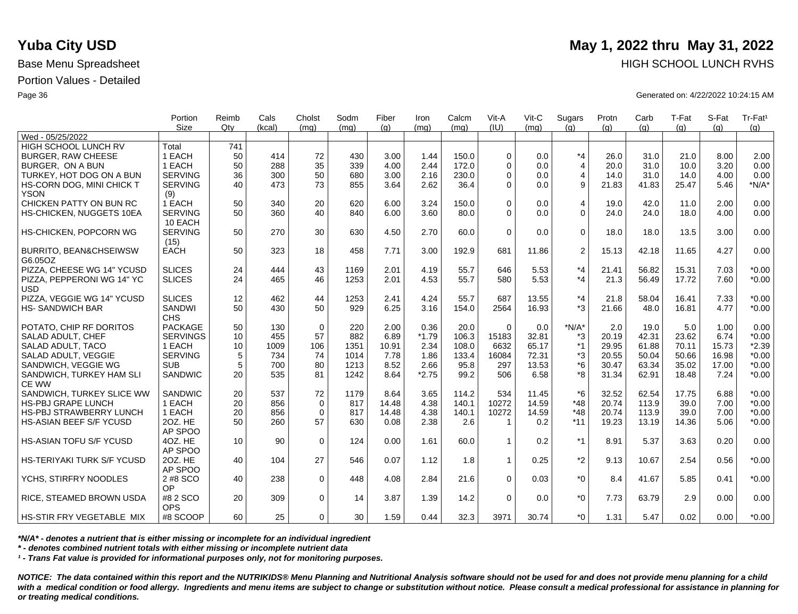|                                              | Portion               | Reimb           | Cals   | Cholst      | Sodm | Fiber | Iron    | Calcm | Vit-A        | $V$ it-C | Sugars         | Protn | Carb  | T-Fat | S-Fat | Tr-Fat <sup>1</sup> |
|----------------------------------------------|-----------------------|-----------------|--------|-------------|------|-------|---------|-------|--------------|----------|----------------|-------|-------|-------|-------|---------------------|
|                                              | <b>Size</b>           | Qtv             | (kcal) | (ma)        | (mq) | (q)   | (mq)    | (ma)  | (IU)         | (ma)     | (q)            | (q)   | (q)   | (q)   | (q)   | (g)                 |
| Wed - 05/25/2022                             |                       |                 |        |             |      |       |         |       |              |          |                |       |       |       |       |                     |
| HIGH SCHOOL LUNCH RV                         | Total                 | 741             |        |             |      |       |         |       |              |          |                |       |       |       |       |                     |
| <b>BURGER, RAW CHEESE</b>                    | 1 EACH                | 50              | 414    | 72          | 430  | 3.00  | 1.44    | 150.0 | $\Omega$     | 0.0      | $*_{4}$        | 26.0  | 31.0  | 21.0  | 8.00  | 2.00                |
| BURGER, ON A BUN                             | 1 EACH                | 50              | 288    | 35          | 339  | 4.00  | 2.44    | 172.0 | $\Omega$     | 0.0      | $\overline{4}$ | 20.0  | 31.0  | 10.0  | 3.20  | 0.00                |
| TURKEY, HOT DOG ON A BUN                     | <b>SERVING</b>        | 36              | 300    | 50          | 680  | 3.00  | 2.16    | 230.0 | $\Omega$     | 0.0      | $\overline{4}$ | 14.0  | 31.0  | 14.0  | 4.00  | 0.00                |
| HS-CORN DOG, MINI CHICK T<br><b>YSON</b>     | <b>SERVING</b><br>(9) | 40              | 473    | 73          | 855  | 3.64  | 2.62    | 36.4  | $\Omega$     | 0.0      | 9              | 21.83 | 41.83 | 25.47 | 5.46  | $*N/A*$             |
| CHICKEN PATTY ON BUN RC                      | 1 EACH                | 50              | 340    | 20          | 620  | 6.00  | 3.24    | 150.0 | $\Omega$     | 0.0      | 4              | 19.0  | 42.0  | 11.0  | 2.00  | 0.00                |
| HS-CHICKEN, NUGGETS 10EA                     | <b>SERVING</b>        | 50              | 360    | 40          | 840  | 6.00  | 3.60    | 80.0  | $\Omega$     | 0.0      | $\mathbf 0$    | 24.0  | 24.0  | 18.0  | 4.00  | 0.00                |
|                                              | 10 EACH               |                 |        |             |      |       |         |       |              |          |                |       |       |       |       |                     |
| <b>HS-CHICKEN, POPCORN WG</b>                | <b>SERVING</b>        | 50              | 270    | 30          | 630  | 4.50  | 2.70    | 60.0  | $\Omega$     | 0.0      | $\mathbf 0$    | 18.0  | 18.0  | 13.5  | 3.00  | 0.00                |
|                                              | (15)                  |                 |        |             |      |       |         |       |              |          |                |       |       |       |       |                     |
| <b>BURRITO, BEAN&amp;CHSEIWSW</b><br>G6.05OZ | <b>EACH</b>           | 50              | 323    | 18          | 458  | 7.71  | 3.00    | 192.9 | 681          | 11.86    | $\overline{c}$ | 15.13 | 42.18 | 11.65 | 4.27  | 0.00                |
| PIZZA, CHEESE WG 14" YCUSD                   | <b>SLICES</b>         | 24              | 444    | 43          | 1169 | 2.01  | 4.19    | 55.7  | 646          | 5.53     | $*_{4}$        | 21.41 | 56.82 | 15.31 | 7.03  | $*0.00$             |
| PIZZA, PEPPERONI WG 14" YC<br><b>USD</b>     | <b>SLICES</b>         | 24              | 465    | 46          | 1253 | 2.01  | 4.53    | 55.7  | 580          | 5.53     | $*_{4}$        | 21.3  | 56.49 | 17.72 | 7.60  | $*0.00$             |
| PIZZA, VEGGIE WG 14" YCUSD                   | <b>SLICES</b>         | 12              | 462    | 44          | 1253 | 2.41  | 4.24    | 55.7  | 687          | 13.55    | $*_{4}$        | 21.8  | 58.04 | 16.41 | 7.33  | $*0.00$             |
| <b>HS-SANDWICH BAR</b>                       | SANDWI                | 50              | 430    | 50          | 929  | 6.25  | 3.16    | 154.0 | 2564         | 16.93    | $*3$           | 21.66 | 48.0  | 16.81 | 4.77  | $*0.00$             |
|                                              | <b>CHS</b>            |                 |        |             |      |       |         |       |              |          |                |       |       |       |       |                     |
| POTATO, CHIP RF DORITOS                      | <b>PACKAGE</b>        | 50              | 130    | $\mathbf 0$ | 220  | 2.00  | 0.36    | 20.0  | $\Omega$     | 0.0      | $*N/A*$        | 2.0   | 19.0  | 5.0   | 1.00  | 0.00                |
| SALAD ADULT, CHEF                            | <b>SERVINGS</b>       | 10              | 455    | 57          | 882  | 6.89  | $*1.79$ | 106.3 | 15183        | 32.81    | *3             | 20.19 | 42.31 | 23.62 | 6.74  | $*0.00$             |
| SALAD ADULT, TACO                            | 1 EACH                | 10              | 1009   | 106         | 1351 | 10.91 | 2.34    | 108.0 | 6632         | 65.17    | $*1$           | 29.95 | 61.88 | 70.11 | 15.73 | $*2.39$             |
| SALAD ADULT, VEGGIE                          | <b>SERVING</b>        | 5               | 734    | 74          | 1014 | 7.78  | 1.86    | 133.4 | 16084        | 72.31    | *3             | 20.55 | 50.04 | 50.66 | 16.98 | $*0.00$             |
| SANDWICH, VEGGIE WG                          | <b>SUB</b>            | 5               | 700    | 80          | 1213 | 8.52  | 2.66    | 95.8  | 297          | 13.53    | $*6$           | 30.47 | 63.34 | 35.02 | 17.00 | $*0.00$             |
| SANDWICH, TURKEY HAM SLI                     | SANDWIC               | 20              | 535    | 81          | 1242 | 8.64  | $*2.75$ | 99.2  | 506          | 6.58     | *8             | 31.34 | 62.91 | 18.48 | 7.24  | $*0.00$             |
| <b>CE WW</b>                                 |                       |                 |        |             |      |       |         |       |              |          |                |       |       |       |       |                     |
| SANDWICH, TURKEY SLICE WW                    | <b>SANDWIC</b>        | 20              | 537    | 72          | 1179 | 8.64  | 3.65    | 114.2 | 534          | 11.45    | $*6$           | 32.52 | 62.54 | 17.75 | 6.88  | $*0.00$             |
| HS-PBJ GRAPE LUNCH                           | 1 EACH                | 20              | 856    | $\mathbf 0$ | 817  | 14.48 | 4.38    | 140.1 | 10272        | 14.59    | $*48$          | 20.74 | 113.9 | 39.0  | 7.00  | $*0.00$             |
| <b>HS-PBJ STRAWBERRY LUNCH</b>               | 1 EACH                | 20              | 856    | $\mathbf 0$ | 817  | 14.48 | 4.38    | 140.1 | 10272        | 14.59    | $*48$          | 20.74 | 113.9 | 39.0  | 7.00  | $*0.00$             |
| <b>HS-ASIAN BEEF S/F YCUSD</b>               | 20Z. HE               | 50              | 260    | 57          | 630  | 0.08  | 2.38    | 2.6   | $\mathbf 1$  | 0.2      | $*11$          | 19.23 | 13.19 | 14.36 | 5.06  | $*0.00$             |
|                                              | AP SPOO               |                 |        |             |      |       |         |       |              |          |                |       |       |       |       |                     |
| <b>HS-ASIAN TOFU S/F YCUSD</b>               | 4OZ. HE               | 10 <sup>°</sup> | 90     | $\mathbf 0$ | 124  | 0.00  | 1.61    | 60.0  | $\mathbf{1}$ | 0.2      | $*1$           | 8.91  | 5.37  | 3.63  | 0.20  | 0.00                |
|                                              | AP SPOO               |                 |        |             |      |       |         |       |              |          |                |       |       |       |       |                     |
| HS-TERIYAKI TURK S/F YCUSD                   | 20Z. HE               | 40              | 104    | 27          | 546  | 0.07  | 1.12    | 1.8   | $\mathbf 1$  | 0.25     | $*2$           | 9.13  | 10.67 | 2.54  | 0.56  | $*0.00$             |
|                                              | AP SPOO               |                 |        |             |      |       |         |       |              |          |                |       |       |       |       |                     |
| YCHS. STIRFRY NOODLES                        | 2 #8 SCO              | 40              | 238    | $\Omega$    | 448  | 4.08  | 2.84    | 21.6  | $\Omega$     | 0.03     | $*_{0}$        | 8.4   | 41.67 | 5.85  | 0.41  | $*0.00$             |
|                                              | OP                    |                 |        |             |      |       |         |       |              |          |                |       |       |       |       |                     |
| RICE, STEAMED BROWN USDA                     | #8 2 SCO              | 20              | 309    | $\mathbf 0$ | 14   | 3.87  | 1.39    | 14.2  | $\Omega$     | 0.0      | $*0$           | 7.73  | 63.79 | 2.9   | 0.00  | 0.00                |
|                                              | <b>OPS</b>            |                 |        |             |      |       |         |       |              |          |                |       |       |       |       |                     |
| HS-STIR FRY VEGETABLE MIX                    | #8 SCOOP              | 60 <sup>1</sup> | 25     | $\Omega$    | 30   | 1.59  | 0.44    | 32.3  | 3971         | 30.74    | $*_{0}$        | 1.31  | 5.47  | 0.02  | 0.00  | $*0.00$             |

*\*N/A\* - denotes a nutrient that is either missing or incomplete for an individual ingredient*

*\* - denotes combined nutrient totals with either missing or incomplete nutrient data*

*¹ - Trans Fat value is provided for informational purposes only, not for monitoring purposes.*

*NOTICE: The data contained within this report and the NUTRIKIDS® Menu Planning and Nutritional Analysis software should not be used for and does not provide menu planning for a child*  with a medical condition or food allergy. Ingredients and menu items are subject to change or substitution without notice. Please consult a medical professional for assistance in planning for *or treating medical conditions.*

# **Yuba City USD** May 1, 2022 thru May 31, 2022 Base Menu Spreadsheet **HIGH SCHOOL LUNCH RVHS**

Page 36 Generated on: 4/22/2022 10:24:15 AM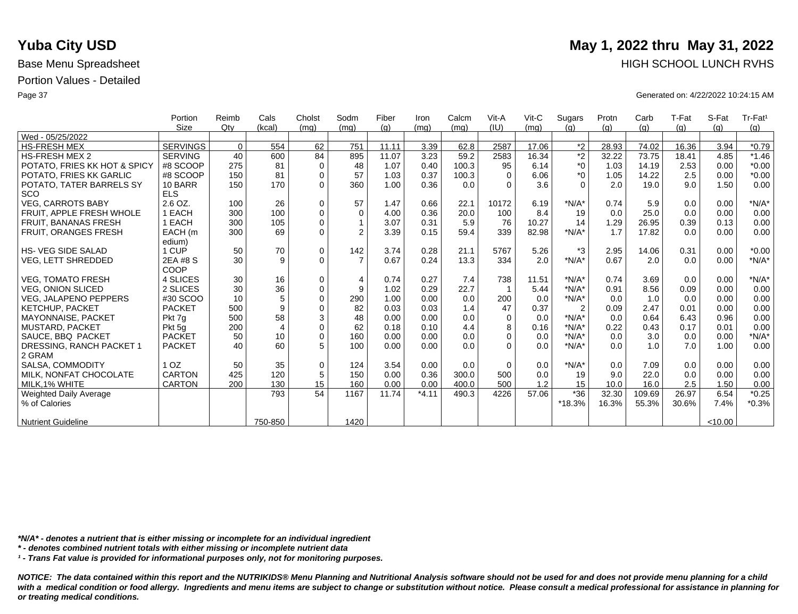|                              | Portion         | Reimb    | Cals           | Cholst      | Sodm           | Fiber | Iron    | Calcm | Vit-A    | $V$ it-C | Sugars         | Protn | Carb   | T-Fat | S-Fat   | Tr-Fat <sup>1</sup> |
|------------------------------|-----------------|----------|----------------|-------------|----------------|-------|---------|-------|----------|----------|----------------|-------|--------|-------|---------|---------------------|
|                              | Size            | Qtv      | (kcal)         | (mq)        | (mq)           | (q)   | (mg)    | (mq)  | (IU)     | (mq)     | (q)            | (q)   | (g)    | (g)   | (q)     | (g)                 |
| Wed - 05/25/2022             |                 |          |                |             |                |       |         |       |          |          |                |       |        |       |         |                     |
| <b>HS-FRESH MEX</b>          | <b>SERVINGS</b> | $\Omega$ | 554            | 62          | 751            | 11.11 | 3.39    | 62.8  | 2587     | 17.06    | $*2$           | 28.93 | 74.02  | 16.36 | 3.94    | $*0.79$             |
| <b>HS-FRESH MEX 2</b>        | <b>SERVING</b>  | 40       | 600            | 84          | 895            | 11.07 | 3.23    | 59.2  | 2583     | 16.34    | $\overline{2}$ | 32.22 | 73.75  | 18.41 | 4.85    | $*1.46$             |
| POTATO, FRIES KK HOT & SPICY | #8 SCOOP        | 275      | 81             | $\mathbf 0$ | 48             | 1.07  | 0.40    | 100.3 | 95       | 6.14     | $*_{0}$        | 1.03  | 14.19  | 2.53  | 0.00    | $*0.00$             |
| POTATO, FRIES KK GARLIC      | #8 SCOOP        | 150      | 81             | $\mathbf 0$ | 57             | 1.03  | 0.37    | 100.3 | $\Omega$ | 6.06     | $*_{0}$        | 1.05  | 14.22  | 2.5   | 0.00    | $*0.00$             |
| POTATO, TATER BARRELS SY     | 10 BARR         | 150      | 170            | $\Omega$    | 360            | 1.00  | 0.36    | 0.0   | $\Omega$ | 3.6      | $\Omega$       | 2.0   | 19.0   | 9.0   | 1.50    | 0.00                |
| <b>SCO</b>                   | <b>ELS</b>      |          |                |             |                |       |         |       |          |          |                |       |        |       |         |                     |
| <b>VEG. CARROTS BABY</b>     | $2.6$ OZ.       | 100      | 26             | $\mathbf 0$ | 57             | 1.47  | 0.66    | 22.1  | 10172    | 6.19     | $*N/A*$        | 0.74  | 5.9    | 0.0   | 0.00    | $*N/A*$             |
| FRUIT, APPLE FRESH WHOLE     | 1 EACH          | 300      | 100            | $\mathbf 0$ | $\mathbf 0$    | 4.00  | 0.36    | 20.0  | 100      | 8.4      | 19             | 0.0   | 25.0   | 0.0   | 0.00    | 0.00                |
| <b>FRUIT, BANANAS FRESH</b>  | 1 EACH          | 300      | 105            | $\mathbf 0$ |                | 3.07  | 0.31    | 5.9   | 76       | 10.27    | 14             | 1.29  | 26.95  | 0.39  | 0.13    | 0.00                |
| <b>FRUIT, ORANGES FRESH</b>  | EACH (m         | 300      | 69             | $\mathbf 0$ | $\overline{2}$ | 3.39  | 0.15    | 59.4  | 339      | 82.98    | $*N/A*$        | 1.7   | 17.82  | 0.0   | 0.00    | 0.00                |
|                              | edium)          |          |                |             |                |       |         |       |          |          |                |       |        |       |         |                     |
| <b>HS- VEG SIDE SALAD</b>    | 1 CUP           | 50       | 70             | $\mathbf 0$ | 142            | 3.74  | 0.28    | 21.1  | 5767     | 5.26     | $*3$           | 2.95  | 14.06  | 0.31  | 0.00    | $*0.00$             |
| VEG, LETT SHREDDED           | 2EA #8 S        | 30       | 9              | $\Omega$    | $\overline{7}$ | 0.67  | 0.24    | 13.3  | 334      | 2.0      | $*N/A*$        | 0.67  | 2.0    | 0.0   | 0.00    | $*N/A*$             |
|                              | COOP            |          |                |             |                |       |         |       |          |          |                |       |        |       |         |                     |
| <b>VEG. TOMATO FRESH</b>     | 4 SLICES        | 30       | 16             | 0           | $\overline{4}$ | 0.74  | 0.27    | 7.4   | 738      | 11.51    | $*N/A*$        | 0.74  | 3.69   | 0.0   | 0.00    | $*N/A*$             |
| <b>VEG. ONION SLICED</b>     | 2 SLICES        | 30       | 36             | $\mathbf 0$ | 9              | 1.02  | 0.29    | 22.7  |          | 5.44     | $*N/A*$        | 0.91  | 8.56   | 0.09  | 0.00    | 0.00                |
| <b>VEG. JALAPENO PEPPERS</b> | #30 SCOO        | 10       | 5              | $\mathbf 0$ | 290            | 1.00  | 0.00    | 0.0   | 200      | 0.0      | $*N/A*$        | 0.0   | 1.0    | 0.0   | 0.00    | 0.00                |
| KETCHUP, PACKET              | <b>PACKET</b>   | 500      | 9              | $\mathbf 0$ | 82             | 0.03  | 0.03    | 1.4   | 47       | 0.37     | $\overline{2}$ | 0.09  | 2.47   | 0.01  | 0.00    | 0.00                |
| <b>MAYONNAISE, PACKET</b>    | Pkt 7g          | 500      | 58             | 3           | 48             | 0.00  | 0.00    | 0.0   | $\Omega$ | 0.0      | $*N/A*$        | 0.0   | 0.64   | 6.43  | 0.96    | 0.00                |
| MUSTARD, PACKET              | Pkt 5g          | 200      | $\overline{4}$ | $\mathbf 0$ | 62             | 0.18  | 0.10    | 4.4   | 8        | 0.16     | $*N/A*$        | 0.22  | 0.43   | 0.17  | 0.01    | 0.00                |
| SAUCE, BBQ PACKET            | <b>PACKET</b>   | 50       | 10             | $\mathbf 0$ | 160            | 0.00  | 0.00    | 0.0   | $\Omega$ | 0.0      | $*N/A*$        | 0.0   | 3.0    | 0.0   | 0.00    | $*N/A*$             |
| DRESSING, RANCH PACKET 1     | <b>PACKET</b>   | 40       | 60             | 5           | 100            | 0.00  | 0.00    | 0.0   | $\Omega$ | 0.0      | $*N/A*$        | 0.0   | 1.0    | 7.0   | 1.00    | 0.00                |
| 2 GRAM                       |                 |          |                |             |                |       |         |       |          |          |                |       |        |       |         |                     |
| SALSA, COMMODITY             | 1 <sub>OZ</sub> | 50       | 35             | $\mathbf 0$ | 124            | 3.54  | 0.00    | 0.0   | $\Omega$ | 0.0      | $*N/A*$        | 0.0   | 7.09   | 0.0   | 0.00    | 0.00                |
| MILK, NONFAT CHOCOLATE       | CARTON          | 425      | 120            | 5           | 150            | 0.00  | 0.36    | 300.0 | 500      | 0.0      | 19             | 9.0   | 22.0   | 0.0   | 0.00    | 0.00                |
| MILK.1% WHITE                | <b>CARTON</b>   | 200      | 130            | 15          | 160            | 0.00  | 0.00    | 400.0 | 500      | 1.2      | 15             | 10.0  | 16.0   | 2.5   | 1.50    | 0.00                |
| Weighted Daily Average       |                 |          | 793            | 54          | 1167           | 11.74 | $*4.11$ | 490.3 | 4226     | 57.06    | $*36$          | 32.30 | 109.69 | 26.97 | 6.54    | $*0.25$             |
| % of Calories                |                 |          |                |             |                |       |         |       |          |          | *18.3%         | 16.3% | 55.3%  | 30.6% | 7.4%    | $*0.3%$             |
|                              |                 |          |                |             |                |       |         |       |          |          |                |       |        |       |         |                     |
| <b>Nutrient Guideline</b>    |                 |          | 750-850        |             | 1420           |       |         |       |          |          |                |       |        |       | < 10.00 |                     |

*\*N/A\* - denotes a nutrient that is either missing or incomplete for an individual ingredient*

*\* - denotes combined nutrient totals with either missing or incomplete nutrient data*

*¹ - Trans Fat value is provided for informational purposes only, not for monitoring purposes.*

*NOTICE: The data contained within this report and the NUTRIKIDS® Menu Planning and Nutritional Analysis software should not be used for and does not provide menu planning for a child*  with a medical condition or food allergy. Ingredients and menu items are subject to change or substitution without notice. Please consult a medical professional for assistance in planning for *or treating medical conditions.*

## **Yuba City USD** May 1, 2022 thru May 31, 2022 Base Menu Spreadsheet **HIGH SCHOOL LUNCH RVHS**

Page 37 Generated on: 4/22/2022 10:24:15 AM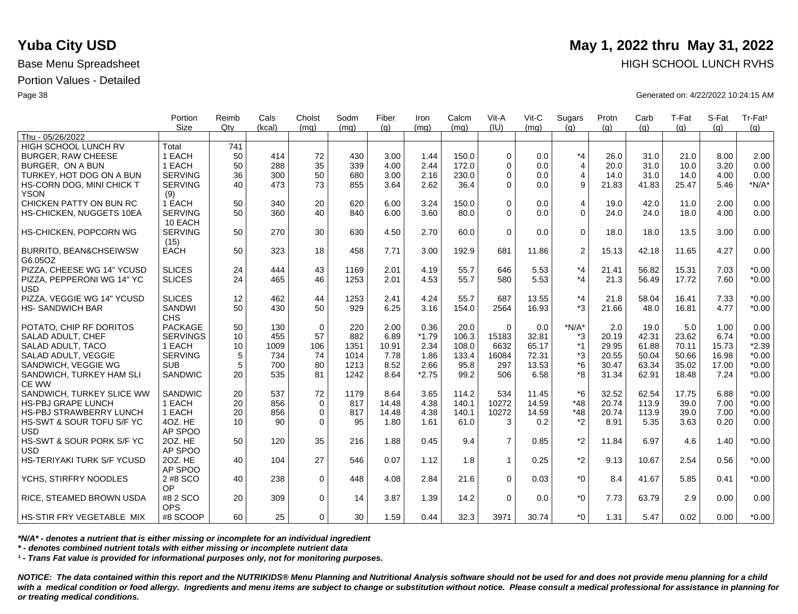|                                   | Portion         | Reimb | Cals   | Cholst      | Sodm | Fiber | Iron    | Calcm | Vit-A          | Vit-C | Sugars         | Protn | Carb  | T-Fat | S-Fat | Tr-Fat <sup>1</sup> |
|-----------------------------------|-----------------|-------|--------|-------------|------|-------|---------|-------|----------------|-------|----------------|-------|-------|-------|-------|---------------------|
|                                   | <b>Size</b>     | Qtv   | (kcal) | (mq)        | (mq) | (q)   | (mq)    | (mq)  | (IU)           | (mq)  | (q)            | (q)   | (q)   | (q)   | (q)   | (g)                 |
| Thu - 05/26/2022                  |                 |       |        |             |      |       |         |       |                |       |                |       |       |       |       |                     |
| HIGH SCHOOL LUNCH RV              | Total           | 741   |        |             |      |       |         |       |                |       |                |       |       |       |       |                     |
| <b>BURGER, RAW CHEESE</b>         | 1 EACH          | 50    | 414    | 72          | 430  | 3.00  | 1.44    | 150.0 | $\Omega$       | 0.0   | $*_{4}$        | 26.0  | 31.0  | 21.0  | 8.00  | 2.00                |
| BURGER, ON A BUN                  | 1 EACH          | 50    | 288    | 35          | 339  | 4.00  | 2.44    | 172.0 | $\Omega$       | 0.0   | $\overline{4}$ | 20.0  | 31.0  | 10.0  | 3.20  | 0.00                |
| TURKEY, HOT DOG ON A BUN          | <b>SERVING</b>  | 36    | 300    | 50          | 680  | 3.00  | 2.16    | 230.0 | $\Omega$       | 0.0   | $\overline{4}$ | 14.0  | 31.0  | 14.0  | 4.00  | 0.00                |
| HS-CORN DOG, MINI CHICK T         | <b>SERVING</b>  | 40    | 473    | 73          | 855  | 3.64  | 2.62    | 36.4  | $\mathbf 0$    | 0.0   | 9              | 21.83 | 41.83 | 25.47 | 5.46  | $*N/A*$             |
| <b>YSON</b>                       | (9)             |       |        |             |      |       |         |       |                |       |                |       |       |       |       |                     |
| CHICKEN PATTY ON BUN RC           | 1 EACH          | 50    | 340    | 20          | 620  | 6.00  | 3.24    | 150.0 | $\Omega$       | 0.0   | 4              | 19.0  | 42.0  | 11.0  | 2.00  | 0.00                |
| HS-CHICKEN, NUGGETS 10EA          | <b>SERVING</b>  | 50    | 360    | 40          | 840  | 6.00  | 3.60    | 80.0  | $\Omega$       | 0.0   | $\mathbf 0$    | 24.0  | 24.0  | 18.0  | 4.00  | 0.00                |
|                                   | 10 EACH         |       |        |             |      |       |         |       |                |       |                |       |       |       |       |                     |
| HS-CHICKEN, POPCORN WG            | <b>SERVING</b>  | 50    | 270    | 30          | 630  | 4.50  | 2.70    | 60.0  | $\Omega$       | 0.0   | $\mathbf 0$    | 18.0  | 18.0  | 13.5  | 3.00  | 0.00                |
|                                   | (15)            |       |        |             |      |       |         |       |                |       |                |       |       |       |       |                     |
| <b>BURRITO, BEAN&amp;CHSEIWSW</b> | <b>EACH</b>     | 50    | 323    | 18          | 458  | 7.71  | 3.00    | 192.9 | 681            | 11.86 | $\overline{c}$ | 15.13 | 42.18 | 11.65 | 4.27  | 0.00                |
| G6.05OZ                           |                 |       |        |             |      |       |         |       |                |       |                |       |       |       |       |                     |
| PIZZA, CHEESE WG 14" YCUSD        | <b>SLICES</b>   | 24    | 444    | 43          | 1169 | 2.01  | 4.19    | 55.7  | 646            | 5.53  | $*_{4}$        | 21.41 | 56.82 | 15.31 | 7.03  | $*0.00$             |
| PIZZA. PEPPERONI WG 14" YC        | <b>SLICES</b>   | 24    | 465    | 46          | 1253 | 2.01  | 4.53    | 55.7  | 580            | 5.53  | $*_{4}$        | 21.3  | 56.49 | 17.72 | 7.60  | $*0.00$             |
| <b>USD</b>                        |                 |       |        |             |      |       |         |       |                |       |                |       |       |       |       |                     |
| PIZZA, VEGGIE WG 14" YCUSD        | <b>SLICES</b>   | 12    | 462    | 44          | 1253 | 2.41  | 4.24    | 55.7  | 687            | 13.55 | $*_{4}$        | 21.8  | 58.04 | 16.41 | 7.33  | $*0.00$             |
| <b>HS-SANDWICH BAR</b>            | SANDWI          | 50    | 430    | 50          | 929  | 6.25  | 3.16    | 154.0 | 2564           | 16.93 | $*3$           | 21.66 | 48.0  | 16.81 | 4.77  | $*0.00$             |
|                                   | <b>CHS</b>      |       |        |             |      |       |         |       |                |       |                |       |       |       |       |                     |
| POTATO, CHIP RF DORITOS           | <b>PACKAGE</b>  | 50    | 130    | $\mathbf 0$ | 220  | 2.00  | 0.36    | 20.0  | $\Omega$       | 0.0   | $*N/A*$        | 2.0   | 19.0  | 5.0   | 1.00  | 0.00                |
| SALAD ADULT, CHEF                 | <b>SERVINGS</b> | 10    | 455    | 57          | 882  | 6.89  | $*1.79$ | 106.3 | 15183          | 32.81 | *3             | 20.19 | 42.31 | 23.62 | 6.74  | $*0.00$             |
| SALAD ADULT, TACO                 | 1 EACH          | 10    | 1009   | 106         | 1351 | 10.91 | 2.34    | 108.0 | 6632           | 65.17 | $*1$           | 29.95 | 61.88 | 70.11 | 15.73 | $*2.39$             |
| SALAD ADULT, VEGGIE               | <b>SERVING</b>  | 5     | 734    | 74          | 1014 | 7.78  | 1.86    | 133.4 | 16084          | 72.31 | *3             | 20.55 | 50.04 | 50.66 | 16.98 | $*0.00$             |
| SANDWICH, VEGGIE WG               | <b>SUB</b>      | 5     | 700    | 80          | 1213 | 8.52  | 2.66    | 95.8  | 297            | 13.53 | *6             | 30.47 | 63.34 | 35.02 | 17.00 | $*0.00$             |
| SANDWICH, TURKEY HAM SLI          | <b>SANDWIC</b>  | 20    | 535    | 81          | 1242 | 8.64  | $*2.75$ | 99.2  | 506            | 6.58  | *8             | 31.34 | 62.91 | 18.48 | 7.24  | $*0.00$             |
| <b>CE WW</b>                      |                 |       |        |             |      |       |         |       |                |       |                |       |       |       |       |                     |
| SANDWICH, TURKEY SLICE WW         | <b>SANDWIC</b>  | 20    | 537    | 72          | 1179 | 8.64  | 3.65    | 114.2 | 534            | 11.45 | $*6$           | 32.52 | 62.54 | 17.75 | 6.88  | $*0.00$             |
| <b>HS-PBJ GRAPE LUNCH</b>         | 1 EACH          | 20    | 856    | $\mathbf 0$ | 817  | 14.48 | 4.38    | 140.1 | 10272          | 14.59 | $*48$          | 20.74 | 113.9 | 39.0  | 7.00  | $*0.00$             |
| <b>HS-PBJ STRAWBERRY LUNCH</b>    | 1 EACH          | 20    | 856    | $\mathbf 0$ | 817  | 14.48 | 4.38    | 140.1 | 10272          | 14.59 | $*48$          | 20.74 | 113.9 | 39.0  | 7.00  | $*0.00$             |
| HS-SWT & SOUR TOFU S/F YC         | 4OZ. HE         | 10    | 90     | $\Omega$    | 95   | 1.80  | 1.61    | 61.0  | 3              | 0.2   | $*_{2}$        | 8.91  | 5.35  | 3.63  | 0.20  | 0.00                |
| <b>USD</b>                        | AP SPOO         |       |        |             |      |       |         |       |                |       |                |       |       |       |       |                     |
| HS-SWT & SOUR PORK S/F YC         | 20Z. HE         | 50    | 120    | 35          | 216  | 1.88  | 0.45    | 9.4   | $\overline{7}$ | 0.85  | $*2$           | 11.84 | 6.97  | 4.6   | 1.40  | $*0.00$             |
| <b>USD</b>                        | AP SPOO         |       |        |             |      |       |         |       |                |       |                |       |       |       |       |                     |
| <b>HS-TERIYAKI TURK S/F YCUSD</b> | 20Z. HE         | 40    | 104    | 27          | 546  | 0.07  | 1.12    | 1.8   | $\mathbf 1$    | 0.25  | $*2$           | 9.13  | 10.67 | 2.54  | 0.56  | $*0.00$             |
|                                   | AP SPOO         |       |        |             |      |       |         |       |                |       |                |       |       |       |       |                     |
| YCHS, STIRFRY NOODLES             | 2 #8 SCO        | 40    | 238    | $\Omega$    | 448  | 4.08  | 2.84    | 21.6  | $\Omega$       | 0.03  | $*_{0}$        | 8.4   | 41.67 | 5.85  | 0.41  | $*0.00$             |
|                                   | <b>OP</b>       |       |        |             |      |       |         |       |                |       |                |       |       |       |       |                     |
| RICE, STEAMED BROWN USDA          | #8 2 SCO        | 20    | 309    | $\mathbf 0$ | 14   | 3.87  | 1.39    | 14.2  | $\Omega$       | 0.0   | $^*0$          | 7.73  | 63.79 | 2.9   | 0.00  | 0.00                |
|                                   | <b>OPS</b>      |       |        |             |      |       |         |       |                |       |                |       |       |       |       |                     |
| <b>HS-STIR FRY VEGETABLE MIX</b>  | #8 SCOOP        | 60    | 25     | $\Omega$    | 30   | 1.59  | 0.44    | 32.3  | 3971           | 30.74 | $*_{0}$        | 1.31  | 5.47  | 0.02  | 0.00  | $*0.00$             |

*\*N/A\* - denotes a nutrient that is either missing or incomplete for an individual ingredient*

*\* - denotes combined nutrient totals with either missing or incomplete nutrient data*

*¹ - Trans Fat value is provided for informational purposes only, not for monitoring purposes.*

*NOTICE: The data contained within this report and the NUTRIKIDS® Menu Planning and Nutritional Analysis software should not be used for and does not provide menu planning for a child*  with a medical condition or food allergy. Ingredients and menu items are subject to change or substitution without notice. Please consult a medical professional for assistance in planning for *or treating medical conditions.*

# **Yuba City USD** May 1, 2022 thru May 31, 2022 Base Menu Spreadsheet **HIGH SCHOOL LUNCH RVHS**

Page 38 Generated on: 4/22/2022 10:24:15 AM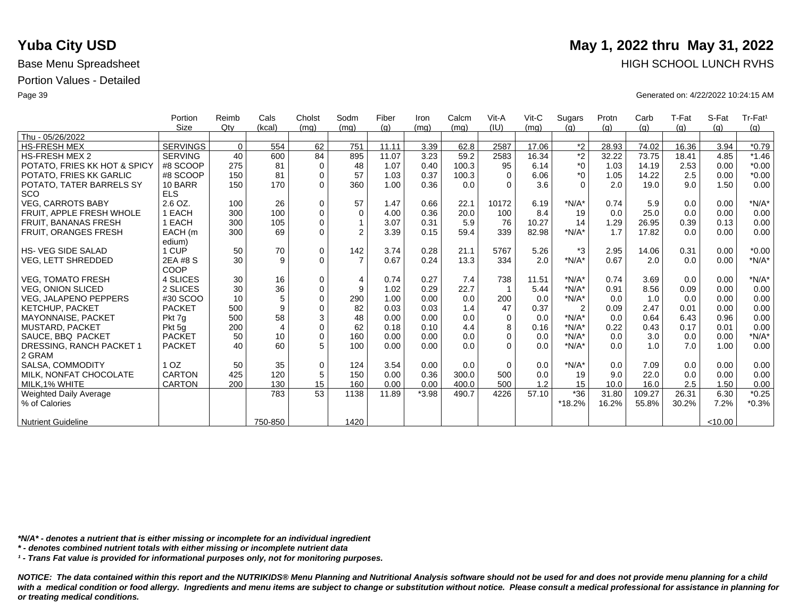|                              | Portion         | Reimb       | Cals           | Cholst      | Sodm           | Fiber | Iron    | Calcm | Vit-A    | $V$ it-C | Sugars         | Protn | Carb   | T-Fat | S-Fat   | Tr-Fat <sup>1</sup> |
|------------------------------|-----------------|-------------|----------------|-------------|----------------|-------|---------|-------|----------|----------|----------------|-------|--------|-------|---------|---------------------|
|                              | <b>Size</b>     | Qtv         | (kcal)         | (mq)        | (mq)           | (q)   | (mq)    | (mq)  | (IU)     | (mq)     | (q)            | (q)   | (q)    | (q)   | (q)     | (g)                 |
| Thu - 05/26/2022             |                 |             |                |             |                |       |         |       |          |          |                |       |        |       |         |                     |
| <b>HS-FRESH MEX</b>          | <b>SERVINGS</b> | $\mathbf 0$ | 554            | 62          | 751            | 11.11 | 3.39    | 62.8  | 2587     | 17.06    | $*2$           | 28.93 | 74.02  | 16.36 | 3.94    | $*0.79$             |
| <b>HS-FRESH MEX 2</b>        | <b>SERVING</b>  | 40          | 600            | 84          | 895            | 11.07 | 3.23    | 59.2  | 2583     | 16.34    | $\overline{2}$ | 32.22 | 73.75  | 18.41 | 4.85    | $*1.46$             |
| POTATO, FRIES KK HOT & SPICY | #8 SCOOP        | 275         | 81             | $\mathbf 0$ | 48             | 1.07  | 0.40    | 100.3 | 95       | 6.14     | $^*0$          | 1.03  | 14.19  | 2.53  | 0.00    | $*0.00$             |
| POTATO. FRIES KK GARLIC      | #8 SCOOP        | 150         | 81             | $\mathbf 0$ | 57             | 1.03  | 0.37    | 100.3 | $\Omega$ | 6.06     | $*_{0}$        | 1.05  | 14.22  | 2.5   | 0.00    | $*0.00$             |
| POTATO, TATER BARRELS SY     | 10 BARR         | 150         | 170            | $\Omega$    | 360            | 1.00  | 0.36    | 0.0   | $\Omega$ | 3.6      | $\Omega$       | 2.0   | 19.0   | 9.0   | 1.50    | 0.00                |
| <b>SCO</b>                   | <b>ELS</b>      |             |                |             |                |       |         |       |          |          |                |       |        |       |         |                     |
| <b>VEG. CARROTS BABY</b>     | 2.6 OZ.         | 100         | 26             | $\mathbf 0$ | 57             | 1.47  | 0.66    | 22.1  | 10172    | 6.19     | $*N/A*$        | 0.74  | 5.9    | 0.0   | 0.00    | $*N/A*$             |
| FRUIT, APPLE FRESH WHOLE     | 1 EACH          | 300         | 100            | $\mathbf 0$ | $\mathbf 0$    | 4.00  | 0.36    | 20.0  | 100      | 8.4      | 19             | 0.0   | 25.0   | 0.0   | 0.00    | 0.00                |
| <b>FRUIT, BANANAS FRESH</b>  | 1 EACH          | 300         | 105            | $\mathbf 0$ |                | 3.07  | 0.31    | 5.9   | 76       | 10.27    | 14             | 1.29  | 26.95  | 0.39  | 0.13    | 0.00                |
| FRUIT, ORANGES FRESH         | EACH (m         | 300         | 69             | $\mathbf 0$ | $\overline{2}$ | 3.39  | 0.15    | 59.4  | 339      | 82.98    | $*N/A*$        | 1.7   | 17.82  | 0.0   | 0.00    | 0.00                |
|                              | edium)          |             |                |             |                |       |         |       |          |          |                |       |        |       |         |                     |
| <b>HS-VEG SIDE SALAD</b>     | 1 CUP           | 50          | 70             | $\mathbf 0$ | 142            | 3.74  | 0.28    | 21.1  | 5767     | 5.26     | $*3$           | 2.95  | 14.06  | 0.31  | 0.00    | $*0.00$             |
| <b>VEG, LETT SHREDDED</b>    | 2EA #8 S        | 30          | 9              | $\Omega$    | $\overline{7}$ | 0.67  | 0.24    | 13.3  | 334      | 2.0      | $*N/A*$        | 0.67  | 2.0    | 0.0   | 0.00    | $*N/A*$             |
|                              | COOP            |             |                |             |                |       |         |       |          |          |                |       |        |       |         |                     |
| <b>VEG. TOMATO FRESH</b>     | 4 SLICES        | 30          | 16             | $\mathbf 0$ | $\overline{4}$ | 0.74  | 0.27    | 7.4   | 738      | 11.51    | $*N/A*$        | 0.74  | 3.69   | 0.0   | 0.00    | $*N/A*$             |
| <b>VEG. ONION SLICED</b>     | 2 SLICES        | 30          | 36             | $\mathbf 0$ | 9              | 1.02  | 0.29    | 22.7  |          | 5.44     | $*N/A*$        | 0.91  | 8.56   | 0.09  | 0.00    | 0.00                |
| <b>VEG, JALAPENO PEPPERS</b> | #30 SCOO        | 10          | 5              | $\Omega$    | 290            | 1.00  | 0.00    | 0.0   | 200      | 0.0      | $*N/A*$        | 0.0   | 1.0    | 0.0   | 0.00    | 0.00                |
| <b>KETCHUP, PACKET</b>       | <b>PACKET</b>   | 500         | 9              | $\mathbf 0$ | 82             | 0.03  | 0.03    | 1.4   | 47       | 0.37     | $\overline{2}$ | 0.09  | 2.47   | 0.01  | 0.00    | 0.00                |
| MAYONNAISE, PACKET           | Pkt 7q          | 500         | 58             | 3           | 48             | 0.00  | 0.00    | 0.0   | $\Omega$ | 0.0      | $*N/A*$        | 0.0   | 0.64   | 6.43  | 0.96    | 0.00                |
| <b>MUSTARD, PACKET</b>       | Pkt 5q          | 200         | $\overline{4}$ | $\mathbf 0$ | 62             | 0.18  | 0.10    | 4.4   | 8        | 0.16     | $*N/A*$        | 0.22  | 0.43   | 0.17  | 0.01    | 0.00                |
| SAUCE, BBQ PACKET            | <b>PACKET</b>   | 50          | 10             | $\Omega$    | 160            | 0.00  | 0.00    | 0.0   | $\Omega$ | 0.0      | $*N/A*$        | 0.0   | 3.0    | 0.0   | 0.00    | $*N/A*$             |
| DRESSING, RANCH PACKET 1     | <b>PACKET</b>   | 40          | 60             | 5           | 100            | 0.00  | 0.00    | 0.0   | $\Omega$ | 0.0      | $*N/A*$        | 0.0   | 1.0    | 7.0   | 1.00    | 0.00                |
| 2 GRAM                       |                 |             |                |             |                |       |         |       |          |          |                |       |        |       |         |                     |
| SALSA, COMMODITY             | 1 <sub>OZ</sub> | 50          | 35             | $\mathbf 0$ | 124            | 3.54  | 0.00    | 0.0   | $\Omega$ | 0.0      | $*N/A*$        | 0.0   | 7.09   | 0.0   | 0.00    | 0.00                |
| MILK, NONFAT CHOCOLATE       | <b>CARTON</b>   | 425         | 120            | 5           | 150            | 0.00  | 0.36    | 300.0 | 500      | 0.0      | 19             | 9.0   | 22.0   | 0.0   | 0.00    | 0.00                |
| MILK.1% WHITE                | <b>CARTON</b>   | 200         | 130            | 15          | 160            | 0.00  | 0.00    | 400.0 | 500      | 1.2      | 15             | 10.0  | 16.0   | 2.5   | 1.50    | 0.00                |
| Weighted Daily Average       |                 |             | 783            | 53          | 1138           | 11.89 | $*3.98$ | 490.7 | 4226     | 57.10    | $*36$          | 31.80 | 109.27 | 26.31 | 6.30    | $*0.25$             |
| % of Calories                |                 |             |                |             |                |       |         |       |          |          | *18.2%         | 16.2% | 55.8%  | 30.2% | 7.2%    | $*0.3%$             |
|                              |                 |             |                |             |                |       |         |       |          |          |                |       |        |       |         |                     |
| <b>Nutrient Guideline</b>    |                 |             | 750-850        |             | 1420           |       |         |       |          |          |                |       |        |       | < 10.00 |                     |

*\*N/A\* - denotes a nutrient that is either missing or incomplete for an individual ingredient*

*\* - denotes combined nutrient totals with either missing or incomplete nutrient data*

*¹ - Trans Fat value is provided for informational purposes only, not for monitoring purposes.*

*NOTICE: The data contained within this report and the NUTRIKIDS® Menu Planning and Nutritional Analysis software should not be used for and does not provide menu planning for a child*  with a medical condition or food allergy. Ingredients and menu items are subject to change or substitution without notice. Please consult a medical professional for assistance in planning for *or treating medical conditions.*

### **Yuba City USD** May 1, 2022 thru May 31, 2022 Base Menu Spreadsheet **HIGH SCHOOL LUNCH RVHS**

Page 39 Generated on: 4/22/2022 10:24:15 AM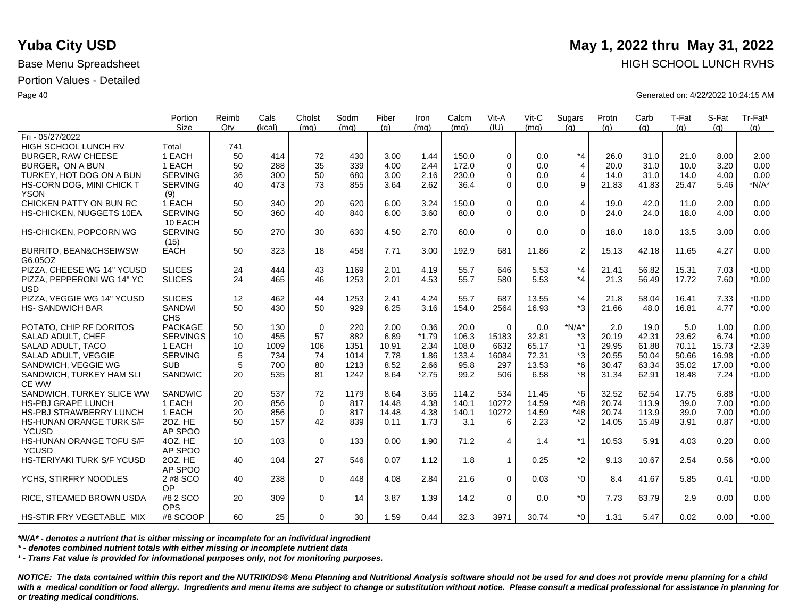|                                              | Portion                   | Reimb           | Cals   | Cholst      | Sodm | Fiber | Iron    | Calcm | Vit-A       | Vit-C | Sugars         | Protn | Carb  | T-Fat | S-Fat | Tr-Fat <sup>1</sup> |
|----------------------------------------------|---------------------------|-----------------|--------|-------------|------|-------|---------|-------|-------------|-------|----------------|-------|-------|-------|-------|---------------------|
| Fri - 05/27/2022                             | <b>Size</b>               | Qtv             | (kcal) | (ma)        | (ma) | (q)   | (mq)    | (mq)  | (IU)        | (mq)  | (q)            | (q)   | (q)   | (q)   | (a)   | (g)                 |
| <b>HIGH SCHOOL LUNCH RV</b>                  | Total                     | 741             |        |             |      |       |         |       |             |       |                |       |       |       |       |                     |
| <b>BURGER, RAW CHEESE</b>                    | 1 EACH                    | 50              | 414    | 72          | 430  | 3.00  | 1.44    | 150.0 | $\Omega$    | 0.0   | $*_{4}$        | 26.0  | 31.0  | 21.0  | 8.00  | 2.00                |
| BURGER. ON A BUN                             | 1 EACH                    | 50              | 288    | 35          | 339  | 4.00  | 2.44    | 172.0 | $\Omega$    | 0.0   | $\overline{4}$ | 20.0  | 31.0  | 10.0  | 3.20  | 0.00                |
| TURKEY, HOT DOG ON A BUN                     | <b>SERVING</b>            | 36              | 300    | 50          | 680  | 3.00  | 2.16    | 230.0 | $\Omega$    | 0.0   | 4              | 14.0  | 31.0  | 14.0  | 4.00  | 0.00                |
|                                              | <b>SERVING</b>            | 40              | 473    | 73          | 855  | 3.64  | 2.62    | 36.4  | $\Omega$    | 0.0   | 9              | 21.83 | 41.83 | 25.47 | 5.46  | $*N/A*$             |
| HS-CORN DOG, MINI CHICK T<br><b>YSON</b>     | (9)                       |                 |        |             |      |       |         |       |             |       |                |       |       |       |       |                     |
| CHICKEN PATTY ON BUN RC                      | 1 EACH                    | 50              | 340    | 20          | 620  | 6.00  | 3.24    | 150.0 | $\Omega$    | 0.0   | $\overline{4}$ | 19.0  | 42.0  | 11.0  | 2.00  | 0.00                |
| HS-CHICKEN, NUGGETS 10EA                     | <b>SERVING</b><br>10 EACH | 50              | 360    | 40          | 840  | 6.00  | 3.60    | 80.0  | $\Omega$    | 0.0   | $\Omega$       | 24.0  | 24.0  | 18.0  | 4.00  | 0.00                |
| HS-CHICKEN, POPCORN WG                       | <b>SERVING</b><br>(15)    | 50              | 270    | 30          | 630  | 4.50  | 2.70    | 60.0  | $\Omega$    | 0.0   | $\mathbf 0$    | 18.0  | 18.0  | 13.5  | 3.00  | 0.00                |
| <b>BURRITO, BEAN&amp;CHSEIWSW</b><br>G6.05OZ | <b>EACH</b>               | 50              | 323    | 18          | 458  | 7.71  | 3.00    | 192.9 | 681         | 11.86 | 2              | 15.13 | 42.18 | 11.65 | 4.27  | 0.00                |
| PIZZA, CHEESE WG 14" YCUSD                   | <b>SLICES</b>             | 24              | 444    | 43          | 1169 | 2.01  | 4.19    | 55.7  | 646         | 5.53  | $*_{4}$        | 21.41 | 56.82 | 15.31 | 7.03  | $*0.00$             |
| PIZZA, PEPPERONI WG 14" YC<br><b>USD</b>     | <b>SLICES</b>             | 24              | 465    | 46          | 1253 | 2.01  | 4.53    | 55.7  | 580         | 5.53  | $*_{4}$        | 21.3  | 56.49 | 17.72 | 7.60  | $*0.00$             |
| PIZZA, VEGGIE WG 14" YCUSD                   | <b>SLICES</b>             | 12              | 462    | 44          | 1253 | 2.41  | 4.24    | 55.7  | 687         | 13.55 | $*_{4}$        | 21.8  | 58.04 | 16.41 | 7.33  | $*0.00$             |
| <b>HS-SANDWICH BAR</b>                       | SANDWI<br><b>CHS</b>      | 50              | 430    | 50          | 929  | 6.25  | 3.16    | 154.0 | 2564        | 16.93 | $*3$           | 21.66 | 48.0  | 16.81 | 4.77  | $*0.00$             |
| POTATO, CHIP RF DORITOS                      | <b>PACKAGE</b>            | 50              | 130    | $\mathbf 0$ | 220  | 2.00  | 0.36    | 20.0  | $\Omega$    | 0.0   | $*N/A*$        | 2.0   | 19.0  | 5.0   | 1.00  | 0.00                |
| SALAD ADULT, CHEF                            | <b>SERVINGS</b>           | 10              | 455    | 57          | 882  | 6.89  | $*1.79$ | 106.3 | 15183       | 32.81 | *3             | 20.19 | 42.31 | 23.62 | 6.74  | $*0.00$             |
| SALAD ADULT, TACO                            | 1 EACH                    | 10              | 1009   | 106         | 1351 | 10.91 | 2.34    | 108.0 | 6632        | 65.17 | $*1$           | 29.95 | 61.88 | 70.11 | 15.73 | $*2.39$             |
| SALAD ADULT, VEGGIE                          | <b>SERVING</b>            | 5               | 734    | 74          | 1014 | 7.78  | 1.86    | 133.4 | 16084       | 72.31 | *3             | 20.55 | 50.04 | 50.66 | 16.98 | $*0.00$             |
| SANDWICH, VEGGIE WG                          | <b>SUB</b>                | 5               | 700    | 80          | 1213 | 8.52  | 2.66    | 95.8  | 297         | 13.53 | *6             | 30.47 | 63.34 | 35.02 | 17.00 | $*0.00$             |
| SANDWICH, TURKEY HAM SLI<br>CE WW            | SANDWIC                   | 20              | 535    | 81          | 1242 | 8.64  | $*2.75$ | 99.2  | 506         | 6.58  | *8             | 31.34 | 62.91 | 18.48 | 7.24  | $*0.00$             |
| SANDWICH, TURKEY SLICE WW                    | <b>SANDWIC</b>            | 20              | 537    | 72          | 1179 | 8.64  | 3.65    | 114.2 | 534         | 11.45 | $*6$           | 32.52 | 62.54 | 17.75 | 6.88  | $*0.00$             |
| <b>HS-PBJ GRAPE LUNCH</b>                    | 1 EACH                    | 20              | 856    | $\mathbf 0$ | 817  | 14.48 | 4.38    | 140.1 | 10272       | 14.59 | $*48$          | 20.74 | 113.9 | 39.0  | 7.00  | $*0.00$             |
| <b>HS-PBJ STRAWBERRY LUNCH</b>               | 1 EACH                    | 20              | 856    | $\mathbf 0$ | 817  | 14.48 | 4.38    | 140.1 | 10272       | 14.59 | $*48$          | 20.74 | 113.9 | 39.0  | 7.00  | $*0.00$             |
| HS-HUNAN ORANGE TURK S/F                     | 20Z. HE                   | 50              | 157    | 42          | 839  | 0.11  | 1.73    | 3.1   | 6           | 2.23  | $*_{2}$        | 14.05 | 15.49 | 3.91  | 0.87  | $*0.00$             |
| <b>YCUSD</b>                                 | AP SPOO                   |                 |        |             |      |       |         |       |             |       |                |       |       |       |       |                     |
| HS-HUNAN ORANGE TOFU S/F<br><b>YCUSD</b>     | 4OZ. HE<br>AP SPOO        | 10 <sup>1</sup> | 103    | $\mathbf 0$ | 133  | 0.00  | 1.90    | 71.2  | 4           | 1.4   | $*1$           | 10.53 | 5.91  | 4.03  | 0.20  | 0.00                |
| HS-TERIYAKI TURK S/F YCUSD                   | 20Z. HE<br>AP SPOO        | 40              | 104    | 27          | 546  | 0.07  | 1.12    | 1.8   | $\mathbf 1$ | 0.25  | $*2$           | 9.13  | 10.67 | 2.54  | 0.56  | $*0.00$             |
| YCHS, STIRFRY NOODLES                        | 2 #8 SCO                  | 40              | 238    | $\Omega$    | 448  | 4.08  | 2.84    | 21.6  | $\Omega$    | 0.03  | $*_{0}$        | 8.4   | 41.67 | 5.85  | 0.41  | $*0.00$             |
| RICE, STEAMED BROWN USDA                     | OP<br>#8 2 SCO            | 20              | 309    | $\mathbf 0$ | 14   | 3.87  | 1.39    | 14.2  | $\Omega$    | 0.0   | $^*0$          | 7.73  | 63.79 | 2.9   | 0.00  | 0.00                |
| HS-STIR FRY VEGETABLE MIX                    | <b>OPS</b><br>#8 SCOOP    | 60 <sup>1</sup> | 25     | $\Omega$    | 30   | 1.59  | 0.44    | 32.3  | 3971        | 30.74 | $*_{0}$        | 1.31  | 5.47  | 0.02  | 0.00  | $*0.00$             |

*\*N/A\* - denotes a nutrient that is either missing or incomplete for an individual ingredient*

*\* - denotes combined nutrient totals with either missing or incomplete nutrient data*

*¹ - Trans Fat value is provided for informational purposes only, not for monitoring purposes.*

*NOTICE: The data contained within this report and the NUTRIKIDS® Menu Planning and Nutritional Analysis software should not be used for and does not provide menu planning for a child*  with a medical condition or food allergy. Ingredients and menu items are subject to change or substitution without notice. Please consult a medical professional for assistance in planning for *or treating medical conditions.*

# **Yuba City USD** May 1, 2022 thru May 31, 2022 Base Menu Spreadsheet **HIGH SCHOOL LUNCH RVHS**

Page 40 Generated on: 4/22/2022 10:24:15 AM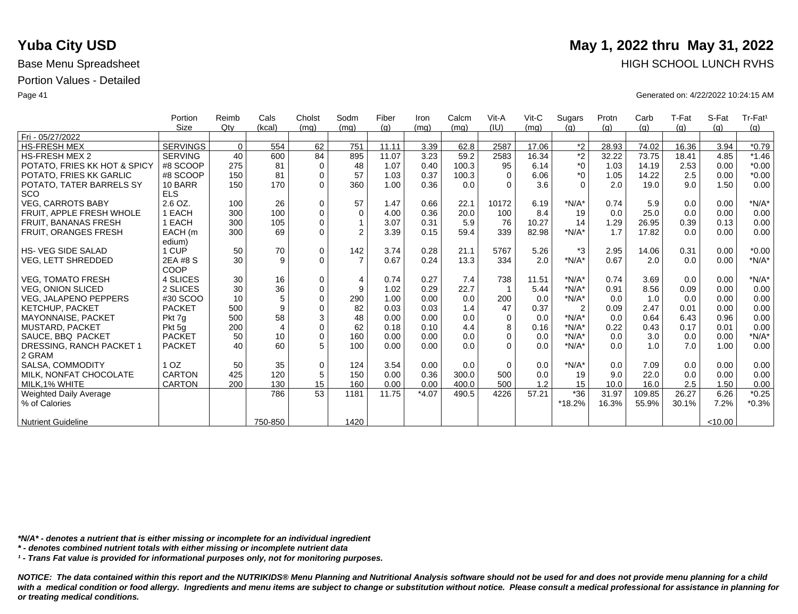|                              | Portion         | Reimb    | Cals           | Cholst      | Sodm           | Fiber | Iron    | Calcm | Vit-A    | $V$ it-C | Sugars         | Protn | Carb   | T-Fat | S-Fat   | Tr-Fat <sup>1</sup> |
|------------------------------|-----------------|----------|----------------|-------------|----------------|-------|---------|-------|----------|----------|----------------|-------|--------|-------|---------|---------------------|
|                              | <b>Size</b>     | Qtv      | (kcal)         | (mq)        | (mq)           | (q)   | (mq)    | (mq)  | (IU)     | (mq)     | (q)            | (q)   | (q)    | (g)   | (q)     | (g)                 |
| Fri - 05/27/2022             |                 |          |                |             |                |       |         |       |          |          |                |       |        |       |         |                     |
| <b>HS-FRESH MEX</b>          | <b>SERVINGS</b> | $\Omega$ | 554            | 62          | 751            | 11.11 | 3.39    | 62.8  | 2587     | 17.06    | $*2$           | 28.93 | 74.02  | 16.36 | 3.94    | $*0.79$             |
| <b>HS-FRESH MEX 2</b>        | <b>SERVING</b>  | 40       | 600            | 84          | 895            | 11.07 | 3.23    | 59.2  | 2583     | 16.34    | $\overline{2}$ | 32.22 | 73.75  | 18.41 | 4.85    | $*1.46$             |
| POTATO, FRIES KK HOT & SPICY | #8 SCOOP        | 275      | 81             | $\mathbf 0$ | 48             | 1.07  | 0.40    | 100.3 | 95       | 6.14     | $^*0$          | 1.03  | 14.19  | 2.53  | 0.00    | $*0.00$             |
| POTATO, FRIES KK GARLIC      | #8 SCOOP        | 150      | 81             | $\mathbf 0$ | 57             | 1.03  | 0.37    | 100.3 | $\Omega$ | 6.06     | $*_{0}$        | 1.05  | 14.22  | 2.5   | 0.00    | $*0.00$             |
| POTATO, TATER BARRELS SY     | 10 BARR         | 150      | 170            | $\Omega$    | 360            | 1.00  | 0.36    | 0.0   | $\Omega$ | 3.6      | $\Omega$       | 2.0   | 19.0   | 9.0   | 1.50    | 0.00                |
| <b>SCO</b>                   | <b>ELS</b>      |          |                |             |                |       |         |       |          |          |                |       |        |       |         |                     |
| <b>VEG, CARROTS BABY</b>     | 2.6 OZ.         | 100      | 26             | $\mathbf 0$ | 57             | 1.47  | 0.66    | 22.1  | 10172    | 6.19     | $*N/A*$        | 0.74  | 5.9    | 0.0   | 0.00    | $*N/A*$             |
| FRUIT. APPLE FRESH WHOLE     | 1 EACH          | 300      | 100            | $\mathbf 0$ | $\Omega$       | 4.00  | 0.36    | 20.0  | 100      | 8.4      | 19             | 0.0   | 25.0   | 0.0   | 0.00    | 0.00                |
| <b>FRUIT, BANANAS FRESH</b>  | 1 EACH          | 300      | 105            | $\Omega$    |                | 3.07  | 0.31    | 5.9   | 76       | 10.27    | 14             | 1.29  | 26.95  | 0.39  | 0.13    | 0.00                |
| FRUIT, ORANGES FRESH         | EACH (m         | 300      | 69             | $\Omega$    | $\overline{2}$ | 3.39  | 0.15    | 59.4  | 339      | 82.98    | $*N/A*$        | 1.7   | 17.82  | 0.0   | 0.00    | 0.00                |
|                              | edium)          |          |                |             |                |       |         |       |          |          |                |       |        |       |         |                     |
| <b>HS-VEG SIDE SALAD</b>     | 1 CUP           | 50       | 70             | $\mathbf 0$ | 142            | 3.74  | 0.28    | 21.1  | 5767     | 5.26     | *3             | 2.95  | 14.06  | 0.31  | 0.00    | $*0.00$             |
| <b>VEG, LETT SHREDDED</b>    | 2EA #8 S        | 30       | 9              | $\Omega$    | $\overline{7}$ | 0.67  | 0.24    | 13.3  | 334      | 2.0      | $*N/A*$        | 0.67  | 2.0    | 0.0   | 0.00    | $*N/A*$             |
|                              | COOP            |          |                |             |                |       |         |       |          |          |                |       |        |       |         |                     |
| <b>VEG, TOMATO FRESH</b>     | 4 SLICES        | 30       | 16             | $\mathbf 0$ | $\overline{4}$ | 0.74  | 0.27    | 7.4   | 738      | 11.51    | $*N/A*$        | 0.74  | 3.69   | 0.0   | 0.00    | $*N/A*$             |
| <b>VEG, ONION SLICED</b>     | 2 SLICES        | 30       | 36             | $\mathbf 0$ | 9              | 1.02  | 0.29    | 22.7  |          | 5.44     | $*N/A*$        | 0.91  | 8.56   | 0.09  | 0.00    | 0.00                |
| <b>VEG, JALAPENO PEPPERS</b> | #30 SCOO        | 10       | 5              | $\Omega$    | 290            | 1.00  | 0.00    | 0.0   | 200      | 0.0      | $*N/A*$        | 0.0   | 1.0    | 0.0   | 0.00    | 0.00                |
| KETCHUP, PACKET              | <b>PACKET</b>   | 500      | 9              | $\mathbf 0$ | 82             | 0.03  | 0.03    | 1.4   | 47       | 0.37     | $\overline{2}$ | 0.09  | 2.47   | 0.01  | 0.00    | 0.00                |
| <b>MAYONNAISE, PACKET</b>    | Pkt 7q          | 500      | 58             | 3           | 48             | 0.00  | 0.00    | 0.0   | $\Omega$ | 0.0      | $*N/A*$        | 0.0   | 0.64   | 6.43  | 0.96    | 0.00                |
| <b>MUSTARD, PACKET</b>       | Pkt 5q          | 200      | $\overline{4}$ | $\mathbf 0$ | 62             | 0.18  | 0.10    | 4.4   | 8        | 0.16     | $*N/A*$        | 0.22  | 0.43   | 0.17  | 0.01    | 0.00                |
| SAUCE, BBQ PACKET            | <b>PACKET</b>   | 50       | 10             | $\Omega$    | 160            | 0.00  | 0.00    | 0.0   | $\Omega$ | 0.0      | $*N/A*$        | 0.0   | 3.0    | 0.0   | 0.00    | $*N/A*$             |
| DRESSING, RANCH PACKET 1     | <b>PACKET</b>   | 40       | 60             | 5           | 100            | 0.00  | 0.00    | 0.0   | $\Omega$ | 0.0      | $*N/A*$        | 0.0   | 1.0    | 7.0   | 1.00    | 0.00                |
| 2 GRAM                       |                 |          |                |             |                |       |         |       |          |          |                |       |        |       |         |                     |
| SALSA, COMMODITY             | 1 <sub>OZ</sub> | 50       | 35             | $\mathbf 0$ | 124            | 3.54  | 0.00    | 0.0   | $\Omega$ | 0.0      | $*N/A*$        | 0.0   | 7.09   | 0.0   | 0.00    | 0.00                |
| MILK. NONFAT CHOCOLATE       | <b>CARTON</b>   | 425      | 120            | 5           | 150            | 0.00  | 0.36    | 300.0 | 500      | 0.0      | 19             | 9.0   | 22.0   | 0.0   | 0.00    | 0.00                |
| MILK.1% WHITE                | <b>CARTON</b>   | 200      | 130            | 15          | 160            | 0.00  | 0.00    | 400.0 | 500      | 1.2      | 15             | 10.0  | 16.0   | 2.5   | 1.50    | 0.00                |
| Weighted Daily Average       |                 |          | 786            | 53          | 1181           | 11.75 | $*4.07$ | 490.5 | 4226     | 57.21    | $*36$          | 31.97 | 109.85 | 26.27 | 6.26    | $*0.25$             |
| % of Calories                |                 |          |                |             |                |       |         |       |          |          | *18.2%         | 16.3% | 55.9%  | 30.1% | 7.2%    | $*0.3%$             |
|                              |                 |          |                |             |                |       |         |       |          |          |                |       |        |       |         |                     |
| <b>Nutrient Guideline</b>    |                 |          | 750-850        |             | 1420           |       |         |       |          |          |                |       |        |       | < 10.00 |                     |

*\*N/A\* - denotes a nutrient that is either missing or incomplete for an individual ingredient*

*\* - denotes combined nutrient totals with either missing or incomplete nutrient data*

*¹ - Trans Fat value is provided for informational purposes only, not for monitoring purposes.*

with a medical condition or food allergy. Ingredients and menu items are subject to change or substitution without notice. Please consult a medical professional for assistance in planning for *or treating medical conditions.*

## **Yuba City USD** May 1, 2022 thru May 31, 2022 Base Menu Spreadsheet **HIGH SCHOOL LUNCH RVHS**

Page 41 Generated on: 4/22/2022 10:24:15 AM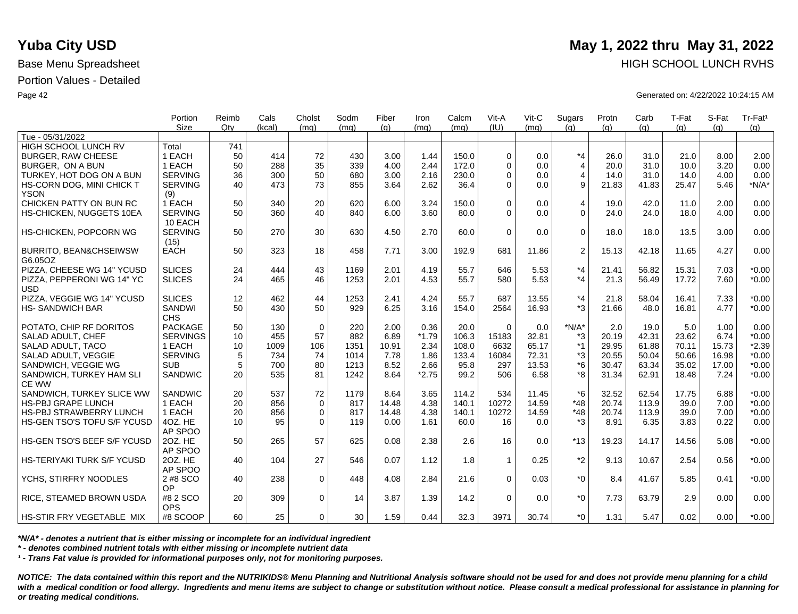|                                              | Portion                   | Reimb | Cals   | Cholst      | Sodm | Fiber | Iron    | Calcm | Vit-A       | Vit-C | Sugars         | Protn | Carb  | T-Fat | S-Fat | Tr-Fat <sup>1</sup> |
|----------------------------------------------|---------------------------|-------|--------|-------------|------|-------|---------|-------|-------------|-------|----------------|-------|-------|-------|-------|---------------------|
|                                              | <b>Size</b>               | Qtv   | (kcal) | (mq)        | (mq) | (q)   | (ma)    | (ma)  | (IU)        | (mq)  | (q)            | (q)   | (q)   | (q)   | (a)   | (g)                 |
| Tue - 05/31/2022<br>HIGH SCHOOL LUNCH RV     | Total                     | 741   |        |             |      |       |         |       |             |       |                |       |       |       |       |                     |
| <b>BURGER, RAW CHEESE</b>                    | 1 EACH                    | 50    | 414    | 72          | 430  | 3.00  | 1.44    | 150.0 | $\Omega$    | 0.0   | $*_{4}$        | 26.0  | 31.0  | 21.0  | 8.00  | 2.00                |
| BURGER. ON A BUN                             | 1 EACH                    | 50    | 288    | 35          | 339  | 4.00  | 2.44    | 172.0 | $\Omega$    | 0.0   | $\overline{4}$ | 20.0  | 31.0  | 10.0  | 3.20  | 0.00                |
|                                              |                           |       |        |             |      |       |         |       | $\Omega$    |       |                |       |       |       |       |                     |
| TURKEY, HOT DOG ON A BUN                     | <b>SERVING</b>            | 36    | 300    | 50          | 680  | 3.00  | 2.16    | 230.0 |             | 0.0   | 4              | 14.0  | 31.0  | 14.0  | 4.00  | 0.00                |
| HS-CORN DOG, MINI CHICK T<br><b>YSON</b>     | <b>SERVING</b><br>(9)     | 40    | 473    | 73          | 855  | 3.64  | 2.62    | 36.4  | $\Omega$    | 0.0   | 9              | 21.83 | 41.83 | 25.47 | 5.46  | $*N/A*$             |
| CHICKEN PATTY ON BUN RC                      | 1 EACH                    | 50    | 340    | 20          | 620  | 6.00  | 3.24    | 150.0 | $\Omega$    | 0.0   | $\overline{4}$ | 19.0  | 42.0  | 11.0  | 2.00  | 0.00                |
| HS-CHICKEN, NUGGETS 10EA                     | <b>SERVING</b><br>10 EACH | 50    | 360    | 40          | 840  | 6.00  | 3.60    | 80.0  | $\Omega$    | 0.0   | $\Omega$       | 24.0  | 24.0  | 18.0  | 4.00  | 0.00                |
| HS-CHICKEN, POPCORN WG                       | <b>SERVING</b><br>(15)    | 50    | 270    | 30          | 630  | 4.50  | 2.70    | 60.0  | $\Omega$    | 0.0   | $\mathbf 0$    | 18.0  | 18.0  | 13.5  | 3.00  | 0.00                |
| <b>BURRITO, BEAN&amp;CHSEIWSW</b><br>G6.05OZ | <b>EACH</b>               | 50    | 323    | 18          | 458  | 7.71  | 3.00    | 192.9 | 681         | 11.86 | $\overline{c}$ | 15.13 | 42.18 | 11.65 | 4.27  | 0.00                |
| PIZZA, CHEESE WG 14" YCUSD                   | <b>SLICES</b>             | 24    | 444    | 43          | 1169 | 2.01  | 4.19    | 55.7  | 646         | 5.53  | $*_{4}$        | 21.41 | 56.82 | 15.31 | 7.03  | $*0.00$             |
| PIZZA, PEPPERONI WG 14" YC<br><b>USD</b>     | <b>SLICES</b>             | 24    | 465    | 46          | 1253 | 2.01  | 4.53    | 55.7  | 580         | 5.53  | $*_{4}$        | 21.3  | 56.49 | 17.72 | 7.60  | $*0.00$             |
| PIZZA, VEGGIE WG 14" YCUSD                   | <b>SLICES</b>             | 12    | 462    | 44          | 1253 | 2.41  | 4.24    | 55.7  | 687         | 13.55 | $*_{4}$        | 21.8  | 58.04 | 16.41 | 7.33  | $*0.00$             |
| <b>HS-SANDWICH BAR</b>                       | SANDWI<br><b>CHS</b>      | 50    | 430    | 50          | 929  | 6.25  | 3.16    | 154.0 | 2564        | 16.93 | *3             | 21.66 | 48.0  | 16.81 | 4.77  | $*0.00$             |
| POTATO, CHIP RF DORITOS                      | <b>PACKAGE</b>            | 50    | 130    | $\mathbf 0$ | 220  | 2.00  | 0.36    | 20.0  | $\Omega$    | 0.0   | $*N/A*$        | 2.0   | 19.0  | 5.0   | 1.00  | 0.00                |
| SALAD ADULT, CHEF                            | <b>SERVINGS</b>           | 10    | 455    | 57          | 882  | 6.89  | $*1.79$ | 106.3 | 15183       | 32.81 | *3             | 20.19 | 42.31 | 23.62 | 6.74  | $*0.00$             |
| SALAD ADULT, TACO                            | 1 EACH                    | 10    | 1009   | 106         | 1351 | 10.91 | 2.34    | 108.0 | 6632        | 65.17 | $*1$           | 29.95 | 61.88 | 70.11 | 15.73 | $*2.39$             |
| SALAD ADULT. VEGGIE                          | <b>SERVING</b>            | 5     | 734    | 74          | 1014 | 7.78  | 1.86    | 133.4 | 16084       | 72.31 | *3             | 20.55 | 50.04 | 50.66 | 16.98 | $*0.00$             |
| SANDWICH, VEGGIE WG                          | <b>SUB</b>                | 5     | 700    | 80          | 1213 | 8.52  | 2.66    | 95.8  | 297         | 13.53 | *6             | 30.47 | 63.34 | 35.02 | 17.00 | $*0.00$             |
| SANDWICH, TURKEY HAM SLI<br>CE WW            | <b>SANDWIC</b>            | 20    | 535    | 81          | 1242 | 8.64  | $*2.75$ | 99.2  | 506         | 6.58  | *8             | 31.34 | 62.91 | 18.48 | 7.24  | $*0.00$             |
| SANDWICH. TURKEY SLICE WW                    | <b>SANDWIC</b>            | 20    | 537    | 72          | 1179 | 8.64  | 3.65    | 114.2 | 534         | 11.45 | $*6$           | 32.52 | 62.54 | 17.75 | 6.88  | $*0.00$             |
| <b>HS-PBJ GRAPE LUNCH</b>                    | 1 EACH                    | 20    | 856    | $\mathbf 0$ | 817  | 14.48 | 4.38    | 140.1 | 10272       | 14.59 | $*48$          | 20.74 | 113.9 | 39.0  | 7.00  | $*0.00$             |
| <b>HS-PBJ STRAWBERRY LUNCH</b>               | 1 EACH                    | 20    | 856    | $\mathbf 0$ | 817  | 14.48 | 4.38    | 140.1 | 10272       | 14.59 | $*48$          | 20.74 | 113.9 | 39.0  | 7.00  | $*0.00$             |
| HS-GEN TSO'S TOFU S/F YCUSD                  | 4OZ. HE<br>AP SPOO        | 10    | 95     | $\Omega$    | 119  | 0.00  | 1.61    | 60.0  | 16          | 0.0   | $*3$           | 8.91  | 6.35  | 3.83  | 0.22  | 0.00                |
| HS-GEN TSO'S BEEF S/F YCUSD                  | 20Z. HE<br>AP SPOO        | 50    | 265    | 57          | 625  | 0.08  | 2.38    | 2.6   | 16          | 0.0   | $*13$          | 19.23 | 14.17 | 14.56 | 5.08  | $*0.00$             |
| <b>HS-TERIYAKI TURK S/F YCUSD</b>            | 20Z. HE<br>AP SPOO        | 40    | 104    | 27          | 546  | 0.07  | 1.12    | 1.8   | $\mathbf 1$ | 0.25  | $*2$           | 9.13  | 10.67 | 2.54  | 0.56  | $*0.00$             |
| YCHS, STIRFRY NOODLES                        | 2 #8 SCO<br><b>OP</b>     | 40    | 238    | $\Omega$    | 448  | 4.08  | 2.84    | 21.6  | $\Omega$    | 0.03  | $*_{0}$        | 8.4   | 41.67 | 5.85  | 0.41  | $*0.00$             |
| RICE, STEAMED BROWN USDA                     | #8 2 SCO<br><b>OPS</b>    | 20    | 309    | $\mathbf 0$ | 14   | 3.87  | 1.39    | 14.2  | $\Omega$    | 0.0   | $^*0$          | 7.73  | 63.79 | 2.9   | 0.00  | 0.00                |
| <b>HS-STIR FRY VEGETABLE MIX</b>             | #8 SCOOP                  | 60    | 25     | $\Omega$    | 30   | 1.59  | 0.44    | 32.3  | 3971        | 30.74 | $*_{0}$        | 1.31  | 5.47  | 0.02  | 0.00  | $*0.00$             |

*\*N/A\* - denotes a nutrient that is either missing or incomplete for an individual ingredient*

*\* - denotes combined nutrient totals with either missing or incomplete nutrient data*

*¹ - Trans Fat value is provided for informational purposes only, not for monitoring purposes.*

*NOTICE: The data contained within this report and the NUTRIKIDS® Menu Planning and Nutritional Analysis software should not be used for and does not provide menu planning for a child*  with a medical condition or food allergy. Ingredients and menu items are subject to change or substitution without notice. Please consult a medical professional for assistance in planning for *or treating medical conditions.*

# **Yuba City USD** May 1, 2022 thru May 31, 2022 Base Menu Spreadsheet **HIGH SCHOOL LUNCH RVHS**

Page 42 Generated on: 4/22/2022 10:24:15 AM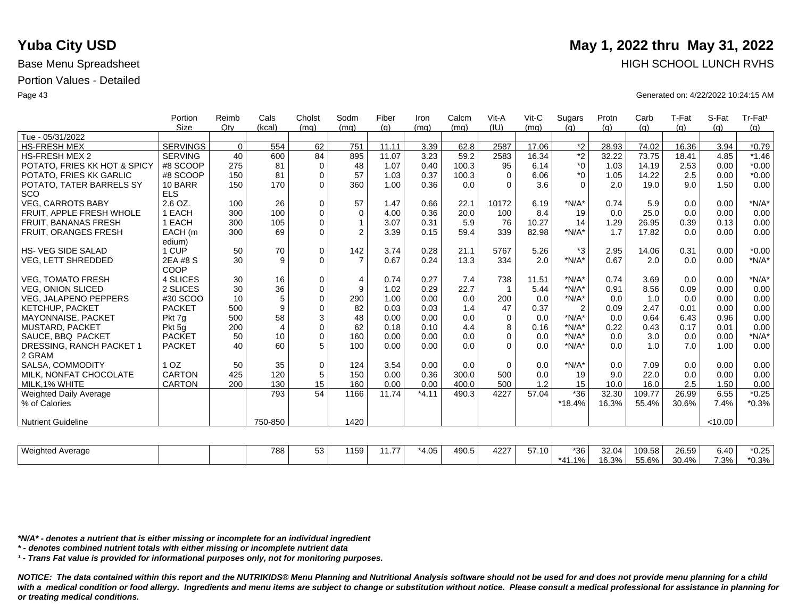|                               | Portion         | Reimb    | Cals             | Cholst              | Sodm           | Fiber | Iron    | Calcm | Vit-A        | Vit-C | Sugars         | Protn | Carb   | T-Fat | S-Fat   | Tr-Fat <sup>1</sup> |
|-------------------------------|-----------------|----------|------------------|---------------------|----------------|-------|---------|-------|--------------|-------|----------------|-------|--------|-------|---------|---------------------|
|                               | Size            | Qty      | (kcal)           | (mq)                | (mq)           | (q)   | (mq)    | (mq)  | (IU)         | (mq)  | (q)            | (q)   | (q)    | (q)   | (q)     | (g)                 |
| Tue - 05/31/2022              |                 |          |                  |                     |                |       |         |       |              |       |                |       |        |       |         |                     |
| <b>HS-FRESH MEX</b>           | <b>SERVINGS</b> | $\Omega$ | 554              | 62                  | 751            | 11.11 | 3.39    | 62.8  | 2587         | 17.06 | $*_{2}$        | 28.93 | 74.02  | 16.36 | 3.94    | $*0.79$             |
| <b>HS-FRESH MEX 2</b>         | <b>SERVING</b>  | 40       | 600              | 84                  | 895            | 11.07 | 3.23    | 59.2  | 2583         | 16.34 | *2             | 32.22 | 73.75  | 18.41 | 4.85    | $*1.46$             |
| POTATO, FRIES KK HOT & SPICY  | #8 SCOOP        | 275      | 81               | 0                   | 48             | 1.07  | 0.40    | 100.3 | 95           | 6.14  | $*_{0}$        | 1.03  | 14.19  | 2.53  | 0.00    | $*0.00$             |
| POTATO, FRIES KK GARLIC       | #8 SCOOP        | 150      | 81               | $\mathbf 0$         | 57             | 1.03  | 0.37    | 100.3 | $\Omega$     | 6.06  | $*_{0}$        | 1.05  | 14.22  | 2.5   | 0.00    | $*0.00$             |
| POTATO, TATER BARRELS SY      | 10 BARR         | 150      | 170              | $\Omega$            | 360            | 1.00  | 0.36    | 0.0   | $\Omega$     | 3.6   | $\Omega$       | 2.0   | 19.0   | 9.0   | 1.50    | 0.00                |
| SCO                           | <b>ELS</b>      |          |                  |                     |                |       |         |       |              |       |                |       |        |       |         |                     |
| <b>VEG. CARROTS BABY</b>      | 2.6 OZ.         | 100      | 26               | $\pmb{0}$           | 57             | 1.47  | 0.66    | 22.1  | 10172        | 6.19  | $*N/A*$        | 0.74  | 5.9    | 0.0   | 0.00    | $*N/A*$             |
| FRUIT, APPLE FRESH WHOLE      | 1 EACH          | 300      | 100              | $\mathsf{O}\xspace$ | $\mathbf 0$    | 4.00  | 0.36    | 20.0  | 100          | 8.4   | 19             | 0.0   | 25.0   | 0.0   | 0.00    | 0.00                |
| <b>FRUIT, BANANAS FRESH</b>   | 1 EACH          | 300      | 105              | $\mathsf{O}\xspace$ | 1              | 3.07  | 0.31    | 5.9   | 76           | 10.27 | 14             | 1.29  | 26.95  | 0.39  | 0.13    | 0.00                |
| FRUIT, ORANGES FRESH          | EACH (m         | 300      | 69               | $\mathbf 0$         | $\overline{2}$ | 3.39  | 0.15    | 59.4  | 339          | 82.98 | $*N/A*$        | 1.7   | 17.82  | 0.0   | 0.00    | 0.00                |
|                               | edium)          |          |                  |                     |                |       |         |       |              |       |                |       |        |       |         |                     |
| <b>HS-VEG SIDE SALAD</b>      | 1 CUP           | 50       | 70               | 0                   | 142            | 3.74  | 0.28    | 21.1  | 5767         | 5.26  | *3             | 2.95  | 14.06  | 0.31  | 0.00    | $*0.00$             |
| VEG, LETT SHREDDED            | 2EA #8 S        | 30       | 9                | $\mathbf 0$         | $\overline{7}$ | 0.67  | 0.24    | 13.3  | 334          | 2.0   | $*N/A*$        | 0.67  | 2.0    | 0.0   | 0.00    | $*N/A*$             |
|                               | COOP            |          |                  |                     |                |       |         |       |              |       |                |       |        |       |         |                     |
| <b>VEG. TOMATO FRESH</b>      | 4 SLICES        | 30       | 16               | $\pmb{0}$           | $\overline{4}$ | 0.74  | 0.27    | 7.4   | 738          | 11.51 | $*N/A*$        | 0.74  | 3.69   | 0.0   | 0.00    | $*N/A*$             |
| <b>VEG. ONION SLICED</b>      | 2 SLICES        | 30       | 36               | $\mathbf 0$         | 9              | 1.02  | 0.29    | 22.7  |              | 5.44  | $*N/A*$        | 0.91  | 8.56   | 0.09  | 0.00    | 0.00                |
| <b>VEG, JALAPENO PEPPERS</b>  | #30 SCOO        | 10       | 5                | $\pmb{0}$           | 290            | 1.00  | 0.00    | 0.0   | 200          | 0.0   | $*N/A*$        | 0.0   | 1.0    | 0.0   | 0.00    | 0.00                |
| <b>KETCHUP, PACKET</b>        | <b>PACKET</b>   | 500      | $\boldsymbol{9}$ | $\mathbf 0$         | 82             | 0.03  | 0.03    | 1.4   | 47           | 0.37  | $\overline{2}$ | 0.09  | 2.47   | 0.01  | 0.00    | 0.00                |
| <b>MAYONNAISE, PACKET</b>     | Pkt 7g          | 500      | 58               | 3                   | 48             | 0.00  | 0.00    | 0.0   | $\mathbf{0}$ | 0.0   | $*N/A*$        | 0.0   | 0.64   | 6.43  | 0.96    | 0.00                |
| <b>MUSTARD, PACKET</b>        | Pkt 5g          | 200      | $\overline{4}$   | $\mathbf 0$         | 62             | 0.18  | 0.10    | 4.4   | 8            | 0.16  | $*N/A*$        | 0.22  | 0.43   | 0.17  | 0.01    | 0.00                |
| SAUCE, BBQ PACKET             | <b>PACKET</b>   | 50       | 10               | $\mathsf{O}\xspace$ | 160            | 0.00  | 0.00    | 0.0   | $\Omega$     | 0.0   | $*N/A*$        | 0.0   | 3.0    | 0.0   | 0.00    | $*N/A*$             |
| DRESSING, RANCH PACKET 1      | <b>PACKET</b>   | 40       | 60               | 5                   | 100            | 0.00  | 0.00    | 0.0   | $\Omega$     | 0.0   | $*N/A*$        | 0.0   | 1.0    | 7.0   | 1.00    | 0.00                |
| 2 GRAM                        |                 |          |                  |                     |                |       |         |       |              |       |                |       |        |       |         |                     |
| <b>SALSA, COMMODITY</b>       | 1 <sub>OZ</sub> | 50       | 35               | $\pmb{0}$           | 124            | 3.54  | 0.00    | 0.0   | 0            | 0.0   | $*N/A*$        | 0.0   | 7.09   | 0.0   | 0.00    | 0.00                |
| MILK, NONFAT CHOCOLATE        | <b>CARTON</b>   | 425      | 120              | $\sqrt{5}$          | 150            | 0.00  | 0.36    | 300.0 | 500          | 0.0   | 19             | 9.0   | 22.0   | 0.0   | 0.00    | 0.00                |
| MILK, 1% WHITE                | <b>CARTON</b>   | 200      | 130              | 15                  | 160            | 0.00  | 0.00    | 400.0 | 500          | 1.2   | 15             | 10.0  | 16.0   | 2.5   | 1.50    | 0.00                |
| <b>Weighted Daily Average</b> |                 |          | 793              | 54                  | 1166           | 11.74 | $*4.11$ | 490.3 | 4227         | 57.04 | $*36$          | 32.30 | 109.77 | 26.99 | 6.55    | $*0.25$             |
| % of Calories                 |                 |          |                  |                     |                |       |         |       |              |       | $*18.4%$       | 16.3% | 55.4%  | 30.6% | 7.4%    | $*0.3%$             |
|                               |                 |          |                  |                     |                |       |         |       |              |       |                |       |        |       |         |                     |
| <b>Nutrient Guideline</b>     |                 |          | 750-850          |                     | 1420           |       |         |       |              |       |                |       |        |       | < 10.00 |                     |
|                               |                 |          |                  |                     |                |       |         |       |              |       |                |       |        |       |         |                     |

| Weighte <sub></sub><br>Average | 788 | $-\sim$<br>ູບບ | $\cdot$ $ \sim$<br>159 | $\sim$ $-$<br>. | *4.05 | 490.5 | $100 -$<br>4227 | 57.10<br>. | *36,                        | 32.04          | 109.58        | 26.59 | 3.40 | $*0.25$ |
|--------------------------------|-----|----------------|------------------------|-----------------|-------|-------|-----------------|------------|-----------------------------|----------------|---------------|-------|------|---------|
|                                |     |                |                        |                 |       |       |                 |            | $\overline{A}$<br>1%.<br>٠. | 0.001<br>16.3% | FFOM<br>55.6% | 30.4% | 7.3% | $*0.3%$ |

*\*N/A\* - denotes a nutrient that is either missing or incomplete for an individual ingredient*

*\* - denotes combined nutrient totals with either missing or incomplete nutrient data*

*¹ - Trans Fat value is provided for informational purposes only, not for monitoring purposes.*

*NOTICE: The data contained within this report and the NUTRIKIDS® Menu Planning and Nutritional Analysis software should not be used for and does not provide menu planning for a child*  with a medical condition or food allergy. Ingredients and menu items are subject to change or substitution without notice. Please consult a medical professional for assistance in planning for *or treating medical conditions.*

## **Yuba City USD** May 1, 2022 thru May 31, 2022 Base Menu Spreadsheet **HIGH SCHOOL LUNCH RVHS**

Page 43 Generated on: 4/22/2022 10:24:15 AM